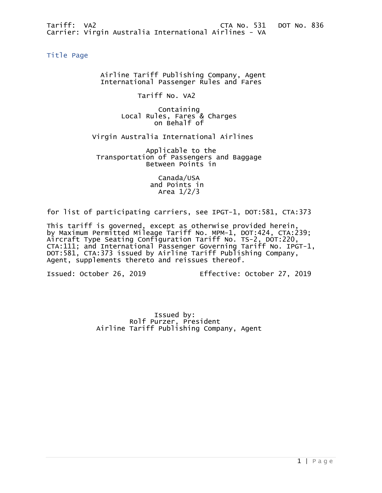<span id="page-0-0"></span>Title Page

 Airline Tariff Publishing Company, Agent International Passenger Rules and Fares

Tariff No. VA2

 Containing Local Rules, Fares & Charges on Behalf of

Virgin Australia International Airlines

 Applicable to the Transportation of Passengers and Baggage Between Points in

> Canada/USA and Points in Area 1/2/3

for list of participating carriers, see IPGT-1, DOT:581, CTA:373

This tariff is governed, except as otherwise provided herein, by Maximum Permitted Mileage Tariff No. MPM-1, DOT:424, CTA:239; Aircraft Type Seating Configuration Tariff No. TS-2, DOT:220, CTA:111; and International Passenger Governing Tariff No. IPGT-1, DOT:581, CTA:373 issued by Airline Tariff Publishing Company, Agent, supplements thereto and reissues thereof.

Issued: October 26, 2019 Effective: October 27, 2019

 Issued by: Rolf Purzer, President Airline Tariff Publishing Company, Agent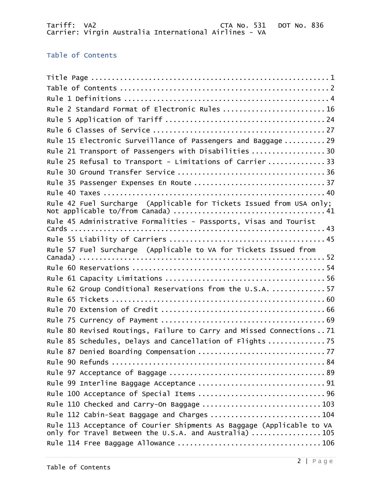# <span id="page-1-0"></span>Table of Contents

| Rule 2 Standard Format of Electronic Rules  16                                                                                 |
|--------------------------------------------------------------------------------------------------------------------------------|
|                                                                                                                                |
|                                                                                                                                |
| Rule 15 Electronic Surveillance of Passengers and Baggage  29                                                                  |
| Rule 21 Transport of Passengers with Disabilities  30                                                                          |
| Rule 25 Refusal to Transport - Limitations of Carrier  33                                                                      |
|                                                                                                                                |
| Rule 35 Passenger Expenses En Route  37                                                                                        |
|                                                                                                                                |
| Rule 42 Fuel Surcharge (Applicable for Tickets Issued from USA only;                                                           |
| Rule 45 Administrative Formalities - Passports, Visas and Tourist                                                              |
|                                                                                                                                |
| Rule 57 Fuel Surcharge (Applicable to VA for Tickets Issued from                                                               |
|                                                                                                                                |
|                                                                                                                                |
| Rule 62 Group Conditional Reservations from the U.S.A.  57                                                                     |
|                                                                                                                                |
|                                                                                                                                |
|                                                                                                                                |
| Rule 80 Revised Routings, Failure to Carry and Missed Connections  71                                                          |
| Rule 85 Schedules, Delays and Cancellation of Flights  75                                                                      |
|                                                                                                                                |
|                                                                                                                                |
|                                                                                                                                |
|                                                                                                                                |
|                                                                                                                                |
| Rule 110 Checked and Carry-On Baggage  103                                                                                     |
| Rule 112 Cabin-Seat Baggage and Charges  104                                                                                   |
| Rule 113 Acceptance of Courier Shipments As Baggage (Applicable to VA<br>only for Travel Between the U.S.A. and Australia) 105 |
|                                                                                                                                |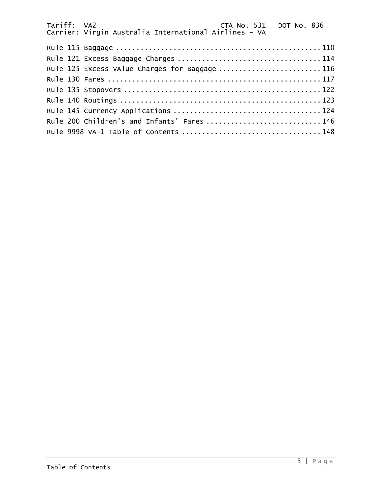| Rule 125 Excess VAlue Charges for Baggage 116 |  |  |
|-----------------------------------------------|--|--|
|                                               |  |  |
|                                               |  |  |
|                                               |  |  |
|                                               |  |  |
| Rule 200 Children's and Infants' Fares  146   |  |  |
|                                               |  |  |
|                                               |  |  |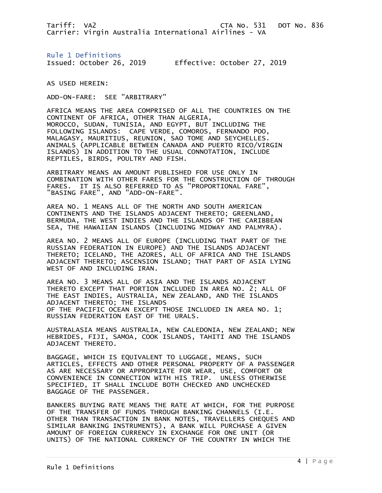<span id="page-3-0"></span>Rule 1 Definitions Issued: October 26, 2019 Effective: October 27, 2019

AS USED HEREIN:

ADD-ON-FARE: SEE "ARBITRARY"

AFRICA MEANS THE AREA COMPRISED OF ALL THE COUNTRIES ON THE CONTINENT OF AFRICA, OTHER THAN ALGERIA, MOROCCO, SUDAN, TUNISIA, AND EGYPT, BUT INCLUDING THE FOLLOWING ISLANDS: CAPE VERDE, COMOROS, FERNANDO POO, MALAGASY, MAURITIUS, REUNION, SAO TOME AND SEYCHELLES. ANIMALS (APPLICABLE BETWEEN CANADA AND PUERTO RICO/VIRGIN ISLANDS) IN ADDITION TO THE USUAL CONNOTATION, INCLUDE REPTILES, BIRDS, POULTRY AND FISH.

ARBITRARY MEANS AN AMOUNT PUBLISHED FOR USE ONLY IN COMBINATION WITH OTHER FARES FOR THE CONSTRUCTION OF THROUGH FARES. IT IS ALSO REFERRED TO AS "PROPORTIONAL FARE", "BASING FARE", AND "ADD-ON-FARE".

AREA NO. 1 MEANS ALL OF THE NORTH AND SOUTH AMERICAN CONTINENTS AND THE ISLANDS ADJACENT THERETO; GREENLAND, BERMUDA, THE WEST INDIES AND THE ISLANDS OF THE CARIBBEAN SEA, THE HAWAIIAN ISLANDS (INCLUDING MIDWAY AND PALMYRA).

AREA NO. 2 MEANS ALL OF EUROPE (INCLUDING THAT PART OF THE RUSSIAN FEDERATION IN EUROPE) AND THE ISLANDS ADJACENT THERETO; ICELAND, THE AZORES, ALL OF AFRICA AND THE ISLANDS ADJACENT THERETO; ASCENSION ISLAND; THAT PART OF ASIA LYING WEST OF AND INCLUDING IRAN.

AREA NO. 3 MEANS ALL OF ASIA AND THE ISLANDS ADJACENT THERETO EXCEPT THAT PORTION INCLUDED IN AREA NO. 2; ALL OF THE EAST INDIES, AUSTRALIA, NEW ZEALAND, AND THE ISLANDS ADJACENT THERETO; THE ISLANDS OF THE PACIFIC OCEAN EXCEPT THOSE INCLUDED IN AREA NO. 1; RUSSIAN FEDERATION EAST OF THE URALS.

AUSTRALASIA MEANS AUSTRALIA, NEW CALEDONIA, NEW ZEALAND; NEW HEBRIDES, FIJI, SAMOA, COOK ISLANDS, TAHITI AND THE ISLANDS ADJACENT THERETO.

BAGGAGE, WHICH IS EQUIVALENT TO LUGGAGE, MEANS, SUCH ARTICLES, EFFECTS AND OTHER PERSONAL PROPERTY OF A PASSENGER AS ARE NECESSARY OR APPROPRIATE FOR WEAR, USE, COMFORT OR CONVENIENCE IN CONNECTION WITH HIS TRIP. UNLESS OTHERWISE SPECIFIED, IT SHALL INCLUDE BOTH CHECKED AND UNCHECKED BAGGAGE OF THE PASSENGER.

BANKERS BUYING RATE MEANS THE RATE AT WHICH, FOR THE PURPOSE OF THE TRANSFER OF FUNDS THROUGH BANKING CHANNELS (I.E. OTHER THAN TRANSACTION IN BANK NOTES, TRAVELLERS CHEQUES AND SIMILAR BANKING INSTRUMENTS), A BANK WILL PURCHASE A GIVEN AMOUNT OF FOREIGN CURRENCY IN EXCHANGE FOR ONE UNIT (OR UNITS) OF THE NATIONAL CURRENCY OF THE COUNTRY IN WHICH THE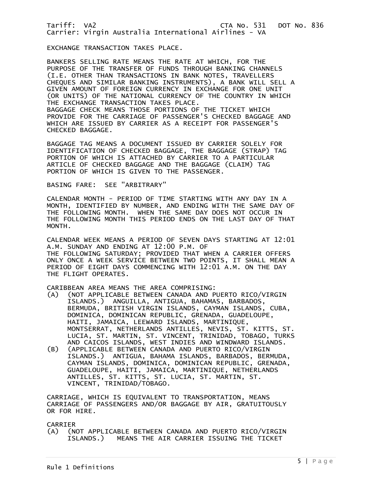EXCHANGE TRANSACTION TAKES PLACE.

BANKERS SELLING RATE MEANS THE RATE AT WHICH, FOR THE PURPOSE OF THE TRANSFER OF FUNDS THROUGH BANKING CHANNELS (I.E. OTHER THAN TRANSACTIONS IN BANK NOTES, TRAVELLERS CHEQUES AND SIMILAR BANKING INSTRUMENTS), A BANK WILL SELL A GIVEN AMOUNT OF FOREIGN CURRENCY IN EXCHANGE FOR ONE UNIT (OR UNITS) OF THE NATIONAL CURRENCY OF THE COUNTRY IN WHICH THE EXCHANGE TRANSACTION TAKES PLACE. BAGGAGE CHECK MEANS THOSE PORTIONS OF THE TICKET WHICH PROVIDE FOR THE CARRIAGE OF PASSENGER'S CHECKED BAGGAGE AND WHICH ARE ISSUED BY CARRIER AS A RECEIPT FOR PASSENGER'S CHECKED BAGGAGE.

BAGGAGE TAG MEANS A DOCUMENT ISSUED BY CARRIER SOLELY FOR IDENTIFICATION OF CHECKED BAGGAGE, THE BAGGAGE (STRAP) TAG PORTION OF WHICH IS ATTACHED BY CARRIER TO A PARTICULAR ARTICLE OF CHECKED BAGGAGE AND THE BAGGAGE (CLAIM) TAG PORTION OF WHICH IS GIVEN TO THE PASSENGER.

### BASING FARE: SEE "ARBITRARY"

CALENDAR MONTH - PERIOD OF TIME STARTING WITH ANY DAY IN A MONTH, IDENTIFIED BY NUMBER, AND ENDING WITH THE SAME DAY OF THE FOLLOWING MONTH. WHEN THE SAME DAY DOES NOT OCCUR IN THE FOLLOWING MONTH THIS PERIOD ENDS ON THE LAST DAY OF THAT MONTH.

CALENDAR WEEK MEANS A PERIOD OF SEVEN DAYS STARTING AT 12:01 A.M. SUNDAY AND ENDING AT 12:00 P.M. OF THE FOLLOWING SATURDAY; PROVIDED THAT WHEN A CARRIER OFFERS ONLY ONCE A WEEK SERVICE BETWEEN TWO POINTS, IT SHALL MEAN A PERIOD OF EIGHT DAYS COMMENCING WITH 12:01 A.M. ON THE DAY THE FLIGHT OPERATES.

CARIBBEAN AREA MEANS THE AREA COMPRISING:

- (A) (NOT APPLICABLE BETWEEN CANADA AND PUERTO RICO/VIRGIN ISLANDS.) ANGUILLA, ANTIGUA, BAHAMAS, BARBADOS, BERMUDA, BRITISH VIRGIN ISLANDS, CAYMAN ISLANDS, CUBA, DOMINICA, DOMINICAN REPUBLIC, GRENADA, GUADELOUPE, HAITI, JAMAICA, LEEWARD ISLANDS, MARTINIQUE, MONTSERRAT, NETHERLANDS ANTILLES, NEVIS, ST. KITTS, ST. LUCIA, ST. MARTIN, ST. VINCENT, TRINIDAD, TOBAGO, TURKS AND CAICOS ISLANDS, WEST INDIES AND WINDWARD ISLANDS.
- (B) (APPLICABLE BETWEEN CANADA AND PUERTO RICO/VIRGIN ISLANDS.) ANTIGUA, BAHAMA ISLANDS, BARBADOS, BERMUDA, CAYMAN ISLANDS, DOMINICA, DOMINICAN REPUBLIC, GRENADA, GUADELOUPE, HAITI, JAMAICA, MARTINIQUE, NETHERLANDS ANTILLES, ST. KITTS, ST. LUCIA, ST. MARTIN, ST. VINCENT, TRINIDAD/TOBAGO.

CARRIAGE, WHICH IS EQUIVALENT TO TRANSPORTATION, MEANS CARRIAGE OF PASSENGERS AND/OR BAGGAGE BY AIR, GRATUITOUSLY OR FOR HIRE.

#### CARRIER

(A) (NOT APPLICABLE BETWEEN CANADA AND PUERTO RICO/VIRGIN ISLANDS.) MEANS THE AIR CARRIER ISSUING THE TICKET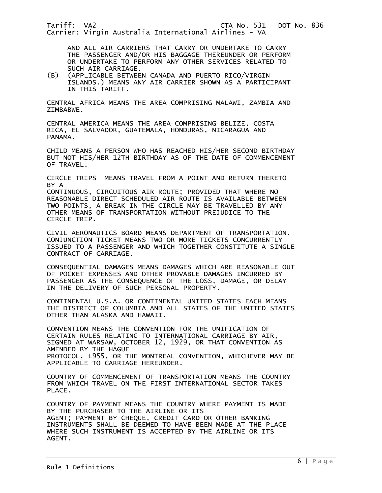AND ALL AIR CARRIERS THAT CARRY OR UNDERTAKE TO CARRY THE PASSENGER AND/OR HIS BAGGAGE THEREUNDER OR PERFORM OR UNDERTAKE TO PERFORM ANY OTHER SERVICES RELATED TO

SUCH AIR CARRIAGE.<br>B) (APPLICABLE BETWEE) (B) (APPLICABLE BETWEEN CANADA AND PUERTO RICO/VIRGIN ISLANDS.) MEANS ANY AIR CARRIER SHOWN AS A PARTICIPANT IN THIS TARIFF.

CENTRAL AFRICA MEANS THE AREA COMPRISING MALAWI, ZAMBIA AND ZIMBABWE.

CENTRAL AMERICA MEANS THE AREA COMPRISING BELIZE, COSTA RICA, EL SALVADOR, GUATEMALA, HONDURAS, NICARAGUA AND PANAMA.

CHILD MEANS A PERSON WHO HAS REACHED HIS/HER SECOND BIRTHDAY BUT NOT HIS/HER 12TH BIRTHDAY AS OF THE DATE OF COMMENCEMENT OF TRAVEL.

CIRCLE TRIPS MEANS TRAVEL FROM A POINT AND RETURN THERETO BY A

CONTINUOUS, CIRCUITOUS AIR ROUTE; PROVIDED THAT WHERE NO REASONABLE DIRECT SCHEDULED AIR ROUTE IS AVAILABLE BETWEEN TWO POINTS, A BREAK IN THE CIRCLE MAY BE TRAVELLED BY ANY OTHER MEANS OF TRANSPORTATION WITHOUT PREJUDICE TO THE CIRCLE TRIP.

CIVIL AERONAUTICS BOARD MEANS DEPARTMENT OF TRANSPORTATION. CONJUNCTION TICKET MEANS TWO OR MORE TICKETS CONCURRENTLY ISSUED TO A PASSENGER AND WHICH TOGETHER CONSTITUTE A SINGLE CONTRACT OF CARRIAGE.

CONSEQUENTIAL DAMAGES MEANS DAMAGES WHICH ARE REASONABLE OUT OF POCKET EXPENSES AND OTHER PROVABLE DAMAGES INCURRED BY PASSENGER AS THE CONSEQUENCE OF THE LOSS, DAMAGE, OR DELAY IN THE DELIVERY OF SUCH PERSONAL PROPERTY.

CONTINENTAL U.S.A. OR CONTINENTAL UNITED STATES EACH MEANS THE DISTRICT OF COLUMBIA AND ALL STATES OF THE UNITED STATES OTHER THAN ALASKA AND HAWAII.

CONVENTION MEANS THE CONVENTION FOR THE UNIFICATION OF CERTAIN RULES RELATING TO INTERNATIONAL CARRIAGE BY AIR, SIGNED AT WARSAW, OCTOBER 12, 1929, OR THAT CONVENTION AS AMENDED BY THE HAGUE PROTOCOL, L955, OR THE MONTREAL CONVENTION, WHICHEVER MAY BE APPLICABLE TO CARRIAGE HEREUNDER.

COUNTRY OF COMMENCEMENT OF TRANSPORTATION MEANS THE COUNTRY FROM WHICH TRAVEL ON THE FIRST INTERNATIONAL SECTOR TAKES PLACE.

COUNTRY OF PAYMENT MEANS THE COUNTRY WHERE PAYMENT IS MADE BY THE PURCHASER TO THE AIRLINE OR ITS AGENT; PAYMENT BY CHEQUE, CREDIT CARD OR OTHER BANKING INSTRUMENTS SHALL BE DEEMED TO HAVE BEEN MADE AT THE PLACE WHERE SUCH INSTRUMENT IS ACCEPTED BY THE AIRLINE OR ITS AGENT.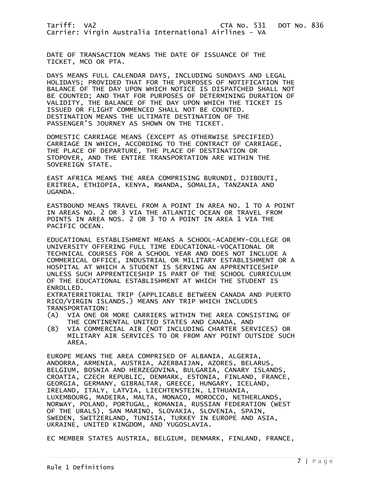DATE OF TRANSACTION MEANS THE DATE OF ISSUANCE OF THE TICKET, MCO OR PTA.

DAYS MEANS FULL CALENDAR DAYS, INCLUDING SUNDAYS AND LEGAL HOLIDAYS; PROVIDED THAT FOR THE PURPOSES OF NOTIFICATION THE BALANCE OF THE DAY UPON WHICH NOTICE IS DISPATCHED SHALL NOT BE COUNTED; AND THAT FOR PURPOSES OF DETERMINING DURATION OF VALIDITY, THE BALANCE OF THE DAY UPON WHICH THE TICKET IS ISSUED OR FLIGHT COMMENCED SHALL NOT BE COUNTED. DESTINATION MEANS THE ULTIMATE DESTINATION OF THE PASSENGER'S JOURNEY AS SHOWN ON THE TICKET.

DOMESTIC CARRIAGE MEANS (EXCEPT AS OTHERWISE SPECIFIED) CARRIAGE IN WHICH, ACCORDING TO THE CONTRACT OF CARRIAGE, THE PLACE OF DEPARTURE, THE PLACE OF DESTINATION OR STOPOVER, AND THE ENTIRE TRANSPORTATION ARE WITHIN THE SOVEREIGN STATE.

EAST AFRICA MEANS THE AREA COMPRISING BURUNDI, DJIBOUTI, ERITREA, ETHIOPIA, KENYA, RWANDA, SOMALIA, TANZANIA AND UGANDA.

EASTBOUND MEANS TRAVEL FROM A POINT IN AREA NO. 1 TO A POINT IN AREAS NO. 2 OR 3 VIA THE ATLANTIC OCEAN OR TRAVEL FROM POINTS IN AREA NOS. 2 OR 3 TO A POINT IN AREA 1 VIA THE PACIFIC OCEAN.

EDUCATIONAL ESTABLISHMENT MEANS A SCHOOL-ACADEMY-COLLEGE OR UNIVERSITY OFFERING FULL TIME EDUCATIONAL-VOCATIONAL OR TECHNICAL COURSES FOR A SCHOOL YEAR AND DOES NOT INCLUDE A COMMERICAL OFFICE, INDUSTRIAL OR MILITARY ESTABLISHMENT OR A HOSPITAL AT WHICH A STUDENT IS SERVING AN APPRENTICESHIP UNLESS SUCH APPRENTICESHIP IS PART OF THE SCHOOL CURRICULUM OF THE EDUCATIONAL ESTABLISHMENT AT WHICH THE STUDENT IS ENROLLED.

EXTRATERRITORIAL TRIP (APPLICABLE BETWEEN CANADA AND PUERTO RICO/VIRGIN ISLANDS.) MEANS ANY TRIP WHICH INCLUDES TRANSPORTATION:

- (A) VIA ONE OR MORE CARRIERS WITHIN THE AREA CONSISTING OF THE CONTINENTAL UNITED STATES AND CANADA, AND
- (B) VIA COMMERCIAL AIR (NOT INCLUDING CHARTER SERVICES) OR MILITARY AIR SERVICES TO OR FROM ANY POINT OUTSIDE SUCH AREA.

EUROPE MEANS THE AREA COMPRISED OF ALBANIA, ALGERIA, ANDORRA, ARMENIA, AUSTRIA, AZERBAIJAN, AZORES, BELARUS, BELGIUM, BOSNIA AND HERZEGOVINA, BULGARIA, CANARY ISLANDS, CROATIA, CZECH REPUBLIC, DENMARK, ESTONIA, FINLAND, FRANCE, GEORGIA, GERMANY, GIBRALTAR, GREECE, HUNGARY, ICELAND, IRELAND, ITALY, LATVIA, LIECHTENSTEIN, LITHUANIA, LUXEMBOURG, MADEIRA, MALTA, MONACO, MOROCCO, NETHERLANDS, NORWAY, POLAND, PORTUGAL, ROMANIA, RUSSIAN FEDERATION (WEST OF THE URALS), SAN MARINO, SLOVAKIA, SLOVENIA, SPAIN, SWEDEN, SWITZERLAND, TUNISIA, TURKEY IN EUROPE AND ASIA, UKRAINE, UNITED KINGDOM, AND YUGOSLAVIA.

EC MEMBER STATES AUSTRIA, BELGIUM, DENMARK, FINLAND, FRANCE,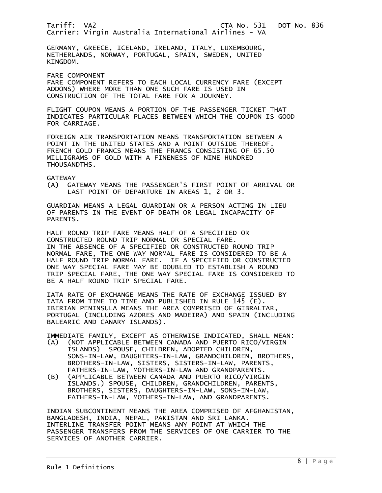GERMANY, GREECE, ICELAND, IRELAND, ITALY, LUXEMBOURG, NETHERLANDS, NORWAY, PORTUGAL, SPAIN, SWEDEN, UNITED KINGDOM.

FARE COMPONENT

FARE COMPONENT REFERS TO EACH LOCAL CURRENCY FARE (EXCEPT ADDONS) WHERE MORE THAN ONE SUCH FARE IS USED IN CONSTRUCTION OF THE TOTAL FARE FOR A JOURNEY.

FLIGHT COUPON MEANS A PORTION OF THE PASSENGER TICKET THAT INDICATES PARTICULAR PLACES BETWEEN WHICH THE COUPON IS GOOD FOR CARRIAGE.

FOREIGN AIR TRANSPORTATION MEANS TRANSPORTATION BETWEEN A POINT IN THE UNITED STATES AND A POINT OUTSIDE THEREOF. FRENCH GOLD FRANCS MEANS THE FRANCS CONSISTING OF 65.50 MILLIGRAMS OF GOLD WITH A FINENESS OF NINE HUNDRED THOUSANDTHS.

GATEWAY

(A) GATEWAY MEANS THE PASSENGER'S FIRST POINT OF ARRIVAL OR LAST POINT OF DEPARTURE IN AREAS 1, 2 OR 3.

GUARDIAN MEANS A LEGAL GUARDIAN OR A PERSON ACTING IN LIEU OF PARENTS IN THE EVENT OF DEATH OR LEGAL INCAPACITY OF PARENTS.

HALF ROUND TRIP FARE MEANS HALF OF A SPECIFIED OR CONSTRUCTED ROUND TRIP NORMAL OR SPECIAL FARE. IN THE ABSENCE OF A SPECIFIED OR CONSTRUCTED ROUND TRIP NORMAL FARE, THE ONE WAY NORMAL FARE IS CONSIDERED TO BE A HALF ROUND TRIP NORMAL FARE. IF A SPECIFIED OR CONSTRUCTED ONE WAY SPECIAL FARE MAY BE DOUBLED TO ESTABLISH A ROUND TRIP SPECIAL FARE, THE ONE WAY SPECIAL FARE IS CONSIDERED TO BE A HALF ROUND TRIP SPECIAL FARE.

IATA RATE OF EXCHANGE MEANS THE RATE OF EXCHANGE ISSUED BY IATA FROM TIME TO TIME AND PUBLISHED IN RULE 145 (E). IBERIAN PENINSULA MEANS THE AREA COMPRISED OF GIBRALTAR, PORTUGAL (INCLUDING AZORES AND MADEIRA) AND SPAIN (INCLUDING BALEARIC AND CANARY ISLANDS).

IMMEDIATE FAMILY, EXCEPT AS OTHERWISE INDICATED, SHALL MEAN:

- (A) (NOT APPLICABLE BETWEEN CANADA AND PUERTO RICO/VIRGIN ISLANDS) SPOUSE, CHILDREN, ADOPTED CHILDREN, SONS-IN-LAW, DAUGHTERS-IN-LAW, GRANDCHILDREN, BROTHERS, BROTHERS-IN-LAW, SISTERS, SISTERS-IN-LAW, PARENTS, FATHERS-IN-LAW, MOTHERS-IN-LAW AND GRANDPARENTS.
- (B) (APPLICABLE BETWEEN CANADA AND PUERTO RICO/VIRGIN ISLANDS.) SPOUSE, CHILDREN, GRANDCHILDREN, PARENTS, BROTHERS, SISTERS, DAUGHTERS-IN-LAW, SONS-IN-LAW, FATHERS-IN-LAW, MOTHERS-IN-LAW, AND GRANDPARENTS.

INDIAN SUBCONTINENT MEANS THE AREA COMPRISED OF AFGHANISTAN, BANGLADESH, INDIA, NEPAL, PAKISTAN AND SRI LANKA. INTERLINE TRANSFER POINT MEANS ANY POINT AT WHICH THE PASSENGER TRANSFERS FROM THE SERVICES OF ONE CARRIER TO THE SERVICES OF ANOTHER CARRIER.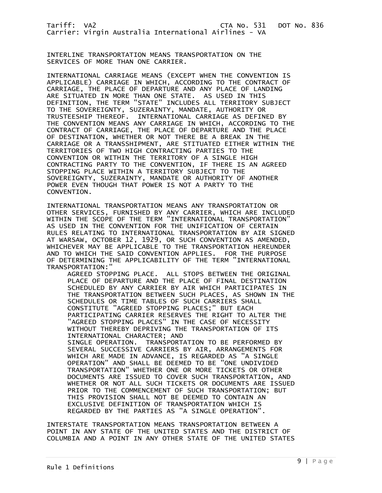INTERLINE TRANSPORTATION MEANS TRANSPORTATION ON THE SERVICES OF MORE THAN ONE CARRIER.

INTERNATIONAL CARRIAGE MEANS (EXCEPT WHEN THE CONVENTION IS APPLICABLE) CARRIAGE IN WHICH, ACCORDING TO THE CONTRACT OF CARRIAGE, THE PLACE OF DEPARTURE AND ANY PLACE OF LANDING ARE SITUATED IN MORE THAN ONE STATE. AS USED IN THIS DEFINITION, THE TERM "STATE" INCLUDES ALL TERRITORY SUBJECT TO THE SOVEREIGNTY, SUZERAINTY, MANDATE, AUTHORITY OR TRUSTEESHIP THEREOF. INTERNATIONAL CARRIAGE AS DEFINED BY THE CONVENTION MEANS ANY CARRIAGE IN WHICH, ACCORDING TO THE CONTRACT OF CARRIAGE, THE PLACE OF DEPARTURE AND THE PLACE OF DESTINATION, WHETHER OR NOT THERE BE A BREAK IN THE CARRIAGE OR A TRANSSHIPMENT, ARE STITUATED EITHER WITHIN THE TERRITORIES OF TWO HIGH CONTRACTING PARTIES TO THE CONVENTION OR WITHIN THE TERRITORY OF A SINGLE HIGH CONTRACTING PARTY TO THE CONVENTION, IF THERE IS AN AGREED STOPPING PLACE WITHIN A TERRITORY SUBJECT TO THE SOVEREIGNTY, SUZERAINTY, MANDATE OR AUTHORITY OF ANOTHER POWER EVEN THOUGH THAT POWER IS NOT A PARTY TO THE CONVENTION.

INTERNATIONAL TRANSPORTATION MEANS ANY TRANSPORTATION OR OTHER SERVICES, FURNISHED BY ANY CARRIER, WHICH ARE INCLUDED WITHIN THE SCOPE OF THE TERM "INTERNATIONAL TRANSPORTATION" AS USED IN THE CONVENTION FOR THE UNIFICATION OF CERTAIN RULES RELATING TO INTERNATIONAL TRANSPORTATION BY AIR SIGNED AT WARSAW, OCTOBER 12, 1929, OR SUCH CONVENTION AS AMENDED, WHICHEVER MAY BE APPLICABLE TO THE TRANSPORTATION HEREUNDER AND TO WHICH THE SAID CONVENTION APPLIES. FOR THE PURPOSE OF DETERMINING THE APPLICABILITY OF THE TERM "INTERNATIONAL TRANSPORTATION:"

 AGREED STOPPING PLACE. ALL STOPS BETWEEN THE ORIGINAL PLACE OF DEPARTURE AND THE PLACE OF FINAL DESTINATION SCHEDULED BY ANY CARRIER BY AIR WHICH PARTICIPATES IN THE TRANSPORTATION BETWEEN SUCH PLACES, AS SHOWN IN THE SCHEDULES OR TIME TABLES OF SUCH CARRIERS SHALL CONSTITUTE "AGREED STOPPING PLACES;" BUT EACH PARTICIPATING CARRIER RESERVES THE RIGHT TO ALTER THE "AGREED STOPPING PLACES" IN THE CASE OF NECESSITY WITHOUT THEREBY DEPRIVING THE TRANSPORTATION OF ITS INTERNATIONAL CHARACTER; AND SINGLE OPERATION. TRANSPORTATION TO BE PERFORMED BY SEVERAL SUCCESSIVE CARRIERS BY AIR, ARRANGEMENTS FOR WHICH ARE MADE IN ADVANCE, IS REGARDED AS "A SINGLE OPERATION" AND SHALL BE DEEMED TO BE "ONE UNDIVIDED TRANSPORTATION" WHETHER ONE OR MORE TICKETS OR OTHER DOCUMENTS ARE ISSUED TO COVER SUCH TRANSPORTATION, AND WHETHER OR NOT ALL SUCH TICKETS OR DOCUMENTS ARE ISSUED PRIOR TO THE COMMENCEMENT OF SUCH TRANSPORTATION; BUT THIS PROVISION SHALL NOT BE DEEMED TO CONTAIN AN EXCLUSIVE DEFINITION OF TRANSPORTATION WHICH IS REGARDED BY THE PARTIES AS "A SINGLE OPERATION".

INTERSTATE TRANSPORTATION MEANS TRANSPORTATION BETWEEN A POINT IN ANY STATE OF THE UNITED STATES AND THE DISTRICT OF COLUMBIA AND A POINT IN ANY OTHER STATE OF THE UNITED STATES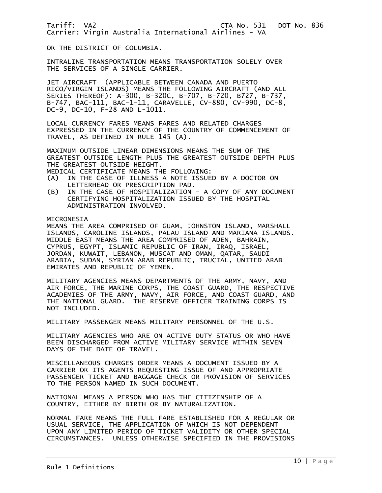OR THE DISTRICT OF COLUMBIA.

INTRALINE TRANSPORTATION MEANS TRANSPORTATION SOLELY OVER THE SERVICES OF A SINGLE CARRIER.

JET AIRCRAFT (APPLICABLE BETWEEN CANADA AND PUERTO RICO/VIRGIN ISLANDS) MEANS THE FOLLOWING AIRCRAFT (AND ALL SERIES THEREOF): A-300, B-320C, B-707, B-720, B727, B-737, B-747, BAC-111, BAC-1-11, CARAVELLE, CV-880, CV-990, DC-8, DC-9, DC-10, F-28 AND L-1011.

LOCAL CURRENCY FARES MEANS FARES AND RELATED CHARGES EXPRESSED IN THE CURRENCY OF THE COUNTRY OF COMMENCEMENT OF TRAVEL, AS DEFINED IN RULE 145 (A).

MAXIMUM OUTSIDE LINEAR DIMENSIONS MEANS THE SUM OF THE GREATEST OUTSIDE LENGTH PLUS THE GREATEST OUTSIDE DEPTH PLUS THE GREATEST OUTSIDE HEIGHT.

MEDICAL CERTIFICATE MEANS THE FOLLOWING:<br>(A) IN THE CASE OF ILLNESS A NOTE ISSUE

- IN THE CASE OF ILLNESS A NOTE ISSUED BY A DOCTOR ON LETTERHEAD OR PRESCRIPTION PAD.
- (B) IN THE CASE OF HOSPITALIZATION A COPY OF ANY DOCUMENT CERTIFYING HOSPITALIZATION ISSUED BY THE HOSPITAL ADMINISTRATION INVOLVED.

MICRONESIA

MEANS THE AREA COMPRISED OF GUAM, JOHNSTON ISLAND, MARSHALL ISLANDS, CAROLINE ISLANDS, PALAU ISLAND AND MARIANA ISLANDS. MIDDLE EAST MEANS THE AREA COMPRISED OF ADEN, BAHRAIN, CYPRUS, EGYPT, ISLAMIC REPUBLIC OF IRAN, IRAQ, ISRAEL, JORDAN, KUWAIT, LEBANON, MUSCAT AND OMAN, QATAR, SAUDI ARABIA, SUDAN, SYRIAN ARAB REPUBLIC, TRUCIAL, UNITED ARAB EMIRATES AND REPUBLIC OF YEMEN.

MILITARY AGENCIES MEANS DEPARTMENTS OF THE ARMY, NAVY, AND AIR FORCE, THE MARINE CORPS, THE COAST GUARD, THE RESPECTIVE ACADEMIES OF THE ARMY, NAVY, AIR FORCE, AND COAST GUARD, AND THE NATIONAL GUARD. THE RESERVE OFFICER TRAINING CORPS IS NOT INCLUDED.

MILITARY PASSENGER MEANS MILITARY PERSONNEL OF THE U.S.

MILITARY AGENCIES WHO ARE ON ACTIVE DUTY STATUS OR WHO HAVE BEEN DISCHARGED FROM ACTIVE MILITARY SERVICE WITHIN SEVEN DAYS OF THE DATE OF TRAVEL.

MISCELLANEOUS CHARGES ORDER MEANS A DOCUMENT ISSUED BY A CARRIER OR ITS AGENTS REQUESTING ISSUE OF AND APPROPRIATE PASSENGER TICKET AND BAGGAGE CHECK OR PROVISION OF SERVICES TO THE PERSON NAMED IN SUCH DOCUMENT.

NATIONAL MEANS A PERSON WHO HAS THE CITIZENSHIP OF A COUNTRY, EITHER BY BIRTH OR BY NATURALIZATION.

NORMAL FARE MEANS THE FULL FARE ESTABLISHED FOR A REGULAR OR USUAL SERVICE, THE APPLICATION OF WHICH IS NOT DEPENDENT UPON ANY LIMITED PERIOD OF TICKET VALIDITY OR OTHER SPECIAL CIRCUMSTANCES. UNLESS OTHERWISE SPECIFIED IN THE PROVISIONS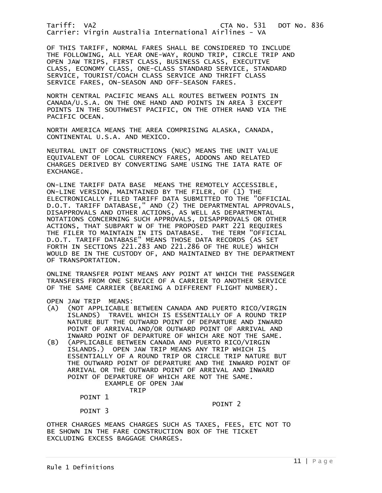OF THIS TARIFF, NORMAL FARES SHALL BE CONSIDERED TO INCLUDE THE FOLLOWING, ALL YEAR ONE-WAY, ROUND TRIP, CIRCLE TRIP AND OPEN JAW TRIPS, FIRST CLASS, BUSINESS CLASS, EXECUTIVE CLASS, ECONOMY CLASS, ONE-CLASS STANDARD SERVICE, STANDARD SERVICE, TOURIST/COACH CLASS SERVICE AND THRIFT CLASS SERVICE FARES, ON-SEASON AND OFF-SEASON FARES.

NORTH CENTRAL PACIFIC MEANS ALL ROUTES BETWEEN POINTS IN CANADA/U.S.A. ON THE ONE HAND AND POINTS IN AREA 3 EXCEPT POINTS IN THE SOUTHWEST PACIFIC, ON THE OTHER HAND VIA THE PACIFIC OCEAN.

NORTH AMERICA MEANS THE AREA COMPRISING ALASKA, CANADA, CONTINENTAL U.S.A. AND MEXICO.

NEUTRAL UNIT OF CONSTRUCTIONS (NUC) MEANS THE UNIT VALUE EQUIVALENT OF LOCAL CURRENCY FARES, ADDONS AND RELATED CHARGES DERIVED BY CONVERTING SAME USING THE IATA RATE OF EXCHANGE.

ON-LINE TARIFF DATA BASE MEANS THE REMOTELY ACCESSIBLE, ON-LINE VERSION, MAINTAINED BY THE FILER, OF (1) THE ELECTRONICALLY FILED TARIFF DATA SUBMITTED TO THE "OFFICIAL D.O.T. TARIFF DATABASE," AND (2) THE DEPARTMENTAL APPROVALS, DISAPPROVALS AND OTHER ACTIONS, AS WELL AS DEPARTMENTAL NOTATIONS CONCERNING SUCH APPROVALS, DISAPPROVALS OR OTHER ACTIONS, THAT SUBPART W OF THE PROPOSED PART 221 REQUIRES THE FILER TO MAINTAIN IN ITS DATABASE. THE TERM "OFFICIAL D.O.T. TARIFF DATABASE" MEANS THOSE DATA RECORDS (AS SET FORTH IN SECTIONS 221.283 AND 221.286 OF THE RULE) WHICH WOULD BE IN THE CUSTODY OF, AND MAINTAINED BY THE DEPARTMENT OF TRANSPORTATION.

ONLINE TRANSFER POINT MEANS ANY POINT AT WHICH THE PASSENGER TRANSFERS FROM ONE SERVICE OF A CARRIER TO ANOTHER SERVICE OF THE SAME CARRIER (BEARING A DIFFERENT FLIGHT NUMBER).

OPEN JAW TRIP MEANS:

- (A) (NOT APPLICABLE BETWEEN CANADA AND PUERTO RICO/VIRGIN ISLANDS) TRAVEL WHICH IS ESSENTIALLY OF A ROUND TRIP NATURE BUT THE OUTWARD POINT OF DEPARTURE AND INWARD POINT OF ARRIVAL AND/OR OUTWARD POINT OF ARRIVAL AND INWARD POINT OF DEPARTURE OF WHICH ARE NOT THE SAME.<br>(B) (APPLICABLE BETWEEN CANADA AND PUERTO RICO/VIRGIN
- (B) (APPLICABLE BETWEEN CANADA AND PUERTO RICO/VIRGIN ISLANDS.) OPEN JAW TRIP MEANS ANY TRIP WHICH IS ESSENTIALLY OF A ROUND TRIP OR CIRCLE TRIP NATURE BUT THE OUTWARD POINT OF DEPARTURE AND THE INWARD POINT OF ARRIVAL OR THE OUTWARD POINT OF ARRIVAL AND INWARD POINT OF DEPARTURE OF WHICH ARE NOT THE SAME.

 EXAMPLE OF OPEN JAW TRIP

POINT 1

 POINT 2 POINT 3

OTHER CHARGES MEANS CHARGES SUCH AS TAXES, FEES, ETC NOT TO BE SHOWN IN THE FARE CONSTRUCTION BOX OF THE TICKET EXCLUDING EXCESS BAGGAGE CHARGES.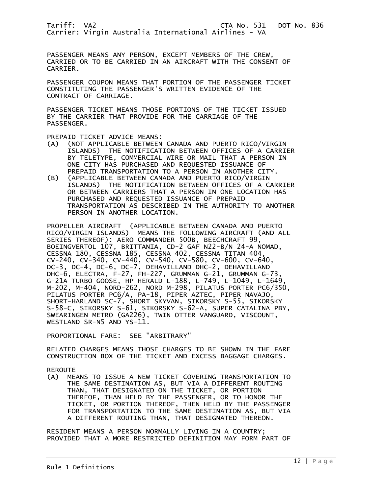PASSENGER MEANS ANY PERSON, EXCEPT MEMBERS OF THE CREW, CARRIED OR TO BE CARRIED IN AN AIRCRAFT WITH THE CONSENT OF CARRIER.

PASSENGER COUPON MEANS THAT PORTION OF THE PASSENGER TICKET CONSTITUTING THE PASSENGER'S WRITTEN EVIDENCE OF THE CONTRACT OF CARRIAGE.

PASSENGER TICKET MEANS THOSE PORTIONS OF THE TICKET ISSUED BY THE CARRIER THAT PROVIDE FOR THE CARRIAGE OF THE PASSENGER.

PREPAID TICKET ADVICE MEANS:

- (A) (NOT APPLICABLE BETWEEN CANADA AND PUERTO RICO/VIRGIN ISLANDS) THE NOTIFICATION BETWEEN OFFICES OF A CARRIER BY TELETYPE, COMMERCIAL WIRE OR MAIL THAT A PERSON IN ONE CITY HAS PURCHASED AND REQUESTED ISSUANCE OF PREPAID TRANSPORTATION TO A PERSON IN ANOTHER CITY.<br>(B) (APPLICABLE BETWEEN CANADA AND PUERTO RICO/VIRGIN
- (APPLICABLE BETWEEN CANADA AND PUERTO RICO/VIRGIN<br>ISLANDS) THE NOTIFICATION BETWEEN OFFICES OF A C THE NOTIFICATION BETWEEN OFFICES OF A CARRIER OR BETWEEN CARRIERS THAT A PERSON IN ONE LOCATION HAS PURCHASED AND REQUESTED ISSUANCE OF PREPAID TRANSPORTATION AS DESCRIBED IN THE AUTHORITY TO ANOTHER PERSON IN ANOTHER LOCATION.

PROPELLER AIRCRAFT (APPLICABLE BETWEEN CANADA AND PUERTO RICO/VIRGIN ISLANDS) MEANS THE FOLLOWING AIRCRAFT (AND ALL SERIES THEREOF): AERO COMMANDER 500B, BEECHCRAFT 99, BOEINGVERTOL 107, BRITTANIA, CD-2 GAF N22-B/N 24-A NOMAD, CESSNA 180, CESSNA 185, CESSNA 402, CESSNA TITAN 404, CV-240, CV-340, CV-440, CV-540, CV-580, CV-600, CV-640, DC-3, DC-4, DC-6, DC-7, DEHAVILLAND DHC-2, DEHAVILLAND DHC-6, ELECTRA, F-27, FH-227, GRUMMAN G-21, GRUMMAN G-73 G-21A TURBO GOOSE, HP HERALD L-188, L-749, L-1049, L-1649, M-202, M-404, NORD-262, NORD M-298, PILATUS PORTER PC6/350, PILATUS PORTER PC6/A, PA-18, PIPER AZTEC, PIPER NAVAJO, SHORT-HARLAND SC-7, SHORT SKYVAN, SIKORSKY S-55, SIKORSKY S-58-C, SIKORSKY S-61, SIKORSKY S-62-A, SUPER CATALINA PBY, SWEARINGEN METRO (GA226), TWIN OTTER VANGUARD, VISCOUNT, WESTLAND SR-N5 AND YS-11.

PROPORTIONAL FARE: SEE "ARBITRARY"

RELATED CHARGES MEANS THOSE CHARGES TO BE SHOWN IN THE FARE CONSTRUCTION BOX OF THE TICKET AND EXCESS BAGGAGE CHARGES.

REROUTE<br>(A) ME

MEANS TO ISSUE A NEW TICKET COVERING TRANSPORTATION TO THE SAME DESTINATION AS, BUT VIA A DIFFERENT ROUTING THAN, THAT DESIGNATED ON THE TICKET, OR PORTION THEREOF, THAN HELD BY THE PASSENGER, OR TO HONOR THE TICKET, OR PORTION THEREOF, THEN HELD BY THE PASSENGER FOR TRANSPORTATION TO THE SAME DESTINATION AS, BUT VIA A DIFFERENT ROUTING THAN, THAT DESIGNATED THEREON.

RESIDENT MEANS A PERSON NORMALLY LIVING IN A COUNTRY; PROVIDED THAT A MORE RESTRICTED DEFINITION MAY FORM PART OF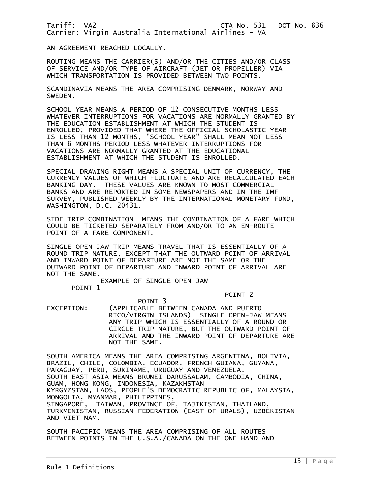AN AGREEMENT REACHED LOCALLY.

ROUTING MEANS THE CARRIER(S) AND/OR THE CITIES AND/OR CLASS OF SERVICE AND/OR TYPE OF AIRCRAFT (JET OR PROPELLER) VIA WHICH TRANSPORTATION IS PROVIDED BETWEEN TWO POINTS.

SCANDINAVIA MEANS THE AREA COMPRISING DENMARK, NORWAY AND SWEDEN.

SCHOOL YEAR MEANS A PERIOD OF 12 CONSECUTIVE MONTHS LESS WHATEVER INTERRUPTIONS FOR VACATIONS ARE NORMALLY GRANTED BY THE EDUCATION ESTABLISHMENT AT WHICH THE STUDENT IS ENROLLED; PROVIDED THAT WHERE THE OFFICIAL SCHOLASTIC YEAR IS LESS THAN 12 MONTHS, "SCHOOL YEAR" SHALL MEAN NOT LESS THAN 6 MONTHS PERIOD LESS WHATEVER INTERRUPTIONS FOR VACATIONS ARE NORMALLY GRANTED AT THE EDUCATIONAL ESTABLISHMENT AT WHICH THE STUDENT IS ENROLLED.

SPECIAL DRAWING RIGHT MEANS A SPECIAL UNIT OF CURRENCY, THE CURRENCY VALUES OF WHICH FLUCTUATE AND ARE RECALCULATED EACH BANKING DAY. THESE VALUES ARE KNOWN TO MOST COMMERCIAL BANKS AND ARE REPORTED IN SOME NEWSPAPERS AND IN THE IMF SURVEY, PUBLISHED WEEKLY BY THE INTERNATIONAL MONETARY FUND, WASHINGTON, D.C. 20431.

SIDE TRIP COMBINATION MEANS THE COMBINATION OF A FARE WHICH COULD BE TICKETED SEPARATELY FROM AND/OR TO AN EN-ROUTE POINT OF A FARE COMPONENT.

SINGLE OPEN JAW TRIP MEANS TRAVEL THAT IS ESSENTIALLY OF A ROUND TRIP NATURE, EXCEPT THAT THE OUTWARD POINT OF ARRIVAL AND INWARD POINT OF DEPARTURE ARE NOT THE SAME OR THE OUTWARD POINT OF DEPARTURE AND INWARD POINT OF ARRIVAL ARE NOT THE SAME.

EXAMPLE OF SINGLE OPEN JAW

POINT 1

POINT 2

 POINT 3 EXCEPTION: (APPLICABLE BETWEEN CANADA AND PUERTO RICO/VIRGIN ISLANDS) SINGLE OPEN-JAW MEANS ANY TRIP WHICH IS ESSENTIALLY OF A ROUND OR CIRCLE TRIP NATURE, BUT THE OUTWARD POINT OF ARRIVAL AND THE INWARD POINT OF DEPARTURE ARE NOT THE SAME.

SOUTH AMERICA MEANS THE AREA COMPRISING ARGENTINA, BOLIVIA, BRAZIL, CHILE, COLOMBIA, ECUADOR, FRENCH GUIANA, GUYANA, PARAGUAY, PERU, SURINAME, URUGUAY AND VENEZUELA. SOUTH EAST ASIA MEANS BRUNEI DARUSSALAM, CAMBODIA, CHINA, GUAM, HONG KONG, INDONESIA, KAZAKHSTAN KYRGYZSTAN, LAOS, PEOPLE'S DEMOCRATIC REPUBLIC OF, MALAYSIA, MONGOLIA, MYANMAR, PHILIPPINES, SINGAPORE, TAIWAN, PROVINCE OF, TAJIKISTAN, THAILAND, TURKMENISTAN, RUSSIAN FEDERATION (EAST OF URALS), UZBEKISTAN AND VIET NAM.

SOUTH PACIFIC MEANS THE AREA COMPRISING OF ALL ROUTES BETWEEN POINTS IN THE U.S.A./CANADA ON THE ONE HAND AND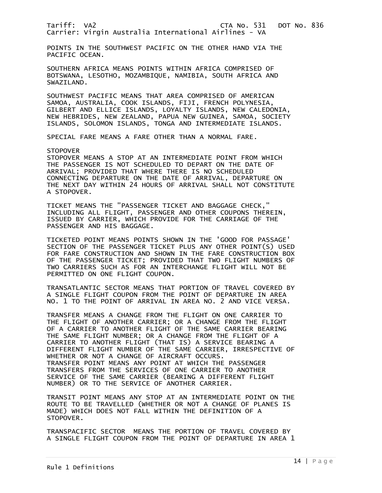POINTS IN THE SOUTHWEST PACIFIC ON THE OTHER HAND VIA THE PACIFIC OCEAN.

SOUTHERN AFRICA MEANS POINTS WITHIN AFRICA COMPRISED OF BOTSWANA, LESOTHO, MOZAMBIQUE, NAMIBIA, SOUTH AFRICA AND SWAZILAND.

SOUTHWEST PACIFIC MEANS THAT AREA COMPRISED OF AMERICAN SAMOA, AUSTRALIA, COOK ISLANDS, FIJI, FRENCH POLYNESIA, GILBERT AND ELLICE ISLANDS, LOYALTY ISLANDS, NEW CALEDONIA, NEW HEBRIDES, NEW ZEALAND, PAPUA NEW GUINEA, SAMOA, SOCIETY ISLANDS, SOLOMON ISLANDS, TONGA AND INTERMEDIATE ISLANDS.

SPECIAL FARE MEANS A FARE OTHER THAN A NORMAL FARE.

**STOPOVER** 

STOPOVER MEANS A STOP AT AN INTERMEDIATE POINT FROM WHICH THE PASSENGER IS NOT SCHEDULED TO DEPART ON THE DATE OF ARRIVAL; PROVIDED THAT WHERE THERE IS NO SCHEDULED CONNECTING DEPARTURE ON THE DATE OF ARRIVAL, DEPARTURE ON THE NEXT DAY WITHIN 24 HOURS OF ARRIVAL SHALL NOT CONSTITUTE A STOPOVER.

TICKET MEANS THE "PASSENGER TICKET AND BAGGAGE CHECK," INCLUDING ALL FLIGHT, PASSENGER AND OTHER COUPONS THEREIN, ISSUED BY CARRIER, WHICH PROVIDE FOR THE CARRIAGE OF THE PASSENGER AND HIS BAGGAGE.

TICKETED POINT MEANS POINTS SHOWN IN THE 'GOOD FOR PASSAGE' SECTION OF THE PASSENGER TICKET PLUS ANY OTHER POINT(S) USED FOR FARE CONSTRUCTION AND SHOWN IN THE FARE CONSTRUCTION BOX OF THE PASSENGER TICKET; PROVIDED THAT TWO FLIGHT NUMBERS OF TWO CARRIERS SUCH AS FOR AN INTERCHANGE FLIGHT WILL NOT BE PERMITTED ON ONE FLIGHT COUPON.

TRANSATLANTIC SECTOR MEANS THAT PORTION OF TRAVEL COVERED BY A SINGLE FLIGHT COUPON FROM THE POINT OF DEPARTURE IN AREA NO. 1 TO THE POINT OF ARRIVAL IN AREA NO. 2 AND VICE VERSA.

TRANSFER MEANS A CHANGE FROM THE FLIGHT ON ONE CARRIER TO THE FLIGHT OF ANOTHER CARRIER; OR A CHANGE FROM THE FLIGHT OF A CARRIER TO ANOTHER FLIGHT OF THE SAME CARRIER BEARING THE SAME FLIGHT NUMBER; OR A CHANGE FROM THE FLIGHT OF A CARRIER TO ANOTHER FLIGHT (THAT IS) A SERVICE BEARING A DIFFERENT FLIGHT NUMBER OF THE SAME CARRIER, IRRESPECTIVE OF WHETHER OR NOT A CHANGE OF AIRCRAFT OCCURS. TRANSFER POINT MEANS ANY POINT AT WHICH THE PASSENGER TRANSFERS FROM THE SERVICES OF ONE CARRIER TO ANOTHER SERVICE OF THE SAME CARRIER (BEARING A DIFFERENT FLIGHT NUMBER) OR TO THE SERVICE OF ANOTHER CARRIER.

TRANSIT POINT MEANS ANY STOP AT AN INTERMEDIATE POINT ON THE ROUTE TO BE TRAVELLED (WHETHER OR NOT A CHANGE OF PLANES IS MADE) WHICH DOES NOT FALL WITHIN THE DEFINITION OF A STOPOVER.

TRANSPACIFIC SECTOR MEANS THE PORTION OF TRAVEL COVERED BY A SINGLE FLIGHT COUPON FROM THE POINT OF DEPARTURE IN AREA 1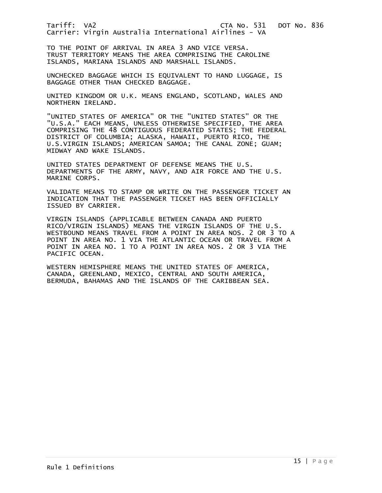TO THE POINT OF ARRIVAL IN AREA 3 AND VICE VERSA. TRUST TERRITORY MEANS THE AREA COMPRISING THE CAROLINE ISLANDS, MARIANA ISLANDS AND MARSHALL ISLANDS.

UNCHECKED BAGGAGE WHICH IS EQUIVALENT TO HAND LUGGAGE, IS BAGGAGE OTHER THAN CHECKED BAGGAGE.

UNITED KINGDOM OR U.K. MEANS ENGLAND, SCOTLAND, WALES AND NORTHERN IRELAND.

"UNITED STATES OF AMERICA" OR THE "UNITED STATES" OR THE "U.S.A." EACH MEANS, UNLESS OTHERWISE SPECIFIED, THE AREA COMPRISING THE 48 CONTIGUOUS FEDERATED STATES; THE FEDERAL DISTRICT OF COLUMBIA; ALASKA, HAWAII, PUERTO RICO, THE U.S.VIRGIN ISLANDS; AMERICAN SAMOA; THE CANAL ZONE; GUAM; MIDWAY AND WAKE ISLANDS.

UNITED STATES DEPARTMENT OF DEFENSE MEANS THE U.S. DEPARTMENTS OF THE ARMY, NAVY, AND AIR FORCE AND THE U.S. MARINE CORPS.

VALIDATE MEANS TO STAMP OR WRITE ON THE PASSENGER TICKET AN INDICATION THAT THE PASSENGER TICKET HAS BEEN OFFICIALLY ISSUED BY CARRIER.

VIRGIN ISLANDS (APPLICABLE BETWEEN CANADA AND PUERTO RICO/VIRGIN ISLANDS) MEANS THE VIRGIN ISLANDS OF THE U.S. WESTBOUND MEANS TRAVEL FROM A POINT IN AREA NOS. 2 OR 3 TO A POINT IN AREA NO. 1 VIA THE ATLANTIC OCEAN OR TRAVEL FROM A POINT IN AREA NO. 1 TO A POINT IN AREA NOS. 2 OR 3 VIA THE PACIFIC OCEAN.

WESTERN HEMISPHERE MEANS THE UNITED STATES OF AMERICA, CANADA, GREENLAND, MEXICO, CENTRAL AND SOUTH AMERICA, BERMUDA, BAHAMAS AND THE ISLANDS OF THE CARIBBEAN SEA.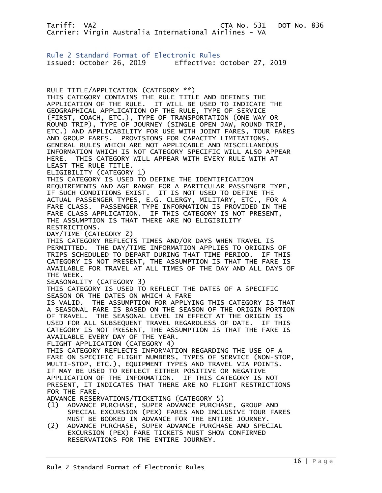<span id="page-15-0"></span>Rule 2 Standard Format of Electronic Rules Issued: October 26, 2019 Effective: October 27, 2019

RULE TITLE/APPLICATION (CATEGORY \*\*) THIS CATEGORY CONTAINS THE RULE TITLE AND DEFINES THE APPLICATION OF THE RULE. IT WILL BE USED TO INDICATE THE GEOGRAPHICAL APPLICATION OF THE RULE, TYPE OF SERVICE (FIRST, COACH, ETC.), TYPE OF TRANSPORTATION (ONE WAY OR ROUND TRIP), TYPE OF JOURNEY (SINGLE OPEN JAW, ROUND TRIP, ETC.) AND APPLICABILITY FOR USE WITH JOINT FARES, TOUR FARES AND GROUP FARES. PROVISIONS FOR CAPACITY LIMITATIONS, GENERAL RULES WHICH ARE NOT APPLICABLE AND MISCELLANEOUS INFORMATION WHICH IS NOT CATEGORY SPECIFIC WILL ALSO APPEAR HERE. THIS CATEGORY WILL APPEAR WITH EVERY RULE WITH AT LEAST THE RULE TITLE. ELIGIBILITY (CATEGORY 1) THIS CATEGORY IS USED TO DEFINE THE IDENTIFICATION REQUIREMENTS AND AGE RANGE FOR A PARTICULAR PASSENGER TYPE, IF SUCH CONDITIONS EXIST. IT IS NOT USED TO DEFINE THE ACTUAL PASSENGER TYPES, E.G. CLERGY, MILITARY, ETC., FOR A FARE CLASS. PASSENGER TYPE INFORMATION IS PROVIDED IN THE FARE CLASS APPLICATION. IF THIS CATEGORY IS NOT PRESENT, THE ASSUMPTION IS THAT THERE ARE NO ELIGIBILITY RESTRICTIONS. DAY/TIME (CATEGORY 2) THIS CATEGORY REFLECTS TIMES AND/OR DAYS WHEN TRAVEL IS PERMITTED. THE DAY/TIME INFORMATION APPLIES TO ORIGINS OF TRIPS SCHEDULED TO DEPART DURING THAT TIME PERIOD. IF THIS CATEGORY IS NOT PRESENT, THE ASSUMPTION IS THAT THE FARE IS AVAILABLE FOR TRAVEL AT ALL TIMES OF THE DAY AND ALL DAYS OF THE WEEK. SEASONALITY (CATEGORY 3) THIS CATEGORY IS USED TO REFLECT THE DATES OF A SPECIFIC SEASON OR THE DATES ON WHICH A FARE IS VALID. THE ASSUMPTION FOR APPLYING THIS CATEGORY IS THAT A SEASONAL FARE IS BASED ON THE SEASON OF THE ORIGIN PORTION OF TRAVEL. THE SEASONAL LEVEL IN EFFECT AT THE ORIGIN IS USED FOR ALL SUBSEQUENT TRAVEL REGARDLESS OF DATE. IF THIS CATEGORY IS NOT PRESENT, THE ASSUMPTION IS THAT THE FARE IS AVAILABLE EVERY DAY OF THE YEAR. FLIGHT APPLICATION (CATEGORY 4) THIS CATEGORY REFLECTS INFORMATION REGARDING THE USE OF A FARE ON SPECIFIC FLIGHT NUMBERS, TYPES OF SERVICE (NON-STOP, MULTI-STOP, ETC.), EQUIPMENT TYPES AND TRAVEL VIA POINTS. IF MAY BE USED TO REFLECT EITHER POSITIVE OR NEGATIVE APPLICATION OF THE INFORMATION. IF THIS CATEGORY IS NOT PRESENT, IT INDICATES THAT THERE ARE NO FLIGHT RESTRICTIONS FOR THE FARE. ADVANCE RESERVATIONS/TICKETING (CATEGORY 5) (1) ADVANCE PURCHASE, SUPER ADVANCE PURCHASE, GROUP AND SPECIAL EXCURSION (PEX) FARES AND INCLUSIVE TOUR FARES MUST BE BOOKED IN ADVANCE FOR THE ENTIRE JOURNEY.

(2) ADVANCE PURCHASE, SUPER ADVANCE PURCHASE AND SPECIAL EXCURSION (PEX) FARE TICKETS MUST SHOW CONFIRMED RESERVATIONS FOR THE ENTIRE JOURNEY.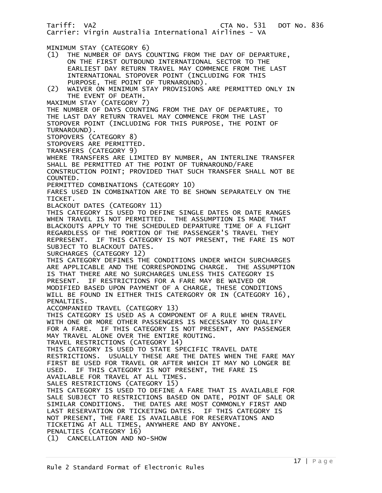Tariff: VA2 CTA No. 531 DOT No. 836 Carrier: Virgin Australia International Airlines - VA MINIMUM STAY (CATEGORY 6) (1) THE NUMBER OF DAYS COUNTING FROM THE DAY OF DEPARTURE, ON THE FIRST OUTBOUND INTERNATIONAL SECTOR TO THE EARLIEST DAY RETURN TRAVEL MAY COMMENCE FROM THE LAST INTERNATIONAL STOPOVER POINT (INCLUDING FOR THIS PURPOSE, THE POINT OF TURNAROUND). (2) WAIVER ON MINIMUM STAY PROVISIONS ARE PERMITTED ONLY IN THE EVENT OF DEATH. MAXIMUM STAY (CATEGORY 7) THE NUMBER OF DAYS COUNTING FROM THE DAY OF DEPARTURE, TO THE LAST DAY RETURN TRAVEL MAY COMMENCE FROM THE LAST STOPOVER POINT (INCLUDING FOR THIS PURPOSE, THE POINT OF TURNAROUND). STOPOVERS (CATEGORY 8) STOPOVERS ARE PERMITTED. TRANSFERS (CATEGORY 9) WHERE TRANSFERS ARE LIMITED BY NUMBER, AN INTERLINE TRANSFER SHALL BE PERMITTED AT THE POINT OF TURNAROUND/FARE CONSTRUCTION POINT; PROVIDED THAT SUCH TRANSFER SHALL NOT BE COUNTED. PERMITTED COMBINATIONS (CATEGORY 10) FARES USED IN COMBINATION ARE TO BE SHOWN SEPARATELY ON THE TICKET. BLACKOUT DATES (CATEGORY 11) THIS CATEGORY IS USED TO DEFINE SINGLE DATES OR DATE RANGES WHEN TRAVEL IS NOT PERMITTED. THE ASSUMPTION IS MADE THAT BLACKOUTS APPLY TO THE SCHEDULED DEPARTURE TIME OF A FLIGHT REGARDLESS OF THE PORTION OF THE PASSENGER'S TRAVEL THEY REPRESENT. IF THIS CATEGORY IS NOT PRESENT, THE FARE IS NOT SUBJECT TO BLACKOUT DATES. SURCHARGES (CATEGORY 12) THIS CATEGORY DEFINES THE CONDITIONS UNDER WHICH SURCHARGES ARE APPLICABLE AND THE CORRESPONDING CHARGE. THE ASSUMPTION IS THAT THERE ARE NO SURCHARGES UNLESS THIS CATEGORY IS PRESENT. IF RESTRICTIONS FOR A FARE MAY BE WAIVED OR MODIFIED BASED UPON PAYMENT OF A CHARGE, THESE CONDITIONS WILL BE FOUND IN EITHER THIS CATERGORY OR IN (CATEGORY 16), PENALTIES. ACCOMPANIED TRAVEL (CATEGORY 13) THIS CATEGORY IS USED AS A COMPONENT OF A RULE WHEN TRAVEL WITH ONE OR MORE OTHER PASSENGERS IS NECESSARY TO QUALIFY FOR A FARE. IF THIS CATEGORY IS NOT PRESENT, ANY PASSENGER MAY TRAVEL ALONE OVER THE ENTIRE ROUTING. TRAVEL RESTRICTIONS (CATEGORY 14) THIS CATEGORY IS USED TO STATE SPECIFIC TRAVEL DATE RESTRICTIONS. USUALLY THESE ARE THE DATES WHEN THE FARE MAY FIRST BE USED FOR TRAVEL OR AFTER WHICH IT MAY NO LONGER BE USED. IF THIS CATEGORY IS NOT PRESENT, THE FARE IS AVAILABLE FOR TRAVEL AT ALL TIMES. SALES RESTRICTIONS (CATEGORY 15) THIS CATEGORY IS USED TO DEFINE A FARE THAT IS AVAILABLE FOR SALE SUBJECT TO RESTRICTIONS BASED ON DATE, POINT OF SALE OR SIMILAR CONDITIONS. THE DATES ARE MOST COMMONLY FIRST AND LAST RESERVATION OR TICKETING DATES. IF THIS CATEGORY IS NOT PRESENT, THE FARE IS AVAILABLE FOR RESERVATIONS AND TICKETING AT ALL TIMES, ANYWHERE AND BY ANYONE. PENALTIES (CATEGORY 16) (1) CANCELLATION AND NO-SHOW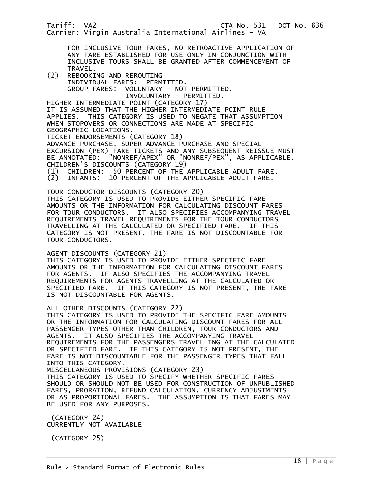Tariff: VA2 CTA No. 531 DOT No. 836 Carrier: Virgin Australia International Airlines - VA FOR INCLUSIVE TOUR FARES, NO RETROACTIVE APPLICATION OF ANY FARE ESTABLISHED FOR USE ONLY IN CONJUNCTION WITH INCLUSIVE TOURS SHALL BE GRANTED AFTER COMMENCEMENT OF TRAVEL.<br>C2) REBOOKI (2) REBOOKING AND REROUTING INDIVIDUAL FARES: PERMITTED. GROUP FARES: VOLUNTARY - NOT PERMITTED. INVOLUNTARY - PERMITTED. HIGHER INTERMEDIATE POINT (CATEGORY 17) IT IS ASSUMED THAT THE HIGHER INTERMEDIATE POINT RULE APPLIES. THIS CATEGORY IS USED TO NEGATE THAT ASSUMPTION WHEN STOPOVERS OR CONNECTIONS ARE MADE AT SPECIFIC GEOGRAPHIC LOCATIONS. TICKET ENDORSEMENTS (CATEGORY 18) ADVANCE PURCHASE, SUPER ADVANCE PURCHASE AND SPECIAL EXCURSION (PEX) FARE TICKETS AND ANY SUBSEQUENT REISSUE MUST BE ANNOTATED: "NONREF/APEX" OR "NONREF/PEX", AS APPLICABLE. CHILDREN'S DISCOUNTS (CATEGORY 19) (1) CHILDREN: 50 PERCENT OF THE APPLICABLE ADULT FARE. INFANTS: 10 PERCENT OF THE APPLICABLE ADULT FARE. TOUR CONDUCTOR DISCOUNTS (CATEGORY 20) THIS CATEGORY IS USED TO PROVIDE EITHER SPECIFIC FARE AMOUNTS OR THE INFORMATION FOR CALCULATING DISCOUNT FARES FOR TOUR CONDUCTORS. IT ALSO SPECIFIES ACCOMPANYING TRAVEL REQUIREMENTS TRAVEL REQUIREMENTS FOR THE TOUR CONDUCTORS TRAVELLING AT THE CALCULATED OR SPECIFIED FARE. IF THIS CATEGORY IS NOT PRESENT, THE FARE IS NOT DISCOUNTABLE FOR TOUR CONDUCTORS. AGENT DISCOUNTS (CATEGORY 21) THIS CATEGORY IS USED TO PROVIDE EITHER SPECIFIC FARE AMOUNTS OR THE INFORMATION FOR CALCULATING DISCOUNT FARES FOR AGENTS. IF ALSO SPECIFIES THE ACCOMPANYING TRAVEL REQUIREMENTS FOR AGENTS TRAVELLING AT THE CALCULATED OR SPECIFIED FARE. IF THIS CATEGORY IS NOT PRESENT, THE FARE IS NOT DISCOUNTABLE FOR AGENTS. ALL OTHER DISCOUNTS (CATEGORY 22) THIS CATEGORY IS USED TO PROVIDE THE SPECIFIC FARE AMOUNTS OR THE INFORMATION FOR CALCULATING DISCOUNT FARES FOR ALL PASSENGER TYPES OTHER THAN CHILDREN, TOUR CONDUCTORS AND AGENTS. IT ALSO SPECIFIES THE ACCOMPANYING TRAVEL REQUIREMENTS FOR THE PASSENGERS TRAVELLING AT THE CALCULATED OR SPECIFIED FARE. IF THIS CATEGORY IS NOT PRESENT, THE FARE IS NOT DISCOUNTABLE FOR THE PASSENGER TYPES THAT FALL INTO THIS CATEGORY. MISCELLANEOUS PROVISIONS (CATEGORY 23) THIS CATEGORY IS USED TO SPECIFY WHETHER SPECIFIC FARES SHOULD OR SHOULD NOT BE USED FOR CONSTRUCTION OF UNPUBLISHED FARES, PRORATION, REFUND CALCULATION, CURRENCY ADJUSTMENTS OR AS PROPORTIONAL FARES. THE ASSUMPTION IS THAT FARES MAY BE USED FOR ANY PURPOSES. (CATEGORY 24)

CURRENTLY NOT AVAILABLE

(CATEGORY 25)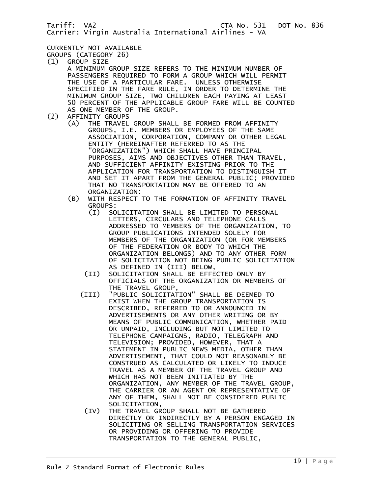#### CURRENTLY NOT AVAILABLE

GROUPS (CATEGORY 26)

- (1) GROUP SIZE A MINIMUM GROUP SIZE REFERS TO THE MINIMUM NUMBER OF PASSENGERS REQUIRED TO FORM A GROUP WHICH WILL PERMIT THE USE OF A PARTICULAR FARE. UNLESS OTHERWISE SPECIFIED IN THE FARE RULE, IN ORDER TO DETERMINE THE MINIMUM GROUP SIZE, TWO CHILDREN EACH PAYING AT LEAST 50 PERCENT OF THE APPLICABLE GROUP FARE WILL BE COUNTED AS ONE MEMBER OF THE GROUP.<br>(2) AFFINITY GROUPS
- 
- AFFINITY GROUPS<br>(A) THE TRAVEL THE TRAVEL GROUP SHALL BE FORMED FROM AFFINITY GROUPS, I.E. MEMBERS OR EMPLOYEES OF THE SAME ASSOCIATION, CORPORATION, COMPANY OR OTHER LEGAL ENTITY (HEREINAFTER REFERRED TO AS THE "ORGANIZATION") WHICH SHALL HAVE PRINCIPAL PURPOSES, AIMS AND OBJECTIVES OTHER THAN TRAVEL, AND SUFFICIENT AFFINITY EXISTING PRIOR TO THE APPLICATION FOR TRANSPORTATION TO DISTINGUISH IT AND SET IT APART FROM THE GENERAL PUBLIC; PROVIDED THAT NO TRANSPORTATION MAY BE OFFERED TO AN ORGANIZATION:<br>(B) WITH RESPECT
	- WITH RESPECT TO THE FORMATION OF AFFINITY TRAVEL GROUPS:
		- (I) SOLICITATION SHALL BE LIMITED TO PERSONAL LETTERS, CIRCULARS AND TELEPHONE CALLS ADDRESSED TO MEMBERS OF THE ORGANIZATION, TO GROUP PUBLICATIONS INTENDED SOLELY FOR MEMBERS OF THE ORGANIZATION (OR FOR MEMBERS OF THE FEDERATION OR BODY TO WHICH THE ORGANIZATION BELONGS) AND TO ANY OTHER FORM OF SOLICITATION NOT BEING PUBLIC SOLICITATION AS DEFINED IN (III) BELOW,
		- (II) SOLICITATION SHALL BE EFFECTED ONLY BY OFFICIALS OF THE ORGANIZATION OR MEMBERS OF THE TRAVEL GROUP,
		- (III) "PUBLIC SOLICITATION" SHALL BE DEEMED TO EXIST WHEN THE GROUP TRANSPORTATION IS DESCRIBED, REFERRED TO OR ANNOUNCED IN ADVERTISEMENTS OR ANY OTHER WRITING OR BY MEANS OF PUBLIC COMMUNICATION, WHETHER PAID OR UNPAID, INCLUDING BUT NOT LIMITED TO TELEPHONE CAMPAIGNS, RADIO, TELEGRAPH AND TELEVISION; PROVIDED, HOWEVER, THAT A STATEMENT IN PUBLIC NEWS MEDIA, OTHER THAN ADVERTISEMENT, THAT COULD NOT REASONABLY BE CONSTRUED AS CALCULATED OR LIKELY TO INDUCE TRAVEL AS A MEMBER OF THE TRAVEL GROUP AND WHICH HAS NOT BEEN INITIATED BY THE ORGANIZATION, ANY MEMBER OF THE TRAVEL GROUP, THE CARRIER OR AN AGENT OR REPRESENTATIVE OF ANY OF THEM, SHALL NOT BE CONSIDERED PUBLIC SOLICITATION,
			- (IV) THE TRAVEL GROUP SHALL NOT BE GATHERED DIRECTLY OR INDIRECTLY BY A PERSON ENGAGED IN SOLICITING OR SELLING TRANSPORTATION SERVICES OR PROVIDING OR OFFERING TO PROVIDE TRANSPORTATION TO THE GENERAL PUBLIC,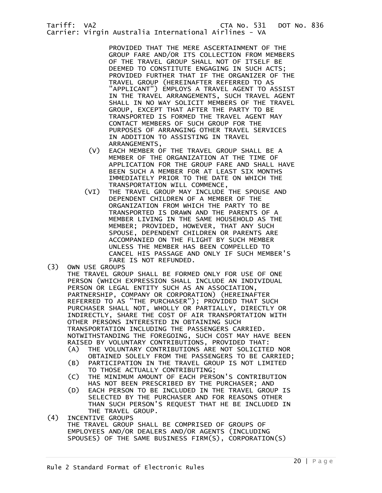PROVIDED THAT THE MERE ASCERTAINMENT OF THE GROUP FARE AND/OR ITS COLLECTION FROM MEMBERS OF THE TRAVEL GROUP SHALL NOT OF ITSELF BE DEEMED TO CONSTITUTE ENGAGING IN SUCH ACTS; PROVIDED FURTHER THAT IF THE ORGANIZER OF THE TRAVEL GROUP (HEREINAFTER REFERRED TO AS "APPLICANT") EMPLOYS A TRAVEL AGENT TO ASSIST IN THE TRAVEL ARRANGEMENTS, SUCH TRAVEL AGENT SHALL IN NO WAY SOLICIT MEMBERS OF THE TRAVEL GROUP, EXCEPT THAT AFTER THE PARTY TO BE TRANSPORTED IS FORMED THE TRAVEL AGENT MAY CONTACT MEMBERS OF SUCH GROUP FOR THE PURPOSES OF ARRANGING OTHER TRAVEL SERVICES IN ADDITION TO ASSISTING IN TRAVEL ARRANGEMENTS,

- (V) EACH MEMBER OF THE TRAVEL GROUP SHALL BE A MEMBER OF THE ORGANIZATION AT THE TIME OF APPLICATION FOR THE GROUP FARE AND SHALL HAVE BEEN SUCH A MEMBER FOR AT LEAST SIX MONTHS IMMEDIATELY PRIOR TO THE DATE ON WHICH THE TRANSPORTATION WILL COMMENCE,
- (VI) THE TRAVEL GROUP MAY INCLUDE THE SPOUSE AND DEPENDENT CHILDREN OF A MEMBER OF THE ORGANIZATION FROM WHICH THE PARTY TO BE TRANSPORTED IS DRAWN AND THE PARENTS OF A MEMBER LIVING IN THE SAME HOUSEHOLD AS THE MEMBER; PROVIDED, HOWEVER, THAT ANY SUCH SPOUSE, DEPENDENT CHILDREN OR PARENTS ARE ACCOMPANIED ON THE FLIGHT BY SUCH MEMBER UNLESS THE MEMBER HAS BEEN COMPELLED TO CANCEL HIS PASSAGE AND ONLY IF SUCH MEMBER'S FARE IS NOT REFUNDED.
- (3) OWN USE GROUPS THE TRAVEL GROUP SHALL BE FORMED ONLY FOR USE OF ONE PERSON (WHICH EXPRESSION SHALL INCLUDE AN INDIVIDUAL PERSON OR LEGAL ENTITY SUCH AS AN ASSOCIATION, PARTNERSHIP, COMPANY OR CORPORATION) (HEREINAFTER REFERRED TO AS "THE PURCHASER"); PROVIDED THAT SUCH PURCHASER SHALL NOT, WHOLLY OR PARTIALLY, DIRECTLY OR INDIRECTLY, SHARE THE COST OF AIR TRANSPORTATION WITH OTHER PERSONS INTERESTED IN OBTAINING SUCH TRANSPORTATION INCLUDING THE PASSENGERS CARRIED. NOTWITHSTANDING THE FOREGOING, SUCH COST MAY HAVE BEEN RAISED BY VOLUNTARY CONTRIBUTIONS, PROVIDED THAT:<br>(A) THE VOLUNTARY CONTRIBUTIONS ARE NOT SOLICITE THE VOLUNTARY CONTRIBUTIONS ARE NOT SOLICITED NOR OBTAINED SOLELY FROM THE PASSENGERS TO BE CARRIED; (B) PARTICIPATION IN THE TRAVEL GROUP IS NOT LIMITED TO THOSE ACTUALLY CONTRIBUTING;<br>C) THE MINIMUM AMOUNT OF EACH PERS THE MINIMUM AMOUNT OF EACH PERSON'S CONTRIBUTION HAS NOT BEEN PRESCRIBED BY THE PURCHASER; AND (D) EACH PERSON TO BE INCLUDED IN THE TRAVEL GROUP IS
- SELECTED BY THE PURCHASER AND FOR REASONS OTHER THAN SUCH PERSON'S REQUEST THAT HE BE INCLUDED IN THE TRAVEL GROUP.<br>(4) INCENTIVE GROUPS
- (4) INCENTIVE GROUPS THE TRAVEL GROUP SHALL BE COMPRISED OF GROUPS OF EMPLOYEES AND/OR DEALERS AND/OR AGENTS (INCLUDING SPOUSES) OF THE SAME BUSINESS FIRM(S), CORPORATION(S)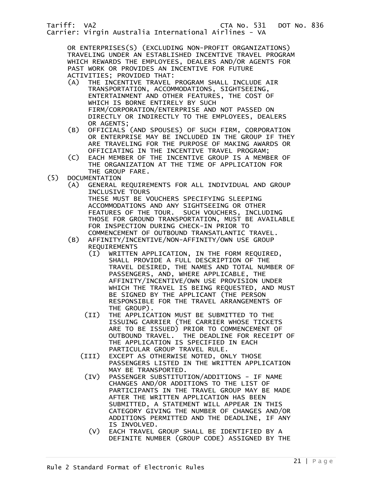OR ENTERPRISES(S) (EXCLUDING NON-PROFIT ORGANIZATIONS) TRAVELING UNDER AN ESTABLISHED INCENTIVE TRAVEL PROGRAM WHICH REWARDS THE EMPLOYEES, DEALERS AND/OR AGENTS FOR PAST WORK OR PROVIDES AN INCENTIVE FOR FUTURE ACTIVITIES; PROVIDED THAT:<br>(A) THE INCENTIVE TRAVEL

- THE INCENTIVE TRAVEL PROGRAM SHALL INCLUDE AIR TRANSPORTATION, ACCOMMODATIONS, SIGHTSEEING, ENTERTAINMENT AND OTHER FEATURES, THE COST OF WHICH IS BORNE ENTIRELY BY SUCH FIRM/CORPORATION/ENTERPRISE AND NOT PASSED ON DIRECTLY OR INDIRECTLY TO THE EMPLOYEES, DEALERS OR AGENTS;<br>(B) OFFICIALS
- (B) OFFICIALS (AND SPOUSES) OF SUCH FIRM, CORPORATION OR ENTERPRISE MAY BE INCLUDED IN THE GROUP IF THEY ARE TRAVELING FOR THE PURPOSE OF MAKING AWARDS OR OFFICIATING IN THE INCENTIVE TRAVEL PROGRAM;
- (C) EACH MEMBER OF THE INCENTIVE GROUP IS A MEMBER OF THE ORGANIZATION AT THE TIME OF APPLICATION FOR THE GROUP FARE.<br>(5) DOCUMENTATION
- DOCUMENTATION
	- (A) GENERAL REQUIREMENTS FOR ALL INDIVIDUAL AND GROUP INCLUSIVE TOURS THESE MUST BE VOUCHERS SPECIFYING SLEEPING ACCOMMODATIONS AND ANY SIGHTSEEING OR OTHER<br>FEATURES OF THE TOUR. SUCH VOUCHERS, INCLUI SUCH VOUCHERS, INCLUDING THOSE FOR GROUND TRANSPORTATION, MUST BE AVAILABLE FOR INSPECTION DURING CHECK-IN PRIOR TO COMMENCEMENT OF OUTBOUND TRANSATLANTIC TRAVEL.
	- (B) AFFINITY/INCENTIVE/NON-AFFINITY/OWN USE GROUP REQUIREMENTS
		- (I) WRITTEN APPLICATION, IN THE FORM REQUIRED, SHALL PROVIDE A FULL DESCRIPTION OF THE TRAVEL DESIRED, THE NAMES AND TOTAL NUMBER OF PASSENGERS, AND, WHERE APPLICABLE, THE AFFINITY/INCENTIVE/OWN USE PROVISION UNDER WHICH THE TRAVEL IS BEING REQUESTED, AND MUST BE SIGNED BY THE APPLICANT (THE PERSON RESPONSIBLE FOR THE TRAVEL ARRANGEMENTS OF THE GROUP).
		- (II) THE APPLICATION MUST BE SUBMITTED TO THE ISSUING CARRIER (THE CARRIER WHOSE TICKETS ARE TO BE ISSUED) PRIOR TO COMMENCEMENT OF OUTBOUND TRAVEL. THE DEADLINE FOR RECEIPT OF THE APPLICATION IS SPECIFIED IN EACH PARTICULAR GROUP TRAVEL RULE.
		- (III) EXCEPT AS OTHERWISE NOTED, ONLY THOSE PASSENGERS LISTED IN THE WRITTEN APPLICATION MAY BE TRANSPORTED.
			- (IV) PASSENGER SUBSTITUTION/ADDITIONS IF NAME CHANGES AND/OR ADDITIONS TO THE LIST OF PARTICIPANTS IN THE TRAVEL GROUP MAY BE MADE AFTER THE WRITTEN APPLICATION HAS BEEN SUBMITTED, A STATEMENT WILL APPEAR IN THIS CATEGORY GIVING THE NUMBER OF CHANGES AND/OR ADDITIONS PERMITTED AND THE DEADLINE, IF ANY IS INVOLVED.
				- (V) EACH TRAVEL GROUP SHALL BE IDENTIFIED BY A DEFINITE NUMBER (GROUP CODE) ASSIGNED BY THE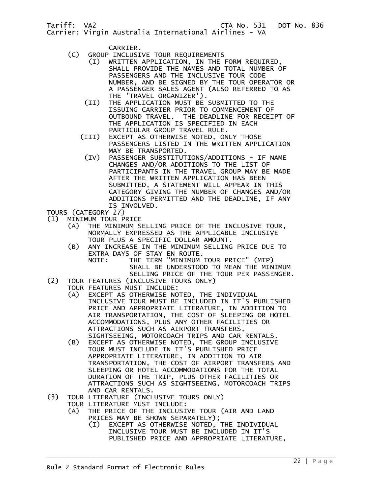CARRIER.

- (C) GROUP INCLUSIVE TOUR REQUIREMENTS
	- (I) WRITTEN APPLICATION, IN THE FORM REQUIRED, SHALL PROVIDE THE NAMES AND TOTAL NUMBER OF PASSENGERS AND THE INCLUSIVE TOUR CODE NUMBER, AND BE SIGNED BY THE TOUR OPERATOR OR A PASSENGER SALES AGENT (ALSO REFERRED TO AS THE 'TRAVEL ORGANIZER').
	- (II) THE APPLICATION MUST BE SUBMITTED TO THE ISSUING CARRIER PRIOR TO COMMENCEMENT OF OUTBOUND TRAVEL. THE DEADLINE FOR RECEIPT OF THE APPLICATION IS SPECIFIED IN EACH PARTICULAR GROUP TRAVEL RULE.
	- (III) EXCEPT AS OTHERWISE NOTED, ONLY THOSE PASSENGERS LISTED IN THE WRITTEN APPLICATION MAY BE TRANSPORTED.
	- (IV) PASSENGER SUBSTITUTIONS/ADDITIONS IF NAME CHANGES AND/OR ADDITIONS TO THE LIST OF PARTICIPANTS IN THE TRAVEL GROUP MAY BE MADE AFTER THE WRITTEN APPLICATION HAS BEEN SUBMITTED, A STATEMENT WILL APPEAR IN THIS CATEGORY GIVING THE NUMBER OF CHANGES AND/OR ADDITIONS PERMITTED AND THE DEADLINE, IF ANY IS INVOLVED.
- TOURS (CATEGORY 27)
- (1) MINIMUM TOUR PRICE
	- THE MINIMUM SELLING PRICE OF THE INCLUSIVE TOUR, NORMALLY EXPRESSED AS THE APPLICABLE INCLUSIVE TOUR PLUS A SPECIFIC DOLLAR AMOUNT.
- (B) ANY INCREASE IN THE MINIMUM SELLING PRICE DUE TO EXTRA DAYS OF STAY EN ROUTE.
- NOTE: THE TERM "MINIMUM TOUR PRICE" (MTP) SHALL BE UNDERSTOOD TO MEAN THE MINIMUM SELLING PRICE OF THE TOUR PER PASSENGER.
- (2) TOUR FEATURES (INCLUSIVE TOURS ONLY)
	- TOUR FEATURES MUST INCLUDE:<br>(A) EXCEPT AS OTHERWISE NO
		- EXCEPT AS OTHERWISE NOTED, THE INDIVIDUAL INCLUSIVE TOUR MUST BE INCLUDED IN IT'S PUBLISHED PRICE AND APPROPRIATE LITERATURE, IN ADDITION TO AIR TRANSPORTATION, THE COST OF SLEEPING OR HOTEL ACCOMMODATIONS, PLUS ANY OTHER FACILITIES OR ATTRACTIONS SUCH AS AIRPORT TRANSFERS,
		- SIGHTSEEING, MOTORCOACH TRIPS AND CAR RENTALS.<br>EXCEPT AS OTHERWISE NOTED, THE GROUP INCLUSIVE EXCEPT AS OTHERWISE NOTED, THE GROUP INCLUSIVE TOUR MUST INCLUDE IN IT'S PUBLISHED PRICE APPROPRIATE LITERATURE, IN ADDITION TO AIR TRANSPORTATION, THE COST OF AIRPORT TRANSFERS AND SLEEPING OR HOTEL ACCOMMODATIONS FOR THE TOTAL DURATION OF THE TRIP, PLUS OTHER FACILITIES OR ATTRACTIONS SUCH AS SIGHTSEEING, MOTORCOACH TRIPS
- AND CAR RENTALS.<br>TOUR LITERATURE (INCL) (3) TOUR LITERATURE (INCLUSIVE TOURS ONLY)
- TOUR LITERATURE MUST INCLUDE:
	- (A) THE PRICE OF THE INCLUSIVE TOUR (AIR AND LAND PRICES MAY BE SHOWN SEPARATELY);
		- (I) EXCEPT AS OTHERWISE NOTED, THE INDIVIDUAL INCLUSIVE TOUR MUST BE INCLUDED IN IT'S PUBLISHED PRICE AND APPROPRIATE LITERATURE,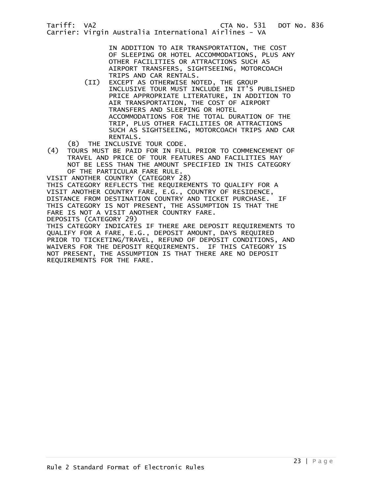IN ADDITION TO AIR TRANSPORTATION, THE COST OF SLEEPING OR HOTEL ACCOMMODATIONS, PLUS ANY OTHER FACILITIES OR ATTRACTIONS SUCH AS AIRPORT TRANSFERS, SIGHTSEEING, MOTORCOACH TRIPS AND CAR RENTALS.

 (II) EXCEPT AS OTHERWISE NOTED, THE GROUP INCLUSIVE TOUR MUST INCLUDE IN IT'S PUBLISHED PRICE APPROPRIATE LITERATURE, IN ADDITION TO AIR TRANSPORTATION, THE COST OF AIRPORT TRANSFERS AND SLEEPING OR HOTEL ACCOMMODATIONS FOR THE TOTAL DURATION OF THE TRIP, PLUS OTHER FACILITIES OR ATTRACTIONS SUCH AS SIGHTSEEING, MOTORCOACH TRIPS AND CAR RENTALS.

(B) THE INCLUSIVE TOUR CODE.<br>(4) TOURS MUST BE PAID FOR IN FUL (4) TOURS MUST BE PAID FOR IN FULL PRIOR TO COMMENCEMENT OF TRAVEL AND PRICE OF TOUR FEATURES AND FACILITIES MAY NOT BE LESS THAN THE AMOUNT SPECIFIED IN THIS CATEGORY OF THE PARTICULAR FARE RULE.

VISIT ANOTHER COUNTRY (CATEGORY 28) THIS CATEGORY REFLECTS THE REQUIREMENTS TO QUALIFY FOR A VISIT ANOTHER COUNTRY FARE, E.G., COUNTRY OF RESIDENCE, DISTANCE FROM DESTINATION COUNTRY AND TICKET PURCHASE. IF THIS CATEGORY IS NOT PRESENT, THE ASSUMPTION IS THAT THE FARE IS NOT A VISIT ANOTHER COUNTRY FARE. DEPOSITS (CATEGORY 29)

THIS CATEGORY INDICATES IF THERE ARE DEPOSIT REQUIREMENTS TO QUALIFY FOR A FARE, E.G., DEPOSIT AMOUNT, DAYS REQUIRED PRIOR TO TICKETING/TRAVEL, REFUND OF DEPOSIT CONDITIONS, AND WAIVERS FOR THE DEPOSIT REQUIREMENTS. IF THIS CATEGORY IS NOT PRESENT, THE ASSUMPTION IS THAT THERE ARE NO DEPOSIT REQUIREMENTS FOR THE FARE.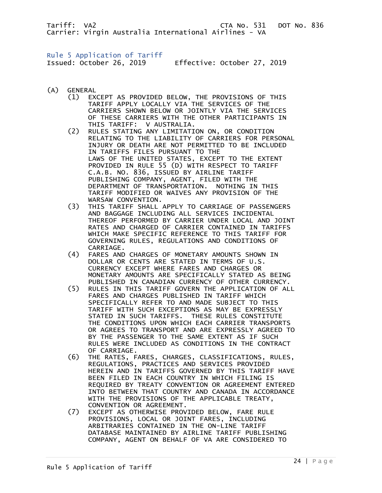## <span id="page-23-0"></span>Rule 5 Application of Tariff

Issued: October 26, 2019 Effective: October 27, 2019

- (A) GENERAL
- (1) EXCEPT AS PROVIDED BELOW, THE PROVISIONS OF THIS TARIFF APPLY LOCALLY VIA THE SERVICES OF THE CARRIERS SHOWN BELOW OR JOINTLY VIA THE SERVICES OF THESE CARRIERS WITH THE OTHER PARTICIPANTS IN THIS TARIFF: V AUSTRALIA.
- (2) RULES STATING ANY LIMITATION ON, OR CONDITION RELATING TO THE LIABILITY OF CARRIERS FOR PERSONAL INJURY OR DEATH ARE NOT PERMITTED TO BE INCLUDED IN TARIFFS FILES PURSUANT TO THE LAWS OF THE UNITED STATES, EXCEPT TO THE EXTENT PROVIDED IN RULE 55 (D) WITH RESPECT TO TARIFF C.A.B. NO. 836, ISSUED BY AIRLINE TARIFF PUBLISHING COMPANY, AGENT, FILED WITH THE DEPARTMENT OF TRANSPORTATION. NOTHING IN THIS TARIFF MODIFIED OR WAIVES ANY PROVISION OF THE WARSAW CONVENTION.
- (3) THIS TARIFF SHALL APPLY TO CARRIAGE OF PASSENGERS AND BAGGAGE INCLUDING ALL SERVICES INCIDENTAL THEREOF PERFORMED BY CARRIER UNDER LOCAL AND JOINT RATES AND CHARGED OF CARRIER CONTAINED IN TARIFFS WHICH MAKE SPECIFIC REFERENCE TO THIS TARIFF FOR GOVERNING RULES, REGULATIONS AND CONDITIONS OF CARRIAGE.<br>(4) FARES AND
	- FARES AND CHARGES OF MONETARY AMOUNTS SHOWN IN DOLLAR OR CENTS ARE STATED IN TERMS OF U.S. CURRENCY EXCEPT WHERE FARES AND CHARGES OR MONETARY AMOUNTS ARE SPECIFICALLY STATED AS BEING PUBLISHED IN CANADIAN CURRENCY OF OTHER CURRENCY.
- (5) RULES IN THIS TARIFF GOVERN THE APPLICATION OF ALL FARES AND CHARGES PUBLISHED IN TARIFF WHICH SPECIFICALLY REFER TO AND MADE SUBJECT TO THIS TARIFF WITH SUCH EXCEPTIONS AS MAY BE EXPRESSLY STATED IN SUCH TARIFFS. THESE RULES CONSTITUTE THE CONDITIONS UPON WHICH EACH CARRIER TRANSPORTS OR AGREES TO TRANSPORT AND ARE EXPRESSLY AGREED TO BY THE PASSENGER TO THE SAME EXTENT AS IF SUCH RULES WERE INCLUDED AS CONDITIONS IN THE CONTRACT OF CARRIAGE.
	- (6) THE RATES, FARES, CHARGES, CLASSIFICATIONS, RULES, REGULATIONS, PRACTICES AND SERVICES PROVIDED HEREIN AND IN TARIFFS GOVERNED BY THIS TARIFF HAVE BEEN FILED IN EACH COUNTRY IN WHICH FILING IS REQUIRED BY TREATY CONVENTION OR AGREEMENT ENTERED INTO BETWEEN THAT COUNTRY AND CANADA IN ACCORDANCE WITH THE PROVISIONS OF THE APPLICABLE TREATY, CONVENTION OR AGREEMENT.
	- (7) EXCEPT AS OTHERWISE PROVIDED BELOW, FARE RULE PROVISIONS, LOCAL OR JOINT FARES, INCLUDING ARBITRARIES CONTAINED IN THE ON-LINE TARIFF DATABASE MAINTAINED BY AIRLINE TARIFF PUBLISHING COMPANY, AGENT ON BEHALF OF VA ARE CONSIDERED TO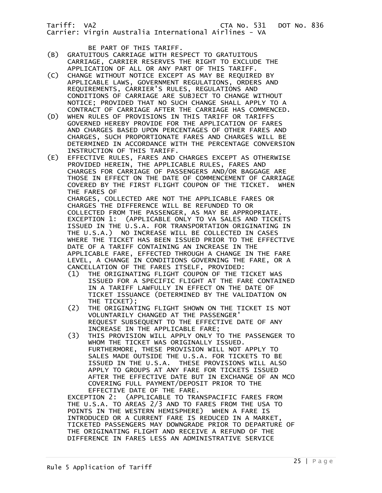- BE PART OF THIS TARIFF.<br>B) GRATUITOUS CARRIAGE WITH RES (B) GRATUITOUS CARRIAGE WITH RESPECT TO GRATUITOUS CARRIAGE, CARRIER RESERVES THE RIGHT TO EXCLUDE THE APPLICATION OF ALL OR ANY PART OF THIS TARIFF.
- (C) CHANGE WITHOUT NOTICE EXCEPT AS MAY BE REQUIRED BY APPLICABLE LAWS, GOVERNMENT REGULATIONS, ORDERS AND REQUIREMENTS, CARRIER'S RULES, REGULATIONS AND CONDITIONS OF CARRIAGE ARE SUBJECT TO CHANGE WITHOUT NOTICE; PROVIDED THAT NO SUCH CHANGE SHALL APPLY TO A CONTRACT OF CARRIAGE AFTER THE CARRIAGE HAS COMMENCED.<br>(D) WHEN RULES OF PROVISIONS IN THIS TARIFF OR TARIFFS
- WHEN RULES OF PROVISIONS IN THIS TARIFF OR TARIFFS GOVERNED HEREBY PROVIDE FOR THE APPLICATION OF FARES AND CHARGES BASED UPON PERCENTAGES OF OTHER FARES AND CHARGES, SUCH PROPORTIONATE FARES AND CHARGES WILL BE DETERMINED IN ACCORDANCE WITH THE PERCENTAGE CONVERSION INSTRUCTION OF THIS TARIFF.<br>EFFECTIVE RULES, FARES AND
- EFFECTIVE RULES, FARES AND CHARGES EXCEPT AS OTHERWISE PROVIDED HEREIN, THE APPLICABLE RULES, FARES AND CHARGES FOR CARRIAGE OF PASSENGERS AND/OR BAGGAGE ARE THOSE IN EFFECT ON THE DATE OF COMMENCEMENT OF CARRIAGE COVERED BY THE FIRST FLIGHT COUPON OF THE TICKET. WHEN THE FARES OF CHARGES, COLLECTED ARE NOT THE APPLICABLE FARES OR CHARGES THE DIFFERENCE WILL BE REFUNDED TO OR COLLECTED FROM THE PASSENGER, AS MAY BE APPROPRIATE. EXCEPTION 1: (APPLICABLE ONLY TO VA SALES AND TICKETS ISSUED IN THE U.S.A. FOR TRANSPORTATION ORIGINATING IN THE U.S.A.) NO INCREASE WILL BE COLLECTED IN CASES WHERE THE TICKET HAS BEEN ISSUED PRIOR TO THE EFFECTIVE DATE OF A TARIFF CONTAINING AN INCREASE IN THE APPLICABLE FARE, EFFECTED THROUGH A CHANGE IN THE FARE LEVEL, A CHANGE IN CONDITIONS GOVERNING THE FARE, OR A CANCELLATION OF THE FARES ITSELF, PROVIDED:
	- (1) THE ORIGINATING FLIGHT COUPON OF THE TICKET WAS ISSUED FOR A SPECIFIC FLIGHT AT THE FARE CONTAINED IN A TARIFF LAWFULLY IN EFFECT ON THE DATE OF TICKET ISSUANCE (DETERMINED BY THE VALIDATION ON
	- THE TICKET);<br>C2) THE ORIGINAT THE ORIGINATING FLIGHT SHOWN ON THE TICKET IS NOT VOLUNTARILY CHANGED AT THE PASSENGER' REQUEST SUBSEQUENT TO THE EFFECTIVE DATE OF ANY
- INCREASE IN THE APPLICABLE FARE;<br>(3) THIS PROVISION WILL APPLY ONLY T (3) THIS PROVISION WILL APPLY ONLY TO THE PASSENGER TO WHOM THE TICKET WAS ORIGINALLY ISSUED. FURTHERMORE, THESE PROVISION WILL NOT APPLY TO SALES MADE OUTSIDE THE U.S.A. FOR TICKETS TO BE ISSUED IN THE U.S.A. THESE PROVISIONS WILL ALSO APPLY TO GROUPS AT ANY FARE FOR TICKETS ISSUED AFTER THE EFFECTIVE DATE BUT IN EXCHANGE OF AN MCO COVERING FULL PAYMENT/DEPOSIT PRIOR TO THE EFFECTIVE DATE OF THE FARE.

 EXCEPTION 2: (APPLICABLE TO TRANSPACIFIC FARES FROM THE U.S.A. TO AREAS 2/3 AND TO FARES FROM THE USA TO POINTS IN THE WESTERN HEMISPHERE) WHEN A FARE IS INTRODUCED OR A CURRENT FARE IS REDUCED IN A MARKET, TICKETED PASSENGERS MAY DOWNGRADE PRIOR TO DEPARTURE OF THE ORIGINATING FLIGHT AND RECEIVE A REFUND OF THE DIFFERENCE IN FARES LESS AN ADMINISTRATIVE SERVICE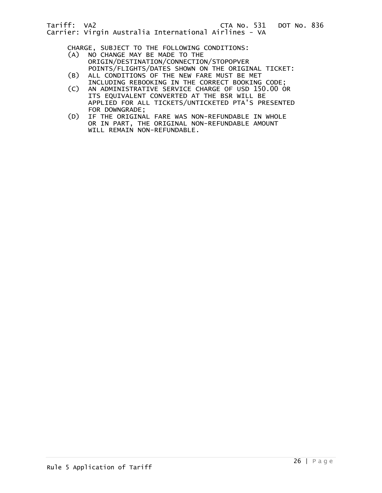CHARGE, SUBJECT TO THE FOLLOWING CONDITIONS:

- (A) NO CHANGE MAY BE MADE TO THE ORIGIN/DESTINATION/CONNECTION/STOPOPVER POINTS/FLIGHTS/DATES SHOWN ON THE ORIGINAL TICKET:
- (B) ALL CONDITIONS OF THE NEW FARE MUST BE MET
	- INCLUDING REBOOKING IN THE CORRECT BOOKING CODE;<br>C) AN ADMINISTRATIVE SERVICE CHARGE OF USD 150.00 O AN ADMINISTRATIVE SERVICE CHARGE OF USD 150.00 OR ITS EQUIVALENT CONVERTED AT THE BSR WILL BE APPLIED FOR ALL TICKETS/UNTICKETED PTA'S PRESENTED
	- FOR DOWNGRADE;<br>D) IF THE ORIGINA IF THE ORIGINAL FARE WAS NON-REFUNDABLE IN WHOLE OR IN PART, THE ORIGINAL NON-REFUNDABLE AMOUNT WILL REMAIN NON-REFUNDABLE.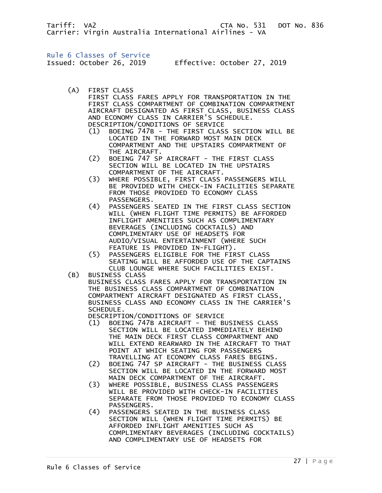<span id="page-26-0"></span>Rule 6 Classes of Service

Issued: October 26, 2019 Effective: October 27, 2019

(A) FIRST CLASS

 FIRST CLASS FARES APPLY FOR TRANSPORTATION IN THE FIRST CLASS COMPARTMENT OF COMBINATION COMPARTMENT AIRCRAFT DESIGNATED AS FIRST CLASS, BUSINESS CLASS AND ECONOMY CLASS IN CARRIER'S SCHEDULE.

DESCRIPTION/CONDITIONS OF SERVICE

- (1) BOEING 747B THE FIRST CLASS SECTION WILL BE LOCATED IN THE FORWARD MOST MAIN DECK COMPARTMENT AND THE UPSTAIRS COMPARTMENT OF THE AIRCRAFT.
- (2) BOEING 747 SP AIRCRAFT THE FIRST CLASS SECTION WILL BE LOCATED IN THE UPSTAIRS COMPARTMENT OF THE AIRCRAFT.
- (3) WHERE POSSIBLE, FIRST CLASS PASSENGERS WILL BE PROVIDED WITH CHECK-IN FACILITIES SEPARATE FROM THOSE PROVIDED TO ECONOMY CLASS PASSENGERS.
- (4) PASSENGERS SEATED IN THE FIRST CLASS SECTION WILL (WHEN FLIGHT TIME PERMITS) BE AFFORDED INFLIGHT AMENITIES SUCH AS COMPLIMENTARY BEVERAGES (INCLUDING COCKTAILS) AND COMPLIMENTARY USE OF HEADSETS FOR AUDIO/VISUAL ENTERTAINMENT (WHERE SUCH FEATURE IS PROVIDED IN-FLIGHT).
	- (5) PASSENGERS ELIGIBLE FOR THE FIRST CLASS SEATING WILL BE AFFORDED USE OF THE CAPTAINS CLUB LOUNGE WHERE SUCH FACILITIES EXIST.<br>(B) BUSINESS CLASS BUSINESS CLASS
		- BUSINESS CLASS FARES APPLY FOR TRANSPORTATION IN THE BUSINESS CLASS COMPARTMENT OF COMBINATION COMPARTMENT AIRCRAFT DESIGNATED AS FIRST CLASS, BUSINESS CLASS AND ECONOMY CLASS IN THE CARRIER'S SCHEDULE.

DESCRIPTION/CONDITIONS OF SERVICE<br>(1) BOEING 747B AIRCRAFT - THE BI

- (1) BOEING 747B AIRCRAFT THE BUSINESS CLASS SECTION WILL BE LOCATED IMMEDIATELY BEHIND THE MAIN DECK FIRST CLASS COMPARTMENT AND WILL EXTEND REARWARD IN THE AIRCRAFT TO THAT POINT AT WHICH SEATING FOR PASSENGERS TRAVELLING AT ECONOMY CLASS FARES BEGINS.
- (2) BOEING 747 SP AIRCRAFT THE BUSINESS CLASS SECTION WILL BE LOCATED IN THE FORWARD MOST MAIN DECK COMPARTMENT OF THE AIRCRAFT.
- (3) WHERE POSSIBLE, BUSINESS CLASS PASSENGERS WILL BE PROVIDED WITH CHECK-IN FACILITIES SEPARATE FROM THOSE PROVIDED TO ECONOMY CLASS PASSENGERS.
- (4) PASSENGERS SEATED IN THE BUSINESS CLASS SECTION WILL (WHEN FLIGHT TIME PERMITS) BE AFFORDED INFLIGHT AMENITIES SUCH AS COMPLIMENTARY BEVERAGES (INCLUDING COCKTAILS) AND COMPLIMENTARY USE OF HEADSETS FOR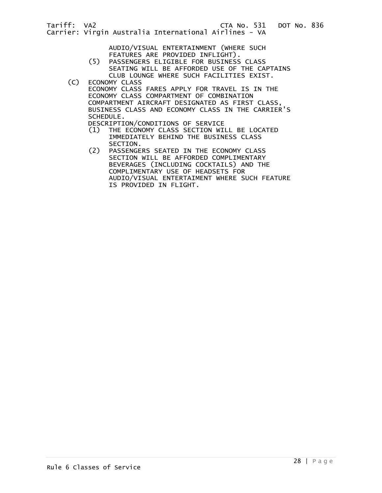| Tariff: VA2 |  |                                                       | CTA No. 531 |  |
|-------------|--|-------------------------------------------------------|-------------|--|
|             |  | Carrier: Virgin Australia International Airlines - VA |             |  |

 AUDIO/VISUAL ENTERTAINMENT (WHERE SUCH FEATURES ARE PROVIDED INFLIGHT).

- (5) PASSENGERS ELIGIBLE FOR BUSINESS CLASS SEATING WILL BE AFFORDED USE OF THE CAPTAINS CLUB LOUNGE WHERE SUCH FACILITIES EXIST.
- (C) ECONOMY CLASS

 ECONOMY CLASS FARES APPLY FOR TRAVEL IS IN THE ECONOMY CLASS COMPARTMENT OF COMBINATION COMPARTMENT AIRCRAFT DESIGNATED AS FIRST CLASS, BUSINESS CLASS AND ECONOMY CLASS IN THE CARRIER'S SCHEDULE.

DESCRIPTION/CONDITIONS OF SERVICE<br>(1) THE ECONOMY CLASS SECTION WI

- THE ECONOMY CLASS SECTION WILL BE LOCATED IMMEDIATELY BEHIND THE BUSINESS CLASS SECTION.
- (2) PASSENGERS SEATED IN THE ECONOMY CLASS SECTION WILL BE AFFORDED COMPLIMENTARY BEVERAGES (INCLUDING COCKTAILS) AND THE COMPLIMENTARY USE OF HEADSETS FOR AUDIO/VISUAL ENTERTAIMENT WHERE SUCH FEATURE IS PROVIDED IN FLIGHT.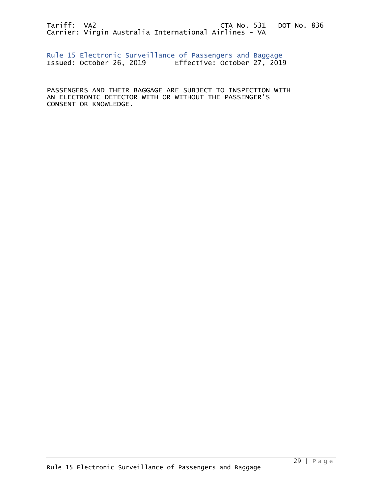<span id="page-28-0"></span>Rule 15 Electronic Surveillance of Passengers and Baggage Issued: October 26, 2019 Effective: October 27, 2019

PASSENGERS AND THEIR BAGGAGE ARE SUBJECT TO INSPECTION WITH AN ELECTRONIC DETECTOR WITH OR WITHOUT THE PASSENGER'S CONSENT OR KNOWLEDGE.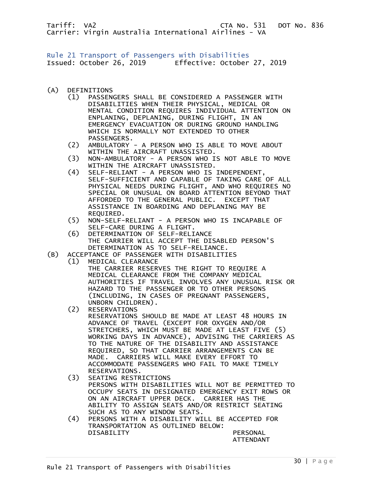<span id="page-29-0"></span>Rule 21 Transport of Passengers with Disabilities Issued: October 26, 2019 Effective: October 27, 2019

- (A) DEFINITIONS
	- (1) PASSENGERS SHALL BE CONSIDERED A PASSENGER WITH DISABILITIES WHEN THEIR PHYSICAL, MEDICAL OR MENTAL CONDITION REQUIRES INDIVIDUAL ATTENTION ON ENPLANING, DEPLANING, DURING FLIGHT, IN AN EMERGENCY EVACUATION OR DURING GROUND HANDLING WHICH IS NORMALLY NOT EXTENDED TO OTHER PASSENGERS.
	- (2) AMBULATORY A PERSON WHO IS ABLE TO MOVE ABOUT WITHIN THE AIRCRAFT UNASSISTED.
	- (3) NON-AMBULATORY A PERSON WHO IS NOT ABLE TO MOVE WITHIN THE AIRCRAFT UNASSISTED.<br>(4) SELF-RELIANT - A PERSON WHO IS
	- (4) SELF-RELIANT A PERSON WHO IS INDEPENDENT, SELF-SUFFICIENT AND CAPABLE OF TAKING CARE OF ALL PHYSICAL NEEDS DURING FLIGHT, AND WHO REQUIRES NO SPECIAL OR UNUSUAL ON BOARD ATTENTION BEYOND THAT AFFORDED TO THE GENERAL PUBLIC. EXCEPT THAT ASSISTANCE IN BOARDING AND DEPLANING MAY BE REQUIRED.
	- (5) NON-SELF-RELIANT A PERSON WHO IS INCAPABLE OF SELF-CARE DURING A FLIGHT.<br>G) DETERMINATION OF SELF-RELI
	- (6) DETERMINATION OF SELF-RELIANCE THE CARRIER WILL ACCEPT THE DISABLED PERSON'S
- DETERMINATION AS TO SELF-RELIANCE.<br>(B) ACCEPTANCE OF PASSENGER WITH DISABILITI ACCEPTANCE OF PASSENGER WITH DISABILITIES

(1) MEDICAL CLEARANCE

 THE CARRIER RESERVES THE RIGHT TO REQUIRE A MEDICAL CLEARANCE FROM THE COMPANY MEDICAL AUTHORITIES IF TRAVEL INVOLVES ANY UNUSUAL RISK OR HAZARD TO THE PASSENGER OR TO OTHER PERSONS (INCLUDING, IN CASES OF PREGNANT PASSENGERS, UNBORN CHILDREN).

(2) RESERVATIONS

 RESERVATIONS SHOULD BE MADE AT LEAST 48 HOURS IN ADVANCE OF TRAVEL (EXCEPT FOR OXYGEN AND/OR STRETCHERS, WHICH MUST BE MADE AT LEAST FIVE (5) WORKING DAYS IN ADVANCE), ADVISING THE CARRIERS AS TO THE NATURE OF THE DISABILITY AND ASSISTANCE REQUIRED, SO THAT CARRIER ARRANGEMENTS CAN BE MADE. CARRIERS WILL MAKE EVERY EFFORT TO ACCOMMODATE PASSENGERS WHO FAIL TO MAKE TIMELY

- RESERVATIONS.<br>SEATING RESTR (3) SEATING RESTRICTIONS PERSONS WITH DISABILITIES WILL NOT BE PERMITTED TO OCCUPY SEATS IN DESIGNATED EMERGENCY EXIT ROWS OR ON AN AIRCRAFT UPPER DECK. CARRIER HAS THE ABILITY TO ASSIGN SEATS AND/OR RESTRICT SEATING
- SUCH AS TO ANY WINDOW SEATS.<br>(4) PERSONS WITH A DISABILITY WI PERSONS WITH A DISABILITY WILL BE ACCEPTED FOR TRANSPORTATION AS OUTLINED BELOW: DISABILITY PERSONAL

ATTENDANT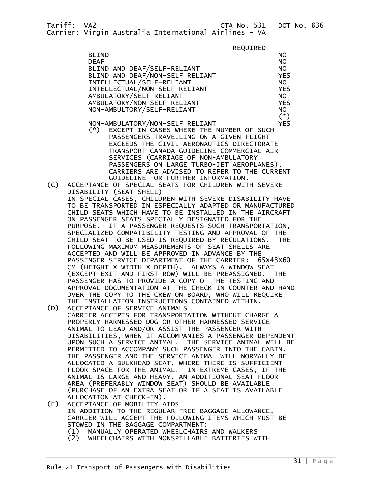REQUIRED<br>BLIND BLIND NO DEAF NOTES AND THE RESERVE TO A RESERVE THE RESERVE TO A RESERVE THE RESERVE TO A RESERVE THE RESERVE TO A RES BLIND AND DEAF/SELF-RELIANT NO BLIND AND DEAF/NON-SELF RELIANT YES INTELLECTUAL/SELF-RELIANT NO INTELLECTUAL/NON-SELF RELIANT AMBULATORY/SELF-RELIANT NO AMBULATORY/NON-SELF RELIANT VESTALL THE MEST REST MATCH NON-AMBULTORY/SELF-RELIANT NO<br>(\*)  $(\textcolor{red}{*})$ 

- NON-AMBULATORY/NON-SELF RELIANT YES<br>(\*) EXCEPT IN CASES WHERE THE NUMBER OF SUCH EXCEPT IN CASES WHERE THE NUMBER OF SUCH PASSENGERS TRAVELLING ON A GIVEN FLIGHT EXCEEDS THE CIVIL AERONAUTICS DIRECTORATE TRANSPORT CANADA GUIDELINE COMMERCIAL AIR SERVICES (CARRIAGE OF NON-AMBULATORY PASSENGERS ON LARGE TURBO-JET AEROPLANES). CARRIERS ARE ADVISED TO REFER TO THE CURRENT GUIDELINE FOR FURTHER INFORMATION.
- (C) ACCEPTANCE OF SPECIAL SEATS FOR CHILDREN WITH SEVERE DISABILITY (SEAT SHELL) IN SPECIAL CASES, CHILDREN WITH SEVERE DISABILITY HAVE TO BE TRANSPORTED IN ESPECIALLY ADAPTED OR MANUFACTURED CHILD SEATS WHICH HAVE TO BE INSTALLED IN THE AIRCRAFT ON PASSENGER SEATS SPECIALLY DESIGNATED FOR THE PURPOSE. IF A PASSENGER REQUESTS SUCH TRANSPORTATION, SPECIALIZED COMPATIBILITY TESTING AND APPROVAL OF THE CHILD SEAT TO BE USED IS REQUIRED BY REGULATIONS. THE FOLLOWING MAXIMUM MEASUREMENTS OF SEAT SHELLS ARE ACCEPTED AND WILL BE APPROVED IN ADVANCE BY THE PASSENGER SERVICE DEPARTMENT OF THE CARRIER: 65X43X60 CM (HEIGHT X WIDTH X DEPTH). ALWAYS A WINDOW SEAT (EXCEPT EXIT AND FIRST ROW) WILL BE PREASSIGNED. THE PASSENGER HAS TO PROVIDE A COPY OF THE TESTING AND APPROVAL DOCUMENTATION AT THE CHECK-IN COUNTER AND HAND OVER THE COPY TO THE CREW ON BOARD, WHO WILL REQUIRE THE INSTALLATION INSTRUCTIONS CONTAINED WITHIN.<br>(D) ACCEPTANCE OF SERVICE ANIMALS
- ACCEPTANCE OF SERVICE ANIMALS CARRIER ACCEPTS FOR TRANSPORTATION WITHOUT CHARGE A PROPERLY HARNESSED DOG OR OTHER HARNESSED SERVICE ANIMAL TO LEAD AND/OR ASSIST THE PASSENGER WITH DISABILITIES, WHEN IT ACCOMPANIES A PASSENGER DEPENDENT UPON SUCH A SERVICE ANIMAL. THE SERVICE ANIMAL WILL BE PERMITTED TO ACCOMPANY SUCH PASSENGER INTO THE CABIN. THE PASSENGER AND THE SERVICE ANIMAL WILL NORMALLY BE ALLOCATED A BULKHEAD SEAT, WHERE THERE IS SUFFICIENT FLOOR SPACE FOR THE ANIMAL. IN EXTREME CASES, IF THE ANIMAL IS LARGE AND HEAVY, AN ADDITIONAL SEAT FLOOR AREA (PREFERABLY WINDOW SEAT) SHOULD BE AVAILABLE (PURCHASE OF AN EXTRA SEAT OR IF A SEAT IS AVAILABLE ALLOCATION AT CHECK-IN).
- (E) ACCEPTANCE OF MOBILITY AIDS IN ADDITION TO THE REGULAR FREE BAGGAGE ALLOWANCE, CARRIER WILL ACCEPT THE FOLLOWING ITEMS WHICH MUST BE STOWED IN THE BAGGAGE COMPARTMENT: (1) MANUALLY OPERATED WHEELCHAIRS AND WALKERS (2) WHEELCHAIRS WITH NONSPILLABLE BATTERIES WITH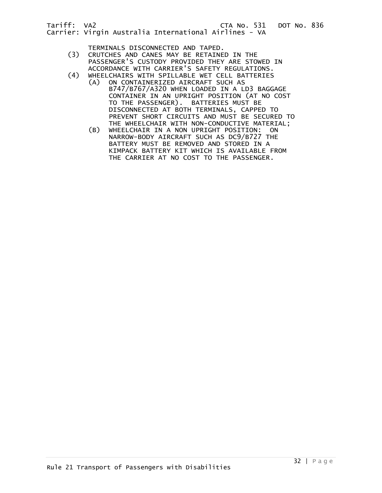TERMINALS DISCONNECTED AND TAPED.

- (3) CRUTCHES AND CANES MAY BE RETAINED IN THE PASSENGER'S CUSTODY PROVIDED THEY ARE STOWED IN ACCORDANCE WITH CARRIER'S SAFETY REGULATIONS.<br>(4) WHEELCHAIRS WITH SPILLABLE WET CELL BATTERIES
- WHEELCHAIRS WITH SPILLABLE WET CELL BATTERIES<br>(A) ON CONTAINERIZED AIRCRAFT SUCH AS
	- ON CONTAINERIZED AIRCRAFT SUCH AS B747/B767/A320 WHEN LOADED IN A LD3 BAGGAGE CONTAINER IN AN UPRIGHT POSITION (AT NO COST TO THE PASSENGER). BATTERIES MUST BE DISCONNECTED AT BOTH TERMINALS, CAPPED TO PREVENT SHORT CIRCUITS AND MUST BE SECURED TO THE WHEELCHAIR WITH NON-CONDUCTIVE MATERIAL;
	- (B) WHEELCHAIR IN A NON UPRIGHT POSITION: ON NARROW-BODY AIRCRAFT SUCH AS DC9/B727 THE BATTERY MUST BE REMOVED AND STORED IN A KIMPACK BATTERY KIT WHICH IS AVAILABLE FROM THE CARRIER AT NO COST TO THE PASSENGER.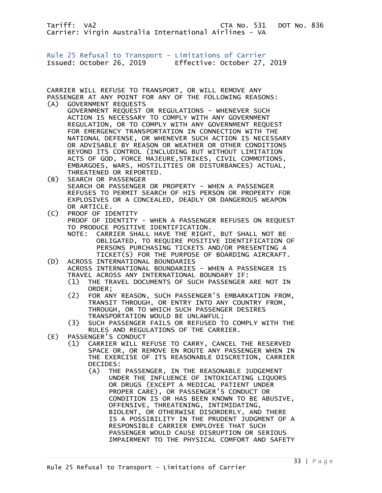<span id="page-32-0"></span>Rule 25 Refusal to Transport - Limitations of Carrier Issued: October 26, 2019 Effective: October 27, 2019

CARRIER WILL REFUSE TO TRANSPORT, OR WILL REMOVE ANY PASSENGER AT ANY POINT FOR ANY OF THE FOLLOWING REASONS: (A) GOVERNMENT REQUESTS

- GOVERNMENT REQUEST OR REGULATIONS WHENEVER SUCH ACTION IS NECESSARY TO COMPLY WITH ANY GOVERNMENT REGULATION, OR TO COMPLY WITH ANY GOVERNMENT REQUEST FOR EMERGENCY TRANSPORTATION IN CONNECTION WITH THE NATIONAL DEFENSE, OR WHENEVER SUCH ACTION IS NECESSARY OR ADVISABLE BY REASON OR WEATHER OR OTHER CONDITIONS BEYOND ITS CONTROL (INCLUDING BUT WITHOUT LIMITATION ACTS OF GOD, FORCE MAJEURE,STRIKES, CIVIL COMMOTIONS, EMBARGOES, WARS, HOSTILITIES OR DISTURBANCES) ACTUAL, THREATENED OR REPORTED.
- (B) SEARCH OR PASSENGER SEARCH OR PASSENGER OR PROPERTY - WHEN A PASSENGER REFUSES TO PERMIT SEARCH OF HIS PERSON OR PROPERTY FOR EXPLOSIVES OR A CONCEALED, DEADLY OR DANGEROUS WEAPON
- OR ARTICLE.<br>C) PROOF OF ID PROOF OF IDENTITY PROOF OF IDENTITY - WHEN A PASSENGER REFUSES ON REQUEST TO PRODUCE POSITIVE IDENTIFICATION. NOTE: CARRIER SHALL HAVE THE RIGHT, BUT SHALL NOT BE OBLIGATED, TO REQUIRE POSITIVE IDENTIFICATION OF PERSONS PURCHASING TICKETS AND/OR PRESENTING A TICKET(S) FOR THE PURPOSE OF BOARDING AIRCRAFT.
- (D) ACROSS INTERNATIONAL BOUNDARIES ACROSS INTERNATIONAL BOUNDARIES - WHEN A PASSENGER IS TRAVEL ACROSS ANY INTERNATIONAL BOUNDARY IF:
	- (1) THE TRAVEL DOCUMENTS OF SUCH PASSENGER ARE NOT IN ORDER;<br>C2) FOR AN
- (2) FOR ANY REASON, SUCH PASSENGER'S EMBARKATION FROM, TRANSIT THROUGH, OR ENTRY INTO ANY COUNTRY FROM, THROUGH, OR TO WHICH SUCH PASSENGER DESIRES TRANSPORTATION WOULD BE UNLAWFUL;<br>(3) SUCH PASSENGER FAILS OR REFUSED T
- SUCH PASSENGER FAILS OR REFUSED TO COMPLY WITH THE RULES AND REGULATIONS OF THE CARRIER.<br>(E) PASSENGER'S CONDUCT
- PASSENGER'S CONDUCT
	- (1) CARRIER WILL REFUSE TO CARRY, CANCEL THE RESERVED SPACE OR, OR REMOVE EN ROUTE ANY PASSENGER WHEN IN THE EXERCISE OF ITS REASONABLE DISCRETION, CARRIER DECIDES:
		- (A) THE PASSENGER, IN THE REASONABLE JUDGEMENT UNDER THE INFLUENCE OF INTOXICATING LIQUORS OR DRUGS (EXCEPT A MEDICAL PATIENT UNDER PROPER CARE), OR PASSENGER'S CONDUCT OR CONDITION IS OR HAS BEEN KNOWN TO BE ABUSIVE, OFFENSIVE, THREATENING, INTIMIDATING, BIOLENT, OR OTHERWISE DISORDERLY, AND THERE IS A POSSIBILITY IN THE PRUDENT JUDGMENT OF A RESPONSIBLE CARRIER EMPLOYEE THAT SUCH PASSENGER WOULD CAUSE DISRUPTION OR SERIOUS IMPAIRMENT TO THE PHYSICAL COMFORT AND SAFETY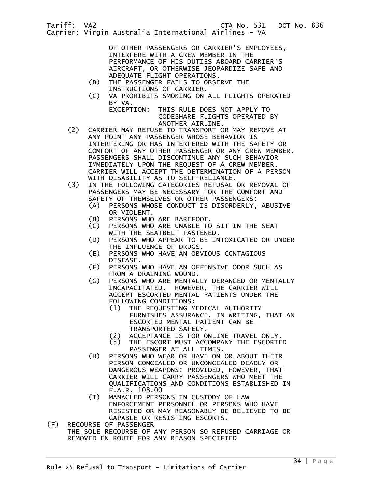OF OTHER PASSENGERS OR CARRIER'S EMPLOYEES, INTERFERE WITH A CREW MEMBER IN THE PERFORMANCE OF HIS DUTIES ABOARD CARRIER'S AIRCRAFT, OR OTHERWISE JEOPARDIZE SAFE AND ADEQUATE FLIGHT OPERATIONS.

- (B) THE PASSENGER FAILS TO OBSERVE THE INSTRUCTIONS OF CARRIER.<br>(C) VA PROHIBITS SMOKING ON
- VA PROHIBITS SMOKING ON ALL FLIGHTS OPERATED BY VA.
	- EXCEPTION: THIS RULE DOES NOT APPLY TO CODESHARE FLIGHTS OPERATED BY ANOTHER AIRLINE.
- (2) CARRIER MAY REFUSE TO TRANSPORT OR MAY REMOVE AT ANY POINT ANY PASSENGER WHOSE BEHAVIOR IS INTERFERING OR HAS INTERFERED WITH THE SAFETY OR COMFORT OF ANY OTHER PASSENGER OR ANY CREW MEMBER. PASSENGERS SHALL DISCONTINUE ANY SUCH BEHAVIOR IMMEDIATELY UPON THE REQUEST OF A CREW MEMBER. CARRIER WILL ACCEPT THE DETERMINATION OF A PERSON WITH DISABILITY AS TO SELF-RELIANCE.<br>(3) IN THE FOLLOWING CATEGORIES REFUSAL
- IN THE FOLLOWING CATEGORIES REFUSAL OR REMOVAL OF PASSENGERS MAY BE NECESSARY FOR THE COMFORT AND SAFETY OF THEMSELVES OR OTHER PASSENGERS:
	- (A) PERSONS WHOSE CONDUCT IS DISORDERLY, ABUSIVE OR VIOLENT.<br>B) PERSONS WHO
	- PERSONS WHO ARE BAREFOOT.
	- (C) PERSONS WHO ARE UNABLE TO SIT IN THE SEAT WITH THE SEATBELT FASTENED.
	- (D) PERSONS WHO APPEAR TO BE INTOXICATED OR UNDER THE INFLUENCE OF DRUGS.<br>E) PERSONS WHO HAVE AN OBV
	- PERSONS WHO HAVE AN OBVIOUS CONTAGIOUS DISEASE.<br>(F) PERSONS
	- PERSONS WHO HAVE AN OFFENSIVE ODOR SUCH AS FROM A DRAINING WOUND.<br>G) PERSONS WHO ARE MENTAL
	- PERSONS WHO ARE MENTALLY DERANGED OR MENTALLY INCAPACITATED. HOWEVER, THE CARRIER WILL ACCEPT ESCORTED MENTAL PATIENTS UNDER THE FOLLOWING CONDITIONS:
		- (1) THE REQUESTING MEDICAL AUTHORITY FURNISHES ASSURANCE, IN WRITING, THAT AN ESCORTED MENTAL PATIENT CAN BE TRANSPORTED SAFELY.
		- (2) ACCEPTANCE IS FOR ONLINE TRAVEL ONLY.<br>(3) THE ESCORT MUST ACCOMPANY THE ESCORTE
		- THE ESCORT MUST ACCOMPANY THE ESCORTED PASSENGER AT ALL TIMES.
	- (H) PERSONS WHO WEAR OR HAVE ON OR ABOUT THEIR PERSON CONCEALED OR UNCONCEALED DEADLY OR DANGEROUS WEAPONS; PROVIDED, HOWEVER, THAT CARRIER WILL CARRY PASSENGERS WHO MEET THE QUALIFICATIONS AND CONDITIONS ESTABLISHED IN F.A.R. 108.00
	- (I) MANACLED PERSONS IN CUSTODY OF LAW ENFORCEMENT PERSONNEL OR PERSONS WHO HAVE RESISTED OR MAY REASONABLY BE BELIEVED TO BE CAPABLE OR RESISTING ESCORTS.
- (F) RECOURSE OF PASSENGER THE SOLE RECOURSE OF ANY PERSON SO REFUSED CARRIAGE OR REMOVED EN ROUTE FOR ANY REASON SPECIFIED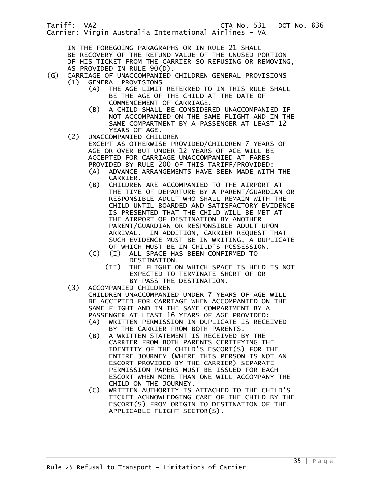- IN THE FOREGOING PARAGRAPHS OR IN RULE 21 SHALL
- BE RECOVERY OF THE REFUND VALUE OF THE UNUSED PORTION
- OF HIS TICKET FROM THE CARRIER SO REFUSING OR REMOVING, AS PROVIDED IN RULE 90(D).
- (G) CARRIAGE OF UNACCOMPANIED CHILDREN GENERAL PROVISIONS (1) GENERAL PROVISIONS<br>(A) THE AGE LIMIT
	- THE AGE LIMIT REFERRED TO IN THIS RULE SHALL BE THE AGE OF THE CHILD AT THE DATE OF COMMENCEMENT OF CARRIAGE.
	- (B) A CHILD SHALL BE CONSIDERED UNACCOMPANIED IF NOT ACCOMPANIED ON THE SAME FLIGHT AND IN THE SAME COMPARTMENT BY A PASSENGER AT LEAST 12 YEARS OF AGE.
	- (2) UNACCOMPANIED CHILDREN
		- EXCEPT AS OTHERWISE PROVIDED/CHILDREN 7 YEARS OF AGE OR OVER BUT UNDER 12 YEARS OF AGE WILL BE ACCEPTED FOR CARRIAGE UNACCOMPANIED AT FARES PROVIDED BY RULE 200 OF THIS TARIFF/PROVIDED:
			- (A) ADVANCE ARRANGEMENTS HAVE BEEN MADE WITH THE CARRIER.
			- (B) CHILDREN ARE ACCOMPANIED TO THE AIRPORT AT THE TIME OF DEPARTURE BY A PARENT/GUARDIAN OR RESPONSIBLE ADULT WHO SHALL REMAIN WITH THE CHILD UNTIL BOARDED AND SATISFACTORY EVIDENCE IS PRESENTED THAT THE CHILD WILL BE MET AT THE AIRPORT OF DESTINATION BY ANOTHER PARENT/GUARDIAN OR RESPONSIBLE ADULT UPON ARRIVAL. IN ADDITION, CARRIER REQUEST THAT SUCH EVIDENCE MUST BE IN WRITING, A DUPLICATE OF WHICH MUST BE IN CHILD'S POSSESSION.
			- (C) (I) ALL SPACE HAS BEEN CONFIRMED TO DESTINATION.
				- (II) THE FLIGHT ON WHICH SPACE IS HELD IS NOT EXPECTED TO TERMINATE SHORT OF OR BY-PASS THE DESTINATION.
	- (3) ACCOMPANIED CHILDREN CHILDREN UNACCOMPANIED UNDER 7 YEARS OF AGE WILL BE ACCEPTED FOR CARRIAGE WHEN ACCOMPANIED ON THE SAME FLIGHT AND IN THE SAME COMPARTMENT BY A PASSENGER AT LEAST 16 YEARS OF AGE PROVIDED:
		- (A) WRITTEN PERMISSION IN DUPLICATE IS RECEIVED BY THE CARRIER FROM BOTH PARENTS.<br>(B) A WRITTEN STATEMENT IS RECEIVED B
		- A WRITTEN STATEMENT IS RECEIVED BY THE CARRIER FROM BOTH PARENTS CERTIFYING THE IDENTITY OF THE CHILD'S ESCORT(S) FOR THE ENTIRE JOURNEY (WHERE THIS PERSON IS NOT AN ESCORT PROVIDED BY THE CARRIER) SEPARATE PERMISSION PAPERS MUST BE ISSUED FOR EACH ESCORT WHEN MORE THAN ONE WILL ACCOMPANY THE CHILD ON THE JOURNEY.
		- (C) WRITTEN AUTHORITY IS ATTACHED TO THE CHILD'S TICKET ACKNOWLEDGING CARE OF THE CHILD BY THE ESCORT(S) FROM ORIGIN TO DESTINATION OF THE APPLICABLE FLIGHT SECTOR(S).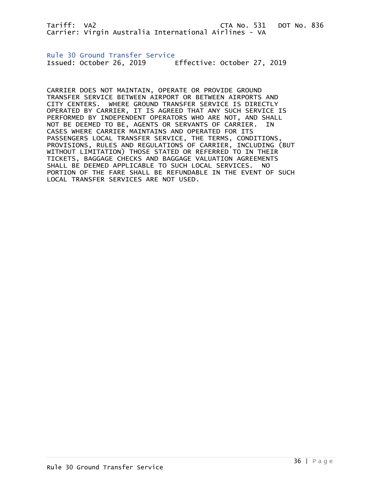<span id="page-35-0"></span>Rule 30 Ground Transfer Service Issued: October 26, 2019 Effective: October 27, 2019

CARRIER DOES NOT MAINTAIN, OPERATE OR PROVIDE GROUND TRANSFER SERVICE BETWEEN AIRPORT OR BETWEEN AIRPORTS AND CITY CENTERS. WHERE GROUND TRANSFER SERVICE IS DIRECTLY OPERATED BY CARRIER, IT IS AGREED THAT ANY SUCH SERVICE IS PERFORMED BY INDEPENDENT OPERATORS WHO ARE NOT, AND SHALL NOT BE DEEMED TO BE, AGENTS OR SERVANTS OF CARRIER. IN CASES WHERE CARRIER MAINTAINS AND OPERATED FOR ITS PASSENGERS LOCAL TRANSFER SERVICE, THE TERMS, CONDITIONS, PROVISIONS, RULES AND REGULATIONS OF CARRIER, INCLUDING (BUT WITHOUT LIMITATION) THOSE STATED OR REFERRED TO IN THEIR TICKETS, BAGGAGE CHECKS AND BAGGAGE VALUATION AGREEMENTS SHALL BE DEEMED APPLICABLE TO SUCH LOCAL SERVICES. NO PORTION OF THE FARE SHALL BE REFUNDABLE IN THE EVENT OF SUCH LOCAL TRANSFER SERVICES ARE NOT USED.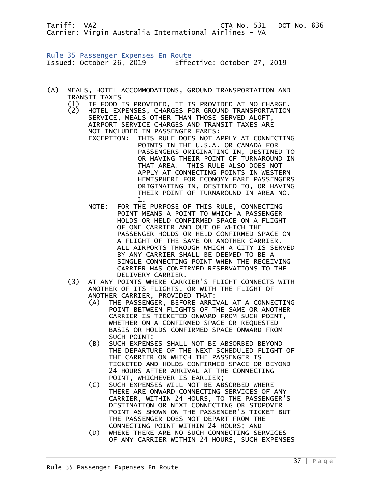Rule 35 Passenger Expenses En Route Issued: October 26, 2019 Effective: October 27, 2019

- (A) MEALS, HOTEL ACCOMMODATIONS, GROUND TRANSPORTATION AND
	- TRANSIT TAXES<br>(1) IF FOOD : (1) IF FOOD IS PROVIDED, IT IS PROVIDED AT NO CHARGE.
- HOTEL EXPENSES, CHARGES FOR GROUND TRANSPORTATION SERVICE, MEALS OTHER THAN THOSE SERVED ALOFT, AIRPORT SERVICE CHARGES AND TRANSIT TAXES ARE NOT INCLUDED IN PASSENGER FARES: EXCEPTION: THIS RULE DOES NOT APPLY AT CONNECTING POINTS IN THE U.S.A. OR CANADA FOR PASSENGERS ORIGINATING IN, DESTINED TO OR HAVING THEIR POINT OF TURNAROUND IN THAT AREA. THIS RULE ALSO DOES NOT APPLY AT CONNECTING POINTS IN WESTERN HEMISPHERE FOR ECONOMY FARE PASSENGERS ORIGINATING IN, DESTINED TO, OR HAVING THEIR POINT OF TURNAROUND IN AREA NO. 1.
	- NOTE: FOR THE PURPOSE OF THIS RULE, CONNECTING POINT MEANS A POINT TO WHICH A PASSENGER HOLDS OR HELD CONFIRMED SPACE ON A FLIGHT OF ONE CARRIER AND OUT OF WHICH THE PASSENGER HOLDS OR HELD CONFIRMED SPACE ON A FLIGHT OF THE SAME OR ANOTHER CARRIER. ALL AIRPORTS THROUGH WHICH A CITY IS SERVED BY ANY CARRIER SHALL BE DEEMED TO BE A SINGLE CONNECTING POINT WHEN THE RECEIVING CARRIER HAS CONFIRMED RESERVATIONS TO THE DELIVERY CARRIER.
	- (3) AT ANY POINTS WHERE CARRIER'S FLIGHT CONNECTS WITH ANOTHER OF ITS FLIGHTS, OR WITH THE FLIGHT OF ANOTHER CARRIER, PROVIDED THAT:
		- (A) THE PASSENGER, BEFORE ARRIVAL AT A CONNECTING POINT BETWEEN FLIGHTS OF THE SAME OR ANOTHER CARRIER IS TICKETED ONWARD FROM SUCH POINT, WHETHER ON A CONFIRMED SPACE OR REQUESTED BASIS OR HOLDS CONFIRMED SPACE ONWARD FROM SUCH POINT;
		- (B) SUCH EXPENSES SHALL NOT BE ABSORBED BEYOND THE DEPARTURE OF THE NEXT SCHEDULED FLIGHT OF THE CARRIER ON WHICH THE PASSENGER IS TICKETED AND HOLDS CONFIRMED SPACE OR BEYOND 24 HOURS AFTER ARRIVAL AT THE CONNECTING POINT, WHICHEVER IS EARLIER;
		- (C) SUCH EXPENSES WILL NOT BE ABSORBED WHERE THERE ARE ONWARD CONNECTING SERVICES OF ANY CARRIER, WITHIN 24 HOURS, TO THE PASSENGER'S DESTINATION OR NEXT CONNECTING OR STOPOVER POINT AS SHOWN ON THE PASSENGER'S TICKET BUT THE PASSENGER DOES NOT DEPART FROM THE CONNECTING POINT WITHIN 24 HOURS; AND
		- (D) WHERE THERE ARE NO SUCH CONNECTING SERVICES OF ANY CARRIER WITHIN 24 HOURS, SUCH EXPENSES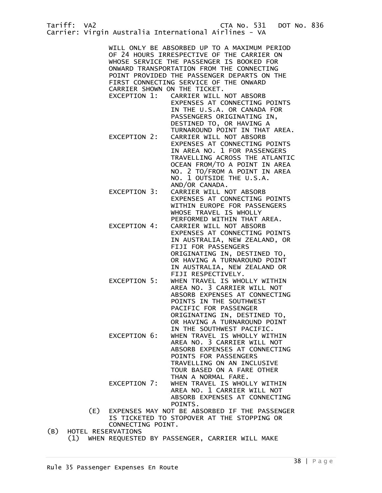WILL ONLY BE ABSORBED UP TO A MAXIMUM PERIOD OF 24 HOURS IRRESPECTIVE OF THE CARRIER ON WHOSE SERVICE THE PASSENGER IS BOOKED FOR ONWARD TRANSPORTATION FROM THE CONNECTING POINT PROVIDED THE PASSENGER DEPARTS ON THE FIRST CONNECTING SERVICE OF THE ONWARD CARRIER SHOWN ON THE TICKET.

- CARRIER WILL NOT ABSORB EXPENSES AT CONNECTING POINTS IN THE U.S.A. OR CANADA FOR PASSENGERS ORIGINATING IN, DESTINED TO, OR HAVING A
- TURNAROUND POINT IN THAT AREA.<br>EXCEPTION 2: CARRIER WILL NOT ABSORB CARRIER WILL NOT ABSORB EXPENSES AT CONNECTING POINTS IN AREA NO. 1 FOR PASSENGERS TRAVELLING ACROSS THE ATLANTIC OCEAN FROM/TO A POINT IN AREA NO. 2 TO/FROM A POINT IN AREA NO. 1 OUTSIDE THE U.S.A. AND/OR CANADA.
- EXCEPTION 3: CARRIER WILL NOT ABSORB EXPENSES AT CONNECTING POINTS WITHIN EUROPE FOR PASSENGERS WHOSE TRAVEL IS WHOLLY PERFORMED WITHIN THAT AREA.
- EXCEPTION 4: CARRIER WILL NOT ABSORB EXPENSES AT CONNECTING POINTS IN AUSTRALIA, NEW ZEALAND, OR FIJI FOR PASSENGERS ORIGINATING IN, DESTINED TO, OR HAVING A TURNAROUND POINT IN AUSTRALIA, NEW ZEALAND OR FIJI RESPECTIVELY.
- EXCEPTION 5: WHEN TRAVEL IS WHOLLY WITHIN AREA NO. 3 CARRIER WILL NOT ABSORB EXPENSES AT CONNECTING POINTS IN THE SOUTHWEST PACIFIC FOR PASSENGER ORIGINATING IN, DESTINED TO, OR HAVING A TURNAROUND POINT IN THE SOUTHWEST PACIFIC.
- EXCEPTION 6: WHEN TRAVEL IS WHOLLY WITHIN AREA NO. 3 CARRIER WILL NOT ABSORB EXPENSES AT CONNECTING POINTS FOR PASSENGERS TRAVELLING ON AN INCLUSIVE TOUR BASED ON A FARE OTHER THAN A NORMAL FARE. EXCEPTION 7: WHEN TRAVEL IS WHOLLY WITHIN AREA NO. 1 CARRIER WILL NOT
	- ABSORB EXPENSES AT CONNECTING POINTS.
- (E) EXPENSES MAY NOT BE ABSORBED IF THE PASSENGER IS TICKETED TO STOPOVER AT THE STOPPING OR CONNECTING POINT.<br>(B) HOTEL RESERVATIONS
- HOTEL RESERVATIONS (1) WHEN REQUESTED BY PASSENGER, CARRIER WILL MAKE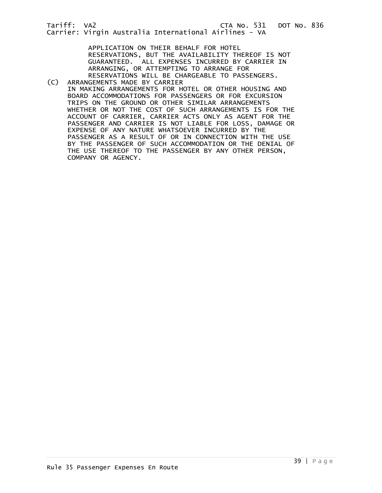APPLICATION ON THEIR BEHALF FOR HOTEL RESERVATIONS, BUT THE AVAILABILITY THEREOF IS NOT GUARANTEED. ALL EXPENSES INCURRED BY CARRIER IN ARRANGING, OR ATTEMPTING TO ARRANGE FOR RESERVATIONS WILL BE CHARGEABLE TO PASSENGERS.

(C) ARRANGEMENTS MADE BY CARRIER IN MAKING ARRANGEMENTS FOR HOTEL OR OTHER HOUSING AND BOARD ACCOMMODATIONS FOR PASSENGERS OR FOR EXCURSION TRIPS ON THE GROUND OR OTHER SIMILAR ARRANGEMENTS WHETHER OR NOT THE COST OF SUCH ARRANGEMENTS IS FOR THE ACCOUNT OF CARRIER, CARRIER ACTS ONLY AS AGENT FOR THE PASSENGER AND CARRIER IS NOT LIABLE FOR LOSS, DAMAGE OR EXPENSE OF ANY NATURE WHATSOEVER INCURRED BY THE PASSENGER AS A RESULT OF OR IN CONNECTION WITH THE USE BY THE PASSENGER OF SUCH ACCOMMODATION OR THE DENIAL OF THE USE THEREOF TO THE PASSENGER BY ANY OTHER PERSON, COMPANY OR AGENCY.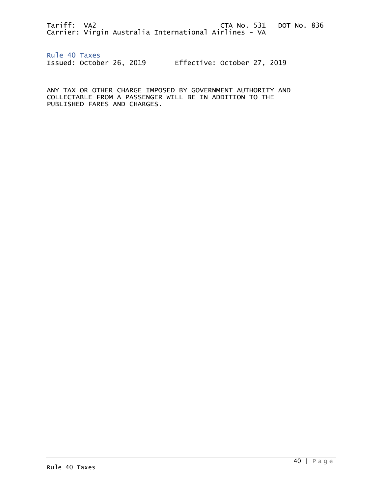Rule 40 Taxes Issued: October 26, 2019 Effective: October 27, 2019

ANY TAX OR OTHER CHARGE IMPOSED BY GOVERNMENT AUTHORITY AND COLLECTABLE FROM A PASSENGER WILL BE IN ADDITION TO THE PUBLISHED FARES AND CHARGES.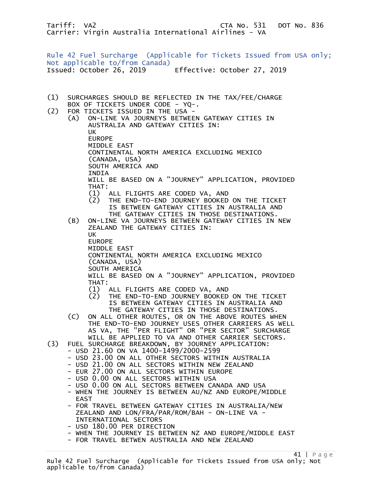Rule 42 Fuel Surcharge (Applicable for Tickets Issued from USA only; Not applicable to/from Canada) Issued: October 26, 2019 Effective: October 27, 2019

- (1) SURCHARGES SHOULD BE REFLECTED IN THE TAX/FEE/CHARGE
- BOX OF TICKETS UNDER CODE YQ-.<br>- C2) FOR TICKETS ISSUED IN THE USA FOR TICKETS ISSUED IN THE USA - (A) ON-LINE VA JOURNEYS BETWEEN GATEWAY CITIES IN AUSTRALIA AND GATEWAY CITIES IN: UK EUROPE MIDDLE EAST CONTINENTAL NORTH AMERICA EXCLUDING MEXICO (CANADA, USA) SOUTH AMERICA AND **TNDTA**  WILL BE BASED ON A "JOURNEY" APPLICATION, PROVIDED THAT: (1) ALL FLIGHTS ARE CODED VA, AND (2) THE END-TO-END JOURNEY BOOKED ON THE TICKET IS BETWEEN GATEWAY CITIES IN AUSTRALIA AND THE GATEWAY CITIES IN THOSE DESTINATIONS. (B) ON-LINE VA JOURNEYS BETWEEN GATEWAY CITIES IN NEW ZEALAND THE GATEWAY CITIES IN: UK EUROPE MIDDLE EAST CONTINENTAL NORTH AMERICA EXCLUDING MEXICO (CANADA, USA) SOUTH AMERICA WILL BE BASED ON A "JOURNEY" APPLICATION, PROVIDED THAT:
	-
	- (1) ALL FLIGHTS ARE CODED VA, AND (2) THE END-TO-END JOURNEY BOOKED ON THE TICKET IS BETWEEN GATEWAY CITIES IN AUSTRALIA AND THE GATEWAY CITIES IN THOSE DESTINATIONS.
	- (C) ON ALL OTHER ROUTES, OR ON THE ABOVE ROUTES WHEN THE END-TO-END JOURNEY USES OTHER CARRIERS AS WELL AS VA, THE "PER FLIGHT" OR "PER SECTOR" SURCHARGE WILL BE APPLIED TO VA AND OTHER CARRIER SECTORS.
- (3) FUEL SURCHARGE BREAKDOWN, BY JOURNEY APPLICATION:
	- USD 21.60 ON VA 1400-1499/2000-2599
	- USD 23.00 ON ALL OTHER SECTORS WITHIN AUSTRALIA
	- USD 21.00 ON ALL SECTORS WITHIN NEW ZEALAND
	- EUR 27.00 ON ALL SECTORS WITHIN EUROPE
	- USD 0.00 ON ALL SECTORS WITHIN USA
	- USD 0.00 ON ALL SECTORS BETWEEN CANADA AND USA
	- WHEN THE JOURNEY IS BETWEEN AU/NZ AND EUROPE/MIDDLE EAST
	- FOR TRAVEL BETWEEN GATEWAY CITIES IN AUSTRALIA/NEW ZEALAND AND LON/FRA/PAR/ROM/BAH - ON-LINE VA - INTERNATIONAL SECTORS
	- USD 180.00 PER DIRECTION
	- WHEN THE JOURNEY IS BETWEEN NZ AND EUROPE/MIDDLE EAST
	- FOR TRAVEL BETWEN AUSTRALIA AND NEW ZEALAND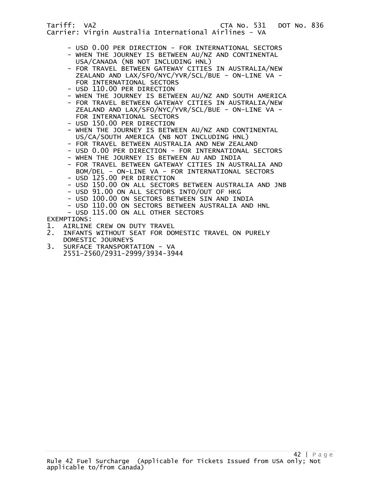- USD 0.00 PER DIRECTION FOR INTERNATIONAL SECTORS - WHEN THE JOURNEY IS BETWEEN AU/NZ AND CONTINENTAL
- USA/CANADA (NB NOT INCLUDING HNL)
- FOR TRAVEL BETWEEN GATEWAY CITIES IN AUSTRALIA/NEW ZEALAND AND LAX/SFO/NYC/YVR/SCL/BUE - ON-LINE VA - FOR INTERNATIONAL SECTORS
- USD 110.00 PER DIRECTION
- WHEN THE JOURNEY IS BETWEEN AU/NZ AND SOUTH AMERICA
- FOR TRAVEL BETWEEN GATEWAY CITIES IN AUSTRALIA/NEW ZEALAND AND LAX/SFO/NYC/YVR/SCL/BUE - ON-LINE VA - FOR INTERNATIONAL SECTORS
- USD 150.00 PER DIRECTION
- WHEN THE JOURNEY IS BETWEEN AU/NZ AND CONTINENTAL US/CA/SOUTH AMERICA (NB NOT INCLUDING HNL)
- FOR TRAVEL BETWEEN AUSTRALIA AND NEW ZEALAND
- USD 0.00 PER DIRECTION FOR INTERNATIONAL SECTORS
- WHEN THE JOURNEY IS BETWEEN AU AND INDIA
- FOR TRAVEL BETWEEN GATEWAY CITIES IN AUSTRALIA AND BOM/DEL - ON-LINE VA - FOR INTERNATIONAL SECTORS
- USD 125.00 PER DIRECTION
- USD 150.00 ON ALL SECTORS BETWEEN AUSTRALIA AND JNB
- USD 91.00 ON ALL SECTORS INTO/OUT OF HKG
- USD 100.00 ON SECTORS BETWEEN SIN AND INDIA
- USD 110.00 ON SECTORS BETWEEN AUSTRALIA AND HNL
- USD 115.00 ON ALL OTHER SECTORS

EXEMPTIONS:

- 1. AIRLINE CREW ON DUTY TRAVEL<br>2. INFANTS WITHOUT SEAT FOR DO
- 2. INFANTS WITHOUT SEAT FOR DOMESTIC TRAVEL ON PURELY DOMESTIC JOURNEYS<br>3. SURFACE TRANSPORT
- SURFACE TRANSPORTATION VA 2551-2560/2931-2999/3934-3944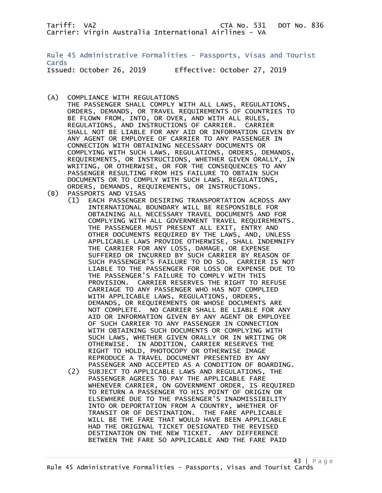Rule 45 Administrative Formalities - Passports, Visas and Tourist Cards Issued: October 26, 2019 Effective: October 27, 2019

(A) COMPLIANCE WITH REGULATIONS

 THE PASSENGER SHALL COMPLY WITH ALL LAWS, REGULATIONS, ORDERS, DEMANDS, OR TRAVEL REQUIREMENTS OF COUNTRIES TO BE FLOWN FROM, INTO, OR OVER, AND WITH ALL RULES, REGULATIONS, AND INSTRUCTIONS OF CARRIER. CARRIER SHALL NOT BE LIABLE FOR ANY AID OR INFORMATION GIVEN BY ANY AGENT OR EMPLOYEE OF CARRIER TO ANY PASSENGER IN CONNECTION WITH OBTAINING NECESSARY DOCUMENTS OR COMPLYING WITH SUCH LAWS, REGULATIONS, ORDERS, DEMANDS, REQUIREMENTS, OR INSTRUCTIONS, WHETHER GIVEN ORALLY, IN WRITING, OR OTHERWISE, OR FOR THE CONSEQUENCES TO ANY PASSENGER RESULTING FROM HIS FAILURE TO OBTAIN SUCH DOCUMENTS OR TO COMPLY WITH SUCH LAWS, REGULATIONS, ORDERS, DEMANDS, REQUIREMENTS, OR INSTRUCTIONS.

- (B) PASSPORTS AND VISAS
	- (1) EACH PASSENGER DESIRING TRANSPORTATION ACROSS ANY INTERNATIONAL BOUNDARY WILL BE RESPONSIBLE FOR OBTAINING ALL NECESSARY TRAVEL DOCUMENTS AND FOR COMPLYING WITH ALL GOVERNMENT TRAVEL REQUIREMENTS. THE PASSENGER MUST PRESENT ALL EXIT, ENTRY AND OTHER DOCUMENTS REQUIRED BY THE LAWS, AND, UNLESS APPLICABLE LAWS PROVIDE OTHERWISE, SHALL INDEMNIFY THE CARRIER FOR ANY LOSS, DAMAGE, OR EXPENSE SUFFERED OR INCURRED BY SUCH CARRIER BY REASON OF SUCH PASSENGER'S FAILURE TO DO SO. CARRIER IS NOT LIABLE TO THE PASSENGER FOR LOSS OR EXPENSE DUE TO THE PASSENGER'S FAILURE TO COMPLY WITH THIS PROVISION. CARRIER RESERVES THE RIGHT TO REFUSE CARRIAGE TO ANY PASSENGER WHO HAS NOT COMPLIED WITH APPLICABLE LAWS, REGULATIONS, ORDERS, DEMANDS, OR REQUIREMENTS OR WHOSE DOCUMENTS ARE NOT COMPLETE. NO CARRIER SHALL BE LIABLE FOR ANY AID OR INFORMATION GIVEN BY ANY AGENT OR EMPLOYEE OF SUCH CARRIER TO ANY PASSENGER IN CONNECTION WITH OBTAINING SUCH DOCUMENTS OR COMPLYING WITH SUCH LAWS, WHETHER GIVEN ORALLY OR IN WRITING OR OTHERWISE. IN ADDITION, CARRIER RESERVES THE RIGHT TO HOLD, PHOTOCOPY OR OTHERWISE IMAGE REPRODUCE A TRAVEL DOCUMENT PRESENTED BY ANY PASSENGER AND ACCEPTED AS A CONDITION OF BOARDING. (2) SUBJECT TO APPLICABLE LAWS AND REGULATIONS, THE PASSENGER AGREES TO PAY THE APPLICABLE FARE WHENEVER CARRIER, ON GOVERNMENT ORDER, IS REQUIRED TO RETURN A PASSENGER TO HIS POINT OF ORIGIN OR ELSEWHERE DUE TO THE PASSENGER'S INADMISSIBILITY INTO OR DEPORTATION FROM A COUNTRY, WHETHER OF TRANSIT OR OF DESTINATION. THE FARE APPLICABLE

 WILL BE THE FARE THAT WOULD HAVE BEEN APPLICABLE HAD THE ORIGINAL TICKET DESIGNATED THE REVISED DESTINATION ON THE NEW TICKET. ANY DIFFERENCE BETWEEN THE FARE SO APPLICABLE AND THE FARE PAID

# 43 | P a g e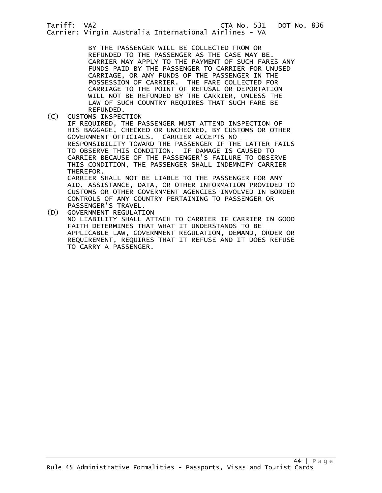BY THE PASSENGER WILL BE COLLECTED FROM OR REFUNDED TO THE PASSENGER AS THE CASE MAY BE. CARRIER MAY APPLY TO THE PAYMENT OF SUCH FARES ANY FUNDS PAID BY THE PASSENGER TO CARRIER FOR UNUSED CARRIAGE, OR ANY FUNDS OF THE PASSENGER IN THE POSSESSION OF CARRIER. THE FARE COLLECTED FOR CARRIAGE TO THE POINT OF REFUSAL OR DEPORTATION WILL NOT BE REFUNDED BY THE CARRIER, UNLESS THE LAW OF SUCH COUNTRY REQUIRES THAT SUCH FARE BE

REFUNDED.<br>CUSTOMS INSPEC (C) CUSTOMS INSPECTION

> IF REQUIRED, THE PASSENGER MUST ATTEND INSPECTION OF HIS BAGGAGE, CHECKED OR UNCHECKED, BY CUSTOMS OR OTHER GOVERNMENT OFFICIALS. CARRIER ACCEPTS NO RESPONSIBILITY TOWARD THE PASSENGER IF THE LATTER FAILS TO OBSERVE THIS CONDITION. IF DAMAGE IS CAUSED TO CARRIER BECAUSE OF THE PASSENGER'S FAILURE TO OBSERVE THIS CONDITION, THE PASSENGER SHALL INDEMNIFY CARRIER THEREFOR. CARRIER SHALL NOT BE LIABLE TO THE PASSENGER FOR ANY

> AID, ASSISTANCE, DATA, OR OTHER INFORMATION PROVIDED TO CUSTOMS OR OTHER GOVERNMENT AGENCIES INVOLVED IN BORDER CONTROLS OF ANY COUNTRY PERTAINING TO PASSENGER OR PASSENGER'S TRAVEL.

(D) GOVERNMENT REGULATION NO LIABILITY SHALL ATTACH TO CARRIER IF CARRIER IN GOOD FAITH DETERMINES THAT WHAT IT UNDERSTANDS TO BE APPLICABLE LAW, GOVERNMENT REGULATION, DEMAND, ORDER OR REQUIREMENT, REQUIRES THAT IT REFUSE AND IT DOES REFUSE TO CARRY A PASSENGER.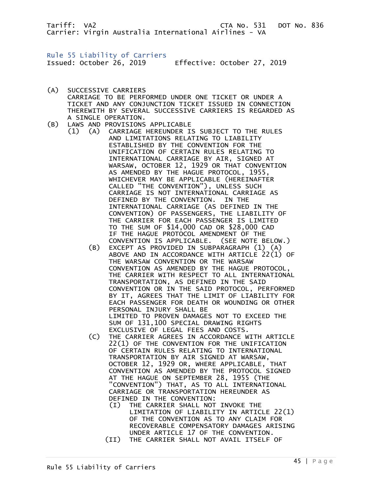Rule 55 Liability of Carriers Issued: October 26, 2019 Effective: October 27, 2019

- (A) SUCCESSIVE CARRIERS CARRIAGE TO BE PERFORMED UNDER ONE TICKET OR UNDER A TICKET AND ANY CONJUNCTION TICKET ISSUED IN CONNECTION THEREWITH BY SEVERAL SUCCESSIVE CARRIERS IS REGARDED AS A SINGLE OPERATION.
- (B) LAWS AND PROVISIONS APPLICABLE
	- (1) (A) CARRIAGE HEREUNDER IS SUBJECT TO THE RULES AND LIMITATIONS RELATING TO LIABILITY ESTABLISHED BY THE CONVENTION FOR THE UNIFICATION OF CERTAIN RULES RELATING TO INTERNATIONAL CARRIAGE BY AIR, SIGNED AT WARSAW, OCTOBER 12, 1929 OR THAT CONVENTION AS AMENDED BY THE HAGUE PROTOCOL, 1955, WHICHEVER MAY BE APPLICABLE (HEREINAFTER CALLED "THE CONVENTION"), UNLESS SUCH CARRIAGE IS NOT INTERNATIONAL CARRIAGE AS DEFINED BY THE CONVENTION. IN THE INTERNATIONAL CARRIAGE (AS DEFINED IN THE CONVENTION) OF PASSENGERS, THE LIABILITY OF THE CARRIER FOR EACH PASSENGER IS LIMITED TO THE SUM OF \$14,000 CAD OR \$28,000 CAD IF THE HAGUE PROTOCOL AMENDMENT OF THE CONVENTION IS APPLICABLE. (SEE NOTE BELOW.)
		- (B) EXCEPT AS PROVIDED IN SUBPARAGRAPH (1) (A) ABOVE AND IN ACCORDANCE WITH ARTICLE 22(1) OF THE WARSAW CONVENTION OR THE WARSAW CONVENTION AS AMENDED BY THE HAGUE PROTOCOL, THE CARRIER WITH RESPECT TO ALL INTERNATIONAL TRANSPORTATION, AS DEFINED IN THE SAID CONVENTION OR IN THE SAID PROTOCOL, PERFORMED BY IT, AGREES THAT THE LIMIT OF LIABILITY FOR EACH PASSENGER FOR DEATH OR WOUNDING OR OTHER PERSONAL INJURY SHALL BE LIMITED TO PROVEN DAMAGES NOT TO EXCEED THE SUM OF 131,100 SPECIAL DRAWING RIGHTS
		- EXCLUSIVE OF LEGAL FEES AND COSTS.<br>C) THE CARRIER AGREES IN ACCORDANCE W THE CARRIER AGREES IN ACCORDANCE WITH ARTICLE 22(1) OF THE CONVENTION FOR THE UNIFICATION OF CERTAIN RULES RELATING TO INTERNATIONAL TRANSPORTATION BY AIR SIGNED AT WARSAW, OCTOBER 12, 1929 OR, WHERE APPLICABLE, THAT CONVENTION AS AMENDED BY THE PROTOCOL SIGNED AT THE HAGUE ON SEPTEMBER 28, 1955 (THE "CONVENTION") THAT, AS TO ALL INTERNATIONAL CARRIAGE OR TRANSPORTATION HEREUNDER AS DEFINED IN THE CONVENTION:
			- (I) THE CARRIER SHALL NOT INVOKE THE LIMITATION OF LIABILITY IN ARTICLE 22(1) OF THE CONVENTION AS TO ANY CLAIM FOR RECOVERABLE COMPENSATORY DAMAGES ARISING UNDER ARTICLE 17 OF THE CONVENTION.
			- (II) THE CARRIER SHALL NOT AVAIL ITSELF OF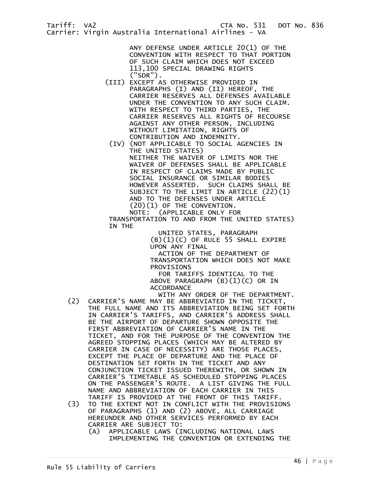ANY DEFENSE UNDER ARTICLE 20(1) OF THE CONVENTION WITH RESPECT TO THAT PORTION OF SUCH CLAIM WHICH DOES NOT EXCEED 113,100 SPECIAL DRAWING RIGHTS  $('SDR")$ .

- (III) EXCEPT AS OTHERWISE PROVIDED IN PARAGRAPHS (I) AND (II) HEREOF, THE CARRIER RESERVES ALL DEFENSES AVAILABLE UNDER THE CONVENTION TO ANY SUCH CLAIM. WITH RESPECT TO THIRD PARTIES, THE CARRIER RESERVES ALL RIGHTS OF RECOURSE AGAINST ANY OTHER PERSON, INCLUDING WITHOUT LIMITATION, RIGHTS OF CONTRIBUTION AND INDEMNITY.
	- (IV) (NOT APPLICABLE TO SOCIAL AGENCIES IN THE UNITED STATES) NEITHER THE WAIVER OF LIMITS NOR THE WAIVER OF DEFENSES SHALL BE APPLICABLE IN RESPECT OF CLAIMS MADE BY PUBLIC SOCIAL INSURANCE OR SIMILAR BODIES HOWEVER ASSERTED. SUCH CLAIMS SHALL BE SUBJECT TO THE LIMIT IN ARTICLE (22)(1) AND TO THE DEFENSES UNDER ARTICLE (20)(1) OF THE CONVENTION.

(APPLICABLE ONLY FOR

 TRANSPORTATION TO AND FROM THE UNITED STATES) IN THE

 UNITED STATES, PARAGRAPH (B)(1)(C) OF RULE 55 SHALL EXPIRE UPON ANY FINAL

 ACTION OF THE DEPARTMENT OF TRANSPORTATION WHICH DOES NOT MAKE PROVISIONS

 FOR TARIFFS IDENTICAL TO THE ABOVE PARAGRAPH (B)(1)(C) OR IN **ACCORDANCE** 

- WITH ANY ORDER OF THE DEPARTMENT. (2) CARRIER'S NAME MAY BE ABBREVIATED IN THE TICKET, THE FULL NAME AND ITS ABBREVIATION BEING SET FORTH IN CARRIER'S TARIFFS, AND CARRIER'S ADDRESS SHALL BE THE AIRPORT OF DEPARTURE SHOWN OPPOSITE THE FIRST ABBREVIATION OF CARRIER'S NAME IN THE TICKET, AND FOR THE PURPOSE OF THE CONVENTION THE AGREED STOPPING PLACES (WHICH MAY BE ALTERED BY CARRIER IN CASE OF NECESSITY) ARE THOSE PLACES, EXCEPT THE PLACE OF DEPARTURE AND THE PLACE OF DESTINATION SET FORTH IN THE TICKET AND ANY CONJUNCTION TICKET ISSUED THEREWITH, OR SHOWN IN CARRIER'S TIMETABLE AS SCHEDULED STOPPING PLACES ON THE PASSENGER'S ROUTE. A LIST GIVING THE FULL NAME AND ABBREVIATION OF EACH CARRIER IN THIS TARIFF IS PROVIDED AT THE FRONT OF THIS TARIFF.
- (3) TO THE EXTENT NOT IN CONFLICT WITH THE PROVISIONS OF PARAGRAPHS (1) AND (2) ABOVE, ALL CARRIAGE HEREUNDER AND OTHER SERVICES PERFORMED BY EACH CARRIER ARE SUBJECT TO:
	- (A) APPLICABLE LAWS (INCLUDING NATIONAL LAWS IMPLEMENTING THE CONVENTION OR EXTENDING THE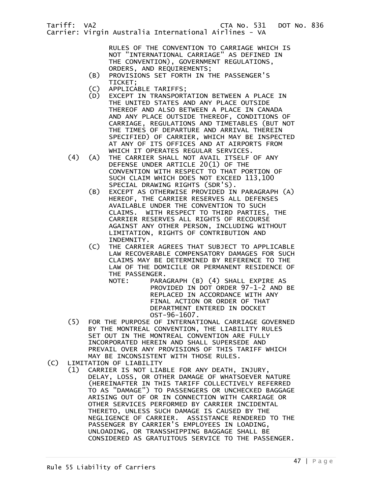RULES OF THE CONVENTION TO CARRIAGE WHICH IS NOT "INTERNATIONAL CARRIAGE" AS DEFINED IN THE CONVENTION), GOVERNMENT REGULATIONS, ORDERS, AND REQUIREMENTS;

- (B) PROVISIONS SET FORTH IN THE PASSENGER'S
- TICKET;<br>(C) APPLICA (C) APPLICABLE TARIFFS;
- EXCEPT IN TRANSPORTATION BETWEEN A PLACE IN THE UNITED STATES AND ANY PLACE OUTSIDE THEREOF AND ALSO BETWEEN A PLACE IN CANADA AND ANY PLACE OUTSIDE THEREOF, CONDITIONS OF CARRIAGE, REGULATIONS AND TIMETABLES (BUT NOT THE TIMES OF DEPARTURE AND ARRIVAL THEREIN SPECIFIED) OF CARRIER, WHICH MAY BE INSPECTED AT ANY OF ITS OFFICES AND AT AIRPORTS FROM WHICH IT OPERATES REGULAR SERVICES.
- (4) (A) THE CARRIER SHALL NOT AVAIL ITSELF OF ANY DEFENSE UNDER ARTICLE 20(1) OF THE CONVENTION WITH RESPECT TO THAT PORTION OF SUCH CLAIM WHICH DOES NOT EXCEED 113,100 SPECIAL DRAWING RIGHTS (SDR'S).
	- (B) EXCEPT AS OTHERWISE PROVIDED IN PARAGRAPH (A) HEREOF, THE CARRIER RESERVES ALL DEFENSES AVAILABLE UNDER THE CONVENTION TO SUCH CLAIMS. WITH RESPECT TO THIRD PARTIES, THE CARRIER RESERVES ALL RIGHTS OF RECOURSE AGAINST ANY OTHER PERSON, INCLUDING WITHOUT LIMITATION, RIGHTS OF CONTRIBUTION AND INDEMNITY.
	- (C) THE CARRIER AGREES THAT SUBJECT TO APPLICABLE LAW RECOVERABLE COMPENSATORY DAMAGES FOR SUCH CLAIMS MAY BE DETERMINED BY REFERENCE TO THE LAW OF THE DOMICILE OR PERMANENT RESIDENCE OF THE PASSENGER.

NOTE: PARAGRAPH (B) (4) SHALL EXPIRE AS PROVIDED IN DOT ORDER 97-1-2 AND BE REPLACED IN ACCORDANCE WITH ANY FINAL ACTION OR ORDER OF THAT DEPARTMENT ENTERED IN DOCKET OST-96-1607.

- (5) FOR THE PURPOSE OF INTERNATIONAL CARRIAGE GOVERNED BY THE MONTREAL CONVENTION, THE LIABILITY RULES SET OUT IN THE MONTREAL CONVENTION ARE FULLY INCORPORATED HEREIN AND SHALL SUPERSEDE AND PREVAIL OVER ANY PROVISIONS OF THIS TARIFF WHICH MAY BE INCONSISTENT WITH THOSE RULES.<br>(C) LIMITATION OF LIABILITY
- LIMITATION OF LIABILITY
- (1) CARRIER IS NOT LIABLE FOR ANY DEATH, INJURY, DELAY, LOSS, OR OTHER DAMAGE OF WHATSOEVER NATURE (HEREINAFTER IN THIS TARIFF COLLECTIVELY REFERRED TO AS "DAMAGE") TO PASSENGERS OR UNCHECKED BAGGAGE ARISING OUT OF OR IN CONNECTION WITH CARRIAGE OR OTHER SERVICES PERFORMED BY CARRIER INCIDENTAL THERETO, UNLESS SUCH DAMAGE IS CAUSED BY THE NEGLIGENCE OF CARRIER. ASSISTANCE RENDERED TO THE PASSENGER BY CARRIER'S EMPLOYEES IN LOADING, UNLOADING, OR TRANSSHIPPING BAGGAGE SHALL BE CONSIDERED AS GRATUITOUS SERVICE TO THE PASSENGER.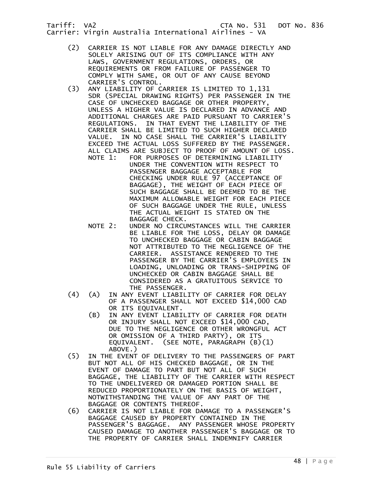- (2) CARRIER IS NOT LIABLE FOR ANY DAMAGE DIRECTLY AND SOLELY ARISING OUT OF ITS COMPLIANCE WITH ANY LAWS, GOVERNMENT REGULATIONS, ORDERS, OR REQUIREMENTS OR FROM FAILURE OF PASSENGER TO COMPLY WITH SAME, OR OUT OF ANY CAUSE BEYOND
- CARRIER'S CONTROL.<br>(3) ANY LIABILITY OF C ANY LIABILITY OF CARRIER IS LIMITED TO 1,131 SDR (SPECIAL DRAWING RIGHTS) PER PASSENGER IN THE CASE OF UNCHECKED BAGGAGE OR OTHER PROPERTY, UNLESS A HIGHER VALUE IS DECLARED IN ADVANCE AND ADDITIONAL CHARGES ARE PAID PURSUANT TO CARRIER'S REGULATIONS. IN THAT EVENT THE LIABILITY OF THE CARRIER SHALL BE LIMITED TO SUCH HIGHER DECLARED VALUE. IN NO CASE SHALL THE CARRIER'S LIABILITY EXCEED THE ACTUAL LOSS SUFFERED BY THE PASSENGER. ALL CLAIMS ARE SUBJECT TO PROOF OF AMOUNT OF LOSS.
- NOTE 1: FOR PURPOSES OF DETERMINING LIABILITY UNDER THE CONVENTION WITH RESPECT TO PASSENGER BAGGAGE ACCEPTABLE FOR CHECKING UNDER RULE 97 (ACCEPTANCE OF BAGGAGE), THE WEIGHT OF EACH PIECE OF SUCH BAGGAGE SHALL BE DEEMED TO BE THE MAXIMUM ALLOWABLE WEIGHT FOR EACH PIECE OF SUCH BAGGAGE UNDER THE RULE, UNLESS THE ACTUAL WEIGHT IS STATED ON THE BAGGAGE CHECK.
	- NOTE 2: UNDER NO CIRCUMSTANCES WILL THE CARRIER BE LIABLE FOR THE LOSS, DELAY OR DAMAGE TO UNCHECKED BAGGAGE OR CABIN BAGGAGE NOT ATTRIBUTED TO THE NEGLIGENCE OF THE CARRIER. ASSISTANCE RENDERED TO THE PASSENGER BY THE CARRIER'S EMPLOYEES IN LOADING, UNLOADING OR TRANS-SHIPPING OF UNCHECKED OR CABIN BAGGAGE SHALL BE CONSIDERED AS A GRATUITOUS SERVICE TO THE PASSENGER.
	- (4) (A) IN ANY EVENT LIABILITY OF CARRIER FOR DELAY OF A PASSENGER SHALL NOT EXCEED \$14,000 CAD OR ITS EQUIVALENT.
		- (B) IN ANY EVENT LIABILITY OF CARRIER FOR DEATH OR INJURY SHALL NOT EXCEED \$14,000 CAD, DUE TO THE NEGLIGENCE OR OTHER WRONGFUL ACT OR OMISSION OF A THIRD PARTY), OR ITS EQUIVALENT. (SEE NOTE, PARAGRAPH (B)(1) ABOVE.)
- (5) IN THE EVENT OF DELIVERY TO THE PASSENGERS OF PART BUT NOT ALL OF HIS CHECKED BAGGAGE, OR IN THE EVENT OF DAMAGE TO PART BUT NOT ALL OF SUCH BAGGAGE, THE LIABILITY OF THE CARRIER WITH RESPECT TO THE UNDELIVERED OR DAMAGED PORTION SHALL BE REDUCED PROPORTIONATELY ON THE BASIS OF WEIGHT, NOTWITHSTANDING THE VALUE OF ANY PART OF THE BAGGAGE OR CONTENTS THEREOF.
	- (6) CARRIER IS NOT LIABLE FOR DAMAGE TO A PASSENGER'S BAGGAGE CAUSED BY PROPERTY CONTAINED IN THE PASSENGER'S BAGGAGE. ANY PASSENGER WHOSE PROPERTY CAUSED DAMAGE TO ANOTHER PASSENGER'S BAGGAGE OR TO THE PROPERTY OF CARRIER SHALL INDEMNIFY CARRIER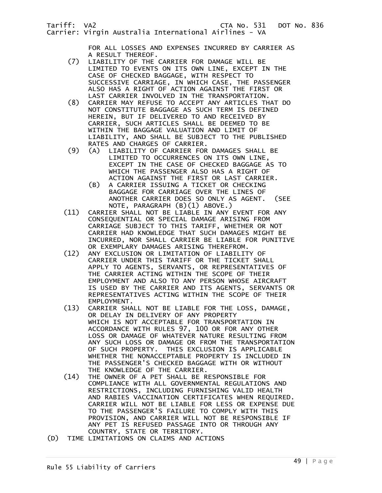FOR ALL LOSSES AND EXPENSES INCURRED BY CARRIER AS

- A RESULT THEREOF.<br>(7) LIABILITY OF THE LIABILITY OF THE CARRIER FOR DAMAGE WILL BE LIMITED TO EVENTS ON ITS OWN LINE, EXCEPT IN THE CASE OF CHECKED BAGGAGE, WITH RESPECT TO SUCCESSIVE CARRIAGE, IN WHICH CASE, THE PASSENGER ALSO HAS A RIGHT OF ACTION AGAINST THE FIRST OR LAST CARRIER INVOLVED IN THE TRANSPORTATION.<br>(8) CARRIER MAY REFUSE TO ACCEPT ANY ARTICLES TH
- (8) CARRIER MAY REFUSE TO ACCEPT ANY ARTICLES THAT DO NOT CONSTITUTE BAGGAGE AS SUCH TERM IS DEFINED HEREIN, BUT IF DELIVERED TO AND RECEIVED BY CARRIER, SUCH ARTICLES SHALL BE DEEMED TO BE WITHIN THE BAGGAGE VALUATION AND LIMIT OF LIABILITY, AND SHALL BE SUBJECT TO THE PUBLISHED
- RATES AND CHARGES OF CARRIER.<br>(9) (A) LIABILITY OF CARRIER FOR (9) (A) LIABILITY OF CARRIER FOR DAMAGES SHALL BE LIMITED TO OCCURRENCES ON ITS OWN LINE, EXCEPT IN THE CASE OF CHECKED BAGGAGE AS TO WHICH THE PASSENGER ALSO HAS A RIGHT OF ACTION AGAINST THE FIRST OR LAST CARRIER.
	- (B) A CARRIER ISSUING A TICKET OR CHECKING BAGGAGE FOR CARRIAGE OVER THE LINES OF ANOTHER CARRIER DOES SO ONLY AS AGENT. (SEE NOTE, PARAGRAPH (B)(1) ABOVE.)
- (11) CARRIER SHALL NOT BE LIABLE IN ANY EVENT FOR ANY CONSEQUENTIAL OR SPECIAL DAMAGE ARISING FROM CARRIAGE SUBJECT TO THIS TARIFF, WHETHER OR NOT CARRIER HAD KNOWLEDGE THAT SUCH DAMAGES MIGHT BE INCURRED, NOR SHALL CARRIER BE LIABLE FOR PUNITIVE
	- OR EXEMPLARY DAMAGES ARISING THEREFROM.<br>(12) ANY EXCLUSION OR LIMITATION OF LIABILIT ANY EXCLUSION OR LIMITATION OF LIABILITY OF CARRIER UNDER THIS TARIFF OR THE TICKET SHALL APPLY TO AGENTS, SERVANTS, OR REPRESENTATIVES OF THE CARRIER ACTING WITHIN THE SCOPE OF THEIR EMPLOYMENT AND ALSO TO ANY PERSON WHOSE AIRCRAFT IS USED BY THE CARRIER AND ITS AGENTS, SERVANTS OR REPRESENTATIVES ACTING WITHIN THE SCOPE OF THEIR EMPLOYMENT.<br>CARRIER SHA (13)
	- CARRIER SHALL NOT BE LIABLE FOR THE LOSS, DAMAGE, OR DELAY IN DELIVERY OF ANY PROPERTY WHICH IS NOT ACCEPTABLE FOR TRANSPORTATION IN ACCORDANCE WITH RULES 97, 100 OR FOR ANY OTHER LOSS OR DAMAGE OF WHATEVER NATURE RESULTING FROM ANY SUCH LOSS OR DAMAGE OR FROM THE TRANSPORTATION OF SUCH PROPERTY. THIS EXCLUSION IS APPLICABLE WHETHER THE NONACCEPTABLE PROPERTY IS INCLUDED IN THE PASSENGER'S CHECKED BAGGAGE WITH OR WITHOUT THE KNOWLEDGE OF THE CARRIER.<br>(14) THE OWNER OF A PET SHALL BE R
	- THE OWNER OF A PET SHALL BE RESPONSIBLE FOR COMPLIANCE WITH ALL GOVERNMENTAL REGULATIONS AND RESTRICTIONS, INCLUDING FURNISHING VALID HEALTH AND RABIES VACCINATION CERTIFICATES WHEN REQUIRED. CARRIER WILL NOT BE LIABLE FOR LESS OR EXPENSE DUE TO THE PASSENGER'S FAILURE TO COMPLY WITH THIS PROVISION, AND CARRIER WILL NOT BE RESPONSIBLE IF ANY PET IS REFUSED PASSAGE INTO OR THROUGH ANY
- COUNTRY, STATE OR TERRITORY.<br>(D) TIME LIMITATIONS ON CLAIMS AND AC TIME LIMITATIONS ON CLAIMS AND ACTIONS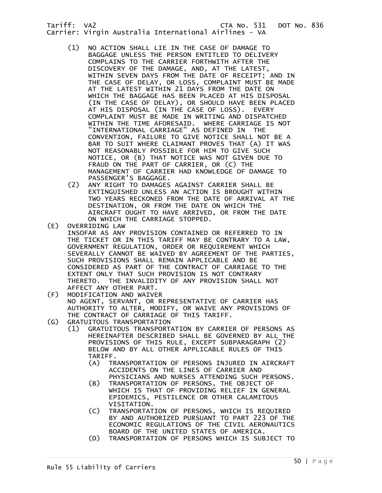- (1) NO ACTION SHALL LIE IN THE CASE OF DAMAGE TO BAGGAGE UNLESS THE PERSON ENTITLED TO DELIVERY COMPLAINS TO THE CARRIER FORTHWITH AFTER THE DISCOVERY OF THE DAMAGE, AND, AT THE LATEST, WITHIN SEVEN DAYS FROM THE DATE OF RECEIPT; AND IN THE CASE OF DELAY, OR LOSS, COMPLAINT MUST BE MADE AT THE LATEST WITHIN 21 DAYS FROM THE DATE ON WHICH THE BAGGAGE HAS BEEN PLACED AT HIS DISPOSAL (IN THE CASE OF DELAY), OR SHOULD HAVE BEEN PLACED AT HIS DISPOSAL (IN THE CASE OF LOSS). EVERY COMPLAINT MUST BE MADE IN WRITING AND DISPATCHED WITHIN THE TIME AFORESAID. WHERE CARRIAGE IS NOT "INTERNATIONAL CARRIAGE" AS DEFINED IN THE CONVENTION, FAILURE TO GIVE NOTICE SHALL NOT BE A BAR TO SUIT WHERE CLAIMANT PROVES THAT (A) IT WAS NOT REASONABLY POSSIBLE FOR HIM TO GIVE SUCH NOTICE, OR (B) THAT NOTICE WAS NOT GIVEN DUE TO FRAUD ON THE PART OF CARRIER, OR (C) THE MANAGEMENT OF CARRIER HAD KNOWLEDGE OF DAMAGE TO PASSENGER'S BAGGAGE.<br>(2) ANY RIGHT TO DAMAGES
	- ANY RIGHT TO DAMAGES AGAINST CARRIER SHALL BE EXTINGUISHED UNLESS AN ACTION IS BROUGHT WITHIN TWO YEARS RECKONED FROM THE DATE OF ARRIVAL AT THE DESTINATION, OR FROM THE DATE ON WHICH THE AIRCRAFT OUGHT TO HAVE ARRIVED, OR FROM THE DATE ON WHICH THE CARRIAGE STOPPED.
- (E) OVERRIDING LAW INSOFAR AS ANY PROVISION CONTAINED OR REFERRED TO IN THE TICKET OR IN THIS TARIFF MAY BE CONTRARY TO A LAW, GOVERNMENT REGULATION, ORDER OR REQUIREMENT WHICH SEVERALLY CANNOT BE WAIVED BY AGREEMENT OF THE PARTIES, SUCH PROVISIONS SHALL REMAIN APPLICABLE AND BE CONSIDERED AS PART OF THE CONTRACT OF CARRIAGE TO THE EXTENT ONLY THAT SUCH PROVISION IS NOT CONTRARY THERETO. THE INVALIDITY OF ANY PROVISION SHALL NOT AFFECT ANY OTHER PART.<br>F) MODIFICATION AND WAIVE
- MODIFICATION AND WAIVER NO AGENT, SERVANT, OR REPRESENTATIVE OF CARRIER HAS AUTHORITY TO ALTER, MODIFY, OR WAIVE ANY PROVISIONS OF THE CONTRACT OF CARRIAGE OF THIS TARIFF.<br>(G) GRATUITOUS TRANSPORTATION
- GRATUITOUS TRANSPORTATION
	- (1) GRATUITOUS TRANSPORTATION BY CARRIER OF PERSONS AS HEREINAFTER DESCRIBED SHALL BE GOVERNED BY ALL THE PROVISIONS OF THIS RULE, EXCEPT SUBPARAGRAPH (2) BELOW AND BY ALL OTHER APPLICABLE RULES OF THIS TARIFF.
		- (A) TRANSPORTATION OF PERSONS INJURED IN AIRCRAFT ACCIDENTS ON THE LINES OF CARRIER AND PHYSICIANS AND NURSES ATTENDING SUCH PERSONS.
- (B) TRANSPORTATION OF PERSONS, THE OBJECT OF WHICH IS THAT OF PROVIDING RELIEF IN GENERAL EPIDEMICS, PESTILENCE OR OTHER CALAMITOUS VISITATION.
	- (C) TRANSPORTATION OF PERSONS, WHICH IS REQUIRED BY AND AUTHORIZED PURSUANT TO PART 223 OF THE ECONOMIC REGULATIONS OF THE CIVIL AERONAUTICS BOARD OF THE UNITED STATES OF AMERICA.
	- (D) TRANSPORTATION OF PERSONS WHICH IS SUBJECT TO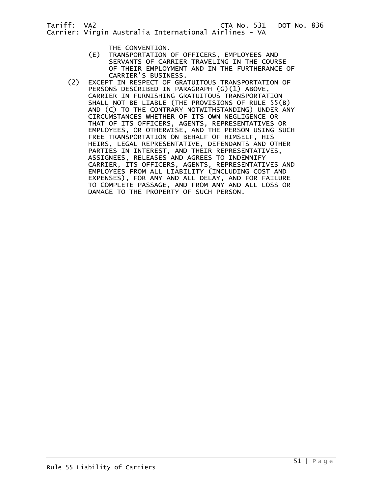- THE CONVENTION.<br>(E) TRANSPORTATION TRANSPORTATION OF OFFICERS, EMPLOYEES AND SERVANTS OF CARRIER TRAVELING IN THE COURSE OF THEIR EMPLOYMENT AND IN THE FURTHERANCE OF CARRIER'S BUSINESS.
- (2) EXCEPT IN RESPECT OF GRATUITOUS TRANSPORTATION OF PERSONS DESCRIBED IN PARAGRAPH (G)(1) ABOVE, CARRIER IN FURNISHING GRATUITOUS TRANSPORTATION SHALL NOT BE LIABLE (THE PROVISIONS OF RULE 55(B) AND (C) TO THE CONTRARY NOTWITHSTANDING) UNDER ANY CIRCUMSTANCES WHETHER OF ITS OWN NEGLIGENCE OR THAT OF ITS OFFICERS, AGENTS, REPRESENTATIVES OR EMPLOYEES, OR OTHERWISE, AND THE PERSON USING SUCH FREE TRANSPORTATION ON BEHALF OF HIMSELF, HIS HEIRS, LEGAL REPRESENTATIVE, DEFENDANTS AND OTHER PARTIES IN INTEREST, AND THEIR REPRESENTATIVES, ASSIGNEES, RELEASES AND AGREES TO INDEMNIFY CARRIER, ITS OFFICERS, AGENTS, REPRESENTATIVES AND EMPLOYEES FROM ALL LIABILITY (INCLUDING COST AND EXPENSES), FOR ANY AND ALL DELAY, AND FOR FAILURE TO COMPLETE PASSAGE, AND FROM ANY AND ALL LOSS OR DAMAGE TO THE PROPERTY OF SUCH PERSON.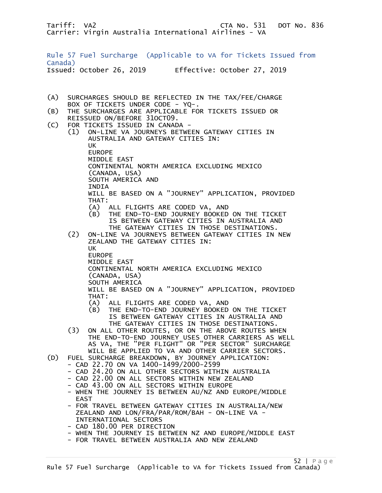Rule 57 Fuel Surcharge (Applicable to VA for Tickets Issued from Canada) Issued: October 26, 2019 Effective: October 27, 2019

- (A) SURCHARGES SHOULD BE REFLECTED IN THE TAX/FEE/CHARGE BOX OF TICKETS UNDER CODE - YQ-.<br>B) THE SURCHARGES ARE APPLICABLE FO
- THE SURCHARGES ARE APPLICABLE FOR TICKETS ISSUED OR REISSUED ON/BEFORE 31OCT09.
- (C) FOR TICKETS ISSUED IN CANADA -
- (1) ON-LINE VA JOURNEYS BETWEEN GATEWAY CITIES IN AUSTRALIA AND GATEWAY CITIES IN: UK EUROPE MIDDLE EAST CONTINENTAL NORTH AMERICA EXCLUDING MEXICO (CANADA, USA) SOUTH AMERICA AND INDIA WILL BE BASED ON A "JOURNEY" APPLICATION, PROVIDED THAT: (A) ALL FLIGHTS ARE CODED VA, AND (B) THE END-TO-END JOURNEY BOOKED ON THE TICKET IS BETWEEN GATEWAY CITIES IN AUSTRALIA AND THE GATEWAY CITIES IN THOSE DESTINATIONS. (2) ON-LINE VA JOURNEYS BETWEEN GATEWAY CITIES IN NEW ZEALAND THE GATEWAY CITIES IN: UK EUROPE MIDDLE EAST CONTINENTAL NORTH AMERICA EXCLUDING MEXICO (CANADA, USA) SOUTH AMERICA WILL BE BASED ON A "JOURNEY" APPLICATION, PROVIDED THAT: (A) ALL FLIGHTS ARE CODED VA, AND (B) THE END-TO-END JOURNEY BOOKED ON THE TICKET IS BETWEEN GATEWAY CITIES IN AUSTRALIA AND THE GATEWAY CITIES IN THOSE DESTINATIONS. (3) ON ALL OTHER ROUTES, OR ON THE ABOVE ROUTES WHEN THE END-TO-END JOURNEY USES OTHER CARRIERS AS WELL AS VA, THE "PER FLIGHT" OR "PER SECTOR" SURCHARGE WILL BE APPLIED TO VA AND OTHER CARRIER SECTORS. (D) FUEL SURCHARGE BREAKDOWN, BY JOURNEY APPLICATION: - CAD 22.70 ON VA 1400-1499/2000-2599 - CAD 24.20 ON ALL OTHER SECTORS WITHIN AUSTRALIA - CAD 22.00 ON ALL SECTORS WITHIN NEW ZEALAND - CAD 43.00 ON ALL SECTORS WITHIN EUROPE - WHEN THE JOURNEY IS BETWEEN AU/NZ AND EUROPE/MIDDLE EAST - FOR TRAVEL BETWEEN GATEWAY CITIES IN AUSTRALIA/NEW ZEALAND AND LON/FRA/PAR/ROM/BAH - ON-LINE VA - INTERNATIONAL SECTORS - CAD 180.00 PER DIRECTION
	- WHEN THE JOURNEY IS BETWEEN NZ AND EUROPE/MIDDLE EAST
	- FOR TRAVEL BETWEEN AUSTRALIA AND NEW ZEALAND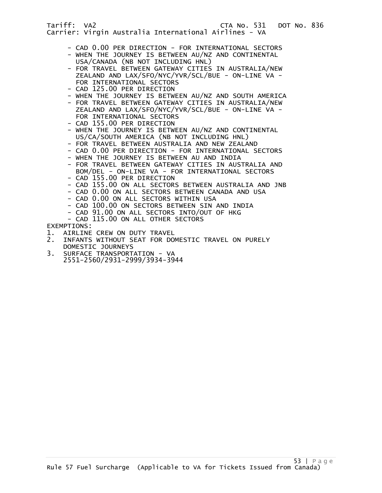- CAD 0.00 PER DIRECTION FOR INTERNATIONAL SECTORS
- WHEN THE JOURNEY IS BETWEEN AU/NZ AND CONTINENTAL USA/CANADA (NB NOT INCLUDING HNL)
- FOR TRAVEL BETWEEN GATEWAY CITIES IN AUSTRALIA/NEW ZEALAND AND LAX/SFO/NYC/YVR/SCL/BUE - ON-LINE VA - FOR INTERNATIONAL SECTORS
- CAD 125.00 PER DIRECTION
- WHEN THE JOURNEY IS BETWEEN AU/NZ AND SOUTH AMERICA
- FOR TRAVEL BETWEEN GATEWAY CITIES IN AUSTRALIA/NEW ZEALAND AND LAX/SFO/NYC/YVR/SCL/BUE - ON-LINE VA - FOR INTERNATIONAL SECTORS
- CAD 155.00 PER DIRECTION
- WHEN THE JOURNEY IS BETWEEN AU/NZ AND CONTINENTAL US/CA/SOUTH AMERICA (NB NOT INCLUDING HNL)
- FOR TRAVEL BETWEEN AUSTRALIA AND NEW ZEALAND
- CAD 0.00 PER DIRECTION FOR INTERNATIONAL SECTORS
- WHEN THE JOURNEY IS BETWEEN AU AND INDIA
- FOR TRAVEL BETWEEN GATEWAY CITIES IN AUSTRALIA AND BOM/DEL - ON-LINE VA - FOR INTERNATIONAL SECTORS
- CAD 155.00 PER DIRECTION
- CAD 155.00 ON ALL SECTORS BETWEEN AUSTRALIA AND JNB
- CAD 0.00 ON ALL SECTORS BETWEEN CANADA AND USA
- CAD 0.00 ON ALL SECTORS WITHIN USA
- CAD 100.00 ON SECTORS BETWEEN SIN AND INDIA
- CAD 91.00 ON ALL SECTORS INTO/OUT OF HKG
- CAD 115.00 ON ALL OTHER SECTORS

## EXEMPTIONS:

- 1. AIRLINE CREW ON DUTY TRAVEL<br>2. INFANTS WITHOUT SEAT FOR DO
- 2. INFANTS WITHOUT SEAT FOR DOMESTIC TRAVEL ON PURELY DOMESTIC JOURNEYS<br>3. SURFACE TRANSPORT
- 3. SURFACE TRANSPORTATION VA 2551-2560/2931-2999/3934-3944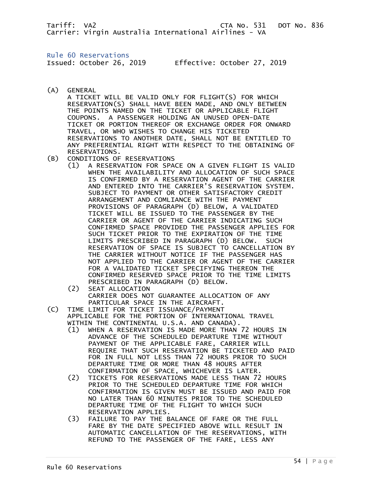Rule 60 Reservations

Issued: October 26, 2019 Effective: October 27, 2019

(A) GENERAL

 A TICKET WILL BE VALID ONLY FOR FLIGHT(S) FOR WHICH RESERVATION(S) SHALL HAVE BEEN MADE, AND ONLY BETWEEN THE POINTS NAMED ON THE TICKET OR APPLICABLE FLIGHT COUPONS. A PASSENGER HOLDING AN UNUSED OPEN-DATE TICKET OR PORTION THEREOF OR EXCHANGE ORDER FOR ONWARD TRAVEL, OR WHO WISHES TO CHANGE HIS TICKETED RESERVATIONS TO ANOTHER DATE, SHALL NOT BE ENTITLED TO ANY PREFERENTIAL RIGHT WITH RESPECT TO THE OBTAINING OF RESERVATIONS.

- (B) CONDITIONS OF RESERVATIONS
	- (1) A RESERVATION FOR SPACE ON A GIVEN FLIGHT IS VALID WHEN THE AVAILABILITY AND ALLOCATION OF SUCH SPACE IS CONFIRMED BY A RESERVATION AGENT OF THE CARRIER AND ENTERED INTO THE CARRIER'S RESERVATION SYSTEM. SUBJECT TO PAYMENT OR OTHER SATISFACTORY CREDIT ARRANGEMENT AND COMLIANCE WITH THE PAYMENT PROVISIONS OF PARAGRAPH (D) BELOW, A VALIDATED TICKET WILL BE ISSUED TO THE PASSENGER BY THE CARRIER OR AGENT OF THE CARRIER INDICATING SUCH CONFIRMED SPACE PROVIDED THE PASSENGER APPLIES FOR SUCH TICKET PRIOR TO THE EXPIRATION OF THE TIME LIMITS PRESCRIBED IN PARAGRAPH (D) BELOW. SUCH RESERVATION OF SPACE IS SUBJECT TO CANCELLATION BY THE CARRIER WITHOUT NOTICE IF THE PASSENGER HAS NOT APPLIED TO THE CARRIER OR AGENT OF THE CARRIER FOR A VALIDATED TICKET SPECIFYING THEREON THE CONFIRMED RESERVED SPACE PRIOR TO THE TIME LIMITS PRESCRIBED IN PARAGRAPH (D) BELOW.
	- (2) SEAT ALLOCATION CARRIER DOES NOT GUARANTEE ALLOCATION OF ANY PARTICULAR SPACE IN THE AIRCRAFT.
- (C) TIME LIMIT FOR TICKET ISSUANCE/PAYMENT APPLICABLE FOR THE PORTION OF INTERNATIONAL TRAVEL WITHIN THE CONTINENTAL U.S.A. AND CANADA).
	- (1) WHEN A RESERVATION IS MADE MORE THAN 72 HOURS IN ADVANCE OF THE SCHEDULED DEPARTURE TIME WITHOUT PAYMENT OF THE APPLICABLE FARE, CARRIER WILL REQUIRE THAT SUCH RESERVATION BE TICKETED AND PAID FOR IN FULL NOT LESS THAN 72 HOURS PRIOR TO SUCH DEPARTURE TIME OR MORE THAN 48 HOURS AFTER CONFIRMATION OF SPACE, WHICHEVER IS LATER.
	- (2) TICKETS FOR RESERVATIONS MADE LESS THAN 72 HOURS PRIOR TO THE SCHEDULED DEPARTURE TIME FOR WHICH CONFIRMATION IS GIVEN MUST BE ISSUED AND PAID FOR NO LATER THAN 60 MINUTES PRIOR TO THE SCHEDULED DEPARTURE TIME OF THE FLIGHT TO WHICH SUCH
	- RESERVATION APPLIES.<br>(3) FAILURE TO PAY THE B FAILURE TO PAY THE BALANCE OF FARE OR THE FULL FARE BY THE DATE SPECIFIED ABOVE WILL RESULT IN AUTOMATIC CANCELLATION OF THE RESERVATIONS, WITH REFUND TO THE PASSENGER OF THE FARE, LESS ANY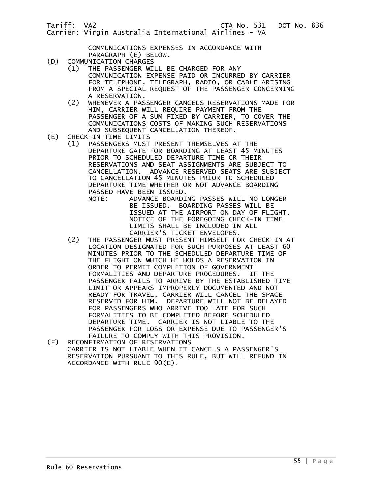COMMUNICATIONS EXPENSES IN ACCORDANCE WITH

- PARAGRAPH (E) BELOW.<br>(D) COMMUNICATION CHARGES COMMUNICATION CHARGES
- (1) THE PASSENGER WILL BE CHARGED FOR ANY COMMUNICATION EXPENSE PAID OR INCURRED BY CARRIER FOR TELEPHONE, TELEGRAPH, RADIO, OR CABLE ARISING FROM A SPECIAL REQUEST OF THE PASSENGER CONCERNING A RESERVATION.<br>(2) WHENEVER A PAS
- WHENEVER A PASSENGER CANCELS RESERVATIONS MADE FOR HIM, CARRIER WILL REQUIRE PAYMENT FROM THE PASSENGER OF A SUM FIXED BY CARRIER, TO COVER THE COMMUNICATIONS COSTS OF MAKING SUCH RESERVATIONS AND SUBSEQUENT CANCELLATION THEREOF.<br>(E) CHECK-IN TIME LIMITS
- (E) CHECK-IN TIME LIMITS
	- (1) PASSENGERS MUST PRESENT THEMSELVES AT THE DEPARTURE GATE FOR BOARDING AT LEAST 45 MINUTES PRIOR TO SCHEDULED DEPARTURE TIME OR THEIR RESERVATIONS AND SEAT ASSIGNMENTS ARE SUBJECT TO CANCELLATION. ADVANCE RESERVED SEATS ARE SUBJECT TO CANCELLATION 45 MINUTES PRIOR TO SCHEDULED DEPARTURE TIME WHETHER OR NOT ADVANCE BOARDING PASSED HAVE BEEN ISSUED.
- NOTE: ADVANCE BOARDING PASSES WILL NO LONGER BE ISSUED. BOARDING PASSES WILL BE ISSUED AT THE AIRPORT ON DAY OF FLIGHT. NOTICE OF THE FOREGOING CHECK-IN TIME LIMITS SHALL BE INCLUDED IN ALL CARRIER'S TICKET ENVELOPES.
- (2) THE PASSENGER MUST PRESENT HIMSELF FOR CHECK-IN AT LOCATION DESIGNATED FOR SUCH PURPOSES AT LEAST 60 MINUTES PRIOR TO THE SCHEDULED DEPARTURE TIME OF THE FLIGHT ON WHICH HE HOLDS A RESERVATION IN ORDER TO PERMIT COMPLETION OF GOVERNMENT FORMALITIES AND DEPARTURE PROCEDURES. IF THE PASSENGER FAILS TO ARRIVE BY THE ESTABLISHED TIME LIMIT OR APPEARS IMPROPERLY DOCUMENTED AND NOT READY FOR TRAVEL, CARRIER WILL CANCEL THE SPACE RESERVED FOR HIM. DEPARTURE WILL NOT BE DELAYED FOR PASSENGERS WHO ARRIVE TOO LATE FOR SUCH FORMALITIES TO BE COMPLETED BEFORE SCHEDULED DEPARTURE TIME. CARRIER IS NOT LIABLE TO THE PASSENGER FOR LOSS OR EXPENSE DUE TO PASSENGER'S FAILURE TO COMPLY WITH THIS PROVISION.
- (F) RECONFIRMATION OF RESERVATIONS CARRIER IS NOT LIABLE WHEN IT CANCELS A PASSENGER'S RESERVATION PURSUANT TO THIS RULE, BUT WILL REFUND IN ACCORDANCE WITH RULE 90(E).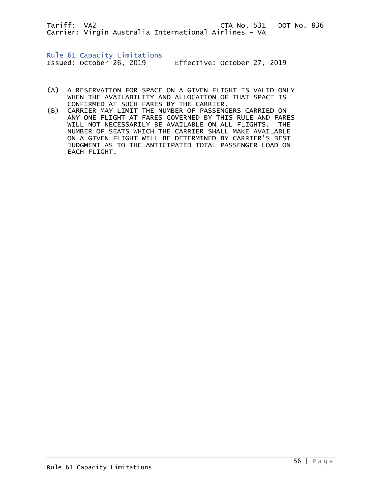Rule 61 Capacity Limitations

Issued: October 26, 2019 Effective: October 27, 2019

- (A) A RESERVATION FOR SPACE ON A GIVEN FLIGHT IS VALID ONLY WHEN THE AVAILABILITY AND ALLOCATION OF THAT SPACE IS CONFIRMED AT SUCH FARES BY THE CARRIER.
- (B) CARRIER MAY LIMIT THE NUMBER OF PASSENGERS CARRIED ON ANY ONE FLIGHT AT FARES GOVERNED BY THIS RULE AND FARES WILL NOT NECESSARILY BE AVAILABLE ON ALL FLIGHTS. THE NUMBER OF SEATS WHICH THE CARRIER SHALL MAKE AVAILABLE ON A GIVEN FLIGHT WILL BE DETERMINED BY CARRIER'S BEST JUDGMENT AS TO THE ANTICIPATED TOTAL PASSENGER LOAD ON EACH FLIGHT.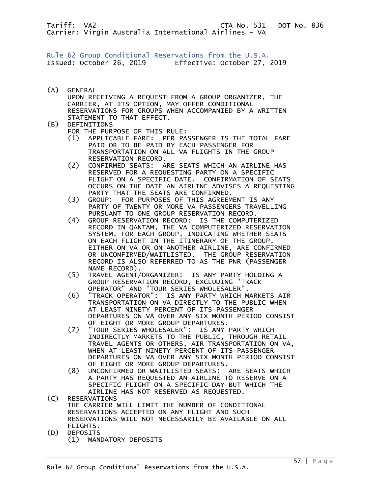Rule 62 Group Conditional Reservations from the U.S.A. Issued: October 26, 2019 Effective: October 27, 2019

(A) GENERAL UPON RECEIVING A REQUEST FROM A GROUP ORGANIZER, THE CARRIER, AT ITS OPTION, MAY OFFER CONDITIONAL RESERVATIONS FOR GROUPS WHEN ACCOMPANIED BY A WRITTEN STATEMENT TO THAT EFFECT.

# (B) DEFINITIONS

FOR THE PURPOSE OF THIS RULE:

- (1) APPLICABLE FARE: PER PASSENGER IS THE TOTAL FARE PAID OR TO BE PAID BY EACH PASSENGER FOR TRANSPORTATION ON ALL VA FLIGHTS IN THE GROUP RESERVATION RECORD.
- (2) CONFIRMED SEATS: ARE SEATS WHICH AN AIRLINE HAS RESERVED FOR A REQUESTING PARTY ON A SPECIFIC FLIGHT ON A SPECIFIC DATE. CONFIRMATION OF SEATS OCCURS ON THE DATE AN AIRLINE ADVISES A REQUESTING PARTY THAT THE SEATS ARE CONFIRMED.
- (3) GROUP: FOR PURPOSES OF THIS AGREEMENT IS ANY PARTY OF TWENTY OR MORE VA PASSENGERS TRAVELLING PURSUANT TO ONE GROUP RESERVATION RECORD.
- (4) GROUP RESERVATION RECORD: IS THE COMPUTERIZED RECORD IN QANTAM, THE VA COMPUTERIZED RESERVATION SYSTEM, FOR EACH GROUP, INDICATING WHETHER SEATS ON EACH FLIGHT IN THE ITINERARY OF THE GROUP, EITHER ON VA OR ON ANOTHER AIRLINE, ARE CONFIRMED OR UNCONFIRMED/WAITLISTED. THE GROUP RESERVATION RECORD IS ALSO REFERRED TO AS THE PNR (PASSENGER NAME RECORD).<br>/5) TRAVEL AGENT)
	- (5) TRAVEL AGENT/ORGANIZER: IS ANY PARTY HOLDING A GROUP RESERVATION RECORD, EXCLUDING "TRACK OPERATOR" AND "TOUR SERIES WHOLESALER".
	- (6) "TRACK OPERATOR": IS ANY PARTY WHICH MARKETS AIR TRANSPORTATION ON VA DIRECTLY TO THE PUBLIC WHEN AT LEAST NINETY PERCENT OF ITS PASSENGER DEPARTURES ON VA OVER ANY SIX MONTH PERIOD CONSIST OF EIGHT OR MORE GROUP DEPARTURES.
	- (7) "TOUR SERIES WHOLESALER": IS ANY PARTY WHICH INDIRECTLY MARKETS TO THE PUBLIC, THROUGH RETAIL TRAVEL AGENTS OR OTHERS, AIR TRANSPORTATION ON VA, WHEN AT LEAST NINETY PERCENT OF ITS PASSENGER DEPARTURES ON VA OVER ANY SIX MONTH PERIOD CONSIST OF EIGHT OR MORE GROUP DEPARTURES.
- (8) UNCONFIRMED OR WAITLISTED SEATS: ARE SEATS WHICH A PARTY HAS REQUESTED AN AIRLINE TO RESERVE ON A SPECIFIC FLIGHT ON A SPECIFIC DAY BUT WHICH THE AIRLINE HAS NOT RESERVED AS REQUESTED.<br>(C) RESERVATIONS
- RESERVATIONS THE CARRIER WILL LIMIT THE NUMBER OF CONDITIONAL RESERVATIONS ACCEPTED ON ANY FLIGHT AND SUCH RESERVATIONS WILL NOT NECESSARILY BE AVAILABLE ON ALL FLIGHTS.
- (D) DEPOSITS (1) MANDATORY DEPOSITS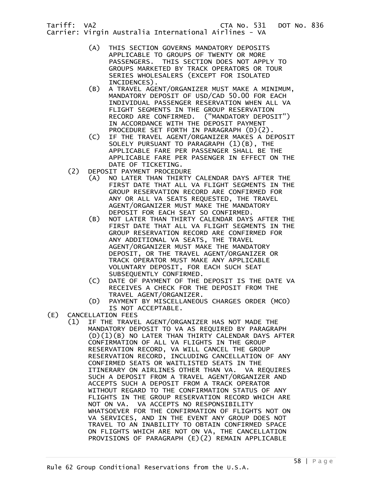- (A) THIS SECTION GOVERNS MANDATORY DEPOSITS APPLICABLE TO GROUPS OF TWENTY OR MORE PASSENGERS. THIS SECTION DOES NOT APPLY TO GROUPS MARKETED BY TRACK OPERATORS OR TOUR SERIES WHOLESALERS (EXCEPT FOR ISOLATED
- INCIDENCES).<br>B) A TRAVEL AGE) A TRAVEL AGENT/ORGANIZER MUST MAKE A MINIMUM, MANDATORY DEPOSIT OF USD/CAD 50.00 FOR EACH INDIVIDUAL PASSENGER RESERVATION WHEN ALL VA FLIGHT SEGMENTS IN THE GROUP RESERVATION RECORD ARE CONFIRMED. ("MANDATORY DEPOSIT") IN ACCORDANCE WITH THE DEPOSIT PAYMENT PROCEDURE SET FORTH IN PARAGRAPH (D)(2).
- (C) IF THE TRAVEL AGENT/ORGANIZER MAKES A DEPOSIT SOLELY PURSUANT TO PARAGRAPH (1)(B), THE APPLICABLE FARE PER PASSENGER SHALL BE THE APPLICABLE FARE PER PASENGER IN EFFECT ON THE DATE OF TICKETING.
- (2) DEPOSIT PAYMENT PROCEDURE
	- (A) NO LATER THAN THIRTY CALENDAR DAYS AFTER THE FIRST DATE THAT ALL VA FLIGHT SEGMENTS IN THE GROUP RESERVATION RECORD ARE CONFIRMED FOR ANY OR ALL VA SEATS REQUESTED, THE TRAVEL AGENT/ORGANIZER MUST MAKE THE MANDATORY DEPOSIT FOR EACH SEAT SO CONFIRMED.
	- (B) NOT LATER THAN THIRTY CALENDAR DAYS AFTER THE FIRST DATE THAT ALL VA FLIGHT SEGMENTS IN THE GROUP RESERVATION RECORD ARE CONFIRMED FOR ANY ADDITIONAL VA SEATS, THE TRAVEL AGENT/ORGANIZER MUST MAKE THE MANDATORY DEPOSIT, OR THE TRAVEL AGENT/ORGANIZER OR TRACK OPERATOR MUST MAKE ANY APPLICABLE VOLUNTARY DEPOSIT, FOR EACH SUCH SEAT SUBSEQUENTLY CONFIRMED.
	- (C) DATE OF PAYMENT OF THE DEPOSIT IS THE DATE VA RECEIVES A CHECK FOR THE DEPOSIT FROM THE TRAVEL AGENT/ORGANIZER.
- (D) PAYMENT BY MISCELLANEOUS CHARGES ORDER (MCO) IS NOT ACCEPTABLE.<br>(E) CANCELLATION FEES
- CANCELLATION FEES
	- (1) IF THE TRAVEL AGENT/ORGANIZER HAS NOT MADE THE MANDATORY DEPOSIT TO VA AS REQUIRED BY PARAGRAPH (D)(1)(B) NO LATER THAN THIRTY CALENDAR DAYS AFTER CONFIRMATION OF ALL VA FLIGHTS IN THE GROUP RESERVATION RECORD, VA WILL CANCEL THE GROUP RESERVATION RECORD, INCLUDING CANCELLATION OF ANY CONFIRMED SEATS OR WAITLISTED SEATS IN THE ITINERARY ON AIRLINES OTHER THAN VA. VA REQUIRES SUCH A DEPOSIT FROM A TRAVEL AGENT/ORGANIZER AND ACCEPTS SUCH A DEPOSIT FROM A TRACK OPERATOR WITHOUT REGARD TO THE CONFIRMATION STATUS OF ANY FLIGHTS IN THE GROUP RESERVATION RECORD WHICH ARE NOT ON VA. VA ACCEPTS NO RESPONSIBILITY WHATSOEVER FOR THE CONFIRMATION OF FLIGHTS NOT ON VA SERVICES, AND IN THE EVENT ANY GROUP DOES NOT TRAVEL TO AN INABILITY TO OBTAIN CONFIRMED SPACE ON FLIGHTS WHICH ARE NOT ON VA, THE CANCELLATION PROVISIONS OF PARAGRAPH (E)(2) REMAIN APPLICABLE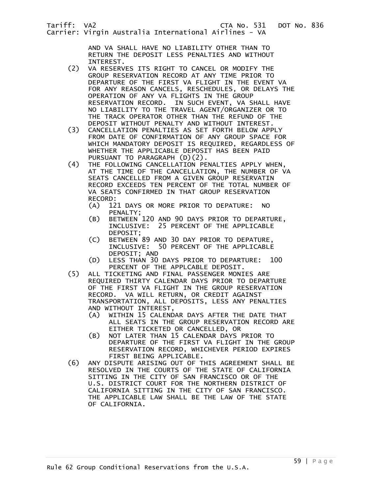AND VA SHALL HAVE NO LIABILITY OTHER THAN TO RETURN THE DEPOSIT LESS PENALTIES AND WITHOUT

- INTEREST.<br>(2) VA RESERV VA RESERVES ITS RIGHT TO CANCEL OR MODIFY THE GROUP RESERVATION RECORD AT ANY TIME PRIOR TO DEPARTURE OF THE FIRST VA FLIGHT IN THE EVENT VA FOR ANY REASON CANCELS, RESCHEDULES, OR DELAYS THE OPERATION OF ANY VA FLIGHTS IN THE GROUP RESERVATION RECORD. IN SUCH EVENT, VA SHALL HAVE NO LIABILITY TO THE TRAVEL AGENT/ORGANIZER OR TO THE TRACK OPERATOR OTHER THAN THE REFUND OF THE
- DEPOSIT WITHOUT PENALTY AND WITHOUT INTEREST.<br>CANCELLATION PENALTIES AS SET FORTH BELOW APP (3) CANCELLATION PENALTIES AS SET FORTH BELOW APPLY FROM DATE OF CONFIRMATION OF ANY GROUP SPACE FOR WHICH MANDATORY DEPOSIT IS REQUIRED, REGARDLESS OF WHETHER THE APPLICABLE DEPOSIT HAS BEEN PAID PURSUANT TO PARAGRAPH (D)(2).<br>(4) THE FOLLOWING CANCELLATION PE
- THE FOLLOWING CANCELLATION PENALTIES APPLY WHEN, AT THE TIME OF THE CANCELLATION, THE NUMBER OF VA SEATS CANCELLED FROM A GIVEN GROUP RESERVATIN RECORD EXCEEDS TEN PERCENT OF THE TOTAL NUMBER OF VA SEATS CONFIRMED IN THAT GROUP RESERVATION RECORD:<br>(A) 12
	- 121 DAYS OR MORE PRIOR TO DEPATURE: NO PENALTY;<br>(B) BETWEEN
	- BETWEEN 120 AND 90 DAYS PRIOR TO DEPARTURE, INCLUSIVE: 25 PERCENT OF THE APPLICABLE DEPOSIT;
- (C) BETWEEN 89 AND 30 DAY PRIOR TO DEPATURE, INCLUSIVE: 50 PERCENT OF THE APPLICABLE DEPOSIT; AND
	- (D) LESS THAN 30 DAYS PRIOR TO DEPARTURE: 100
	- PERCENT OF THE APPLCABLE DEPOSIT.<br>ALL TICKETING AND FINAL PASSENGER MONI ALL TICKETING AND FINAL PASSENGER MONIES ARE REQUIRED THIRTY CALENDAR DAYS PRIOR TO DEPARTURE OF THE FIRST VA FLIGHT IN THE GROUP RESERVATION RECORD. VA WILL RETURN, OR CREDIT AGAINST TRANSPORTATION, ALL DEPOSITS, LESS ANY PENALTIES AND WITHOUT INTEREST,
		- (A) WITHIN 15 CALENDAR DAYS AFTER THE DATE THAT ALL SEATS IN THE GROUP RESERVATION RECORD ARE EITHER TICKETED OR CANCELLED, OR
		- (B) NOT LATER THAN 15 CALENDAR DAYS PRIOR TO DEPARTURE OF THE FIRST VA FLIGHT IN THE GROUP RESERVATION RECORD, WHICHEVER PERIOD EXPIRES FIRST BEING APPLICABLE.
	- (6) ANY DISPUTE ARISING OUT OF THIS AGREEMENT SHALL BE RESOLVED IN THE COURTS OF THE STATE OF CALIFORNIA SITTING IN THE CITY OF SAN FRANCISCO OR OF THE U.S. DISTRICT COURT FOR THE NORTHERN DISTRICT OF CALIFORNIA SITTING IN THE CITY OF SAN FRANCISCO. THE APPLICABLE LAW SHALL BE THE LAW OF THE STATE OF CALIFORNIA.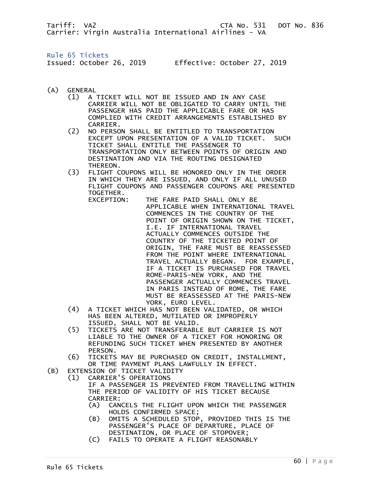Rule 65 Tickets Issued: October 26, 2019 Effective: October 27, 2019

- (A) GENERAL
	- (1) A TICKET WILL NOT BE ISSUED AND IN ANY CASE CARRIER WILL NOT BE OBLIGATED TO CARRY UNTIL THE PASSENGER HAS PAID THE APPLICABLE FARE OR HAS COMPLIED WITH CREDIT ARRANGEMENTS ESTABLISHED BY CARRIER.<br>C2) NO PERSO
	- NO PERSON SHALL BE ENTITLED TO TRANSPORTATION EXCEPT UPON PRESENTATION OF A VALID TICKET. SUCH TICKET SHALL ENTITLE THE PASSENGER TO TRANSPORTATION ONLY BETWEEN POINTS OF ORIGIN AND DESTINATION AND VIA THE ROUTING DESIGNATED THEREON.
	- (3) FLIGHT COUPONS WILL BE HONORED ONLY IN THE ORDER IN WHICH THEY ARE ISSUED, AND ONLY IF ALL UNUSED FLIGHT COUPONS AND PASSENGER COUPONS ARE PRESENTED TOGETHER.
- EXCEPTION: THE FARE PAID SHALL ONLY BE APPLICABLE WHEN INTERNATIONAL TRAVEL COMMENCES IN THE COUNTRY OF THE POINT OF ORIGIN SHOWN ON THE TICKET, I.E. IF INTERNATIONAL TRAVEL ACTUALLY COMMENCES OUTSIDE THE COUNTRY OF THE TICKETED POINT OF ORIGIN, THE FARE MUST BE REASSESSED FROM THE POINT WHERE INTERNATIONAL TRAVEL ACTUALLY BEGAN. FOR EXAMPLE, IF A TICKET IS PURCHASED FOR TRAVEL ROME-PARIS-NEW YORK, AND THE PASSENGER ACTUALLY COMMENCES TRAVEL IN PARIS INSTEAD OF ROME, THE FARE MUST BE REASSESSED AT THE PARIS-NEW YORK, EURO LEVEL.
	- (4) A TICKET WHICH HAS NOT BEEN VALIDATED, OR WHICH HAS BEEN ALTERED, MUTILATED OR IMPROPERLY ISSUED, SHALL NOT BE VALID.
	- (5) TICKETS ARE NOT TRANSFERABLE BUT CARRIER IS NOT LIABLE TO THE OWNER OF A TICKET FOR HONORING OR REFUNDING SUCH TICKET WHEN PRESENTED BY ANOTHER PERSON.
	- (6) TICKETS MAY BE PURCHASED ON CREDIT, INSTALLMENT, OR TIME PAYMENT PLANS LAWFULLY IN EFFECT.
- (B) EXTENSION OF TICKET VALIDITY (1) CARRIER'S OPERATIONS
	- IF A PASSENGER IS PREVENTED FROM TRAVELLING WITHIN THE PERIOD OF VALIDITY OF HIS TICKET BECAUSE CARRIER:
	- (A) CANCELS THE FLIGHT UPON WHICH THE PASSENGER HOLDS CONFIRMED SPACE;
	- (B) OMITS A SCHEDULED STOP, PROVIDED THIS IS THE PASSENGER'S PLACE OF DEPARTURE, PLACE OF DESTINATION, OR PLACE OF STOPOVER;
	- (C) FAILS TO OPERATE A FLIGHT REASONABLY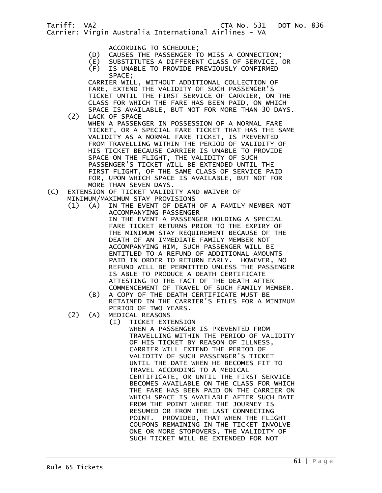- ACCORDING TO SCHEDULE;<br>(D) CAUSES THE PASSENGER T CAUSES THE PASSENGER TO MISS A CONNECTION;
- (E) SUBSTITUTES A DIFFERENT CLASS OF SERVICE, OR
- (F) IS UNABLE TO PROVIDE PREVIOUSLY CONFIRMED SPACE;

 CARRIER WILL, WITHOUT ADDITIONAL COLLECTION OF FARE, EXTEND THE VALIDITY OF SUCH PASSENGER'S TICKET UNTIL THE FIRST SERVICE OF CARRIER, ON THE CLASS FOR WHICH THE FARE HAS BEEN PAID, ON WHICH SPACE IS AVAILABLE, BUT NOT FOR MORE THAN 30 DAYS.<br>(2) LACK OF SPACE LACK OF SPACE

- WHEN A PASSENGER IN POSSESSION OF A NORMAL FARE TICKET, OR A SPECIAL FARE TICKET THAT HAS THE SAME VALIDITY AS A NORMAL FARE TICKET, IS PREVENTED FROM TRAVELLING WITHIN THE PERIOD OF VALIDITY OF HIS TICKET BECAUSE CARRIER IS UNABLE TO PROVIDE SPACE ON THE FLIGHT, THE VALIDITY OF SUCH PASSENGER'S TICKET WILL BE EXTENDED UNTIL THE FIRST FLIGHT, OF THE SAME CLASS OF SERVICE PAID FOR, UPON WHICH SPACE IS AVAILABLE, BUT NOT FOR MORE THAN SEVEN DAYS.
- (C) EXTENSION OF TICKET VALIDITY AND WAIVER OF MINIMUM/MAXIMUM STAY PROVISIONS<br>(1) (A) IN THE EVENT OF DEATH
	- (A) IN THE EVENT OF DEATH OF A FAMILY MEMBER NOT ACCOMPANYING PASSENGER IN THE EVENT A PASSENGER HOLDING A SPECIAL FARE TICKET RETURNS PRIOR TO THE EXPIRY OF THE MINIMUM STAY REQUIREMENT BECAUSE OF THE DEATH OF AN IMMEDIATE FAMILY MEMBER NOT ACCOMPANYING HIM, SUCH PASSENGER WILL BE ENTITLED TO A REFUND OF ADDITIONAL AMOUNTS PAID IN ORDER TO RETURN EARLY. HOWEVER, NO REFUND WILL BE PERMITTED UNLESS THE PASSENGER IS ABLE TO PRODUCE A DEATH CERTIFICATE ATTESTING TO THE FACT OF THE DEATH AFTER COMMENCEMENT OF TRAVEL OF SUCH FAMILY MEMBER.
		- (B) A COPY OF THE DEATH CERTIFICATE MUST BE RETAINED IN THE CARRIER'S FILES FOR A MINIMUM PERIOD OF TWO YEARS.
	- (2) (A) MEDICAL REASONS
		- (I) TICKET EXTENSION WHEN A PASSENGER IS PREVENTED FROM TRAVELLING WITHIN THE PERIOD OF VALIDITY OF HIS TICKET BY REASON OF ILLNESS, CARRIER WILL EXTEND THE PERIOD OF VALIDITY OF SUCH PASSENGER'S TICKET UNTIL THE DATE WHEN HE BECOMES FIT TO TRAVEL ACCORDING TO A MEDICAL CERTIFICATE, OR UNTIL THE FIRST SERVICE BECOMES AVAILABLE ON THE CLASS FOR WHICH THE FARE HAS BEEN PAID ON THE CARRIER ON WHICH SPACE IS AVAILABLE AFTER SUCH DATE FROM THE POINT WHERE THE JOURNEY IS RESUMED OR FROM THE LAST CONNECTING POINT. PROVIDED, THAT WHEN THE FLIGHT COUPONS REMAINING IN THE TICKET INVOLVE ONE OR MORE STOPOVERS, THE VALIDITY OF SUCH TICKET WILL BE EXTENDED FOR NOT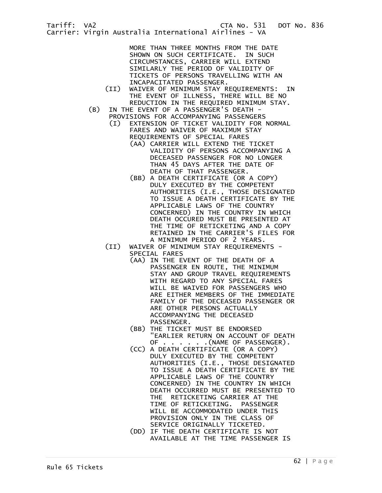MORE THAN THREE MONTHS FROM THE DATE SHOWN ON SUCH CERTIFICATE. IN SUCH CIRCUMSTANCES, CARRIER WILL EXTEND SIMILARLY THE PERIOD OF VALIDITY OF TICKETS OF PERSONS TRAVELLING WITH AN INCAPACITATED PASSENGER.

- (II) WAIVER OF MINIMUM STAY REQUIREMENTS: IN THE EVENT OF ILLNESS, THERE WILL BE NO REDUCTION IN THE REQUIRED MINIMUM STAY.
- (B) IN THE EVENT OF A PASSENGER'S DEATH PROVISIONS FOR ACCOMPANYING PASSENGERS
	- (I) EXTENSION OF TICKET VALIDITY FOR NORMAL FARES AND WAIVER OF MAXIMUM STAY REQUIREMENTS OF SPECIAL FARES
		- (AA) CARRIER WILL EXTEND THE TICKET VALIDITY OF PERSONS ACCOMPANYING A DECEASED PASSENGER FOR NO LONGER THAN 45 DAYS AFTER THE DATE OF DEATH OF THAT PASSENGER.
		- (BB) A DEATH CERTIFICATE (OR A COPY) DULY EXECUTED BY THE COMPETENT AUTHORITIES (I.E., THOSE DESIGNATED TO ISSUE A DEATH CERTIFICATE BY THE APPLICABLE LAWS OF THE COUNTRY CONCERNED) IN THE COUNTRY IN WHICH DEATH OCCURED MUST BE PRESENTED AT THE TIME OF RETICKETING AND A COPY RETAINED IN THE CARRIER'S FILES FOR A MINIMUM PERIOD OF 2 YEARS.
	- (II) WAIVER OF MINIMUM STAY REQUIREMENTS SPECIAL FARES
		- (AA) IN THE EVENT OF THE DEATH OF A PASSENGER EN ROUTE, THE MINIMUM STAY AND GROUP TRAVEL REQUIREMENTS WITH REGARD TO ANY SPECIAL FARES WILL BE WAIVED FOR PASSENGERS WHO ARE EITHER MEMBERS OF THE IMMEDIATE FAMILY OF THE DECEASED PASSENGER OR ARE OTHER PERSONS ACTUALLY ACCOMPANYING THE DECEASED PASSENGER.
		- (BB) THE TICKET MUST BE ENDORSED "EARLIER RETURN ON ACCOUNT OF DEATH OF . . . . . . (NAME OF PASSENGER).
		- (CC) A DEATH CERTIFICATE (OR A COPY) DULY EXECUTED BY THE COMPETENT AUTHORITIES (I.E., THOSE DESIGNATED TO ISSUE A DEATH CERTIFICATE BY THE APPLICABLE LAWS OF THE COUNTRY CONCERNED) IN THE COUNTRY IN WHICH DEATH OCCURRED MUST BE PRESENTED TO THE RETICKETING CARRIER AT THE TIME OF RETICKETING. PASSENGER WILL BE ACCOMMODATED UNDER THIS PROVISION ONLY IN THE CLASS OF SERVICE ORIGINALLY TICKETED.
		- (DD) IF THE DEATH CERTIFICATE IS NOT AVAILABLE AT THE TIME PASSENGER IS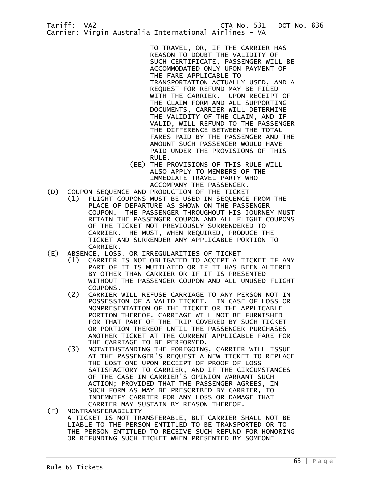> TO TRAVEL, OR, IF THE CARRIER HAS REASON TO DOUBT THE VALIDITY OF SUCH CERTIFICATE, PASSENGER WILL BE ACCOMMODATED ONLY UPON PAYMENT OF THE FARE APPLICABLE TO TRANSPORTATION ACTUALLY USED, AND A REQUEST FOR REFUND MAY BE FILED WITH THE CARRIER. UPON RECEIPT OF THE CLAIM FORM AND ALL SUPPORTING DOCUMENTS, CARRIER WILL DETERMINE THE VALIDITY OF THE CLAIM, AND IF VALID, WILL REFUND TO THE PASSENGER THE DIFFERENCE BETWEEN THE TOTAL FARES PAID BY THE PASSENGER AND THE AMOUNT SUCH PASSENGER WOULD HAVE PAID UNDER THE PROVISIONS OF THIS RULE.

- (EE) THE PROVISIONS OF THIS RULE WILL ALSO APPLY TO MEMBERS OF THE IMMEDIATE TRAVEL PARTY WHO ACCOMPANY THE PASSENGER.
- (D) COUPON SEQUENCE AND PRODUCTION OF THE TICKET (1) FLIGHT COUPONS MUST BE USED IN SEQUENCE FROM THE PLACE OF DEPARTURE AS SHOWN ON THE PASSENGER COUPON. THE PASSENGER THROUGHOUT HIS JOURNEY MUST RETAIN THE PASSENGER COUPON AND ALL FLIGHT COUPONS OF THE TICKET NOT PREVIOUSLY SURRENDERED TO CARRIER. HE MUST, WHEN REQUIRED, PRODUCE THE TICKET AND SURRENDER ANY APPLICABLE PORTION TO CARRIER.<br>E) ABSENCE, LOSS)
- (E) ABSENCE, LOSS, OR IRREGULARITIES OF TICKET
	- (1) CARRIER IS NOT OBLIGATED TO ACCEPT A TICKET IF ANY PART OF IT IS MUTILATED OR IF IT HAS BEEN ALTERED BY OTHER THAN CARRIER OR IF IT IS PRESENTED WITHOUT THE PASSENGER COUPON AND ALL UNUSED FLIGHT
- COUPONS.<br>(2) CARRIER CARRIER WILL REFUSE CARRIAGE TO ANY PERSON NOT IN POSSESSION OF A VALID TICKET. IN CASE OF LOSS OR NONPRESENTATION OF THE TICKET OR THE APPLICABLE PORTION THEREOF, CARRIAGE WILL NOT BE FURNISHED FOR THAT PART OF THE TRIP COVERED BY SUCH TICKET OR PORTION THEREOF UNTIL THE PASSENGER PURCHASES ANOTHER TICKET AT THE CURRENT APPLICABLE FARE FOR THE CARRIAGE TO BE PERFORMED.<br>(3) NOTWITHSTANDING THE FOREGOING
- NOTWITHSTANDING THE FOREGOING, CARRIER WILL ISSUE AT THE PASSENGER'S REQUEST A NEW TICKET TO REPLACE THE LOST ONE UPON RECEIPT OF PROOF OF LOSS SATISFACTORY TO CARRIER, AND IF THE CIRCUMSTANCES OF THE CASE IN CARRIER'S OPINION WARRANT SUCH ACTION; PROVIDED THAT THE PASSENGER AGREES, IN SUCH FORM AS MAY BE PRESCRIBED BY CARRIER, TO INDEMNIFY CARRIER FOR ANY LOSS OR DAMAGE THAT CARRIER MAY SUSTAIN BY REASON THEREOF.<br>(F) NONTRANSFERABILITY
	- (F) NONTRANSFERABILITY A TICKET IS NOT TRANSFERABLE, BUT CARRIER SHALL NOT BE LIABLE TO THE PERSON ENTITLED TO BE TRANSPORTED OR TO THE PERSON ENTITLED TO RECEIVE SUCH REFUND FOR HONORING OR REFUNDING SUCH TICKET WHEN PRESENTED BY SOMEONE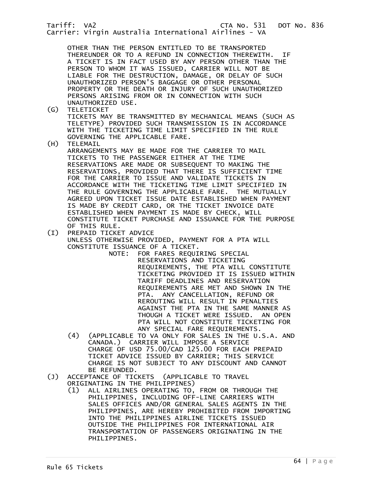Tariff: VA2 CTA No. 531 DOT No. 836 Carrier: Virgin Australia International Airlines - VA OTHER THAN THE PERSON ENTITLED TO BE TRANSPORTED THEREUNDER OR TO A REFUND IN CONNECTION THEREWITH. IF A TICKET IS IN FACT USED BY ANY PERSON OTHER THAN THE PERSON TO WHOM IT WAS ISSUED, CARRIER WILL NOT BE LIABLE FOR THE DESTRUCTION, DAMAGE, OR DELAY OF SUCH UNAUTHORIZED PERSON'S BAGGAGE OR OTHER PERSONAL PROPERTY OR THE DEATH OR INJURY OF SUCH UNAUTHORIZED PERSONS ARISING FROM OR IN CONNECTION WITH SUCH UNAUTHORIZED USE.<br>(G) TELETICKET (G) TELETICKET TICKETS MAY BE TRANSMITTED BY MECHANICAL MEANS (SUCH AS TELETYPE) PROVIDED SUCH TRANSMISSION IS IN ACCORDANCE WITH THE TICKETING TIME LIMIT SPECIFIED IN THE RULE GOVERNING THE APPLICABLE FARE.<br>(H) TELEMAIL **TELEMAIL**  ARRANGEMENTS MAY BE MADE FOR THE CARRIER TO MAIL TICKETS TO THE PASSENGER EITHER AT THE TIME RESERVATIONS ARE MADE OR SUBSEQUENT TO MAKING THE RESERVATIONS, PROVIDED THAT THERE IS SUFFICIENT TIME FOR THE CARRIER TO ISSUE AND VALIDATE TICKETS IN ACCORDANCE WITH THE TICKETING TIME LIMIT SPECIFIED IN THE RULE GOVERNING THE APPLICABLE FARE. THE MUTUALLY AGREED UPON TICKET ISSUE DATE ESTABLISHED WHEN PAYMENT IS MADE BY CREDIT CARD, OR THE TICKET INVOICE DATE ESTABLISHED WHEN PAYMENT IS MADE BY CHECK, WILL CONSTITUTE TICKET PURCHASE AND ISSUANCE FOR THE PURPOSE OF THIS RULE. (I) PREPAID TICKET ADVICE UNLESS OTHERWISE PROVIDED, PAYMENT FOR A PTA WILL CONSTITUTE ISSUANCE OF A TICKET. FOR FARES REQUIRING SPECIAL RESERVATIONS AND TICKETING REQUIREMENTS, THE PTA WILL CONSTITUTE TICKETING PROVIDED IT IS ISSUED WITHIN TARIFF DEADLINES AND RESERVATION REQUIREMENTS ARE MET AND SHOWN IN THE PTA. ANY CANCELLATION, REFUND OR REROUTING WILL RESULT IN PENALTIES AGAINST THE PTA IN THE SAME MANNER AS THOUGH A TICKET WERE ISSUED. AN OPEN PTA WILL NOT CONSTITUTE TICKETING FOR ANY SPECIAL FARE REQUIREMENTS. (4) (APPLICABLE TO VA ONLY FOR SALES IN THE U.S.A. AND CANADA.) CARRIER WILL IMPOSE A SERVICE CHARGE OF USD 75.00/CAD 125.00 FOR EACH PREPAID TICKET ADVICE ISSUED BY CARRIER; THIS SERVICE CHARGE IS NOT SUBJECT TO ANY DISCOUNT AND CANNOT BE REFUNDED.<br>(J) ACCEPTANCE OF TIC ACCEPTANCE OF TICKETS (APPLICABLE TO TRAVEL ORIGINATING IN THE PHILIPPINES) (1) ALL AIRLINES OPERATING TO, FROM OR THROUGH THE PHILIPPINES, INCLUDING OFF-LINE CARRIERS WITH SALES OFFICES AND/OR GENERAL SALES AGENTS IN THE PHILIPPINES, ARE HEREBY PROHIBITED FROM IMPORTING INTO THE PHILIPPINES AIRLINE TICKETS ISSUED

 OUTSIDE THE PHILIPPINES FOR INTERNATIONAL AIR TRANSPORTATION OF PASSENGERS ORIGINATING IN THE

PHILIPPINES.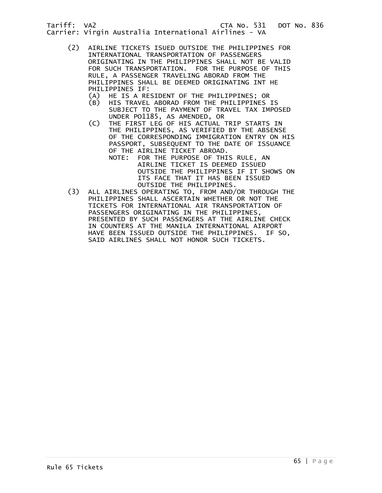- (2) AIRLINE TICKETS ISUED OUTSIDE THE PHILIPPINES FOR INTERNATIONAL TRANSPORTATION OF PASSENGERS ORIGINATING IN THE PHILIPPINES SHALL NOT BE VALID FOR SUCH TRANSPORTATION. FOR THE PURPOSE OF THIS RULE, A PASSENGER TRAVELING ABORAD FROM THE PHILIPPINES SHALL BE DEEMED ORIGINATING INT HE PHILIPPINES IF:<br>(A) HE IS A RE
	- HE IS A RESIDENT OF THE PHILIPPINES; OR
	- (B) HIS TRAVEL ABORAD FROM THE PHILIPPINES IS SUBJECT TO THE PAYMENT OF TRAVEL TAX IMPOSED
	- UNDER PO1185, AS AMENDED, OR<br>C) THE FIRST LEG OF HIS ACTUAL THE FIRST LEG OF HIS ACTUAL TRIP STARTS IN THE PHILIPPINES, AS VERIFIED BY THE ABSENSE OF THE CORRESPONDING IMMIGRATION ENTRY ON HIS PASSPORT, SUBSEQUENT TO THE DATE OF ISSUANCE OF THE AIRLINE TICKET ABROAD.
		- NOTE: FOR THE PURPOSE OF THIS RULE, AN AIRLINE TICKET IS DEEMED ISSUED OUTSIDE THE PHILIPPINES IF IT SHOWS ON ITS FACE THAT IT HAS BEEN ISSUED
- OUTSIDE THE PHILIPPINES.<br>ALL AIRLINES OPERATING TO, FROM AND/ ALL AIRLINES OPERATING TO, FROM AND/OR THROUGH THE PHILIPPINES SHALL ASCERTAIN WHETHER OR NOT THE TICKETS FOR INTERNATIONAL AIR TRANSPORTATION OF PASSENGERS ORIGINATING IN THE PHILIPPINES, PRESENTED BY SUCH PASSENGERS AT THE AIRLINE CHECK IN COUNTERS AT THE MANILA INTERNATIONAL AIRPORT HAVE BEEN ISSUED OUTSIDE THE PHILIPPINES. IF SO, SAID AIRLINES SHALL NOT HONOR SUCH TICKETS.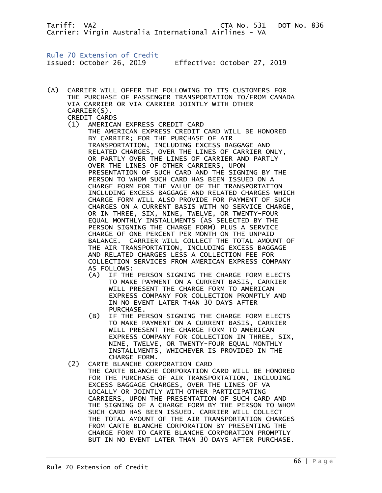Rule 70 Extension of Credit

Issued: October 26, 2019 Effective: October 27, 2019

- (A) CARRIER WILL OFFER THE FOLLOWING TO ITS CUSTOMERS FOR THE PURCHASE OF PASSENGER TRANSPORTATION TO/FROM CANADA VIA CARRIER OR VIA CARRIER JOINTLY WITH OTHER CARRIER(S). CREDIT CARDS
	- (1) AMERICAN EXPRESS CREDIT CARD THE AMERICAN EXPRESS CREDIT CARD WILL BE HONORED BY CARRIER; FOR THE PURCHASE OF AIR TRANSPORTATION, INCLUDING EXCESS BAGGAGE AND RELATED CHARGES, OVER THE LINES OF CARRIER ONLY, OR PARTLY OVER THE LINES OF CARRIER AND PARTLY OVER THE LINES OF OTHER CARRIERS, UPON PRESENTATION OF SUCH CARD AND THE SIGNING BY THE PERSON TO WHOM SUCH CARD HAS BEEN ISSUED ON A CHARGE FORM FOR THE VALUE OF THE TRANSPORTATION INCLUDING EXCESS BAGGAGE AND RELATED CHARGES WHICH CHARGE FORM WILL ALSO PROVIDE FOR PAYMENT OF SUCH CHARGES ON A CURRENT BASIS WITH NO SERVICE CHARGE, OR IN THREE, SIX, NINE, TWELVE, OR TWENTY-FOUR EQUAL MONTHLY INSTALLMENTS (AS SELECTED BY THE PERSON SIGNING THE CHARGE FORM) PLUS A SERVICE CHARGE OF ONE PERCENT PER MONTH ON THE UNPAID BALANCE. CARRIER WILL COLLECT THE TOTAL AMOUNT OF THE AIR TRANSPORTATION, INCLUDING EXCESS BAGGAGE AND RELATED CHARGES LESS A COLLECTION FEE FOR COLLECTION SERVICES FROM AMERICAN EXPRESS COMPANY AS FOLLOWS:
		- (A) IF THE PERSON SIGNING THE CHARGE FORM ELECTS TO MAKE PAYMENT ON A CURRENT BASIS, CARRIER WILL PRESENT THE CHARGE FORM TO AMERICAN EXPRESS COMPANY FOR COLLECTION PROMPTLY AND IN NO EVENT LATER THAN 30 DAYS AFTER PURCHASE.
		- (B) IF THE PERSON SIGNING THE CHARGE FORM ELECTS TO MAKE PAYMENT ON A CURRENT BASIS, CARRIER WILL PRESENT THE CHARGE FORM TO AMERICAN EXPRESS COMPANY FOR COLLECTION IN THREE, SIX, NINE, TWELVE, OR TWENTY-FOUR EQUAL MONTHLY INSTALLMENTS, WHICHEVER IS PROVIDED IN THE CHARGE FORM.
	- (2) CARTE BLANCHE CORPORATION CARD THE CARTE BLANCHE CORPORATION CARD WILL BE HONORED FOR THE PURCHASE OF AIR TRANSPORTATION, INCLUDING EXCESS BAGGAGE CHARGES, OVER THE LINES OF VA LOCALLY OR JOINTLY WITH OTHER PARTICIPATING CARRIERS, UPON THE PRESENTATION OF SUCH CARD AND THE SIGNING OF A CHARGE FORM BY THE PERSON TO WHOM SUCH CARD HAS BEEN ISSUED. CARRIER WILL COLLECT THE TOTAL AMOUNT OF THE AIR TRANSPORTATION CHARGES FROM CARTE BLANCHE CORPORATION BY PRESENTING THE CHARGE FORM TO CARTE BLANCHE CORPORATION PROMPTLY BUT IN NO EVENT LATER THAN 30 DAYS AFTER PURCHASE.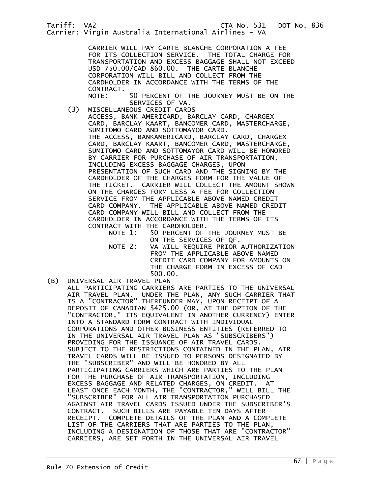Carrier: Virgin Australia International Airlines - VA

 CARRIER WILL PAY CARTE BLANCHE CORPORATION A FEE FOR ITS COLLECTION SERVICE. THE TOTAL CHARGE FOR TRANSPORTATION AND EXCESS BAGGAGE SHALL NOT EXCEED USD 750.00/CAD 860.00. THE CARTE BLANCHE CORPORATION WILL BILL AND COLLECT FROM THE CARDHOLDER IN ACCORDANCE WITH THE TERMS OF THE CONTRACT.<br>NOTE:

50 PERCENT OF THE JOURNEY MUST BE ON THE SERVICES OF VA.

- (3) MISCELLANEOUS CREDIT CARDS ACCESS, BANK AMERICARD, BARCLAY CARD, CHARGEX CARD, BARCLAY KAART, BANCOMER CARD, MASTERCHARGE, SUMITOMO CARD AND SOTTOMAYOR CARD. THE ACCESS, BANKAMERICARD, BARCLAY CARD, CHARGEX CARD, BARCLAY KAART, BANCOMER CARD, MASTERCHARGE, SUMITOMO CARD AND SOTTOMAYOR CARD WILL BE HONORED BY CARRIER FOR PURCHASE OF AIR TRANSPORTATION, INCLUDING EXCESS BAGGAGE CHARGES, UPON PRESENTATION OF SUCH CARD AND THE SIGNING BY THE CARDHOLDER OF THE CHARGES FORM FOR THE VALUE OF THE TICKET. CARRIER WILL COLLECT THE AMOUNT SHOWN ON THE CHARGES FORM LESS A FEE FOR COLLECTION SERVICE FROM THE APPLICABLE ABOVE NAMED CREDIT CARD COMPANY. THE APPLICABLE ABOVE NAMED CREDIT CARD COMPANY WILL BILL AND COLLECT FROM THE CARDHOLDER IN ACCORDANCE WITH THE TERMS OF ITS CONTRACT WITH THE CARDHOLDER.<br>NOTE 1: 50 PERCENT OF
	- 50 PERCENT OF THE JOURNEY MUST BE ON THE SERVICES OF QF.<br>NOTE 2: VA WILL REOUIRE PRIOR
	- VA WILL REQUIRE PRIOR AUTHORIZATION FROM THE APPLICABLE ABOVE NAMED CREDIT CARD COMPANY FOR AMOUNTS ON THE CHARGE FORM IN EXCESS OF CAD 500.00.
- (B) UNIVERSAL AIR TRAVEL PLAN ALL PARTICIPATING CARRIERS ARE PARTIES TO THE UNIVERSAL AIR TRAVEL PLAN. UNDER THE PLAN, ANY SUCH CARRIER THAT IS A "CONTRACTOR" THEREUNDER MAY, UPON RECEIPT OF A DEPOSIT OF CANADIAN \$425.00 (OR, AT THE OPTION OF THE "CONTRACTOR," ITS EQUIVALENT IN ANOTHER CURRENCY) ENTER INTO A STANDARD FORM CONTRACT WITH INDIVIDUAL CORPORATIONS AND OTHER BUSINESS ENTITIES (REFERRED TO IN THE UNIVERSAL AIR TRAVEL PLAN AS "SUBSCRIBERS") PROVIDING FOR THE ISSUANCE OF AIR TRAVEL CARDS. SUBJECT TO THE RESTRICTIONS CONTAINED IN THE PLAN, AIR TRAVEL CARDS WILL BE ISSUED TO PERSONS DESIGNATED BY THE "SUBSCRIBER" AND WILL BE HONORED BY ALL PARTICIPATING CARRIERS WHICH ARE PARTIES TO THE PLAN FOR THE PURCHASE OF AIR TRANSPORTATION, INCLUDING EXCESS BAGGAGE AND RELATED CHARGES, ON CREDIT. AT LEAST ONCE EACH MONTH, THE "CONTRACTOR," WILL BILL THE "SUBSCRIBER" FOR ALL AIR TRANSPORTATION PURCHASED AGAINST AIR TRAVEL CARDS ISSUED UNDER THE SUBSCRIBER'S CONTRACT. SUCH BILLS ARE PAYABLE TEN DAYS AFTER RECEIPT. COMPLETE DETAILS OF THE PLAN AND A COMPLETE LIST OF THE CARRIERS THAT ARE PARTIES TO THE PLAN, INCLUDING A DESIGNATION OF THOSE THAT ARE "CONTRACTOR" CARRIERS, ARE SET FORTH IN THE UNIVERSAL AIR TRAVEL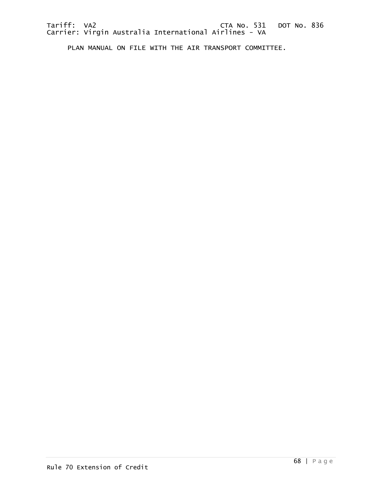PLAN MANUAL ON FILE WITH THE AIR TRANSPORT COMMITTEE.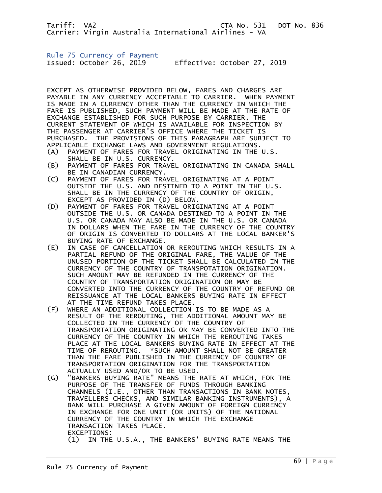Rule 75 Currency of Payment

Issued: October 26, 2019 Effective: October 27, 2019

EXCEPT AS OTHERWISE PROVIDED BELOW, FARES AND CHARGES ARE PAYABLE IN ANY CURRENCY ACCEPTABLE TO CARRIER. WHEN PAYMENT IS MADE IN A CURRENCY OTHER THAN THE CURRENCY IN WHICH THE FARE IS PUBLISHED, SUCH PAYMENT WILL BE MADE AT THE RATE OF EXCHANGE ESTABLISHED FOR SUCH PURPOSE BY CARRIER, THE CURRENT STATEMENT OF WHICH IS AVAILABLE FOR INSPECTION BY THE PASSENGER AT CARRIER'S OFFICE WHERE THE TICKET IS PURCHASED. THE PROVISIONS OF THIS PARAGRAPH ARE SUBJECT TO APPLICABLE EXCHANGE LAWS AND GOVERNMENT REGULATIONS.

- (A) PAYMENT OF FARES FOR TRAVEL ORIGINATING IN THE U.S. SHALL BE IN U.S. CURRENCY.
- (B) PAYMENT OF FARES FOR TRAVEL ORIGINATING IN CANADA SHALL BE IN CANADIAN CURRENCY.
- (C) PAYMENT OF FARES FOR TRAVEL ORIGINATING AT A POINT OUTSIDE THE U.S. AND DESTINED TO A POINT IN THE U.S. SHALL BE IN THE CURRENCY OF THE COUNTRY OF ORIGIN, EXCEPT AS PROVIDED IN (D) BELOW.
- (D) PAYMENT OF FARES FOR TRAVEL ORIGINATING AT A POINT OUTSIDE THE U.S. OR CANADA DESTINED TO A POINT IN THE U.S. OR CANADA MAY ALSO BE MADE IN THE U.S. OR CANADA IN DOLLARS WHEN THE FARE IN THE CURRENCY OF THE COUNTRY OF ORIGIN IS CONVERTED TO DOLLARS AT THE LOCAL BANKER'S BUYING RATE OF EXCHANGE.
- (E) IN CASE OF CANCELLATION OR REROUTING WHICH RESULTS IN A PARTIAL REFUND OF THE ORIGINAL FARE, THE VALUE OF THE UNUSED PORTION OF THE TICKET SHALL BE CALCULATED IN THE CURRENCY OF THE COUNTRY OF TRANSPOTATION ORIGINATION. SUCH AMOUNT MAY BE REFUNDED IN THE CURRENCY OF THE COUNTRY OF TRANSPORTATION ORIGINATION OR MAY BE CONVERTED INTO THE CURRENCY OF THE COUNTRY OF REFUND OR REISSUANCE AT THE LOCAL BANKERS BUYING RATE IN EFFECT AT THE TIME REFUND TAKES PLACE.
- (F) WHERE AN ADDITIONAL COLLECTION IS TO BE MADE AS A RESULT OF THE REROUTING, THE ADDITIONAL AMOUNT MAY BE COLLECTED IN THE CURRENCY OF THE COUNTRY OF TRANSPORTATION ORIGINATING OR MAY BE CONVERTED INTO THE CURRENCY OF THE COUNTRY IN WHICH THE REROUTING TAKES PLACE AT THE LOCAL BANKERS BUYING RATE IN EFFECT AT THE TIME OF REROUTING. \*SUCH AMOUNT SHALL NOT BE GREATER THAN THE FARE PUBLISHED IN THE CURRENCY OF COUNTRY OF TRANSPORTATION ORIGINATION FOR THE TRANSPORTATION ACTUALLY USED AND/OR TO BE USED.
- (G) "BANKERS BUYING RATE" MEANS THE RATE AT WHICH, FOR THE PURPOSE OF THE TRANSFER OF FUNDS THROUGH BANKING CHANNELS (I.E., OTHER THAN TRANSACTIONS IN BANK NOTES, TRAVELLERS CHECKS, AND SIMILAR BANKING INSTRUMENTS), A BANK WILL PURCHASE A GIVEN AMOUNT OF FOREIGN CURRENCY IN EXCHANGE FOR ONE UNIT (OR UNITS) OF THE NATIONAL CURRENCY OF THE COUNTRY IN WHICH THE EXCHANGE TRANSACTION TAKES PLACE. EXCEPTIONS: (1) IN THE U.S.A., THE BANKERS' BUYING RATE MEANS THE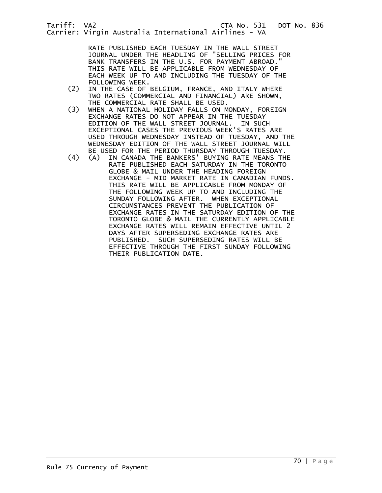Carrier: Virgin Australia International Airlines - VA

 RATE PUBLISHED EACH TUESDAY IN THE WALL STREET JOURNAL UNDER THE HEADLING OF "SELLING PRICES FOR BANK TRANSFERS IN THE U.S. FOR PAYMENT ABROAD." THIS RATE WILL BE APPLICABLE FROM WEDNESDAY OF EACH WEEK UP TO AND INCLUDING THE TUESDAY OF THE

- FOLLOWING WEEK.<br>(2) IN THE CASE OF IN THE CASE OF BELGIUM, FRANCE, AND ITALY WHERE TWO RATES (COMMERCIAL AND FINANCIAL) ARE SHOWN, THE COMMERCIAL RATE SHALL BE USED.<br>(3) WHEN A NATIONAL HOLIDAY FALLS ON M
- WHEN A NATIONAL HOLIDAY FALLS ON MONDAY, FOREIGN EXCHANGE RATES DO NOT APPEAR IN THE TUESDAY EDITION OF THE WALL STREET JOURNAL. IN SUCH EXCEPTIONAL CASES THE PREVIOUS WEEK'S RATES ARE USED THROUGH WEDNESDAY INSTEAD OF TUESDAY, AND THE WEDNESDAY EDITION OF THE WALL STREET JOURNAL WILL
- BE USED FOR THE PERIOD THURSDAY THROUGH TUESDAY.<br>(4) (A) IN CANADA THE BANKERS' BUYING RATE MEANS TH (4) (A) IN CANADA THE BANKERS' BUYING RATE MEANS THE RATE PUBLISHED EACH SATURDAY IN THE TORONTO GLOBE & MAIL UNDER THE HEADING FOREIGN EXCHANGE - MID MARKET RATE IN CANADIAN FUNDS. THIS RATE WILL BE APPLICABLE FROM MONDAY OF THE FOLLOWING WEEK UP TO AND INCLUDING THE SUNDAY FOLLOWING AFTER. WHEN EXCEPTIONAL CIRCUMSTANCES PREVENT THE PUBLICATION OF EXCHANGE RATES IN THE SATURDAY EDITION OF THE TORONTO GLOBE & MAIL THE CURRENTLY APPLICABLE EXCHANGE RATES WILL REMAIN EFFECTIVE UNTIL 2 DAYS AFTER SUPERSEDING EXCHANGE RATES ARE PUBLISHED. SUCH SUPERSEDING RATES WILL BE EFFECTIVE THROUGH THE FIRST SUNDAY FOLLOWING THEIR PUBLICATION DATE.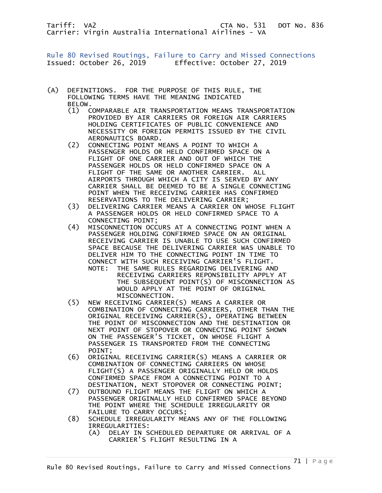Rule 80 Revised Routings, Failure to Carry and Missed Connections Issued: October 26, 2019 Effective: October 27, 2019

- (A) DEFINITIONS. FOR THE PURPOSE OF THIS RULE, THE FOLLOWING TERMS HAVE THE MEANING INDICATED BELOW.
	- (1) COMPARABLE AIR TRANSPORTATION MEANS TRANSPORTATION PROVIDED BY AIR CARRIERS OR FOREIGN AIR CARRIERS HOLDING CERTIFICATES OF PUBLIC CONVENIENCE AND NECESSITY OR FOREIGN PERMITS ISSUED BY THE CIVIL AERONAUTICS BOARD.
	- (2) CONNECTING POINT MEANS A POINT TO WHICH A PASSENGER HOLDS OR HELD CONFIRMED SPACE ON A FLIGHT OF ONE CARRIER AND OUT OF WHICH THE PASSENGER HOLDS OR HELD CONFIRMED SPACE ON A FLIGHT OF THE SAME OR ANOTHER CARRIER. ALL AIRPORTS THROUGH WHICH A CITY IS SERVED BY ANY CARRIER SHALL BE DEEMED TO BE A SINGLE CONNECTING POINT WHEN THE RECEIVING CARRIER HAS CONFIRMED RESERVATIONS TO THE DELIVERING CARRIER;
	- (3) DELIVERING CARRIER MEANS A CARRIER ON WHOSE FLIGHT A PASSENGER HOLDS OR HELD CONFIRMED SPACE TO A CONNECTING POINT;
	- (4) MISCONNECTION OCCURS AT A CONNECTING POINT WHEN A PASSENGER HOLDING CONFIRMED SPACE ON AN ORIGINAL RECEIVING CARRIER IS UNABLE TO USE SUCH CONFIRMED SPACE BECAUSE THE DELIVERING CARRIER WAS UNABLE TO DELIVER HIM TO THE CONNECTING POINT IN TIME TO CONNECT WITH SUCH RECEIVING CARRIER'S FLIGHT.
		- NOTE: THE SAME RULES REGARDING DELIVERING AND RECEIVING CARRIERS REPONSIBILITY APPLY AT THE SUBSEQUENT POINT(S) OF MISCONNECTION AS WOULD APPLY AT THE POINT OF ORIGINAL MISCONNECTION.
	- (5) NEW RECEIVING CARRIER(S) MEANS A CARRIER OR COMBINATION OF CONNECTING CARRIERS, OTHER THAN THE ORIGINAL RECEIVING CARRIER(S), OPERATING BETWEEN THE POINT OF MISCONNECTION AND THE DESTINATION OR NEXT POINT OF STOPOVER OR CONNECTING POINT SHOWN ON THE PASSENGER'S TICKET, ON WHOSE FLIGHT A PASSENGER IS TRANSPORTED FROM THE CONNECTING POINT;
	- (6) ORIGINAL RECEIVING CARRIER(S) MEANS A CARRIER OR COMBINATION OF CONNECTING CARRIERS ON WHOSE FLIGHT(S) A PASSENGER ORIGINALLY HELD OR HOLDS CONFIRMED SPACE FROM A CONNECTING POINT TO A DESTINATION, NEXT STOPOVER OR CONNECTING POINT;
	- (7) OUTBOUND FLIGHT MEANS THE FLIGHT ON WHICH A PASSENGER ORIGINALLY HELD CONFIRMED SPACE BEYOND THE POINT WHERE THE SCHEDULE IRREGULARITY OR
	- FAILURE TO CARRY OCCURS;<br>(8) SCHEDULE IRREGULARITY ME SCHEDULE IRREGULARITY MEANS ANY OF THE FOLLOWING IRREGULARITIES:
		- (A) DELAY IN SCHEDULED DEPARTURE OR ARRIVAL OF A CARRIER'S FLIGHT RESULTING IN A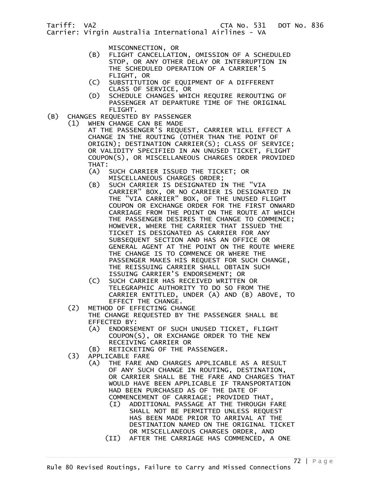- MISCONNECTION, OR<br>(B) FLIGHT CANCELLATI FLIGHT CANCELLATION, OMISSION OF A SCHEDULED STOP, OR ANY OTHER DELAY OR INTERRUPTION IN THE SCHEDULED OPERATION OF A CARRIER'S FLIGHT, OR
- (C) SUBSTITUTION OF EQUIPMENT OF A DIFFERENT CLASS OF SERVICE, OR
- (D) SCHEDULE CHANGES WHICH REQUIRE REROUTING OF PASSENGER AT DEPARTURE TIME OF THE ORIGINAL FLIGHT.
- (B) CHANGES REQUESTED BY PASSENGER
	- (1) WHEN CHANGE CAN BE MADE

 AT THE PASSENGER'S REQUEST, CARRIER WILL EFFECT A CHANGE IN THE ROUTING (OTHER THAN THE POINT OF ORIGIN); DESTINATION CARRIER(S); CLASS OF SERVICE; OR VALIDITY SPECIFIED IN AN UNUSED TICKET, FLIGHT COUPON(S), OR MISCELLANEOUS CHARGES ORDER PROVIDED THAT:<br>(A)

- SUCH CARRIER ISSUED THE TICKET; OR MISCELLANEOUS CHARGES ORDER;
- (B) SUCH CARRIER IS DESIGNATED IN THE "VIA CARRIER" BOX, OR NO CARRIER IS DESIGNATED IN THE "VIA CARRIER" BOX, OF THE UNUSED FLIGHT COUPON OR EXCHANGE ORDER FOR THE FIRST ONWARD CARRIAGE FROM THE POINT ON THE ROUTE AT WHICH THE PASSENGER DESIRES THE CHANGE TO COMMENCE; HOWEVER, WHERE THE CARRIER THAT ISSUED THE TICKET IS DESIGNATED AS CARRIER FOR ANY SUBSEQUENT SECTION AND HAS AN OFFICE OR GENERAL AGENT AT THE POINT ON THE ROUTE WHERE THE CHANGE IS TO COMMENCE OR WHERE THE PASSENGER MAKES HIS REQUEST FOR SUCH CHANGE, THE REISSUING CARRIER SHALL OBTAIN SUCH ISSUING CARRIER'S ENDORSEMENT; OR
- (C) SUCH CARRIER HAS RECEIVED WRITTEN OR TELEGRAPHIC AUTHORITY TO DO SO FROM THE CARRIER ENTITLED, UNDER (A) AND (B) ABOVE, TO EFFECT THE CHANGE.
- (2) METHOD OF EFFECTING CHANGE
	- THE CHANGE REQUESTED BY THE PASSENGER SHALL BE EFFECTED BY:
- (A) ENDORSEMENT OF SUCH UNUSED TICKET, FLIGHT COUPON(S), OR EXCHANGE ORDER TO THE NEW RECEIVING CARRIER OR
	- (B) RETICKETING OF THE PASSENGER.<br>(3) APPLICABLE FARE
	- (3) APPLICABLE FARE
		- (A) THE FARE AND CHARGES APPLICABLE AS A RESULT OF ANY SUCH CHANGE IN ROUTING, DESTINATION, OR CARRIER SHALL BE THE FARE AND CHARGES THAT WOULD HAVE BEEN APPLICABLE IF TRANSPORTATION HAD BEEN PURCHASED AS OF THE DATE OF COMMENCEMENT OF CARRIAGE; PROVIDED THAT,
			- (I) ADDITIONAL PASSAGE AT THE THROUGH FARE SHALL NOT BE PERMITTED UNLESS REQUEST HAS BEEN MADE PRIOR TO ARRIVAL AT THE DESTINATION NAMED ON THE ORIGINAL TICKET OR MISCELLANEOUS CHARGES ORDER, AND
			- (II) AFTER THE CARRIAGE HAS COMMENCED, A ONE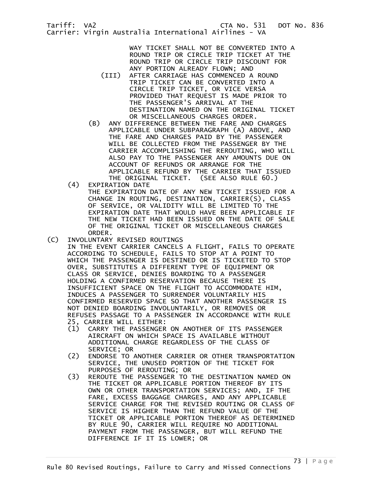> WAY TICKET SHALL NOT BE CONVERTED INTO A ROUND TRIP OR CIRCLE TRIP TICKET AT THE

ROUND TRIP OR CIRCLE TRIP DISCOUNT FOR ANY PORTION ALREADY FLOWN; AND (III) AFTER CARRIAGE HAS COMMENCED A ROUND TRIP TICKET CAN BE CONVERTED INTO A CIRCLE TRIP TICKET, OR VICE VERSA PROVIDED THAT REQUEST IS MADE PRIOR TO THE PASSENGER'S ARRIVAL AT THE DESTINATION NAMED ON THE ORIGINAL TICKET OR MISCELLANEOUS CHARGES ORDER.

- (B) ANY DIFFERENCE BETWEEN THE FARE AND CHARGES APPLICABLE UNDER SUBPARAGRAPH (A) ABOVE, AND THE FARE AND CHARGES PAID BY THE PASSENGER WILL BE COLLECTED FROM THE PASSENGER BY THE CARRIER ACCOMPLISHING THE REROUTING, WHO WILL ALSO PAY TO THE PASSENGER ANY AMOUNTS DUE ON ACCOUNT OF REFUNDS OR ARRANGE FOR THE APPLICABLE REFUND BY THE CARRIER THAT ISSUED THE ORIGINAL TICKET. (SEE ALSO RULE 60.)
- (4) EXPIRATION DATE

 THE EXPIRATION DATE OF ANY NEW TICKET ISSUED FOR A CHANGE IN ROUTING, DESTINATION, CARRIER(S), CLASS OF SERVICE, OR VALIDITY WILL BE LIMITED TO THE EXPIRATION DATE THAT WOULD HAVE BEEN APPLICABLE IF THE NEW TICKET HAD BEEN ISSUED ON THE DATE OF SALE OF THE ORIGINAL TICKET OR MISCELLANEOUS CHARGES ORDER.

- (C) INVOLUNTARY REVISED ROUTINGS IN THE EVENT CARRIER CANCELS A FLIGHT, FAILS TO OPERATE ACCORDING TO SCHEDULE, FAILS TO STOP AT A POINT TO WHICH THE PASSENGER IS DESTINED OR IS TICKETED TO STOP OVER, SUBSTITUTES A DIFFERENT TYPE OF EQUIPMENT OR CLASS OR SERVICE, DENIES BOARDING TO A PASSENGER HOLDING A CONFIRMED RESERVATION BECAUSE THERE IS INSUFFICIENT SPACE ON THE FLIGHT TO ACCOMMODATE HIM, INDUCES A PASSENGER TO SURRENDER VOLUNTARILY HIS CONFIRMED RESERVED SPACE SO THAT ANOTHER PASSENGER IS NOT DENIED BOARDING INVOLUNTARILY, OR REMOVES OR
	- REFUSES PASSAGE TO A PASSENGER IN ACCORDANCE WITH RULE 25, CARRIER WILL EITHER:
	- (1) CARRY THE PASSENGER ON ANOTHER OF ITS PASSENGER AIRCRAFT ON WHICH SPACE IS AVAILABLE WITHOUT ADDITIONAL CHARGE REGARDLESS OF THE CLASS OF SERVICE; OR<br>/ C2) ENDORSE TO
	- (2) ENDORSE TO ANOTHER CARRIER OR OTHER TRANSPORTATION SERVICE, THE UNUSED PORTION OF THE TICKET FOR
	- PURPOSES OF REROUTING; OR<br>C3) REROUTE THE PASSENGER TO REROUTE THE PASSENGER TO THE DESTINATION NAMED ON THE TICKET OR APPLICABLE PORTION THEREOF BY ITS OWN OR OTHER TRANSPORTATION SERVICES; AND, IF THE FARE, EXCESS BAGGAGE CHARGES, AND ANY APPLICABLE SERVICE CHARGE FOR THE REVISED ROUTING OR CLASS OF SERVICE IS HIGHER THAN THE REFUND VALUE OF THE TICKET OR APPLICABLE PORTION THEREOF AS DETERMINED BY RULE 90, CARRIER WILL REQUIRE NO ADDITIONAL PAYMENT FROM THE PASSENGER, BUT WILL REFUND THE DIFFERENCE IF IT IS LOWER; OR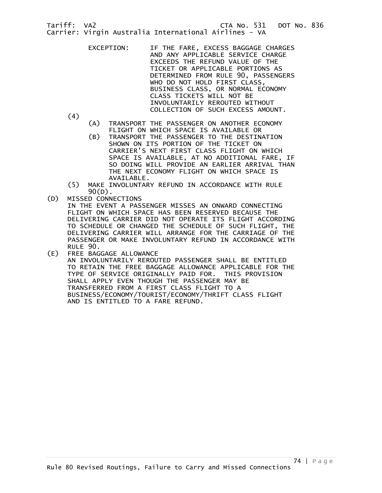> EXCEPTION: IF THE FARE, EXCESS BAGGAGE CHARGES AND ANY APPLICABLE SERVICE CHARGE EXCEEDS THE REFUND VALUE OF THE TICKET OR APPLICABLE PORTIONS AS DETERMINED FROM RULE 90, PASSENGERS WHO DO NOT HOLD FIRST CLASS, BUSINESS CLASS, OR NORMAL ECONOMY CLASS TICKETS WILL NOT BE INVOLUNTARILY REROUTED WITHOUT COLLECTION OF SUCH EXCESS AMOUNT.

(4)

- (A) TRANSPORT THE PASSENGER ON ANOTHER ECONOMY
- FLIGHT ON WHICH SPACE IS AVAILABLE OR<br>TRANSPORT THE PASSENGER TO THE DESTIN (B) TRANSPORT THE PASSENGER TO THE DESTINATION SHOWN ON ITS PORTION OF THE TICKET ON CARRIER'S NEXT FIRST CLASS FLIGHT ON WHICH SPACE IS AVAILABLE, AT NO ADDITIONAL FARE, IF SO DOING WILL PROVIDE AN EARLIER ARRIVAL THAN THE NEXT ECONOMY FLIGHT ON WHICH SPACE IS AVAILABLE.
- (5) MAKE INVOLUNTARY REFUND IN ACCORDANCE WITH RULE
- .(D) 90<br>D) MISSED CONN) MISSED CONNECTIONS

 IN THE EVENT A PASSENGER MISSES AN ONWARD CONNECTING FLIGHT ON WHICH SPACE HAS BEEN RESERVED BECAUSE THE DELIVERING CARRIER DID NOT OPERATE ITS FLIGHT ACCORDING TO SCHEDULE OR CHANGED THE SCHEDULE OF SUCH FLIGHT, THE DELIVERING CARRIER WILL ARRANGE FOR THE CARRIAGE OF THE PASSENGER OR MAKE INVOLUNTARY REFUND IN ACCORDANCE WITH RULE 90.

(E) FREE BAGGAGE ALLOWANCE AN INVOLUNTARILY REROUTED PASSENGER SHALL BE ENTITLED TO RETAIN THE FREE BAGGAGE ALLOWANCE APPLICABLE FOR THE TYPE OF SERVICE ORIGINALLY PAID FOR. THIS PROVISION SHALL APPLY EVEN THOUGH THE PASSENGER MAY BE TRANSFERRED FROM A FIRST CLASS FLIGHT TO A BUSINESS/ECONOMY/TOURIST/ECONOMY/THRIFT CLASS FLIGHT AND IS ENTITLED TO A FARE REFUND.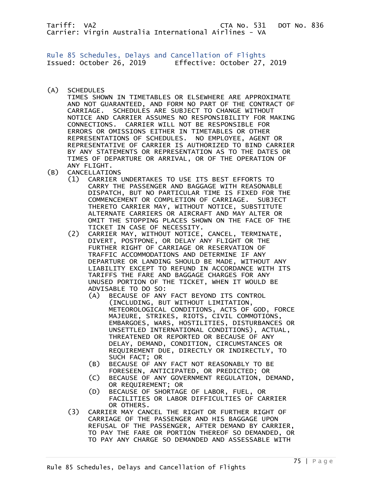Rule 85 Schedules, Delays and Cancellation of Flights Issued: October 26, 2019 Effective: October 27, 2019

(A) SCHEDULES

 TIMES SHOWN IN TIMETABLES OR ELSEWHERE ARE APPROXIMATE AND NOT GUARANTEED, AND FORM NO PART OF THE CONTRACT OF CARRIAGE. SCHEDULES ARE SUBJECT TO CHANGE WITHOUT NOTICE AND CARRIER ASSUMES NO RESPONSIBILITY FOR MAKING CONNECTIONS. CARRIER WILL NOT BE RESPONSIBLE FOR ERRORS OR OMISSIONS EITHER IN TIMETABLES OR OTHER REPRESENTATIONS OF SCHEDULES. NO EMPLOYEE, AGENT OR REPRESENTATIVE OF CARRIER IS AUTHORIZED TO BIND CARRIER BY ANY STATEMENTS OR REPRESENTATION AS TO THE DATES OR TIMES OF DEPARTURE OR ARRIVAL, OR OF THE OPERATION OF ANY FLIGHT.

- (B) CANCELLATIONS
	- (1) CARRIER UNDERTAKES TO USE ITS BEST EFFORTS TO CARRY THE PASSENGER AND BAGGAGE WITH REASONABLE DISPATCH, BUT NO PARTICULAR TIME IS FIXED FOR THE COMMENCEMENT OR COMPLETION OF CARRIAGE. SUBJECT THERETO CARRIER MAY, WITHOUT NOTICE, SUBSTITUTE ALTERNATE CARRIERS OR AIRCRAFT AND MAY ALTER OR OMIT THE STOPPING PLACES SHOWN ON THE FACE OF THE TICKET IN CASE OF NECESSITY.<br>.CARRIER MAY. WITHOUT NOTICE
	- (2) CARRIER MAY, WITHOUT NOTICE, CANCEL, TERMINATE, DIVERT, POSTPONE, OR DELAY ANY FLIGHT OR THE FURTHER RIGHT OF CARRIAGE OR RESERVATION OF TRAFFIC ACCOMMODATIONS AND DETERMINE IF ANY DEPARTURE OR LANDING SHOULD BE MADE, WITHOUT ANY LIABILITY EXCEPT TO REFUND IN ACCORDANCE WITH ITS TARIFFS THE FARE AND BAGGAGE CHARGES FOR ANY UNUSED PORTION OF THE TICKET, WHEN IT WOULD BE ADVISABLE TO DO SO:
		- (A) BECAUSE OF ANY FACT BEYOND ITS CONTROL (INCLUDING, BUT WITHOUT LIMITATION, METEOROLOGICAL CONDITIONS, ACTS OF GOD, FORCE MAJEURE, STRIKES, RIOTS, CIVIL COMMOTIONS, EMBARGOES, WARS, HOSTILITIES, DISTURBANCES OR UNSETTLED INTERNATIONAL CONDITIONS), ACTUAL, THREATENED OR REPORTED OR BECAUSE OF ANY DELAY, DEMAND, CONDITION, CIRCUMSTANCES OR REQUIREMENT DUE, DIRECTLY OR INDIRECTLY, TO SUCH FACT; OR
		- (B) BECAUSE OF ANY FACT NOT REASONABLY TO BE FORESEEN, ANTICIPATED, OR PREDICTED; OR
		- (C) BECAUSE OF ANY GOVERNMENT REGULATION, DEMAND, OR REQUIREMENT; OR
		- (D) BECAUSE OF SHORTAGE OF LABOR, FUEL, OR FACILITIES OR LABOR DIFFICULTIES OF CARRIER OR OTHERS.
	- (3) CARRIER MAY CANCEL THE RIGHT OR FURTHER RIGHT OF CARRIAGE OF THE PASSENGER AND HIS BAGGAGE UPON REFUSAL OF THE PASSENGER, AFTER DEMAND BY CARRIER, TO PAY THE FARE OR PORTION THEREOF SO DEMANDED, OR TO PAY ANY CHARGE SO DEMANDED AND ASSESSABLE WITH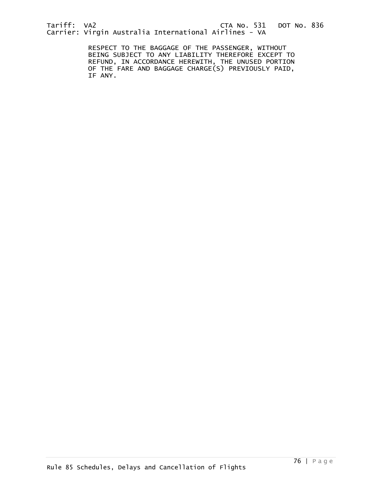RESPECT TO THE BAGGAGE OF THE PASSENGER, WITHOUT BEING SUBJECT TO ANY LIABILITY THEREFORE EXCEPT TO REFUND, IN ACCORDANCE HEREWITH, THE UNUSED PORTION OF THE FARE AND BAGGAGE CHARGE(S) PREVIOUSLY PAID, IF ANY.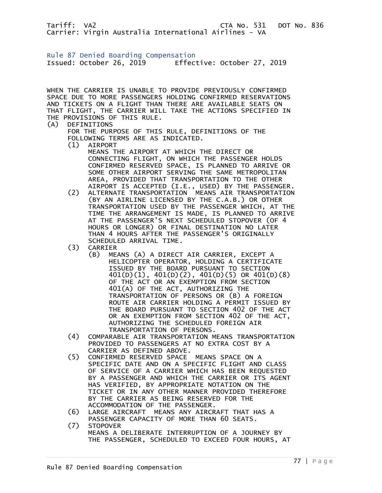Rule 87 Denied Boarding Compensation Issued: October 26, 2019 Effective: October 27, 2019

WHEN THE CARRIER IS UNABLE TO PROVIDE PREVIOUSLY CONFIRMED SPACE DUE TO MORE PASSENGERS HOLDING CONFIRMED RESERVATIONS AND TICKETS ON A FLIGHT THAN THERE ARE AVAILABLE SEATS ON THAT FLIGHT, THE CARRIER WILL TAKE THE ACTIONS SPECIFIED IN THE PROVISIONS OF THIS RULE.

## (A) DEFINITIONS

 FOR THE PURPOSE OF THIS RULE, DEFINITIONS OF THE FOLLOWING TERMS ARE AS INDICATED.

(1) AIRPORT

 MEANS THE AIRPORT AT WHICH THE DIRECT OR CONNECTING FLIGHT, ON WHICH THE PASSENGER HOLDS CONFIRMED RESERVED SPACE, IS PLANNED TO ARRIVE OR SOME OTHER AIRPORT SERVING THE SAME METROPOLITAN AREA, PROVIDED THAT TRANSPORTATION TO THE OTHER AIRPORT IS ACCEPTED (I.E., USED) BY THE PASSENGER.<br>ALTERNATE TRANSPORTATION MEANS AIR TRANSPORTATION

- (2) ALTERNATE TRANSPORTATION MEANS AIR TRANSPORTATION (BY AN AIRLINE LICENSED BY THE C.A.B.) OR OTHER TRANSPORTATION USED BY THE PASSENGER WHICH, AT THE TIME THE ARRANGEMENT IS MADE, IS PLANNED TO ARRIVE AT THE PASSENGER'S NEXT SCHEDULED STOPOVER (OF 4 HOURS OR LONGER) OR FINAL DESTINATION NO LATER THAN 4 HOURS AFTER THE PASSENGER'S ORIGINALLY SCHEDULED ARRIVAL TIME.
	- (3) CARRIER
		- (B) MEANS (A) A DIRECT AIR CARRIER, EXCEPT A HELICOPTER OPERATOR, HOLDING A CERTIFICATE ISSUED BY THE BOARD PURSUANT TO SECTION 401(D)(1), 401(D)(2), 401(D)(5) OR 401(D)(8) OF THE ACT OR AN EXEMPTION FROM SECTION 401(A) OF THE ACT, AUTHORIZING THE TRANSPORTATION OF PERSONS OR (B) A FOREIGN ROUTE AIR CARRIER HOLDING A PERMIT ISSUED BY THE BOARD PURSUANT TO SECTION 402 OF THE ACT OR AN EXEMPTION FROM SECTION 402 OF THE ACT, AUTHORIZING THE SCHEDULED FOREIGN AIR TRANSPORTATION OF PERSONS.
	- (4) COMPARABLE AIR TRANSPORTATION MEANS TRANSPORTATION PROVIDED TO PASSENGERS AT NO EXTRA COST BY A CARRIER AS DEFINED ABOVE.
	- (5) CONFIRMED RESERVED SPACE MEANS SPACE ON A SPECIFIC DATE AND ON A SPECIFIC FLIGHT AND CLASS OF SERVICE OF A CARRIER WHICH HAS BEEN REQUESTED BY A PASSENGER AND WHICH THE CARRIER OR ITS AGENT HAS VERIFIED, BY APPROPRIATE NOTATION ON THE TICKET OR IN ANY OTHER MANNER PROVIDED THEREFORE BY THE CARRIER AS BEING RESERVED FOR THE ACCOMMODATION OF THE PASSENGER.
	- (6) LARGE AIRCRAFT MEANS ANY AIRCRAFT THAT HAS A PASSENGER CAPACITY OF MORE THAN 60 SEATS.<br>(7) STOPOVER
	- STOPOVER MEANS A DELIBERATE INTERRUPTION OF A JOURNEY BY THE PASSENGER, SCHEDULED TO EXCEED FOUR HOURS, AT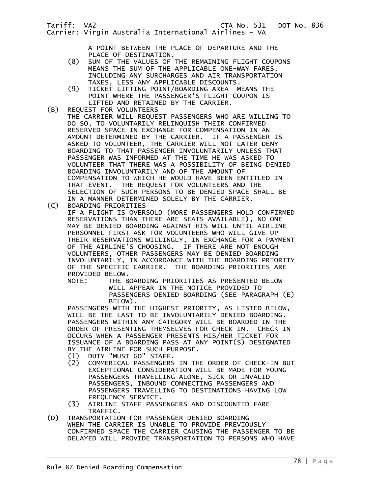A POINT BETWEEN THE PLACE OF DEPARTURE AND THE

- PLACE OF DESTINATION.<br>(8) SUM OF THE VALUES OF SUM OF THE VALUES OF THE REMAINING FLIGHT COUPONS MEANS THE SUM OF THE APPLICABLE ONE-WAY FARES, INCLUDING ANY SURCHARGES AND AIR TRANSPORTATION
- TAXES, LESS ANY APPLICABLE DISCOUNTS.<br>TICKET LIFTING POINT/BOARDING AREA M (9) TICKET LIFTING POINT/BOARDING AREA MEANS THE POINT WHERE THE PASSENGER'S FLIGHT COUPON IS LIFTED AND RETAINED BY THE CARRIER.<br>(B) REQUEST FOR VOLUNTEERS
- REQUEST FOR VOLUNTEERS THE CARRIER WILL REQUEST PASSENGERS WHO ARE WILLING TO DO SO, TO VOLUNTARILY RELINQUISH THEIR CONFIRMED RESERVED SPACE IN EXCHANGE FOR COMPENSATION IN AN AMOUNT DETERMINED BY THE CARRIER. IF A PASSENGER IS ASKED TO VOLUNTEER, THE CARRIER WILL NOT LATER DENY BOARDING TO THAT PASSENGER INVOLUNTARILY UNLESS THAT PASSENGER WAS INFORMED AT THE TIME HE WAS ASKED TO VOLUNTEER THAT THERE WAS A POSSIBILITY OF BEING DENIED BOARDING INVOLUNTARILY AND OF THE AMOUNT OF COMPENSATION TO WHICH HE WOULD HAVE BEEN ENTITLED IN THAT EVENT. THE REQUEST FOR VOLUNTEERS AND THE SELECTION OF SUCH PERSONS TO BE DENIED SPACE SHALL BE IN A MANNER DETERMINED SOLELY BY THE CARRIER.<br>(C) BOARDING PRIORITIES
	- (C) BOARDING PRIORITIES IF A FLIGHT IS OVERSOLD (MORE PASSENGERS HOLD CONFIRMED RESERVATIONS THAN THERE ARE SEATS AVAILABLE), NO ONE MAY BE DENIED BOARDING AGAINST HIS WILL UNTIL AIRLINE PERSONNEL FIRST ASK FOR VOLUNTEERS WHO WILL GIVE UP THEIR RESERVATIONS WILLINGLY, IN EXCHANGE FOR A PAYMENT OF THE AIRLINE'S CHOOSING. IF THERE ARE NOT ENOUGH VOLUNTEERS, OTHER PASSENGERS MAY BE DENIED BOARDING INVOLUNTARILY, IN ACCORDANCE WITH THE BOARDING PRIORITY OF THE SPECIFIC CARRIER. THE BOARDING PRIORITIES ARE PROVIDED BELOW.
		- NOTE: THE BOARDING PRIORITIES AS PRESENTED BELOW WILL APPEAR IN THE NOTICE PROVIDED TO PASSENGERS DENIED BOARDING (SEE PARAGRAPH (E) BELOW).

 PASSENGERS WITH THE HIGHEST PRIORITY, AS LISTED BELOW, WILL BE THE LAST TO BE INVOLUNTARILY DENIED BOARDING. PASSENGERS WITHIN ANY CATEGORY WILL BE BOARDED IN THE ORDER OF PRESENTING THEMSELVES FOR CHECK-IN. CHECK-IN OCCURS WHEN A PASSENGER PRESENTS HIS/HER TICKET FOR ISSUANCE OF A BOARDING PASS AT ANY POINT(S) DESIGNATED BY THE AIRLINE FOR SUCH PURPOSE.<br>(1) DUTY "MUST GO" STAFF.

- (1) DUTY "MUST GO" STAFF.
- (2) COMMERICAL PASSENGERS IN THE ORDER OF CHECK-IN BUT EXCEPTIONAL CONSIDERATION WILL BE MADE FOR YOUNG PASSENGERS TRAVELLING ALONE, SICK OR INVALID PASSENGERS, INBOUND CONNECTING PASSENGERS AND PASSENGERS TRAVELLING TO DESTINATIONS HAVING LOW FREQUENCY SERVICE.<br>(3) AIRLINE STAFF PASS
	- AIRLINE STAFF PASSENGERS AND DISCOUNTED FARE
- TRAFFIC.<br>D) TRANSPORTATIO TRANSPORTATION FOR PASSENGER DENIED BOARDING WHEN THE CARRIER IS UNABLE TO PROVIDE PREVIOUSLY CONFIRMED SPACE THE CARRIER CAUSING THE PASSENGER TO BE DELAYED WILL PROVIDE TRANSPORTATION TO PERSONS WHO HAVE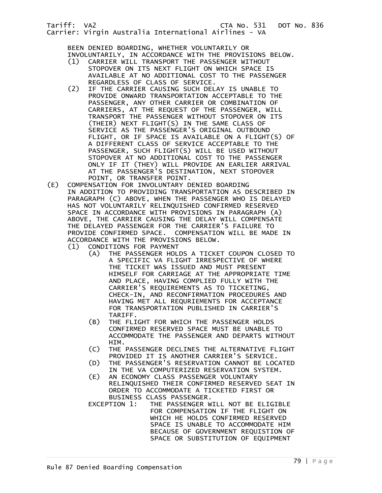BEEN DENIED BOARDING, WHETHER VOLUNTARILY OR INVOLUNTARILY, IN ACCORDANCE WITH THE PROVISIONS BELOW.

- (1) CARRIER WILL TRANSPORT THE PASSENGER WITHOUT STOPOVER ON ITS NEXT FLIGHT ON WHICH SPACE IS AVAILABLE AT NO ADDITIONAL COST TO THE PASSENGER
- REGARDLESS OF CLASS OF SERVICE.<br>IF THE CARRIER CAUSING SUCH DEL IF THE CARRIER CAUSING SUCH DELAY IS UNABLE TO PROVIDE ONWARD TRANSPORTATION ACCEPTABLE TO THE PASSENGER, ANY OTHER CARRIER OR COMBINATION OF CARRIERS, AT THE REQUEST OF THE PASSENGER, WILL TRANSPORT THE PASSENGER WITHOUT STOPOVER ON ITS (THEIR) NEXT FLIGHT(S) IN THE SAME CLASS OF SERVICE AS THE PASSENGER'S ORIGINAL OUTBOUND FLIGHT, OR IF SPACE IS AVAILABLE ON A FLIGHT(S) OF A DIFFERENT CLASS OF SERVICE ACCEPTABLE TO THE PASSENGER, SUCH FLIGHT(S) WILL BE USED WITHOUT STOPOVER AT NO ADDITIONAL COST TO THE PASSENGER ONLY IF IT (THEY) WILL PROVIDE AN EARLIER ARRIVAL AT THE PASSENGER'S DESTINATION, NEXT STOPOVER POINT, OR TRANSFER POINT.<br>(E) COMPENSATION FOR INVOLUNTARY D
- (E) COMPENSATION FOR INVOLUNTARY DENIED BOARDING IN ADDITION TO PROVIDING TRANSPORTATION AS DESCRIBED IN PARAGRAPH (C) ABOVE, WHEN THE PASSENGER WHO IS DELAYED HAS NOT VOLUNTARILY RELINQUISHED CONFIRMED RESERVED SPACE IN ACCORDANCE WITH PROVISIONS IN PARAGRAPH (A) ABOVE, THE CARRIER CAUSING THE DELAY WILL COMPENSATE THE DELAYED PASSENGER FOR THE CARRIER'S FAILURE TO PROVIDE CONFIRMED SPACE. COMPENSATION WILL BE MADE IN ACCORDANCE WITH THE PROVISIONS BELOW.
	- (1) CONDITIONS FOR PAYMENT<br>(A) THE PASSENGER HOL THE PASSENGER HOLDS A TICKET COUPON CLOSED TO A SPECIFIC VA FLIGHT IRRESPECTIVE OF WHERE THE TICKET WAS ISSUED AND MUST PRESENT HIMSELF FOR CARRIAGE AT THE APPROPRIATE TIME AND PLACE, HAVING COMPLIED FULLY WITH THE CARRIER'S REQUIREMENTS AS TO TICKETING, CHECK-IN, AND RECONFIRMATION PROCEDURES AND HAVING MET ALL REQURIEMENTS FOR ACCEPTANCE FOR TRANSPORTATION PUBLISHED IN CARRIER'S TARIFF.
		- (B) THE FLIGHT FOR WHICH THE PASSENGER HOLDS CONFIRMED RESERVED SPACE MUST BE UNABLE TO ACCOMMODATE THE PASSENGER AND DEPARTS WITHOUT HIM.
		- (C) THE PASSENGER DECLINES THE ALTERNATIVE FLIGHT PROVIDED IT IS ANOTHER CARRIER'S SERVICE.
		- (D) THE PASSENGER'S RESERVATION CANNOT BE LOCATED IN THE VA COMPUTERIZED RESERVATION SYSTEM.<br>(E) AN ECONOMY CLASS PASSENGER VOLUNTARY
		- AN ECONOMY CLASS PASSENGER VOLUNTARY RELINQUISHED THEIR CONFIRMED RESERVED SEAT IN ORDER TO ACCOMMODATE A TICKETED FIRST OR BUSINESS CLASS PASSENGER.
		- EXCEPTION 1: THE PASSENGER WILL NOT BE ELIGIBLE FOR COMPENSATION IF THE FLIGHT ON WHICH HE HOLDS CONFIRMED RESERVED SPACE IS UNABLE TO ACCOMMODATE HIM BECAUSE OF GOVERNMENT REQUISTION OF SPACE OR SUBSTITUTION OF EQUIPMENT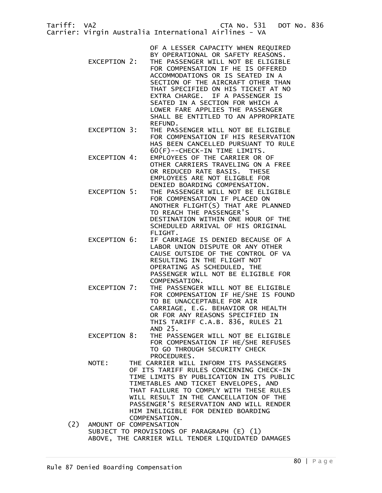| Tariff: VA2                   | CTA No. 531 DOT No. 836<br>Carrier: Virgin Australia International Airlines - VA                                                                                                                                                                                                                                                                                                                                    |
|-------------------------------|---------------------------------------------------------------------------------------------------------------------------------------------------------------------------------------------------------------------------------------------------------------------------------------------------------------------------------------------------------------------------------------------------------------------|
| EXCEPTION 2:                  | OF A LESSER CAPACITY WHEN REQUIRED<br>BY OPERATIONAL OR SAFETY REASONS.<br>THE PASSENGER WILL NOT BE ELIGIBLE<br>FOR COMPENSATION IF HE IS OFFERED<br>ACCOMMODATIONS OR IS SEATED IN A<br>SECTION OF THE AIRCRAFT OTHER THAN<br>THAT SPECIFIED ON HIS TICKET AT NO<br>EXTRA CHARGE. IF A PASSENGER IS<br>SEATED IN A SECTION FOR WHICH A<br>LOWER FARE APPLIES THE PASSENGER<br>SHALL BE ENTITLED TO AN APPROPRIATE |
| EXCEPTION 3:                  | REFUND.<br>THE PASSENGER WILL NOT BE ELIGIBLE<br>FOR COMPENSATION IF HIS RESERVATION<br>HAS BEEN CANCELLED PURSUANT TO RULE                                                                                                                                                                                                                                                                                         |
| EXCEPTION 4:                  | 60(F)--CHECK-IN TIME LIMITS.<br>EMPLOYEES OF THE CARRIER OR OF<br>OTHER CARRIERS TRAVELING ON A FREE<br>OR REDUCED RATE BASIS. THESE<br>EMPLOYEES ARE NOT ELIGBLE FOR                                                                                                                                                                                                                                               |
| EXCEPTION 5:                  | DENIED BOARDING COMPENSATION.<br>THE PASSENGER WILL NOT BE ELIGIBLE<br>FOR COMPENSATION IF PLACED ON<br>ANOTHER FLIGHT(S) THAT ARE PLANNED<br>TO REACH THE PASSENGER'S<br>DESTINATION WITHIN ONE HOUR OF THE<br>SCHEDULED ARRIVAL OF HIS ORIGINAL                                                                                                                                                                   |
| EXCEPTION 6:                  | FLIGHT.<br>IF CARRIAGE IS DENIED BECAUSE OF A<br>LABOR UNION DISPUTE OR ANY OTHER<br>CAUSE OUTSIDE OF THE CONTROL OF VA<br>RESULTING IN THE FLIGHT NOT<br>OPERATING AS SCHEDULED, THE<br>PASSENGER WILL NOT BE ELIGIBLE FOR<br>COMPENSATION.                                                                                                                                                                        |
| EXCEPTION 7:                  | THE PASSENGER WILL NOT BE ELIGIBLE<br>FOR COMPENSATION IF HE/SHE IS FOUND<br>TO BE UNACCEPTABLE FOR AIR<br>CARRIAGE, E.G. BEHAVIOR OR HEALTH<br>OR FOR ANY REASONS SPECIFIED IN<br>THIS TARIFF C.A.B. 836, RULES 21<br>AND 25.                                                                                                                                                                                      |
| EXCEPTION 8:                  | THE PASSENGER WILL NOT BE ELIGIBLE<br>FOR COMPENSATION IF HE/SHE REFUSES<br>TO GO THROUGH SECURITY CHECK<br>PROCEDURES.                                                                                                                                                                                                                                                                                             |
| NOTE:                         | THE CARRIER WILL INFORM ITS PASSENGERS<br>OF ITS TARIFF RULES CONCERNING CHECK-IN<br>TIME LIMITS BY PUBLICATION IN ITS PUBLIC<br>TIMETABLES AND TICKET ENVELOPES, AND<br>THAT FAILURE TO COMPLY WITH THESE RULES<br>WILL RESULT IN THE CANCELLATION OF THE<br>PASSENGER'S RESERVATION AND WILL RENDER<br>HIM INELIGIBLE FOR DENIED BOARDING                                                                         |
| (2)<br>AMOUNT OF COMPENSATION | COMPENSATION.<br>SUBJECT TO PROVISIONS OF PARAGRAPH (E) (1)<br>ABOVE, THE CARRIER WILL TENDER LIQUIDATED DAMAGES                                                                                                                                                                                                                                                                                                    |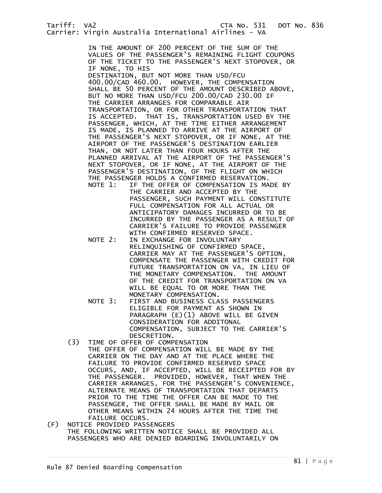IN THE AMOUNT OF 200 PERCENT OF THE SUM OF THE VALUES OF THE PASSENGER'S REMAINING FLIGHT COUPONS OF THE TICKET TO THE PASSENGER'S NEXT STOPOVER, OR IF NONE, TO HIS

 DESTINATION, BUT NOT MORE THAN USD/FCU 400.00/CAD 460.00. HOWEVER, THE COMPENSATION SHALL BE 50 PERCENT OF THE AMOUNT DESCRIBED ABOVE, BUT NO MORE THAN USD/FCU 200.00/CAD 230.00 IF THE CARRIER ARRANGES FOR COMPARABLE AIR TRANSPORTATION, OR FOR OTHER TRANSPORTATION THAT IS ACCEPTED. THAT IS, TRANSPORTATION USED BY THE PASSENGER, WHICH, AT THE TIME EITHER ARRANGEMENT IS MADE, IS PLANNED TO ARRIVE AT THE AIRPORT OF THE PASSENGER'S NEXT STOPOVER, OR IF NONE, AT THE AIRPORT OF THE PASSENGER'S DESTINATION EARLIER THAN, OR NOT LATER THAN FOUR HOURS AFTER THE PLANNED ARRIVAL AT THE AIRPORT OF THE PASSENGER'S NEXT STOPOVER, OR IF NONE, AT THE AIRPORT OF THE PASSENGER'S DESTINATION, OF THE FLIGHT ON WHICH THE PASSENGER HOLDS A CONFIRMED RESERVATION.<br>NOTE 1: IF THE OFFER OF COMPENSATION IS MA

- IF THE OFFER OF COMPENSATION IS MADE BY THE CARRIER AND ACCEPTED BY THE PASSENGER, SUCH PAYMENT WILL CONSTITUTE FULL COMPENSATION FOR ALL ACTUAL OR ANTICIPATORY DAMAGES INCURRED OR TO BE INCURRED BY THE PASSENGER AS A RESULT OF CARRIER'S FAILURE TO PROVIDE PASSENGER WITH CONFIRMED RESERVED SPACE.
- NOTE 2: IN EXCHANGE FOR INVOLUNTARY RELINQUISHING OF CONFIRMED SPACE, CARRIER MAY AT THE PASSENGER'S OPTION, COMPENSATE THE PASSENGER WITH CREDIT FOR FUTURE TRANSPORTATION ON VA, IN LIEU OF THE MONETARY COMPENSATION. THE AMOUNT OF THE CREDIT FOR TRANSPORTATION ON VA WILL BE EQUAL TO OR MORE THAN THE MONETARY COMPENSATION.
- NOTE 3: FIRST AND BUSINESS CLASS PASSENGERS ELIGIBLE FOR PAYMENT AS SHOWN IN PARAGRAPH (E)(1) ABOVE WILL BE GIVEN CONSIDERATION FOR ADDITONAL COMPENSATION, SUBJECT TO THE CARRIER'S DESCRETION.
- (3) TIME OF OFFER OF COMPENSATION THE OFFER OF COMPENSATION WILL BE MADE BY THE CARRIER ON THE DAY AND AT THE PLACE WHERE THE FAILURE TO PROVIDE CONFIRMED RESERVED SPACE OCCURS, AND, IF ACCEPTED, WILL BE RECEIPTED FOR BY THE PASSENGER. PROVIDED, HOWEVER, THAT WHEN THE CARRIER ARRANGES, FOR THE PASSENGER'S CONVENIENCE, ALTERNATE MEANS OF TRANSPORTATION THAT DEPARTS PRIOR TO THE TIME THE OFFER CAN BE MADE TO THE PASSENGER, THE OFFER SHALL BE MADE BY MAIL OR OTHER MEANS WITHIN 24 HOURS AFTER THE TIME THE
- FAILURE OCCURS.<br>F) NOTICE PROVIDED PASS NOTICE PROVIDED PASSENGERS THE FOLLOWING WRITTEN NOTICE SHALL BE PROVIDED ALL PASSENGERS WHO ARE DENIED BOARDING INVOLUNTARILY ON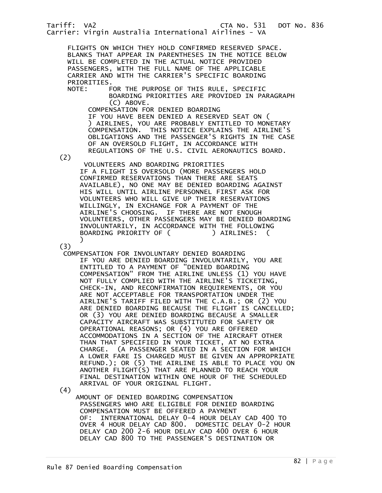FLIGHTS ON WHICH THEY HOLD CONFIRMED RESERVED SPACE. BLANKS THAT APPEAR IN PARENTHESES IN THE NOTICE BELOW WILL BE COMPLETED IN THE ACTUAL NOTICE PROVIDED PASSENGERS, WITH THE FULL NAME OF THE APPLICABLE CARRIER AND WITH THE CARRIER'S SPECIFIC BOARDING PRIORITIES.<br>NOTE: F

FOR THE PURPOSE OF THIS RULE, SPECIFIC BOARDING PRIORITIES ARE PROVIDED IN PARAGRAPH (C) ABOVE.

 COMPENSATION FOR DENIED BOARDING IF YOU HAVE BEEN DENIED A RESERVED SEAT ON ( ) AIRLINES, YOU ARE PROBABLY ENTITLED TO MONETARY COMPENSATION. THIS NOTICE EXPLAINS THE AIRLINE'S OBLIGATIONS AND THE PASSENGER'S RIGHTS IN THE CASE OF AN OVERSOLD FLIGHT, IN ACCORDANCE WITH REGULATIONS OF THE U.S. CIVIL AERONAUTICS BOARD.

(2)

 VOLUNTEERS AND BOARDING PRIORITIES IF A FLIGHT IS OVERSOLD (MORE PASSENGERS HOLD CONFIRMED RESERVATIONS THAN THERE ARE SEATS AVAILABLE), NO ONE MAY BE DENIED BOARDING AGAINST HIS WILL UNTIL AIRLINE PERSONNEL FIRST ASK FOR VOLUNTEERS WHO WILL GIVE UP THEIR RESERVATIONS WILLINGLY, IN EXCHANGE FOR A PAYMENT OF THE AIRLINE'S CHOOSING. IF THERE ARE NOT ENOUGH VOLUNTEERS, OTHER PASSENGERS MAY BE DENIED BOARDING INVOLUNTARILY, IN ACCORDANCE WITH THE FOLLOWING BOARDING PRIORITY OF ( ) AIRLINES: (  $\overline{\phantom{a}}$ 

(3)

 COMPENSATION FOR INVOLUNTARY DENIED BOARDING IF YOU ARE DENIED BOARDING INVOLUNTARILY, YOU ARE ENTITLED TO A PAYMENT OF "DENIED BOARDING COMPENSATION" FROM THE AIRLINE UNLESS (1) YOU HAVE NOT FULLY COMPLIED WITH THE AIRLINE'S TICKETING, CHECK-IN, AND RECONFIRMATION REQUIREMENTS, OR YOU ARE NOT ACCEPTABLE FOR TRANSPORTATION UNDER THE AIRLINE'S TARIFF FILED WITH THE C.A.B.; OR (2) YOU ARE DENIED BOARDING BECAUSE THE FLIGHT IS CANCELLED; OR (3) YOU ARE DENIED BOARDING BECAUSE A SMALLER CAPACITY AIRCRAFT WAS SUBSTITUTED FOR SAFETY OR OPERATIONAL REASONS; OR (4) YOU ARE OFFERED ACCOMMODATIONS IN A SECTION OF THE AIRCRAFT OTHER THAN THAT SPECIFIED IN YOUR TICKET, AT NO EXTRA CHARGE. (A PASSENGER SEATED IN A SECTION FOR WHICH A LOWER FARE IS CHARGED MUST BE GIVEN AN APPROPRIATE REFUND.); OR (5) THE AIRLINE IS ABLE TO PLACE YOU ON ANOTHER FLIGHT(S) THAT ARE PLANNED TO REACH YOUR FINAL DESTINATION WITHIN ONE HOUR OF THE SCHEDULED ARRIVAL OF YOUR ORIGINAL FLIGHT.

(4)

 AMOUNT OF DENIED BOARDING COMPENSATION PASSENGERS WHO ARE ELIGIBLE FOR DENIED BOARDING COMPENSATION MUST BE OFFERED A PAYMENT OF: INTERNATIONAL DELAY 0-4 HOUR DELAY CAD 400 TO OVER 4 HOUR DELAY CAD 800. DOMESTIC DELAY 0-2 HOUR DELAY CAD 200 2-6 HOUR DELAY CAD 400 OVER 6 HOUR DELAY CAD 800 TO THE PASSENGER'S DESTINATION OR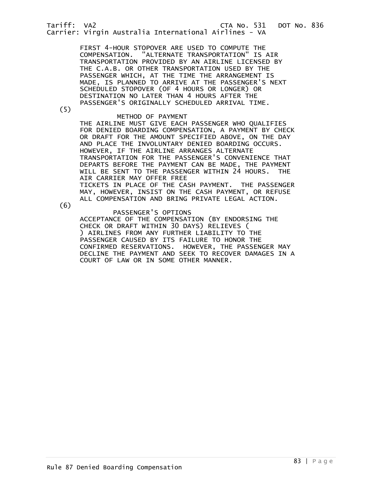FIRST 4-HOUR STOPOVER ARE USED TO COMPUTE THE COMPENSATION. "ALTERNATE TRANSPORTATION" IS AIR TRANSPORTATION PROVIDED BY AN AIRLINE LICENSED BY THE C.A.B. OR OTHER TRANSPORTATION USED BY THE PASSENGER WHICH, AT THE TIME THE ARRANGEMENT IS MADE, IS PLANNED TO ARRIVE AT THE PASSENGER'S NEXT SCHEDULED STOPOVER (OF 4 HOURS OR LONGER) OR DESTINATION NO LATER THAN 4 HOURS AFTER THE PASSENGER'S ORIGINALLY SCHEDULED ARRIVAL TIME.

(5)

## METHOD OF PAYMENT

 THE AIRLINE MUST GIVE EACH PASSENGER WHO QUALIFIES FOR DENIED BOARDING COMPENSATION, A PAYMENT BY CHECK OR DRAFT FOR THE AMOUNT SPECIFIED ABOVE, ON THE DAY AND PLACE THE INVOLUNTARY DENIED BOARDING OCCURS. HOWEVER, IF THE AIRLINE ARRANGES ALTERNATE TRANSPORTATION FOR THE PASSENGER'S CONVENIENCE THAT DEPARTS BEFORE THE PAYMENT CAN BE MADE, THE PAYMENT WILL BE SENT TO THE PASSENGER WITHIN 24 HOURS. THE AIR CARRIER MAY OFFER FREE TICKETS IN PLACE OF THE CASH PAYMENT. THE PASSENGER MAY, HOWEVER, INSIST ON THE CASH PAYMENT, OR REFUSE ALL COMPENSATION AND BRING PRIVATE LEGAL ACTION.

(6)

 PASSENGER'S OPTIONS ACCEPTANCE OF THE COMPENSATION (BY ENDORSING THE CHECK OR DRAFT WITHIN 30 DAYS) RELIEVES ( ) AIRLINES FROM ANY FURTHER LIABILITY TO THE PASSENGER CAUSED BY ITS FAILURE TO HONOR THE CONFIRMED RESERVATIONS. HOWEVER, THE PASSENGER MAY DECLINE THE PAYMENT AND SEEK TO RECOVER DAMAGES IN A COURT OF LAW OR IN SOME OTHER MANNER.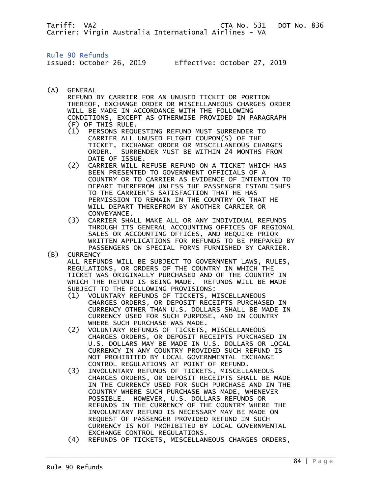Rule 90 Refunds

Issued: October 26, 2019 Effective: October 27, 2019

(A) GENERAL

 REFUND BY CARRIER FOR AN UNUSED TICKET OR PORTION THEREOF, EXCHANGE ORDER OR MISCELLANEOUS CHARGES ORDER WILL BE MADE IN ACCORDANCE WITH THE FOLLOWING CONDITIONS, EXCEPT AS OTHERWISE PROVIDED IN PARAGRAPH (F) OF THIS RULE.

- (1) PERSONS REQUESTING REFUND MUST SURRENDER TO CARRIER ALL UNUSED FLIGHT COUPON(S) OF THE TICKET, EXCHANGE ORDER OR MISCELLANEOUS CHARGES ORDER. SURRENDER MUST BE WITHIN 24 MONTHS FROM DATE OF ISSUE.
- (2) CARRIER WILL REFUSE REFUND ON A TICKET WHICH HAS BEEN PRESENTED TO GOVERNMENT OFFICIALS OF A COUNTRY OR TO CARRIER AS EVIDENCE OF INTENTION TO DEPART THEREFROM UNLESS THE PASSENGER ESTABLISHES TO THE CARRIER'S SATISFACTION THAT HE HAS PERMISSION TO REMAIN IN THE COUNTRY OR THAT HE WILL DEPART THEREFROM BY ANOTHER CARRIER OR CONVEYANCE.
- (3) CARRIER SHALL MAKE ALL OR ANY INDIVIDUAL REFUNDS THROUGH ITS GENERAL ACCOUNTING OFFICES OF REGIONAL SALES OR ACCOUNTING OFFICES, AND REQUIRE PRIOR WRITTEN APPLICATIONS FOR REFUNDS TO BE PREPARED BY PASSENGERS ON SPECIAL FORMS FURNISHED BY CARRIER. (B) CURRENCY
	- ALL REFUNDS WILL BE SUBJECT TO GOVERNMENT LAWS, RULES, REGULATIONS, OR ORDERS OF THE COUNTRY IN WHICH THE TICKET WAS ORIGINALLY PURCHASED AND OF THE COUNTRY IN WHICH THE REFUND IS BEING MADE. REFUNDS WILL BE MADE SUBJECT TO THE FOLLOWING PROVISIONS:
		- (1) VOLUNTARY REFUNDS OF TICKETS, MISCELLANEOUS CHARGES ORDERS, OR DEPOSIT RECEIPTS PURCHASED IN CURRENCY OTHER THAN U.S. DOLLARS SHALL BE MADE IN CURRENCY USED FOR SUCH PURPOSE, AND IN COUNTRY WHERE SUCH PURCHASE WAS MADE.
		- (2) VOLUNTARY REFUNDS OF TICKETS, MISCELLANEOUS CHARGES ORDERS, OR DEPOSIT RECEIPTS PURCHASED IN U.S. DOLLARS MAY BE MADE IN U.S. DOLLARS OR LOCAL CURRENCY IN ANY COUNTRY PROVIDED SUCH REFUND IS NOT PROHIBITED BY LOCAL GOVERNMENTAL EXCHANGE CONTROL REGULATIONS AT POINT OF REFUND.
		- (3) INVOLUNTARY REFUNDS OF TICKETS, MISCELLANEOUS CHARGES ORDERS, OR DEPOSIT RECEIPTS SHALL BE MADE IN THE CURRENCY USED FOR SUCH PURCHASE AND IN THE COUNTRY WHERE SUCH PURCHASE WAS MADE, WHENEVER POSSIBLE. HOWEVER, U.S. DOLLARS REFUNDS OR REFUNDS IN THE CURRENCY OF THE COUNTRY WHERE THE INVOLUNTARY REFUND IS NECESSARY MAY BE MADE ON REQUEST OF PASSENGER PROVIDED REFUND IN SUCH CURRENCY IS NOT PROHIBITED BY LOCAL GOVERNMENTAL EXCHANGE CONTROL REGULATIONS.
		- (4) REFUNDS OF TICKETS, MISCELLANEOUS CHARGES ORDERS,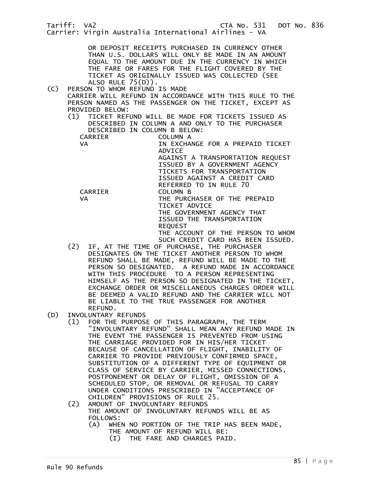Tariff: VA2 CTA No. 531 DOT No. 836 Carrier: Virgin Australia International Airlines - VA OR DEPOSIT RECEIPTS PURCHASED IN CURRENCY OTHER THAN U.S. DOLLARS WILL ONLY BE MADE IN AN AMOUNT EQUAL TO THE AMOUNT DUE IN THE CURRENCY IN WHICH THE FARE OR FARES FOR THE FLIGHT COVERED BY THE TICKET AS ORIGINALLY ISSUED WAS COLLECTED (SEE ALSO RULE 75(D)).<br>(C) PERSON TO WHOM REFUND PERSON TO WHOM REFUND IS MADE CARRIER WILL REFUND IN ACCORDANCE WITH THIS RULE TO THE PERSON NAMED AS THE PASSENGER ON THE TICKET, EXCEPT AS PROVIDED BELOW: (1) TICKET REFUND WILL BE MADE FOR TICKETS ISSUED AS DESCRIBED IN COLUMN A AND ONLY TO THE PURCHASER DESCRIBED IN COLUMN B BELOW: CARRIER VA IN EXCHANGE FOR A PREPAID TICKET ADVICE AGAINST A TRANSPORTATION REQUEST ISSUED BY A GOVERNMENT AGENCY TICKETS FOR TRANSPORTATION ISSUED AGAINST A CREDIT CARD REFERRED TO IN RULE 70 CARRIER COLUMN B VA THE PURCHASER OF THE PREPAID TICKET ADVICE THE GOVERNMENT AGENCY THAT ISSUED THE TRANSPORTATION REQUEST THE ACCOUNT OF THE PERSON TO WHOM SUCH CREDIT CARD HAS BEEN ISSUED. (2) IF, AT THE TIME OF PURCHASE, THE PURCHASER DESIGNATES ON THE TICKET ANOTHER PERSON TO WHOM REFUND SHALL BE MADE, REFUND WILL BE MADE TO THE PERSON SO DESIGNATED. A REFUND MADE IN ACCORDANCE WITH THIS PROCEDURE TO A PERSON REPRESENTING HIMSELF AS THE PERSON SO DESIGNATED IN THE TICKET, EXCHANGE ORDER OR MISCELLANEOUS CHARGES ORDER WILL BE DEEMED A VALID REFUND AND THE CARRIER WILL NOT BE LIABLE TO THE TRUE PASSENGER FOR ANOTHER

- REFUND.<br>(D) INVOLUNTARY INVOLUNTARY REFUNDS
	- (1) FOR THE PURPOSE OF THIS PARAGRAPH, THE TERM "INVOLUNTARY REFUND" SHALL MEAN ANY REFUND MADE IN THE EVENT THE PASSENGER IS PREVENTED FROM USING THE CARRIAGE PROVIDED FOR IN HIS/HER TICKET BECAUSE OF CANCELLATION OF FLIGHT, INABILITY OF CARRIER TO PROVIDE PREVIOUSLY CONFIRMED SPACE, SUBSTITUTION OF A DIFFERENT TYPE OF EQUIPMENT OR CLASS OF SERVICE BY CARRIER, MISSED CONNECTIONS, POSTPONEMENT OR DELAY OF FLIGHT, OMISSION OF A SCHEDULED STOP, OR REMOVAL OR REFUSAL TO CARRY UNDER CONDITIONS PRESCRIBED IN "ACCEPTANCE OF CHILDREN" PROVISIONS OF RULE 25.<br>(2) AMOUNT OF INVOLUNTARY REFUNDS
	- AMOUNT OF INVOLUNTARY REFUNDS THE AMOUNT OF INVOLUNTARY REFUNDS WILL BE AS FOLLOWS:<br>(A) WHE
		- WHEN NO PORTION OF THE TRIP HAS BEEN MADE, THE AMOUNT OF REFUND WILL BE:
			- (I) THE FARE AND CHARGES PAID.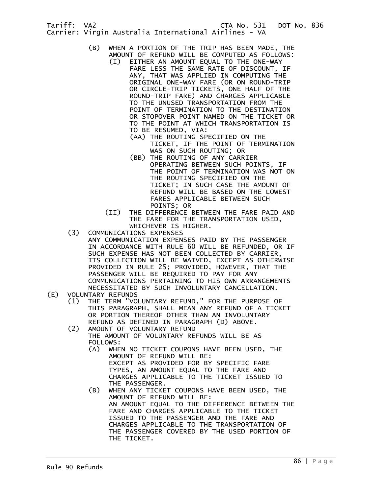- (B) WHEN A PORTION OF THE TRIP HAS BEEN MADE, THE AMOUNT OF REFUND WILL BE COMPUTED AS FOLLOWS:
	- (I) EITHER AN AMOUNT EQUAL TO THE ONE-WAY FARE LESS THE SAME RATE OF DISCOUNT, IF ANY, THAT WAS APPLIED IN COMPUTING THE ORIGINAL ONE-WAY FARE (OR ON ROUND-TRIP OR CIRCLE-TRIP TICKETS, ONE HALF OF THE ROUND-TRIP FARE) AND CHARGES APPLICABLE TO THE UNUSED TRANSPORTATION FROM THE POINT OF TERMINATION TO THE DESTINATION OR STOPOVER POINT NAMED ON THE TICKET OR TO THE POINT AT WHICH TRANSPORTATION IS TO BE RESUMED, VIA:
		- (AA) THE ROUTING SPECIFIED ON THE TICKET, IF THE POINT OF TERMINATION WAS ON SUCH ROUTING; OR
		- (BB) THE ROUTING OF ANY CARRIER OPERATING BETWEEN SUCH POINTS, IF THE POINT OF TERMINATION WAS NOT ON THE ROUTING SPECIFIED ON THE TICKET; IN SUCH CASE THE AMOUNT OF REFUND WILL BE BASED ON THE LOWEST FARES APPLICABLE BETWEEN SUCH POINTS; OR
	- (II) THE DIFFERENCE BETWEEN THE FARE PAID AND THE FARE FOR THE TRANSPORTATION USED, WHICHEVER IS HIGHER.
- (3) COMMUNICATIONS EXPENSES
- ANY COMMUNICATION EXPENSES PAID BY THE PASSENGER IN ACCORDANCE WITH RULE 60 WILL BE REFUNDED, OR IF SUCH EXPENSE HAS NOT BEEN COLLECTED BY CARRIER, ITS COLLECTION WILL BE WAIVED, EXCEPT AS OTHERWISE PROVIDED IN RULE 25; PROVIDED, HOWEVER, THAT THE PASSENGER WILL BE REQUIRED TO PAY FOR ANY COMMUNICATIONS PERTAINING TO HIS OWN ARRANGEMENTS NECESSITATED BY SUCH INVOLUNTARY CANCELLATION.<br>(E) VOLUNTARY REFUNDS
- VOLUNTARY REFUNDS
	- (1) THE TERM "VOLUNTARY REFUND," FOR THE PURPOSE OF THIS PARAGRAPH, SHALL MEAN ANY REFUND OF A TICKET OR PORTION THEREOF OTHER THAN AN INVOLUNTARY REFUND AS DEFINED IN PARAGRAPH (D) ABOVE.<br>(2) AMOUNT OF VOLUNTARY REFUND
	- AMOUNT OF VOLUNTARY REFUND THE AMOUNT OF VOLUNTARY REFUNDS WILL BE AS FOLLOWS:<br>(A) WHE
		- WHEN NO TICKET COUPONS HAVE BEEN USED, THE AMOUNT OF REFUND WILL BE: EXCEPT AS PROVIDED FOR BY SPECIFIC FARE TYPES, AN AMOUNT EQUAL TO THE FARE AND CHARGES APPLICABLE TO THE TICKET ISSUED TO THE PASSENGER.
		- (B) WHEN ANY TICKET COUPONS HAVE BEEN USED, THE AMOUNT OF REFUND WILL BE: AN AMOUNT EQUAL TO THE DIFFERENCE BETWEEN THE FARE AND CHARGES APPLICABLE TO THE TICKET ISSUED TO THE PASSENGER AND THE FARE AND CHARGES APPLICABLE TO THE TRANSPORTATION OF THE PASSENGER COVERED BY THE USED PORTION OF THE TICKET.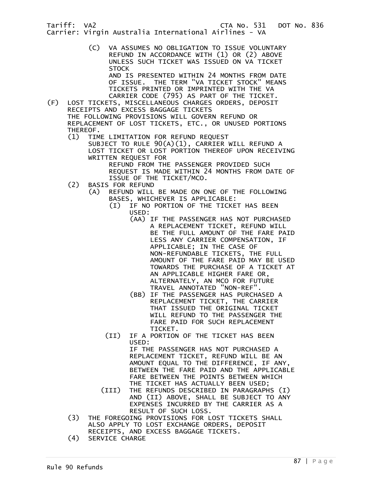> (C) VA ASSUMES NO OBLIGATION TO ISSUE VOLUNTARY REFUND IN ACCORDANCE WITH (1) OR (2) ABOVE UNLESS SUCH TICKET WAS ISSUED ON VA TICKET **STOCK** AND IS PRESENTED WITHIN 24 MONTHS FROM DATE

OF ISSUE. THE TERM "VA TICKET STOCK" MEANS TICKETS PRINTED OR IMPRINTED WITH THE VA CARRIER CODE (795) AS PART OF THE TICKET.

(F) LOST TICKETS, MISCELLANEOUS CHARGES ORDERS, DEPOSIT RECEIPTS AND EXCESS BAGGAGE TICKETS THE FOLLOWING PROVISIONS WILL GOVERN REFUND OR REPLACEMENT OF LOST TICKETS, ETC., OR UNUSED PORTIONS THEREOF.<br>(1) TIM

TIME LIMITATION FOR REFUND REQUEST

 SUBJECT TO RULE 90(A)(1), CARRIER WILL REFUND A LOST TICKET OR LOST PORTION THEREOF UPON RECEIVING WRITTEN REQUEST FOR

 REFUND FROM THE PASSENGER PROVIDED SUCH REQUEST IS MADE WITHIN 24 MONTHS FROM DATE OF ISSUE OF THE TICKET/MCO.

- (2) BASIS FOR REFUND
	- (A) REFUND WILL BE MADE ON ONE OF THE FOLLOWING BASES, WHICHEVER IS APPLICABLE:
		- (I) IF NO PORTION OF THE TICKET HAS BEEN USED:
			- (AA) IF THE PASSENGER HAS NOT PURCHASED A REPLACEMENT TICKET, REFUND WILL BE THE FULL AMOUNT OF THE FARE PAID LESS ANY CARRIER COMPENSATION, IF APPLICABLE; IN THE CASE OF NON-REFUNDABLE TICKETS, THE FULL AMOUNT OF THE FARE PAID MAY BE USED TOWARDS THE PURCHASE OF A TICKET AT AN APPLICABLE HIGHER FARE OR, ALTERNATELY, AN MCO FOR FUTURE TRAVEL ANNOTATED "NON-REF".
			- (BB) IF THE PASSENGER HAS PURCHASED A REPLACEMENT TICKET, THE CARRIER THAT ISSUED THE ORIGINAL TICKET WILL REFUND TO THE PASSENGER THE FARE PAID FOR SUCH REPLACEMENT TICKET.
		- (II) IF A PORTION OF THE TICKET HAS BEEN USED: IF THE PASSENGER HAS NOT PURCHASED A

REPLACEMENT TICKET, REFUND WILL BE AN AMOUNT EQUAL TO THE DIFFERENCE, IF ANY, BETWEEN THE FARE PAID AND THE APPLICABLE FARE BETWEEN THE POINTS BETWEEN WHICH THE TICKET HAS ACTUALLY BEEN USED;

- (III) THE REFUNDS DESCRIBED IN PARAGRAPHS (I) AND (II) ABOVE, SHALL BE SUBJECT TO ANY EXPENSES INCURRED BY THE CARRIER AS A RESULT OF SUCH LOSS.
	- (3) THE FOREGOING PROVISIONS FOR LOST TICKETS SHALL ALSO APPLY TO LOST EXCHANGE ORDERS, DEPOSIT RECEIPTS, AND EXCESS BAGGAGE TICKETS.
	- (4) SERVICE CHARGE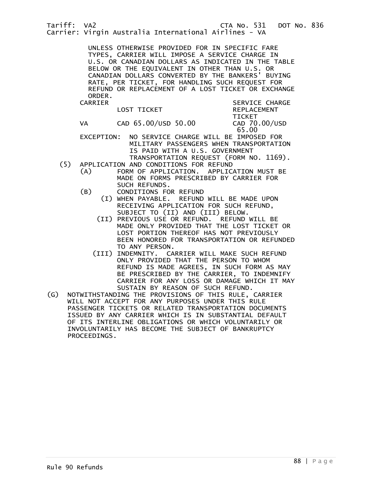UNLESS OTHERWISE PROVIDED FOR IN SPECIFIC FARE TYPES, CARRIER WILL IMPOSE A SERVICE CHARGE IN U.S. OR CANADIAN DOLLARS AS INDICATED IN THE TABLE BELOW OR THE EQUIVALENT IN OTHER THAN U.S. OR CANADIAN DOLLARS CONVERTED BY THE BANKERS' BUYING RATE, PER TICKET, FOR HANDLING SUCH REQUEST FOR REFUND OR REPLACEMENT OF A LOST TICKET OR EXCHANGE ORDER.<br>CARRIER

| CARRIER |                     | SERVICE CHARGE                   |  |
|---------|---------------------|----------------------------------|--|
|         | LOST TICKET         | <b>REPLACEMENT</b>               |  |
| VA      | CAD 65.00/USD 50.00 | TICKET<br>CAD 70.00/USD<br>65.00 |  |

 EXCEPTION: NO SERVICE CHARGE WILL BE IMPOSED FOR MILITARY PASSENGERS WHEN TRANSPORTATION IS PAID WITH A U.S. GOVERNMENT TRANSPORTATION REQUEST (FORM NO. 1169).

- (5) APPLICATION AND CONDITIONS FOR REFUND
	- (A) FORM OF APPLICATION. APPLICATION MUST BE MADE ON FORMS PRESCRIBED BY CARRIER FOR SUCH REFUNDS.
	- (B) CONDITIONS FOR REFUND (I) WHEN PAYABLE. REFUND WILL BE MADE UPON RECEIVING APPLICATION FOR SUCH REFUND,
		- SUBJECT TO (II) AND (III) BELOW. (II) PREVIOUS USE OR REFUND. REFUND WILL BE MADE ONLY PROVIDED THAT THE LOST TICKET OR LOST PORTION THEREOF HAS NOT PREVIOUSLY BEEN HONORED FOR TRANSPORTATION OR REFUNDED TO ANY PERSON.
		- (III) INDEMNITY. CARRIER WILL MAKE SUCH REFUND ONLY PROVIDED THAT THE PERSON TO WHOM REFUND IS MADE AGREES, IN SUCH FORM AS MAY BE PRESCRIBED BY THE CARRIER, TO INDEMNIFY CARRIER FOR ANY LOSS OR DAMAGE WHICH IT MAY SUSTAIN BY REASON OF SUCH REFUND.
- (G) NOTWITHSTANDING THE PROVISIONS OF THIS RULE, CARRIER WILL NOT ACCEPT FOR ANY PURPOSES UNDER THIS RULE PASSENGER TICKETS OR RELATED TRANSPORTATION DOCUMENTS ISSUED BY ANY CARRIER WHICH IS IN SUBSTANTIAL DEFAULT OF ITS INTERLINE OBLIGATIONS OR WHICH VOLUNTARILY OR INVOLUNTARILY HAS BECOME THE SUBJECT OF BANKRUPTCY PROCEEDINGS.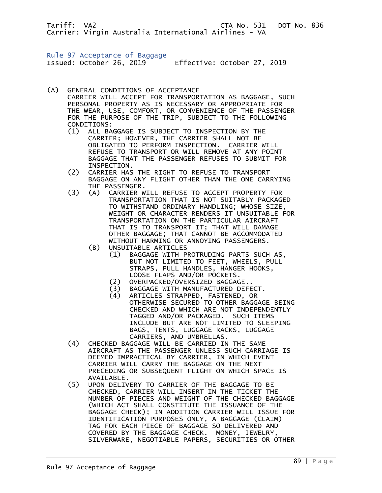Rule 97 Acceptance of Baggage Issued: October 26, 2019 Effective: October 27, 2019

- (A) GENERAL CONDITIONS OF ACCEPTANCE CARRIER WILL ACCEPT FOR TRANSPORTATION AS BAGGAGE, SUCH PERSONAL PROPERTY AS IS NECESSARY OR APPROPRIATE FOR THE WEAR, USE, COMFORT, OR CONVENIENCE OF THE PASSENGER FOR THE PURPOSE OF THE TRIP, SUBJECT TO THE FOLLOWING CONDITIONS:<br>(1) ALL BA
	- ALL BAGGAGE IS SUBJECT TO INSPECTION BY THE CARRIER; HOWEVER, THE CARRIER SHALL NOT BE OBLIGATED TO PERFORM INSPECTION. CARRIER WILL REFUSE TO TRANSPORT OR WILL REMOVE AT ANY POINT BAGGAGE THAT THE PASSENGER REFUSES TO SUBMIT FOR INSPECTION.
	- (2) CARRIER HAS THE RIGHT TO REFUSE TO TRANSPORT BAGGAGE ON ANY FLIGHT OTHER THAN THE ONE CARRYING THE PASSENGER.<br>(3) (A) CARRIER W
	- (3) (A) CARRIER WILL REFUSE TO ACCEPT PROPERTY FOR TRANSPORTATION THAT IS NOT SUITABLY PACKAGED TO WITHSTAND ORDINARY HANDLING; WHOSE SIZE, WEIGHT OR CHARACTER RENDERS IT UNSUITABLE FOR TRANSPORTATION ON THE PARTICULAR AIRCRAFT THAT IS TO TRANSPORT IT; THAT WILL DAMAGE OTHER BAGGAGE; THAT CANNOT BE ACCOMMODATED WITHOUT HARMING OR ANNOYING PASSENGERS.
		- (B) UNSUITABLE ARTICLES
			- (1) BAGGAGE WITH PROTRUDING PARTS SUCH AS, BUT NOT LIMITED TO FEET, WHEELS, PULL STRAPS, PULL HANDLES, HANGER HOOKS, LOOSE FLAPS AND/OR POCKETS.
			- (2) OVERPACKED/OVERSIZED BAGGAGE..<br>(3) BAGGAGE WITH MANUFACTURED DEFE
			- (3) BAGGAGE WITH MANUFACTURED DEFECT.
			- (4) ARTICLES STRAPPED, FASTENED, OR OTHERWISE SECURED TO OTHER BAGGAGE BEING CHECKED AND WHICH ARE NOT INDEPENDENTLY TAGGED AND/OR PACKAGED. SUCH ITEMS INCLUDE BUT ARE NOT LIMITED TO SLEEPING BAGS, TENTS, LUGGAGE RACKS, LUGGAGE CARRIERS, AND UMBRELLAS.
	- (4) CHECKED BAGGAGE WILL BE CARRIED IN THE SAME AIRCRAFT AS THE PASSENGER UNLESS SUCH CARRIAGE IS DEEMED IMPRACTICAL BY CARRIER, IN WHICH EVENT CARRIER WILL CARRY THE BAGGAGE ON THE NEXT PRECEDING OR SUBSEQUENT FLIGHT ON WHICH SPACE IS AVAILABLE.
- (5) UPON DELIVERY TO CARRIER OF THE BAGGAGE TO BE CHECKED, CARRIER WILL INSERT IN THE TICKET THE NUMBER OF PIECES AND WEIGHT OF THE CHECKED BAGGAGE (WHICH ACT SHALL CONSTITUTE THE ISSUANCE OF THE BAGGAGE CHECK); IN ADDITION CARRIER WILL ISSUE FOR IDENTIFICATION PURPOSES ONLY, A BAGGAGE (CLAIM) TAG FOR EACH PIECE OF BAGGAGE SO DELIVERED AND COVERED BY THE BAGGAGE CHECK. MONEY, JEWELRY, SILVERWARE, NEGOTIABLE PAPERS, SECURITIES OR OTHER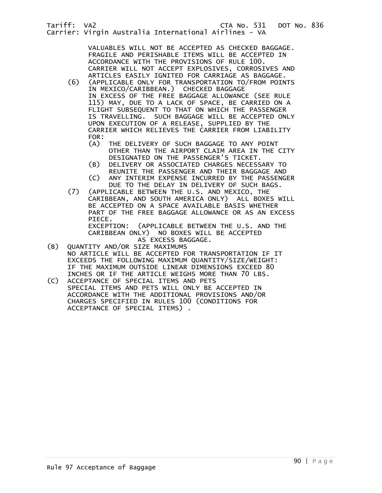VALUABLES WILL NOT BE ACCEPTED AS CHECKED BAGGAGE. FRAGILE AND PERISHABLE ITEMS WILL BE ACCEPTED IN ACCORDANCE WITH THE PROVISIONS OF RULE 100. CARRIER WILL NOT ACCEPT EXPLOSIVES, CORROSIVES AND ARTICLES EASILY IGNITED FOR CARRIAGE AS BAGGAGE.<br>(6) (APPLICABLE ONLY FOR TRANSPORTATION TO/FROM POIN)

- (6) (APPLICABLE ONLY FOR TRANSPORTATION TO/FROM POINTS IN MEXICO/CARIBBEAN.) CHECKED BAGGAGE IN EXCESS OF THE FREE BAGGAGE ALLOWANCE (SEE RULE 115) MAY, DUE TO A LACK OF SPACE, BE CARRIED ON A FLIGHT SUBSEQUENT TO THAT ON WHICH THE PASSENGER IS TRAVELLING. SUCH BAGGAGE WILL BE ACCEPTED ONLY UPON EXECUTION OF A RELEASE, SUPPLIED BY THE CARRIER WHICH RELIEVES THE CARRIER FROM LIABILITY FOR:<br>(A)
	- THE DELIVERY OF SUCH BAGGAGE TO ANY POINT OTHER THAN THE AIRPORT CLAIM AREA IN THE CITY DESIGNATED ON THE PASSENGER'S TICKET.
	- (B) DELIVERY OR ASSOCIATED CHARGES NECESSARY TO REUNITE THE PASSENGER AND THEIR BAGGAGE AND<br>C) ANY INTERIM EXPENSE INCURRED BY THE PASSENG
	- ANY INTERIM EXPENSE INCURRED BY THE PASSENGER
- DUE TO THE DELAY IN DELIVERY OF SUCH BAGS.<br>(7) (APPLICABLE BETWEEN THE U.S. AND MEXICO, THE (APPLICABLE BETWEEN THE U.S. AND MEXICO, THE CARIBBEAN, AND SOUTH AMERICA ONLY) ALL BOXES WILL BE ACCEPTED ON A SPACE AVAILABLE BASIS WHETHER PART OF THE FREE BAGGAGE ALLOWANCE OR AS AN EXCESS PIECE. EXCEPTION: (APPLICABLE BETWEEN THE U.S. AND THE CARIBBEAN ONLY) NO BOXES WILL BE ACCEPTED
- AS EXCESS BAGGAGE.<br>(B) OUANTITY AND/OR SIZE MAXIMUMS (B) QUANTITY AND/OR SIZE MAXIMUMS NO ARTICLE WILL BE ACCEPTED FOR TRANSPORTATION IF IT EXCEEDS THE FOLLOWING MAXIMUM QUANTITY/SIZE/WEIGHT:
- IF THE MAXIMUM OUTSIDE LINEAR DIMENSIONS EXCEED 80 INCHES OR IF THE ARTICLE WEIGHS MORE THAN 70 LBS.<br>(C) ACCEPTANCE OF SPECIAL ITEMS AND PETS ACCEPTANCE OF SPECIAL ITEMS AND PETS
- SPECIAL ITEMS AND PETS WILL ONLY BE ACCEPTED IN ACCORDANCE WITH THE ADDITIONAL PROVISIONS AND/OR CHARGES SPECIFIED IN RULES 100 (CONDITIONS FOR ACCEPTANCE OF SPECIAL ITEMS) .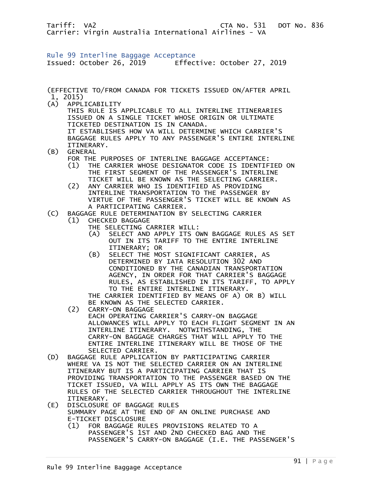Rule 99 Interline Baggage Acceptance Issued: October 26, 2019 Effective: October 27, 2019

(EFFECTIVE TO/FROM CANADA FOR TICKETS ISSUED ON/AFTER APRIL 1, 2015) (A) APPLICABILITY THIS RULE IS APPLICABLE TO ALL INTERLINE ITINERARIES ISSUED ON A SINGLE TICKET WHOSE ORIGIN OR ULTIMATE TICKETED DESTINATION IS IN CANADA. IT ESTABLISHES HOW VA WILL DETERMINE WHICH CARRIER'S BAGGAGE RULES APPLY TO ANY PASSENGER'S ENTIRE INTERLINE ITINERARY.<br>(B) GENERAL **GENERAL**  FOR THE PURPOSES OF INTERLINE BAGGAGE ACCEPTANCE: (1) THE CARRIER WHOSE DESIGNATOR CODE IS IDENTIFIED ON THE FIRST SEGMENT OF THE PASSENGER'S INTERLINE TICKET WILL BE KNOWN AS THE SELECTING CARRIER. (2) ANY CARRIER WHO IS IDENTIFIED AS PROVIDING INTERLINE TRANSPORTATION TO THE PASSENGER BY VIRTUE OF THE PASSENGER'S TICKET WILL BE KNOWN AS A PARTICIPATING CARRIER.<br>(C) BAGGAGE RULE DETERMINATION BY BAGGAGE RULE DETERMINATION BY SELECTING CARRIER (1) CHECKED BAGGAGE THE SELECTING CARRIER WILL: (A) SELECT AND APPLY ITS OWN BAGGAGE RULES AS SET OUT IN ITS TARIFF TO THE ENTIRE INTERLINE ITINERARY; OR (B) SELECT THE MOST SIGNIFICANT CARRIER, AS DETERMINED BY IATA RESOLUTION 302 AND CONDITIONED BY THE CANADIAN TRANSPORTATION AGENCY, IN ORDER FOR THAT CARRIER'S BAGGAGE RULES, AS ESTABLISHED IN ITS TARIFF, TO APPLY TO THE ENTIRE INTERLINE ITINERARY. THE CARRIER IDENTIFIED BY MEANS OF A) OR B) WILL BE KNOWN AS THE SELECTED CARRIER. (2) CARRY-ON BAGGAGE EACH OPERATING CARRIER'S CARRY-ON BAGGAGE ALLOWANCES WILL APPLY TO EACH FLIGHT SEGMENT IN AN INTERLINE ITINERARY. NOTWITHSTANDING, THE CARRY-ON BAGGAGE CHARGES THAT WILL APPLY TO THE ENTIRE INTERLINE ITINERARY WILL BE THOSE OF THE SELECTED CARRIER. (D) BAGGAGE RULE APPLICATION BY PARTICIPATING CARRIER WHERE VA IS NOT THE SELECTED CARRIER ON AN INTERLINE ITINERARY BUT IS A PARTICIPATING CARRIER THAT IS PROVIDING TRANSPORTATION TO THE PASSENGER BASED ON THE TICKET ISSUED, VA WILL APPLY AS ITS OWN THE BAGGAGE RULES OF THE SELECTED CARRIER THROUGHOUT THE INTERLINE ITINERARY. (E) DISCLOSURE OF BAGGAGE RULES SUMMARY PAGE AT THE END OF AN ONLINE PURCHASE AND

E-TICKET DISCLOSURE<br>(1) FOR BAGGAGE RU (1) FOR BAGGAGE RULES PROVISIONS RELATED TO A PASSENGER'S 1ST AND 2ND CHECKED BAG AND THE PASSENGER'S CARRY-ON BAGGAGE (I.E. THE PASSENGER'S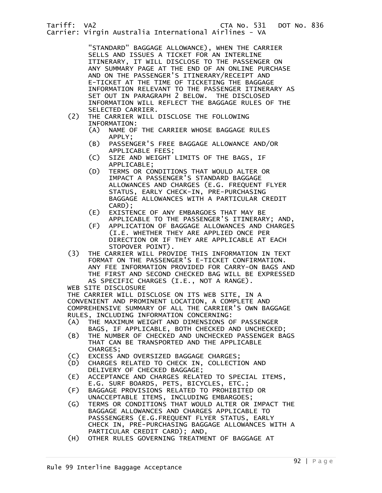"STANDARD" BAGGAGE ALLOWANCE), WHEN THE CARRIER SELLS AND ISSUES A TICKET FOR AN INTERLINE ITINERARY, IT WILL DISCLOSE TO THE PASSENGER ON ANY SUMMARY PAGE AT THE END OF AN ONLINE PURCHASE AND ON THE PASSENGER'S ITINERARY/RECEIPT AND E-TICKET AT THE TIME OF TICKETING THE BAGGAGE INFORMATION RELEVANT TO THE PASSENGER ITINERARY AS SET OUT IN PARAGRAPH 2 BELOW. THE DISCLOSED INFORMATION WILL REFLECT THE BAGGAGE RULES OF THE

- SELECTED CARRIER.<br>(2) THE CARRIER WILL THE CARRIER WILL DISCLOSE THE FOLLOWING INFORMATION:
	- (A) NAME OF THE CARRIER WHOSE BAGGAGE RULES APPLY;<br>B) PASSEN)
	- PASSENGER'S FREE BAGGAGE ALLOWANCE AND/OR APPLICABLE FEES;
	- (C) SIZE AND WEIGHT LIMITS OF THE BAGS, IF APPLICABLE;<br>(D) TERMS OR CO
	- TERMS OR CONDITIONS THAT WOULD ALTER OR IMPACT A PASSENGER'S STANDARD BAGGAGE ALLOWANCES AND CHARGES (E.G. FREQUENT FLYER STATUS, EARLY CHECK-IN, PRE-PURCHASING BAGGAGE ALLOWANCES WITH A PARTICULAR CREDIT CARD);
	- (E) EXISTENCE OF ANY EMBARGOES THAT MAY BE APPLICABLE TO THE PASSENGER'S ITINERARY; AND,
	- (F) APPLICATION OF BAGGAGE ALLOWANCES AND CHARGES (I.E. WHETHER THEY ARE APPLIED ONCE PER DIRECTION OR IF THEY ARE APPLICABLE AT EACH STOPOVER POINT).
- (3) THE CARRIER WILL PROVIDE THIS INFORMATION IN TEXT FORMAT ON THE PASSENGER'S E-TICKET CONFIRMATION. ANY FEE INFORMATION PROVIDED FOR CARRY-ON BAGS AND THE FIRST AND SECOND CHECKED BAG WILL BE EXPRESSED AS SPECIFIC CHARGES (I.E., NOT A RANGE).

WEB SITE DISCLOSURE

 THE CARRIER WILL DISCLOSE ON ITS WEB SITE, IN A CONVENIENT AND PROMINENT LOCATION, A COMPLETE AND COMPREHENSIVE SUMMARY OF ALL THE CARRIER'S OWN BAGGAGE RULES, INCLUDING INFORMATION CONCERNING:

- (A) THE MAXIMUM WEIGHT AND DIMENSIONS OF PASSENGER
- BAGS, IF APPLICABLE, BOTH CHECKED AND UNCHECKED;<br>(B) THE NUMBER OF CHECKED AND UNCHECKED PASSENGER BA THE NUMBER OF CHECKED AND UNCHECKED PASSENGER BAGS THAT CAN BE TRANSPORTED AND THE APPLICABLE CHARGES;
- (C) EXCESS AND OVERSIZED BAGGAGE CHARGES;
- (D) CHARGES RELATED TO CHECK IN, COLLECTION AND DELIVERY OF CHECKED BAGGAGE;
- (E) ACCEPTANCE AND CHARGES RELATED TO SPECIAL ITEMS, E.G. SURF BOARDS, PETS, BICYCLES, ETC.;<br>F) BAGGAGE PROVISIONS RELATED TO PROHIBITE
- (F) BAGGAGE PROVISIONS RELATED TO PROHIBITED OR UNACCEPTABLE ITEMS, INCLUDING EMBARGOES;
- (G) TERMS OR CONDITIONS THAT WOULD ALTER OR IMPACT THE BAGGAGE ALLOWANCES AND CHARGES APPLICABLE TO PASSSENGERS (E.G.FREQUENT FLYER STATUS, EARLY CHECK IN, PRE-PURCHASING BAGGAGE ALLOWANCES WITH A PARTICULAR CREDIT CARD); AND,
	- (H) OTHER RULES GOVERNING TREATMENT OF BAGGAGE AT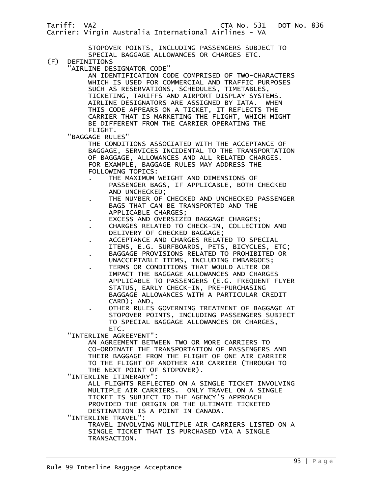Carrier: Virgin Australia International Airlines - VA

 STOPOVER POINTS, INCLUDING PASSENGERS SUBJECT TO SPECIAL BAGGAGE ALLOWANCES OR CHARGES ETC.<br>(F) DEFINITIONS

- DEFINITIONS
	- "AIRLINE DESIGNATOR CODE"

 AN IDENTIFICATION CODE COMPRISED OF TWO-CHARACTERS WHICH IS USED FOR COMMERCIAL AND TRAFFIC PURPOSES SUCH AS RESERVATIONS, SCHEDULES, TIMETABLES, TICKETING, TARIFFS AND AIRPORT DISPLAY SYSTEMS. AIRLINE DESIGNATORS ARE ASSIGNED BY IATA. WHEN THIS CODE APPEARS ON A TICKET, IT REFLECTS THE CARRIER THAT IS MARKETING THE FLIGHT, WHICH MIGHT BE DIFFERENT FROM THE CARRIER OPERATING THE FLIGHT.

"BAGGAGE RULES"

 THE CONDITIONS ASSOCIATED WITH THE ACCEPTANCE OF BAGGAGE, SERVICES INCIDENTAL TO THE TRANSPORTATION OF BAGGAGE, ALLOWANCES AND ALL RELATED CHARGES. FOR EXAMPLE, BAGGAGE RULES MAY ADDRESS THE FOLLOWING TOPICS:

- . THE MAXIMUM WEIGHT AND DIMENSIONS OF PASSENGER BAGS, IF APPLICABLE, BOTH CHECKED AND UNCHECKED;
- THE NUMBER OF CHECKED AND UNCHECKED PASSENGER BAGS THAT CAN BE TRANSPORTED AND THE APPLICABLE CHARGES;
- . EXCESS AND OVERSIZED BAGGAGE CHARGES;
- . CHARGES RELATED TO CHECK-IN, COLLECTION AND DELIVERY OF CHECKED BAGGAGE;
- . ACCEPTANCE AND CHARGES RELATED TO SPECIAL
- ITEMS, E.G. SURFBOARDS, PETS, BICYCLES, ETC; . BAGGAGE PROVISIONS RELATED TO PROHIBITED OR UNACCEPTABLE ITEMS, INCLUDING EMBARGOES;
- . TERMS OR CONDITIONS THAT WOULD ALTER OR IMPACT THE BAGGAGE ALLOWANCES AND CHARGES APPLICABLE TO PASSENGERS (E.G. FREQUENT FLYER STATUS, EARLY CHECK-IN, PRE-PURCHASING BAGGAGE ALLOWANCES WITH A PARTICULAR CREDIT CARD); AND,
	- . OTHER RULES GOVERNING TREATMENT OF BAGGAGE AT STOPOVER POINTS, INCLUDING PASSENGERS SUBJECT TO SPECIAL BAGGAGE ALLOWANCES OR CHARGES, ETC.

"INTERLINE AGREEMENT":

 AN AGREEMENT BETWEEN TWO OR MORE CARRIERS TO CO-ORDINATE THE TRANSPORTATION OF PASSENGERS AND THEIR BAGGAGE FROM THE FLIGHT OF ONE AIR CARRIER TO THE FLIGHT OF ANOTHER AIR CARRIER (THROUGH TO THE NEXT POINT OF STOPOVER).

"INTERLINE ITINERARY":

 ALL FLIGHTS REFLECTED ON A SINGLE TICKET INVOLVING MULTIPLE AIR CARRIERS. ONLY TRAVEL ON A SINGLE TICKET IS SUBJECT TO THE AGENCY'S APPROACH PROVIDED THE ORIGIN OR THE ULTIMATE TICKETED DESTINATION IS A POINT IN CANADA.

"INTERLINE TRAVEL":

 TRAVEL INVOLVING MULTIPLE AIR CARRIERS LISTED ON A SINGLE TICKET THAT IS PURCHASED VIA A SINGLE TRANSACTION.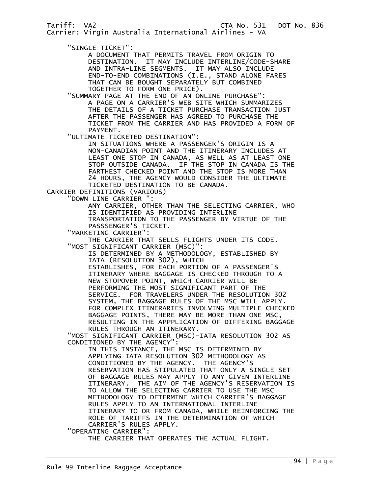"SINGLE TICKET":

 A DOCUMENT THAT PERMITS TRAVEL FROM ORIGIN TO DESTINATION. IT MAY INCLUDE INTERLINE/CODE-SHARE AND INTRA-LINE SEGMENTS. IT MAY ALSO INCLUDE END-TO-END COMBINATIONS (I.E., STAND ALONE FARES THAT CAN BE BOUGHT SEPARATELY BUT COMBINED TOGETHER TO FORM ONE PRICE).

 "SUMMARY PAGE AT THE END OF AN ONLINE PURCHASE": A PAGE ON A CARRIER'S WEB SITE WHICH SUMMARIZES THE DETAILS OF A TICKET PURCHASE TRANSACTION JUST AFTER THE PASSENGER HAS AGREED TO PURCHASE THE TICKET FROM THE CARRIER AND HAS PROVIDED A FORM OF PAYMENT.

"ULTIMATE TICKETED DESTINATION":

 IN SITUATIONS WHERE A PASSENGER'S ORIGIN IS A NON-CANADIAN POINT AND THE ITINERARY INCLUDES AT LEAST ONE STOP IN CANADA, AS WELL AS AT LEAST ONE STOP OUTSIDE CANADA. IF THE STOP IN CANADA IS THE FARTHEST CHECKED POINT AND THE STOP IS MORE THAN 24 HOURS, THE AGENCY WOULD CONSIDER THE ULTIMATE TICKETED DESTINATION TO BE CANADA.

CARRIER DEFINITIONS (VARIOUS)

"DOWN LINE CARRIER ":

 ANY CARRIER, OTHER THAN THE SELECTING CARRIER, WHO IS IDENTIFIED AS PROVIDING INTERLINE

 TRANSPORTATION TO THE PASSENGER BY VIRTUE OF THE PASSSENGER'S TICKET.

"MARKETING CARRIER":

 THE CARRIER THAT SELLS FLIGHTS UNDER ITS CODE. "MOST SIGNIFICANT CARRIER (MSC)":

 IS DETERMINED BY A METHODOLOGY, ESTABLISHED BY IATA (RESOLUTION 302), WHICH

 ESTABLISHES, FOR EACH PORTION OF A PASSENGER'S ITINERARY WHERE BAGGAGE IS CHECKED THROUGH TO A NEW STOPOVER POINT, WHICH CARRIER WILL BE PERFORMING THE MOST SIGNIFICANT PART OF THE SERVICE. FOR TRAVELERS UNDER THE RESOLUTION 302 SYSTEM, THE BAGGAGE RULES OF THE MSC WILL APPLY. FOR COMPLEX ITINERARIES INVOLVING MULTIPLE CHECKED BAGGAGE POINTS, THERE MAY BE MORE THAN ONE MSC, RESULTING IN THE APPPLICATION OF DIFFERING BAGGAGE RULES THROUGH AN ITINERARY.

 "MOST SIGNIFICANT CARRIER (MSC)-IATA RESOLUTION 302 AS CONDITIONED BY THE AGENCY":

 IN THIS INSTANCE, THE MSC IS DETERMINED BY APPLYING IATA RESOLUTION 302 METHODOLOGY AS CONDITIONED BY THE AGENCY. THE AGENCY'S RESERVATION HAS STIPULATED THAT ONLY A SINGLE SET OF BAGGAGE RULES MAY APPLY TO ANY GIVEN INTERLINE ITINERARY. THE AIM OF THE AGENCY'S RESERVATION IS TO ALLOW THE SELECTING CARRIER TO USE THE MSC METHODOLOGY TO DETERMINE WHICH CARRIER'S BAGGAGE RULES APPLY TO AN INTERNATIONAL INTERLINE ITINERARY TO OR FROM CANADA, WHILE REINFORCING THE ROLE OF TARIFFS IN THE DETERMINATION OF WHICH CARRIER'S RULES APPLY. "OPERATING CARRIER":

THE CARRIER THAT OPERATES THE ACTUAL FLIGHT.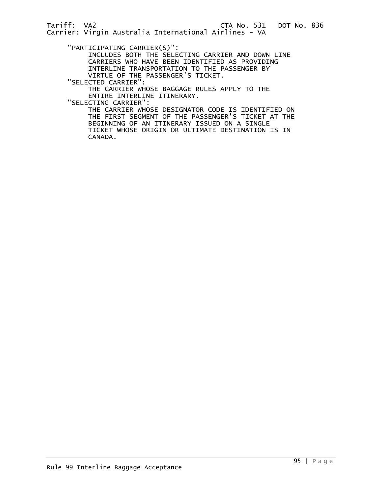"PARTICIPATING CARRIER(S)":

 INCLUDES BOTH THE SELECTING CARRIER AND DOWN LINE CARRIERS WHO HAVE BEEN IDENTIFIED AS PROVIDING INTERLINE TRANSPORTATION TO THE PASSENGER BY VIRTUE OF THE PASSENGER'S TICKET.

"SELECTED CARRIER":

 THE CARRIER WHOSE BAGGAGE RULES APPLY TO THE ENTIRE INTERLINE ITINERARY.

"SELECTING CARRIER":

 THE CARRIER WHOSE DESIGNATOR CODE IS IDENTIFIED ON THE FIRST SEGMENT OF THE PASSENGER'S TICKET AT THE BEGINNING OF AN ITINERARY ISSUED ON A SINGLE TICKET WHOSE ORIGIN OR ULTIMATE DESTINATION IS IN CANADA.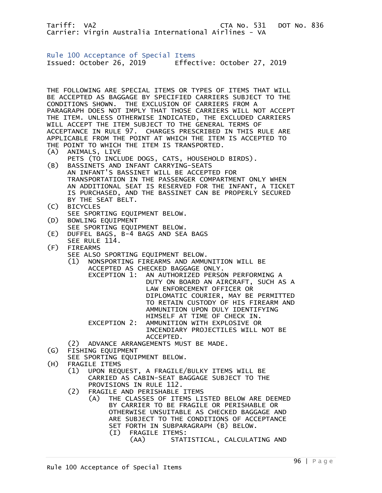Tariff: VA2 CTA No. 531 DOT No. 836 Carrier: Virgin Australia International Airlines - VA Rule 100 Acceptance of Special Items Issued: October 26, 2019 Effective: October 27, 2019 THE FOLLOWING ARE SPECIAL ITEMS OR TYPES OF ITEMS THAT WILL BE ACCEPTED AS BAGGAGE BY SPECIFIED CARRIERS SUBJECT TO THE CONDITIONS SHOWN. THE EXCLUSION OF CARRIERS FROM A PARAGRAPH DOES NOT IMPLY THAT THOSE CARRIERS WILL NOT ACCEPT THE ITEM. UNLESS OTHERWISE INDICATED, THE EXCLUDED CARRIERS WILL ACCEPT THE ITEM SUBJECT TO THE GENERAL TERMS OF ACCEPTANCE IN RULE 97. CHARGES PRESCRIBED IN THIS RULE ARE APPLICABLE FROM THE POINT AT WHICH THE ITEM IS ACCEPTED TO THE POINT TO WHICH THE ITEM IS TRANSPORTED. (A) ANIMALS, LIVE PETS (TO INCLUDE DOGS, CATS, HOUSEHOLD BIRDS). (B) BASSINETS AND INFANT CARRYING-SEATS AN INFANT'S BASSINET WILL BE ACCEPTED FOR TRANSPORTATION IN THE PASSENGER COMPARTMENT ONLY WHEN AN ADDITIONAL SEAT IS RESERVED FOR THE INFANT, A TICKET IS PURCHASED, AND THE BASSINET CAN BE PROPERLY SECURED BY THE SEAT BELT. (C) BICYCLES SEE SPORTING EQUIPMENT BELOW. (D) BOWLING EQUIPMENT SEE SPORTING EQUIPMENT BELOW.<br>E) DUFFEL BAGS. B-4 BAGS AND SEA DUFFEL BAGS, B-4 BAGS AND SEA BAGS SEE RULE 114. (F) FIREARMS SEE ALSO SPORTING EQUIPMENT BELOW. (1) NONSPORTING FIREARMS AND AMMUNITION WILL BE ACCEPTED AS CHECKED BAGGAGE ONLY. EXCEPTION 1: AN AUTHORIZED PERSON PERFORMING A DUTY ON BOARD AN AIRCRAFT, SUCH AS A LAW ENFORCEMENT OFFICER OR DIPLOMATIC COURIER, MAY BE PERMITTED TO RETAIN CUSTODY OF HIS FIREARM AND AMMUNITION UPON DULY IDENTIFYING HIMSELF AT TIME OF CHECK IN. EXCEPTION 2: AMMUNITION WITH EXPLOSIVE OR INCENDIARY PROJECTILES WILL NOT BE ACCEPTED. (2) ADVANCE ARRANGEMENTS MUST BE MADE. (G) FISHING EQUIPMENT SEE SPORTING EQUIPMENT BELOW. (H) FRAGILE ITEMS (1) UPON REQUEST, A FRAGILE/BULKY ITEMS WILL BE CARRIED AS CABIN-SEAT BAGGAGE SUBJECT TO THE PROVISIONS IN RULE 112. (2) FRAGILE AND PERISHABLE ITEMS (A) THE CLASSES OF ITEMS LISTED BELOW ARE DEEMED BY CARRIER TO BE FRAGILE OR PERISHABLE OR OTHERWISE UNSUITABLE AS CHECKED BAGGAGE AND ARE SUBJECT TO THE CONDITIONS OF ACCEPTANCE SET FORTH IN SUBPARAGRAPH (B) BELOW.

- (I) FRAGILE ITEMS:
	- (AA) STATISTICAL, CALCULATING AND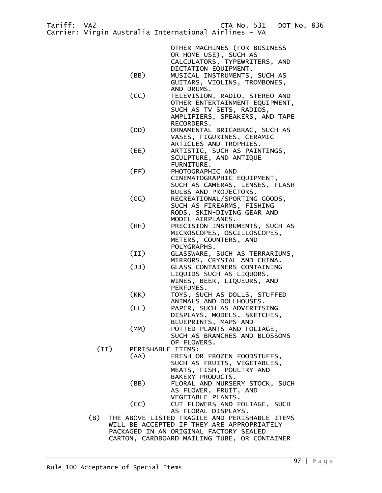|                                        | OTHER MACHINES (FOR BUSINESS                               |  |  |  |  |
|----------------------------------------|------------------------------------------------------------|--|--|--|--|
|                                        | OR HOME USE), SUCH AS<br>CALCULATORS, TYPEWRITERS, AND     |  |  |  |  |
|                                        | DICTATION EQUIPMENT.                                       |  |  |  |  |
| (BB)                                   | MUSICAL INSTRUMENTS, SUCH AS                               |  |  |  |  |
|                                        | GUITARS, VIOLINS, TROMBONES,<br>AND DRUMS.                 |  |  |  |  |
| (CC)                                   | TELEVISION, RADIO, STEREO AND                              |  |  |  |  |
|                                        | OTHER ENTERTAINMENT EQUIPMENT,                             |  |  |  |  |
|                                        | SUCH AS TV SETS, RADIOS,                                   |  |  |  |  |
|                                        | AMPLIFIERS, SPEAKERS, AND TAPE                             |  |  |  |  |
| (DD)                                   | RECORDERS.<br>ORNAMENTAL BRICABRAC, SUCH AS                |  |  |  |  |
|                                        | VASES, FIGURINES, CERAMIC                                  |  |  |  |  |
|                                        | ARTICLES AND TROPHIES.                                     |  |  |  |  |
| (EE)                                   | ARTISTIC, SUCH AS PAINTINGS,                               |  |  |  |  |
|                                        | SCULPTURE, AND ANTIQUE                                     |  |  |  |  |
| (FF)                                   | FURNITURE.<br>PHOTOGRAPHIC AND                             |  |  |  |  |
|                                        | CINEMATOGRAPHIC EQUIPMENT,                                 |  |  |  |  |
|                                        | SUCH AS CAMERAS, LENSES, FLASH                             |  |  |  |  |
|                                        | BULBS AND PROJECTORS.                                      |  |  |  |  |
| (GG)                                   | RECREATIONAL/SPORTING GOODS,                               |  |  |  |  |
|                                        | SUCH AS FIREARMS, FISHING                                  |  |  |  |  |
|                                        | RODS, SKIN-DIVING GEAR AND<br>MODEL AIRPLANES.             |  |  |  |  |
| (HH)                                   | PRECISION INSTRUMENTS, SUCH AS                             |  |  |  |  |
|                                        | MICROSCOPES, OSCILLOSCOPES,                                |  |  |  |  |
|                                        | METERS, COUNTERS, AND                                      |  |  |  |  |
|                                        | POLYGRAPHS.                                                |  |  |  |  |
| (II)                                   | GLASSWARE, SUCH AS TERRARIUMS,                             |  |  |  |  |
| (I)                                    | MIRRORS, CRYSTAL AND CHINA.<br>GLASS CONTAINERS CONTAINING |  |  |  |  |
|                                        | LIQUIDS SUCH AS LIQUORS,                                   |  |  |  |  |
|                                        | WINES, BEER, LIQUEURS, AND                                 |  |  |  |  |
|                                        | PERFUMES.                                                  |  |  |  |  |
| (KK)                                   | TOYS, SUCH AS DOLLS, STUFFED                               |  |  |  |  |
| (LL)                                   | ANIMALS AND DOLLHOUSES.<br>PAPER, SUCH AS ADVERTISING      |  |  |  |  |
|                                        | DISPLAYS, MODELS, SKETCHES,                                |  |  |  |  |
|                                        | BLUEPRINTS, MAPS AND                                       |  |  |  |  |
| (MM)                                   | POTTED PLANTS AND FOLIAGE,                                 |  |  |  |  |
|                                        | SUCH AS BRANCHES AND BLOSSOMS                              |  |  |  |  |
| (II)                                   | OF FLOWERS.<br>PERISHABLE ITEMS:                           |  |  |  |  |
| (AA)                                   | FRESH OR FROZEN FOODSTUFFS,                                |  |  |  |  |
|                                        | SUCH AS FRUITS, VEGETABLES,                                |  |  |  |  |
|                                        | MEATS, FISH, POULTRY AND                                   |  |  |  |  |
|                                        | BAKERY PRODUCTS.                                           |  |  |  |  |
| (BB)                                   | FLORAL AND NURSERY STOCK, SUCH                             |  |  |  |  |
|                                        | AS FLOWER, FRUIT, AND<br>VEGETABLE PLANTS.                 |  |  |  |  |
| (CC)                                   | CUT FLOWERS AND FOLIAGE, SUCH                              |  |  |  |  |
|                                        | AS FLORAL DISPLAYS.                                        |  |  |  |  |
| (B)                                    | THE ABOVE-LISTED FRAGILE AND PERISHABLE ITEMS              |  |  |  |  |
|                                        | WILL BE ACCEPTED IF THEY ARE APPROPRIATELY                 |  |  |  |  |
| PACKAGED IN AN ORIGINAL FACTORY SEALED |                                                            |  |  |  |  |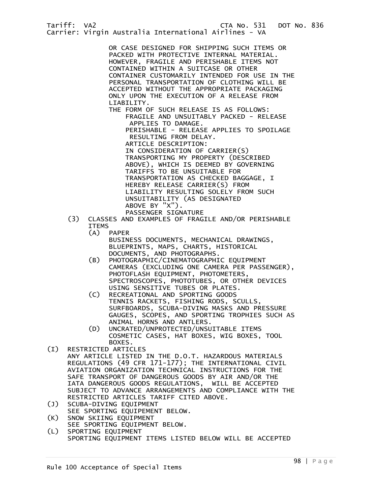OR CASE DESIGNED FOR SHIPPING SUCH ITEMS OR PACKED WITH PROTECTIVE INTERNAL MATERIAL. HOWEVER, FRAGILE AND PERISHABLE ITEMS NOT CONTAINED WITHIN A SUITCASE OR OTHER CONTAINER CUSTOMARILY INTENDED FOR USE IN THE PERSONAL TRANSPORTATION OF CLOTHING WILL BE ACCEPTED WITHOUT THE APPROPRIATE PACKAGING ONLY UPON THE EXECUTION OF A RELEASE FROM LIABILITY.

THE FORM OF SUCH RELEASE IS AS FOLLOWS: FRAGILE AND UNSUITABLY PACKED - RELEASE APPLIES TO DAMAGE.

 PERISHABLE - RELEASE APPLIES TO SPOILAGE RESULTING FROM DELAY.

 ARTICLE DESCRIPTION: IN CONSIDERATION OF CARRIER(S) TRANSPORTING MY PROPERTY (DESCRIBED ABOVE), WHICH IS DEEMED BY GOVERNING TARIFFS TO BE UNSUITABLE FOR TRANSPORTATION AS CHECKED BAGGAGE, I HEREBY RELEASE CARRIER(S) FROM LIABILITY RESULTING SOLELY FROM SUCH UNSUITABILITY (AS DESIGNATED ABOVE BY "X"). PASSENGER SIGNATURE

- (3) CLASSES AND EXAMPLES OF FRAGILE AND/OR PERISHABLE ITEMS
	- (A) PAPER BUSINESS DOCUMENTS, MECHANICAL DRAWINGS, BLUEPRINTS, MAPS, CHARTS, HISTORICAL DOCUMENTS, AND PHOTOGRAPHS.
	- (B) PHOTOGRAPHIC/CINEMATOGRAPHIC EQUIPMENT CAMERAS (EXCLUDING ONE CAMERA PER PASSENGER), PHOTOFLASH EQUIPMENT, PHOTOMETERS, SPECTROSCOPES, PHOTOTUBES, OR OTHER DEVICES USING SENSITIVE TUBES OR PLATES.
	- (C) RECREATIONAL AND SPORTING GOODS TENNIS RACKETS, FISHING RODS, SCULLS, SURFBOARDS, SCUBA-DIVING MASKS AND PRESSURE GAUGES, SCOPES, AND SPORTING TROPHIES SUCH AS ANIMAL HORNS AND ANTLERS.
	- (D) UNCRATED/UNPROTECTED/UNSUITABLE ITEMS COSMETIC CASES, HAT BOXES, WIG BOXES, TOOL BOXES.
- (I) RESTRICTED ARTICLES ANY ARTICLE LISTED IN THE D.O.T. HAZARDOUS MATERIALS REGULATIONS (49 CFR 171-177); THE INTERNATIONAL CIVIL AVIATION ORGANIZATION TECHNICAL INSTRUCTIONS FOR THE SAFE TRANSPORT OF DANGEROUS GOODS BY AIR AND/OR THE IATA DANGEROUS GOODS REGULATIONS, WILL BE ACCEPTED SUBJECT TO ADVANCE ARRANGEMENTS AND COMPLIANCE WITH THE RESTRICTED ARTICLES TARIFF CITED ABOVE.
- (J) SCUBA-DIVING EQUIPMENT
- SEE SPORTING EQUIPEMENT BELOW.<br>(K) SNOW SKIING EQUIPMENT
- SNOW SKIING EQUIPMENT
- SEE SPORTING EQUIPMENT BELOW.<br>(L) SPORTING EQUIPMENT SPORTING EQUIPMENT
	- SPORTING EQUIPMENT ITEMS LISTED BELOW WILL BE ACCEPTED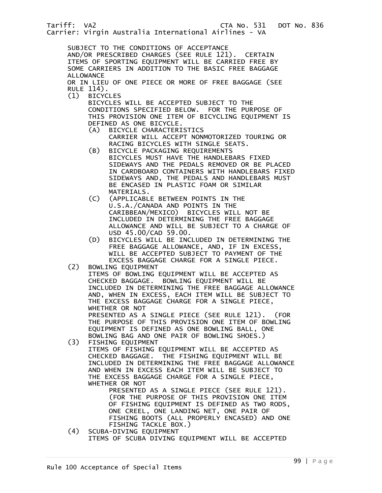SUBJECT TO THE CONDITIONS OF ACCEPTANCE AND/OR PRESCRIBED CHARGES (SEE RULE 121). CERTAIN ITEMS OF SPORTING EQUIPMENT WILL BE CARRIED FREE BY SOME CARRIERS IN ADDITION TO THE BASIC FREE BAGGAGE ALLOWANCE

 OR IN LIEU OF ONE PIECE OR MORE OF FREE BAGGAGE (SEE RULE 114).

(1) BICYCLES

 BICYCLES WILL BE ACCEPTED SUBJECT TO THE CONDITIONS SPECIFIED BELOW. FOR THE PURPOSE OF THIS PROVISION ONE ITEM OF BICYCLING EQUIPMENT IS DEFINED AS ONE BICYCLE.<br>(A) BICYCLE CHARACTERI

- BICYCLE CHARACTERISTICS CARRIER WILL ACCEPT NONMOTORIZED TOURING OR RACING BICYCLES WITH SINGLE SEATS.
- (B) BICYCLE PACKAGING REQUIREMENTS BICYCLES MUST HAVE THE HANDLEBARS FIXED SIDEWAYS AND THE PEDALS REMOVED OR BE PLACED IN CARDBOARD CONTAINERS WITH HANDLEBARS FIXED SIDEWAYS AND, THE PEDALS AND HANDLEBARS MUST BE ENCASED IN PLASTIC FOAM OR SIMILAR MATERIALS.
- (C) (APPLICABLE BETWEEN POINTS IN THE U.S.A./CANADA AND POINTS IN THE CARIBBEAN/MEXICO) BICYCLES WILL NOT BE INCLUDED IN DETERMINING THE FREE BAGGAGE ALLOWANCE AND WILL BE SUBJECT TO A CHARGE OF USD 45.00/CAD 59.00.
- (D) BICYCLES WILL BE INCLUDED IN DETERMINING THE FREE BAGGAGE ALLOWANCE, AND, IF IN EXCESS, WILL BE ACCEPTED SUBJECT TO PAYMENT OF THE EXCESS BAGGAGE CHARGE FOR A SINGLE PIECE.

(2) BOWLING EQUIPMENT

 ITEMS OF BOWLING EQUIPMENT WILL BE ACCEPTED AS CHECKED BAGGAGE. BOWLING EQUIPMENT WILL BE INCLUDED IN DETERMINING THE FREE BAGGAGE ALLOWANCE AND, WHEN IN EXCESS, EACH ITEM WILL BE SUBJECT TO THE EXCESS BAGGAGE CHARGE FOR A SINGLE PIECE, WHETHER OR NOT

 PRESENTED AS A SINGLE PIECE (SEE RULE 121). (FOR THE PURPOSE OF THIS PROVISION ONE ITEM OF BOWLING EQUIPMENT IS DEFINED AS ONE BOWLING BALL, ONE BOWLING BAG AND ONE PAIR OF BOWLING SHOES.)<br>(3) FISHING EQUIPMENT

(3) FISHING EQUIPMENT

 ITEMS OF FISHING EQUIPMENT WILL BE ACCEPTED AS CHECKED BAGGAGE. THE FISHING EQUIPMENT WILL BE INCLUDED IN DETERMINING THE FREE BAGGAGE ALLOWANCE AND WHEN IN EXCESS EACH ITEM WILL BE SUBJECT TO THE EXCESS BAGGAGE CHARGE FOR A SINGLE PIECE, WHETHER OR NOT

 PRESENTED AS A SINGLE PIECE (SEE RULE 121). (FOR THE PURPOSE OF THIS PROVISION ONE ITEM OF FISHING EQUIPMENT IS DEFINED AS TWO RODS, ONE CREEL, ONE LANDING NET, ONE PAIR OF FISHING BOOTS (ALL PROPERLY ENCASED) AND ONE FISHING TACKLE BOX.)

 (4) SCUBA-DIVING EQUIPMENT ITEMS OF SCUBA DIVING EQUIPMENT WILL BE ACCEPTED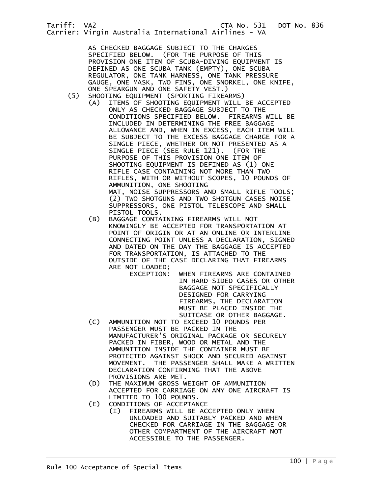AS CHECKED BAGGAGE SUBJECT TO THE CHARGES SPECIFIED BELOW. (FOR THE PURPOSE OF THIS PROVISION ONE ITEM OF SCUBA-DIVING EQUIPMENT IS DEFINED AS ONE SCUBA TANK (EMPTY), ONE SCUBA REGULATOR, ONE TANK HARNESS, ONE TANK PRESSURE GAUGE, ONE MASK, TWO FINS, ONE SNORKEL, ONE KNIFE,

- ONE SPEARGUN AND ONE SAFETY VEST.)<br>SHOOTING EQUIPMENT (SPORTING FIREA SHOOTING EQUIPMENT (SPORTING FIREARMS)
	- (A) ITEMS OF SHOOTING EQUIPMENT WILL BE ACCEPTED ONLY AS CHECKED BAGGAGE SUBJECT TO THE CONDITIONS SPECIFIED BELOW. FIREARMS WILL BE INCLUDED IN DETERMINING THE FREE BAGGAGE ALLOWANCE AND, WHEN IN EXCESS, EACH ITEM WILL BE SUBJECT TO THE EXCESS BAGGAGE CHARGE FOR A SINGLE PIECE, WHETHER OR NOT PRESENTED AS A SINGLE PIECE (SEE RULE 121). (FOR THE PURPOSE OF THIS PROVISION ONE ITEM OF SHOOTING EQUIPMENT IS DEFINED AS (1) ONE RIFLE CASE CONTAINING NOT MORE THAN TWO RIFLES, WITH OR WITHOUT SCOPES, 10 POUNDS OF AMMUNITION, ONE SHOOTING MAT, NOISE SUPPRESSORS AND SMALL RIFLE TOOLS; (2) TWO SHOTGUNS AND TWO SHOTGUN CASES NOISE SUPPRESSORS, ONE PISTOL TELESCOPE AND SMALL PISTOL TOOLS.
		- (B) BAGGAGE CONTAINING FIREARMS WILL NOT KNOWINGLY BE ACCEPTED FOR TRANSPORTATION AT POINT OF ORIGIN OR AT AN ONLINE OR INTERLINE CONNECTING POINT UNLESS A DECLARATION, SIGNED AND DATED ON THE DAY THE BAGGAGE IS ACCEPTED FOR TRANSPORTATION, IS ATTACHED TO THE OUTSIDE OF THE CASE DECLARING THAT FIREARMS ARE NOT LOADED;
			- EXCEPTION: WHEN FIREARMS ARE CONTAINED IN HARD-SIDED CASES OR OTHER BAGGAGE NOT SPECIFICALLY DESIGNED FOR CARRYING FIREARMS, THE DECLARATION MUST BE PLACED INSIDE THE SUITCASE OR OTHER BAGGAGE.
		- (C) AMMUNITION NOT TO EXCEED 10 POUNDS PER PASSENGER MUST BE PACKED IN THE MANUFACTURER'S ORIGINAL PACKAGE OR SECURELY PACKED IN FIBER, WOOD OR METAL AND THE AMMUNITION INSIDE THE CONTAINER MUST BE PROTECTED AGAINST SHOCK AND SECURED AGAINST MOVEMENT. THE PASSENGER SHALL MAKE A WRITTEN DECLARATION CONFIRMING THAT THE ABOVE PROVISIONS ARE MET.
		- (D) THE MAXIMUM GROSS WEIGHT OF AMMUNITION ACCEPTED FOR CARRIAGE ON ANY ONE AIRCRAFT IS LIMITED TO 100 POUNDS.
		- (E) CONDITIONS OF ACCEPTANCE
			- (I) FIREARMS WILL BE ACCEPTED ONLY WHEN UNLOADED AND SUITABLY PACKED AND WHEN CHECKED FOR CARRIAGE IN THE BAGGAGE OR OTHER COMPARTMENT OF THE AIRCRAFT NOT ACCESSIBLE TO THE PASSENGER.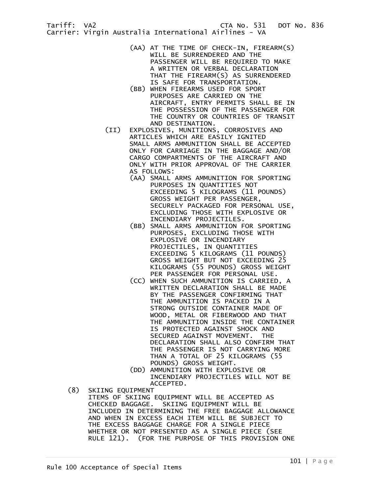- (AA) AT THE TIME OF CHECK-IN, FIREARM(S) WILL BE SURRENDERED AND THE PASSENGER WILL BE REQUIRED TO MAKE A WRITTEN OR VERBAL DECLARATION THAT THE FIREARM(S) AS SURRENDERED IS SAFE FOR TRANSPORTATION.
- (BB) WHEN FIREARMS USED FOR SPORT PURPOSES ARE CARRIED ON THE AIRCRAFT, ENTRY PERMITS SHALL BE IN THE POSSESSION OF THE PASSENGER FOR THE COUNTRY OR COUNTRIES OF TRANSIT AND DESTINATION.
- (II) EXPLOSIVES, MUNITIONS, CORROSIVES AND ARTICLES WHICH ARE EASILY IGNITED SMALL ARMS AMMUNITION SHALL BE ACCEPTED ONLY FOR CARRIAGE IN THE BAGGAGE AND/OR CARGO COMPARTMENTS OF THE AIRCRAFT AND ONLY WITH PRIOR APPROVAL OF THE CARRIER AS FOLLOWS:
	- (AA) SMALL ARMS AMMUNITION FOR SPORTING PURPOSES IN QUANTITIES NOT EXCEEDING 5 KILOGRAMS (11 POUNDS) GROSS WEIGHT PER PASSENGER, SECURELY PACKAGED FOR PERSONAL USE, EXCLUDING THOSE WITH EXPLOSIVE OR INCENDIARY PROJECTILES.
- (BB) SMALL ARMS AMMUNITION FOR SPORTING PURPOSES, EXCLUDING THOSE WITH EXPLOSIVE OR INCENDIARY PROJECTILES, IN QUANTITIES EXCEEDING 5 KILOGRAMS (11 POUNDS) GROSS WEIGHT BUT NOT EXCEEDING 25 KILOGRAMS (55 POUNDS) GROSS WEIGHT PER PASSENGER FOR PERSONAL USE.
	- (CC) WHEN SUCH AMMUNITION IS CARRIED, A WRITTEN DECLARATION SHALL BE MADE BY THE PASSENGER CONFIRMING THAT THE AMMUNITION IS PACKED IN A STRONG OUTSIDE CONTAINER MADE OF WOOD, METAL OR FIBERWOOD AND THAT THE AMMUNITION INSIDE THE CONTAINER IS PROTECTED AGAINST SHOCK AND SECURED AGAINST MOVEMENT. THE DECLARATION SHALL ALSO CONFIRM THAT THE PASSENGER IS NOT CARRYING MORE THAN A TOTAL OF 25 KILOGRAMS (55 POUNDS) GROSS WEIGHT.
	- (DD) AMMUNITION WITH EXPLOSIVE OR INCENDIARY PROJECTILES WILL NOT BE ACCEPTED.
	- (8) SKIING EQUIPMENT ITEMS OF SKIING EQUIPMENT WILL BE ACCEPTED AS CHECKED BAGGAGE. SKIING EQUIPMENT WILL BE INCLUDED IN DETERMINING THE FREE BAGGAGE ALLOWANCE AND WHEN IN EXCESS EACH ITEM WILL BE SUBJECT TO THE EXCESS BAGGAGE CHARGE FOR A SINGLE PIECE WHETHER OR NOT PRESENTED AS A SINGLE PIECE (SEE RULE 121). (FOR THE PURPOSE OF THIS PROVISION ONE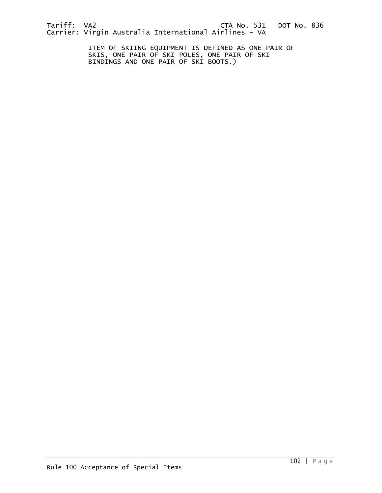ITEM OF SKIING EQUIPMENT IS DEFINED AS ONE PAIR OF SKIS, ONE PAIR OF SKI POLES, ONE PAIR OF SKI BINDINGS AND ONE PAIR OF SKI BOOTS.)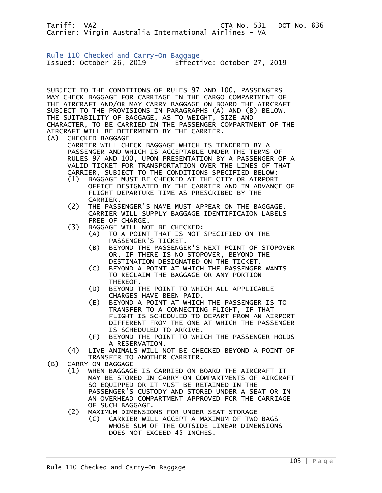Rule 110 Checked and Carry-On Baggage Issued: October 26, 2019 Effective: October 27, 2019

SUBJECT TO THE CONDITIONS OF RULES 97 AND 100, PASSENGERS MAY CHECK BAGGAGE FOR CARRIAGE IN THE CARGO COMPARTMENT OF THE AIRCRAFT AND/OR MAY CARRY BAGGAGE ON BOARD THE AIRCRAFT SUBJECT TO THE PROVISIONS IN PARAGRAPHS (A) AND (B) BELOW. THE SUITABILITY OF BAGGAGE, AS TO WEIGHT, SIZE AND CHARACTER, TO BE CARRIED IN THE PASSENGER COMPARTMENT OF THE AIRCRAFT WILL BE DETERMINED BY THE CARRIER.

- (A) CHECKED BAGGAGE CARRIER WILL CHECK BAGGAGE WHICH IS TENDERED BY A PASSENGER AND WHICH IS ACCEPTABLE UNDER THE TERMS OF RULES 97 AND 100, UPON PRESENTATION BY A PASSENGER OF A VALID TICKET FOR TRANSPORTATION OVER THE LINES OF THAT CARRIER, SUBJECT TO THE CONDITIONS SPECIFIED BELOW:
	- (1) BAGGAGE MUST BE CHECKED AT THE CITY OR AIRPORT OFFICE DESIGNATED BY THE CARRIER AND IN ADVANCE OF FLIGHT DEPARTURE TIME AS PRESCRIBED BY THE CARRIER.
	- (2) THE PASSENGER'S NAME MUST APPEAR ON THE BAGGAGE. CARRIER WILL SUPPLY BAGGAGE IDENTIFICAION LABELS FREE OF CHARGE.
	- (3) BAGGAGE WILL NOT BE CHECKED:
		- (A) TO A POINT THAT IS NOT SPECIFIED ON THE PASSENGER'S TICKET.
		- (B) BEYOND THE PASSENGER'S NEXT POINT OF STOPOVER OR, IF THERE IS NO STOPOVER, BEYOND THE DESTINATION DESIGNATED ON THE TICKET.
		- (C) BEYOND A POINT AT WHICH THE PASSENGER WANTS TO RECLAIM THE BAGGAGE OR ANY PORTION THEREOF.
		- (D) BEYOND THE POINT TO WHICH ALL APPLICABLE CHARGES HAVE BEEN PAID.
		- (E) BEYOND A POINT AT WHICH THE PASSENGER IS TO TRANSFER TO A CONNECTING FLIGHT, IF THAT FLIGHT IS SCHEDULED TO DEPART FROM AN AIRPORT DIFFERENT FROM THE ONE AT WHICH THE PASSENGER IS SCHEDULED TO ARRIVE.
		- (F) BEYOND THE POINT TO WHICH THE PASSENGER HOLDS A RESERVATION.
- (4) LIVE ANIMALS WILL NOT BE CHECKED BEYOND A POINT OF TRANSFER TO ANOTHER CARRIER.<br>(B) CARRY-ON BAGGAGE
- CARRY-ON BAGGAGE
	- (1) WHEN BAGGAGE IS CARRIED ON BOARD THE AIRCRAFT IT MAY BE STORED IN CARRY-ON COMPARTMENTS OF AIRCRAFT SO EQUIPPED OR IT MUST BE RETAINED IN THE PASSENGER'S CUSTODY AND STORED UNDER A SEAT OR IN AN OVERHEAD COMPARTMENT APPROVED FOR THE CARRIAGE OF SUCH BAGGAGE.
	- (2) MAXIMUM DIMENSIONS FOR UNDER SEAT STORAGE
		- (C) CARRIER WILL ACCEPT A MAXIMUM OF TWO BAGS WHOSE SUM OF THE OUTSIDE LINEAR DIMENSIONS DOES NOT EXCEED 45 INCHES.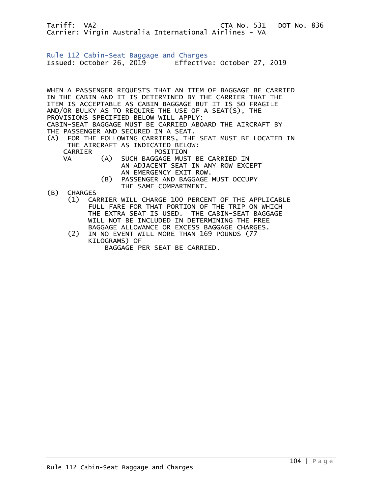Rule 112 Cabin-Seat Baggage and Charges Issued: October 26, 2019 Effective: October 27, 2019

WHEN A PASSENGER REQUESTS THAT AN ITEM OF BAGGAGE BE CARRIED IN THE CABIN AND IT IS DETERMINED BY THE CARRIER THAT THE ITEM IS ACCEPTABLE AS CABIN BAGGAGE BUT IT IS SO FRAGILE AND/OR BULKY AS TO REQUIRE THE USE OF A SEAT(S), THE PROVISIONS SPECIFIED BELOW WILL APPLY: CABIN-SEAT BAGGAGE MUST BE CARRIED ABOARD THE AIRCRAFT BY THE PASSENGER AND SECURED IN A SEAT. (A) FOR THE FOLLOWING CARRIERS, THE SEAT MUST BE LOCATED IN THE AIRCRAFT AS INDICATED BELOW: POSITION<br>CA) SUCH BAGGAGE MUS

- VA (A) SUCH BAGGAGE MUST BE CARRIED IN AN ADJACENT SEAT IN ANY ROW EXCEPT AN EMERGENCY EXIT ROW.
	- (B) PASSENGER AND BAGGAGE MUST OCCUPY THE SAME COMPARTMENT.
- (B) CHARGES
	- (1) CARRIER WILL CHARGE 100 PERCENT OF THE APPLICABLE FULL FARE FOR THAT PORTION OF THE TRIP ON WHICH THE EXTRA SEAT IS USED. THE CABIN-SEAT BAGGAGE WILL NOT BE INCLUDED IN DETERMINING THE FREE
	- BAGGAGE ALLOWANCE OR EXCESS BAGGAGE CHARGES.<br>(2) IN NO EVENT WILL MORE THAN 169 POUNDS (77 IN NO EVENT WILL MORE THAN 169 POUNDS (77 KILOGRAMS) OF BAGGAGE PER SEAT BE CARRIED.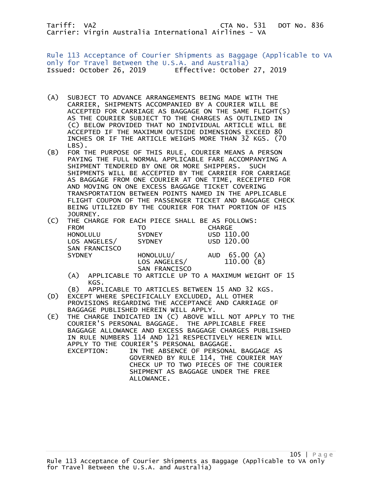Rule 113 Acceptance of Courier Shipments as Baggage (Applicable to VA only for Travel Between the U.S.A. and Australia) Issued: October 26, 2019 Effective: October 27, 2019

- (A) SUBJECT TO ADVANCE ARRANGEMENTS BEING MADE WITH THE CARRIER, SHIPMENTS ACCOMPANIED BY A COURIER WILL BE ACCEPTED FOR CARRIAGE AS BAGGAGE ON THE SAME FLIGHT(S) AS THE COURIER SUBJECT TO THE CHARGES AS OUTLINED IN (C) BELOW PROVIDED THAT NO INDIVIDUAL ARTICLE WILL BE ACCEPTED IF THE MAXIMUM OUTSIDE DIMENSIONS EXCEED 80 INCHES OR IF THE ARTICLE WEIGHS MORE THAN 32 KGS. (70 LBS).
- (B) FOR THE PURPOSE OF THIS RULE, COURIER MEANS A PERSON PAYING THE FULL NORMAL APPLICABLE FARE ACCOMPANYING A SHIPMENT TENDERED BY ONE OR MORE SHIPPERS. SUCH SHIPMENTS WILL BE ACCEPTED BY THE CARRIER FOR CARRIAGE AS BAGGAGE FROM ONE COURIER AT ONE TIME, RECEIPTED FOR AND MOVING ON ONE EXCESS BAGGAGE TICKET COVERING TRANSPORTATION BETWEEN POINTS NAMED IN THE APPLICABLE FLIGHT COUPON OF THE PASSENGER TICKET AND BAGGAGE CHECK BEING UTILIZED BY THE COURIER FOR THAT PORTION OF HIS JOURNEY.

| (C) |                 | THE CHARGE FOR EACH PIECE SHALL BE AS FOLLOWS: |               |
|-----|-----------------|------------------------------------------------|---------------|
|     | <b>FROM</b>     | тο                                             | <b>CHARGE</b> |
|     | <b>HONOLULU</b> | <b>SYDNEY</b>                                  | USD 110.00    |
|     | LOS ANGELES/    | <b>SYDNEY</b>                                  | USD 120.00    |
|     | SAN FRANCISCO   |                                                |               |
|     | <b>SYDNEY</b>   | HONOLULU/                                      | AUD 65.00 (A) |
|     |                 | LOS ANGELES/                                   | 110.00(B)     |
|     |                 | SAN FRANCISCO                                  |               |
|     | $\sim$          |                                                |               |

- (A) APPLICABLE TO ARTICLE UP TO A MAXIMUM WEIGHT OF 15 KGS.
- (B) APPLICABLE TO ARTICLES BETWEEN 15 AND 32 KGS.<br>(D) EXCEPT WHERE SPECIFICALLY EXCLUDED. ALL OTHER
- EXCEPT WHERE SPECIFICALLY EXCLUDED, ALL OTHER PROVISIONS REGARDING THE ACCEPTANCE AND CARRIAGE OF BAGGAGE PUBLISHED HEREIN WILL APPLY.
- (E) THE CHARGE INDICATED IN (C) ABOVE WILL NOT APPLY TO THE COURIER'S PERSONAL BAGGAGE. THE APPLICABLE FREE BAGGAGE ALLOWANCE AND EXCESS BAGGAGE CHARGES PUBLISHED IN RULE NUMBERS 114 AND 121 RESPECTIVELY HEREIN WILL APPLY TO THE COURIER'S PERSONAL BAGGAGE. EXCEPTION: IN THE ABSENCE OF PERSONAL BAGGAGE AS GOVERNED BY RULE 114, THE COURIER MAY CHECK UP TO TWO PIECES OF THE COURIER SHIPMENT AS BAGGAGE UNDER THE FREE ALLOWANCE.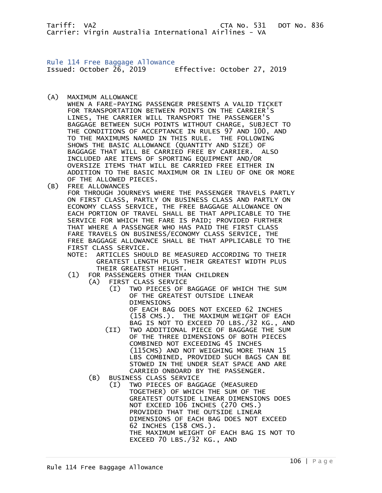Rule 114 Free Baggage Allowance Issued: October 26, 2019 Effective: October 27, 2019

(A) MAXIMUM ALLOWANCE

 WHEN A FARE-PAYING PASSENGER PRESENTS A VALID TICKET FOR TRANSPORTATION BETWEEN POINTS ON THE CARRIER'S LINES, THE CARRIER WILL TRANSPORT THE PASSENGER'S BAGGAGE BETWEEN SUCH POINTS WITHOUT CHARGE, SUBJECT TO THE CONDITIONS OF ACCEPTANCE IN RULES 97 AND 100, AND TO THE MAXIMUMS NAMED IN THIS RULE. THE FOLLOWING SHOWS THE BASIC ALLOWANCE (QUANTITY AND SIZE) OF BAGGAGE THAT WILL BE CARRIED FREE BY CARRIER. ALSO INCLUDED ARE ITEMS OF SPORTING EQUIPMENT AND/OR OVERSIZE ITEMS THAT WILL BE CARRIED FREE EITHER IN ADDITION TO THE BASIC MAXIMUM OR IN LIEU OF ONE OR MORE OF THE ALLOWED PIECES.

(B) FREE ALLOWANCES

 FOR THROUGH JOURNEYS WHERE THE PASSENGER TRAVELS PARTLY ON FIRST CLASS, PARTLY ON BUSINESS CLASS AND PARTLY ON ECONOMY CLASS SERVICE, THE FREE BAGGAGE ALLOWANCE ON EACH PORTION OF TRAVEL SHALL BE THAT APPLICABLE TO THE SERVICE FOR WHICH THE FARE IS PAID; PROVIDED FURTHER THAT WHERE A PASSENGER WHO HAS PAID THE FIRST CLASS FARE TRAVELS ON BUSINESS/ECONOMY CLASS SERVICE, THE FREE BAGGAGE ALLOWANCE SHALL BE THAT APPLICABLE TO THE FIRST CLASS SERVICE.

- NOTE: ARTICLES SHOULD BE MEASURED ACCORDING TO THEIR GREATEST LENGTH PLUS THEIR GREATEST WIDTH PLUS THEIR GREATEST HEIGHT.<br>(1) FOR PASSENGERS OTHER THA
	- FOR PASSENGERS OTHER THAN CHILDREN
		- (A) FIRST CLASS SERVICE
			- (I) TWO PIECES OF BAGGAGE OF WHICH THE SUM OF THE GREATEST OUTSIDE LINEAR DIMENSIONS OF EACH BAG DOES NOT EXCEED 62 INCHES

(158 CMS.). THE MAXIMUM WEIGHT OF EACH BAG IS NOT TO EXCEED 70 LBS./32 KG., AND

- (II) TWO ADDITIONAL PIECE OF BAGGAGE THE SUM OF THE THREE DIMENSIONS OF BOTH PIECES COMBINED NOT EXCEEDING 45 INCHES (115CMS) AND NOT WEIGHING MORE THAN 15 LBS COMBINED, PROVIDED SUCH BAGS CAN BE STOWED IN THE UNDER SEAT SPACE AND ARE CARRIED ONBOARD BY THE PASSENGER.
- (B) BUSINESS CLASS SERVICE
	- (I) TWO PIECES OF BAGGAGE (MEASURED TOGETHER) OF WHICH THE SUM OF THE GREATEST OUTSIDE LINEAR DIMENSIONS DOES NOT EXCEED 106 INCHES (270 CMS.) PROVIDED THAT THE OUTSIDE LINEAR DIMENSIONS OF EACH BAG DOES NOT EXCEED 62 INCHES (158 CMS.). THE MAXIMUM WEIGHT OF EACH BAG IS NOT TO EXCEED 70 LBS./32 KG., AND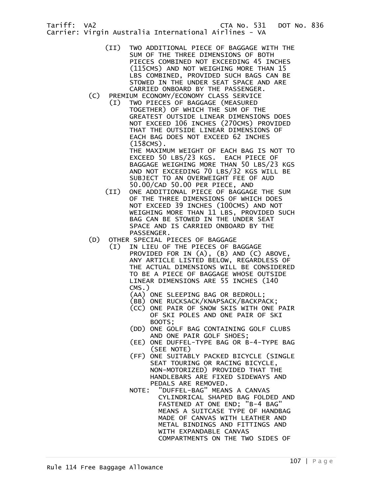- (II) TWO ADDITIONAL PIECE OF BAGGAGE WITH THE SUM OF THE THREE DIMENSIONS OF BOTH PIECES COMBINED NOT EXCEEDING 45 INCHES (115CMS) AND NOT WEIGHING MORE THAN 15 LBS COMBINED, PROVIDED SUCH BAGS CAN BE STOWED IN THE UNDER SEAT SPACE AND ARE CARRIED ONBOARD BY THE PASSENGER.
- (C) PREMIUM ECONOMY/ECONOMY CLASS SERVICE
	- (I) TWO PIECES OF BAGGAGE (MEASURED TOGETHER) OF WHICH THE SUM OF THE GREATEST OUTSIDE LINEAR DIMENSIONS DOES NOT EXCEED 106 INCHES (270CMS) PROVIDED THAT THE OUTSIDE LINEAR DIMENSIONS OF EACH BAG DOES NOT EXCEED 62 INCHES (158CMS).

THE MAXIMUM WEIGHT OF EACH BAG IS NOT TO EXCEED 50 LBS/23 KGS. EACH PIECE OF BAGGAGE WEIGHING MORE THAN 50 LBS/23 KGS AND NOT EXCEEDING 70 LBS/32 KGS WILL BE SUBJECT TO AN OVERWEIGHT FEE OF AUD 50.00/CAD 50.00 PER PIECE, AND

- (II) ONE ADDITIONAL PIECE OF BAGGAGE THE SUM OF THE THREE DIMENSIONS OF WHICH DOES NOT EXCEED 39 INCHES (100CMS) AND NOT WEIGHING MORE THAN 11 LBS, PROVIDED SUCH BAG CAN BE STOWED IN THE UNDER SEAT SPACE AND IS CARRIED ONBOARD BY THE PASSENGER.
- (D) OTHER SPECIAL PIECES OF BAGGAGE
	- (I) IN LIEU OF THE PIECES OF BAGGAGE PROVIDED FOR IN (A), (B) AND (C) ABOVE, ANY ARTICLE LISTED BELOW, REGARDLESS OF THE ACTUAL DIMENSIONS WILL BE CONSIDERED TO BE A PIECE OF BAGGAGE WHOSE OUTSIDE LINEAR DIMENSIONS ARE 55 INCHES (140 CMS.)
		- (AA) ONE SLEEPING BAG OR BEDROLL;
		- (BB) ONE RUCKSACK/KNAPSACK/BACKPACK;
		- (CC) ONE PAIR OF SNOW SKIS WITH ONE PAIR OF SKI POLES AND ONE PAIR OF SKI BOOTS;
		- (DD) ONE GOLF BAG CONTAINING GOLF CLUBS AND ONE PAIR GOLF SHOES;
		- (EE) ONE DUFFEL-TYPE BAG OR B-4-TYPE BAG (SEE NOTE)
		- (FF) ONE SUITABLY PACKED BICYCLE (SINGLE SEAT TOURING OR RACING BICYCLE, NON-MOTORIZED) PROVIDED THAT THE HANDLEBARS ARE FIXED SIDEWAYS AND PEDALS ARE REMOVED.
- NOTE: "DUFFEL-BAG" MEANS A CANVAS CYLINDRICAL SHAPED BAG FOLDED AND FASTENED AT ONE END; "B-4 BAG" MEANS A SUITCASE TYPE OF HANDBAG MADE OF CANVAS WITH LEATHER AND METAL BINDINGS AND FITTINGS AND WITH EXPANDABLE CANVAS COMPARTMENTS ON THE TWO SIDES OF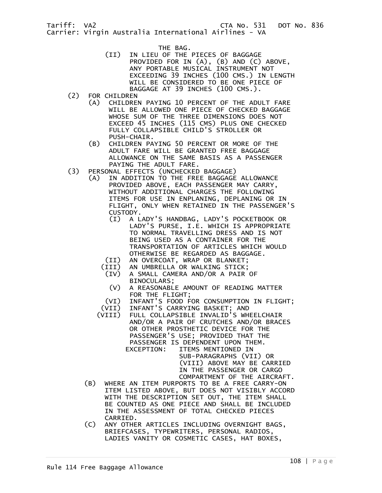- THE BAG.<br>IN LIEU OF THE) וIN LIEU IN LIEU OF THE PIECES OF BAGGAGE PROVIDED FOR IN (A), (B) AND (C) ABOVE, ANY PORTABLE MUSICAL INSTRUMENT NOT EXCEEDING 39 INCHES (100 CMS.) IN LENGTH WILL BE CONSIDERED TO BE ONE PIECE OF BAGGAGE AT 39 INCHES (100 CMS.).
	- (2) FOR CHILDREN
		- (A) CHILDREN PAYING 10 PERCENT OF THE ADULT FARE WILL BE ALLOWED ONE PIECE OF CHECKED BAGGAGE WHOSE SUM OF THE THREE DIMENSIONS DOES NOT EXCEED 45 INCHES (115 CMS) PLUS ONE CHECKED FULLY COLLAPSIBLE CHILD'S STROLLER OR PUSH-CHAIR.
		- (B) CHILDREN PAYING 50 PERCENT OR MORE OF THE ADULT FARE WILL BE GRANTED FREE BAGGAGE ALLOWANCE ON THE SAME BASIS AS A PASSENGER PAYING THE ADULT FARE.
	- (3) PERSONAL EFFECTS (UNCHECKED BAGGAGE)
		- (A) IN ADDITION TO THE FREE BAGGAGE ALLOWANCE PROVIDED ABOVE, EACH PASSENGER MAY CARRY, WITHOUT ADDITIONAL CHARGES THE FOLLOWING ITEMS FOR USE IN ENPLANING, DEPLANING OR IN FLIGHT, ONLY WHEN RETAINED IN THE PASSENGER'S CUSTODY.<br>(I) A L
			- (I) A LADY'S HANDBAG, LADY'S POCKETBOOK OR LADY'S PURSE, I.E. WHICH IS APPROPRIATE TO NORMAL TRAVELLING DRESS AND IS NOT BEING USED AS A CONTAINER FOR THE TRANSPORTATION OF ARTICLES WHICH WOULD OTHERWISE BE REGARDED AS BAGGAGE.
			- (II) AN OVERCOAT, WRAP OR BLANKET;
			- (III) AN UMBRELLA OR WALKING STICK;
			- (IV) A SMALL CAMERA AND/OR A PAIR OF BINOCULARS;<br>V) A REASONABL)
			- A REASONABLE AMOUNT OF READING MATTER FOR THE FLIGHT;<br>VI) INFANT'S FOOD F
			- (VI) INFANT'S FOOD FOR CONSUMPTION IN FLIGHT;<br>(VII) INFANT'S CARRYING BASKET; AND
			- INFANT'S CARRYING BASKET; AND
			- (VIII) FULL COLLAPSIBLE INVALID'S WHEELCHAIR AND/OR A PAIR OF CRUTCHES AND/OR BRACES OR OTHER PROSTHETIC DEVICE FOR THE PASSENGER'S USE; PROVIDED THAT THE PASSENGER IS DEPENDENT UPON THEM. EXCEPTION: ITEMS MENTIONED IN SUB-PARAGRAPHS (VII) OR
				- (VIII) ABOVE MAY BE CARRIED IN THE PASSENGER OR CARGO COMPARTMENT OF THE AIRCRAFT.
		- (B) WHERE AN ITEM PURPORTS TO BE A FREE CARRY-ON ITEM LISTED ABOVE, BUT DOES NOT VISIBLY ACCORD WITH THE DESCRIPTION SET OUT, THE ITEM SHALL BE COUNTED AS ONE PIECE AND SHALL BE INCLUDED IN THE ASSESSMENT OF TOTAL CHECKED PIECES CARRIED.
		- (C) ANY OTHER ARTICLES INCLUDING OVERNIGHT BAGS, BRIEFCASES, TYPEWRITERS, PERSONAL RADIOS, LADIES VANITY OR COSMETIC CASES, HAT BOXES,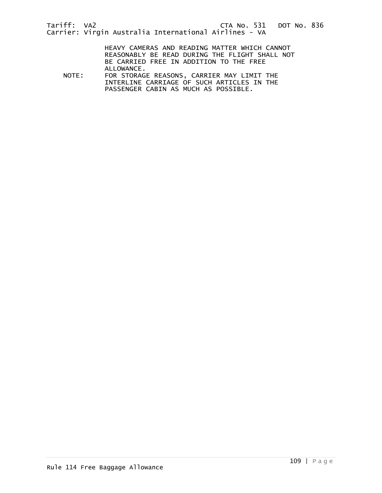HEAVY CAMERAS AND READING MATTER WHICH CANNOT REASONABLY BE READ DURING THE FLIGHT SHALL NOT BE CARRIED FREE IN ADDITION TO THE FREE

ALLOWANCE.<br>NOTE: FOR STORAG FOR STORAGE REASONS, CARRIER MAY LIMIT THE INTERLINE CARRIAGE OF SUCH ARTICLES IN THE PASSENGER CABIN AS MUCH AS POSSIBLE.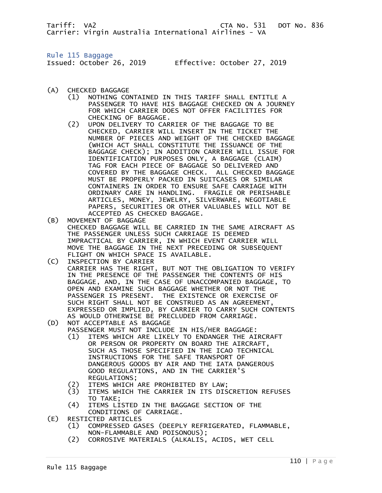Tariff: VA2 CTA No. 531 DOT No. 836 Carrier: Virgin Australia International Airlines - VA

Rule 115 Baggage

Issued: October 26, 2019 Effective: October 27, 2019

- (A) CHECKED BAGGAGE
	- (1) NOTHING CONTAINED IN THIS TARIFF SHALL ENTITLE A PASSENGER TO HAVE HIS BAGGAGE CHECKED ON A JOURNEY FOR WHICH CARRIER DOES NOT OFFER FACILITIES FOR CHECKING OF BAGGAGE.
- (2) UPON DELIVERY TO CARRIER OF THE BAGGAGE TO BE CHECKED, CARRIER WILL INSERT IN THE TICKET THE NUMBER OF PIECES AND WEIGHT OF THE CHECKED BAGGAGE (WHICH ACT SHALL CONSTITUTE THE ISSUANCE OF THE BAGGAGE CHECK); IN ADDITION CARRIER WILL ISSUE FOR IDENTIFICATION PURPOSES ONLY, A BAGGAGE (CLAIM) TAG FOR EACH PIECE OF BAGGAGE SO DELIVERED AND COVERED BY THE BAGGAGE CHECK. ALL CHECKED BAGGAGE MUST BE PROPERLY PACKED IN SUITCASES OR SIMILAR CONTAINERS IN ORDER TO ENSURE SAFE CARRIAGE WITH ORDINARY CARE IN HANDLING. FRAGILE OR PERISHABLE ARTICLES, MONEY, JEWELRY, SILVERWARE, NEGOTIABLE PAPERS, SECURITIES OR OTHER VALUABLES WILL NOT BE ACCEPTED AS CHECKED BAGGAGE.<br>(B) MOVEMENT OF BAGGAGE
- MOVEMENT OF BAGGAGE CHECKED BAGGAGE WILL BE CARRIED IN THE SAME AIRCRAFT AS THE PASSENGER UNLESS SUCH CARRIAGE IS DEEMED IMPRACTICAL BY CARRIER, IN WHICH EVENT CARRIER WILL MOVE THE BAGGAGE IN THE NEXT PRECEDING OR SUBSEQUENT FLIGHT ON WHICH SPACE IS AVAILABLE.
- (C) INSPECTION BY CARRIER CARRIER HAS THE RIGHT, BUT NOT THE OBLIGATION TO VERIFY IN THE PRESENCE OF THE PASSENGER THE CONTENTS OF HIS BAGGAGE, AND, IN THE CASE OF UNACCOMPANIED BAGGAGE, TO OPEN AND EXAMINE SUCH BAGGAGE WHETHER OR NOT THE PASSENGER IS PRESENT. THE EXISTENCE OR EXERCISE OF SUCH RIGHT SHALL NOT BE CONSTRUED AS AN AGREEMENT, EXPRESSED OR IMPLIED, BY CARRIER TO CARRY SUCH CONTENTS AS WOULD OTHERWISE BE PRECLUDED FROM CARRIAGE.
- (D) NOT ACCEPTABLE AS BAGGAGE
	- PASSENGER MUST NOT INCLUDE IN HIS/HER BAGGAGE:
	- (1) ITEMS WHICH ARE LIKELY TO ENDANGER THE AIRCRAFT OR PERSON OR PROPERTY ON BOARD THE AIRCRAFT, SUCH AS THOSE SPECIFIED IN THE ICAO TECHNICAL INSTRUCTIONS FOR THE SAFE TRANSPORT OF DANGEROUS GOODS BY AIR AND THE IATA DANGEROUS GOOD REGULATIONS, AND IN THE CARRIER'S REGULATIONS;
	- (2) ITEMS WHICH ARE PROHIBITED BY LAW;
	- (3) ITEMS WHICH THE CARRIER IN ITS DISCRETION REFUSES TO TAKE;<br>(4) ITEMS LI
	- ITEMS LISTED IN THE BAGGAGE SECTION OF THE CONDITIONS OF CARRIAGE.
- (E) RESTICTED ARTICLES
	- (1) COMPRESSED GASES (DEEPLY REFRIGERATED, FLAMMABLE, NON-FLAMMABLE AND POISONOUS);
	- (2) CORROSIVE MATERIALS (ALKALIS, ACIDS, WET CELL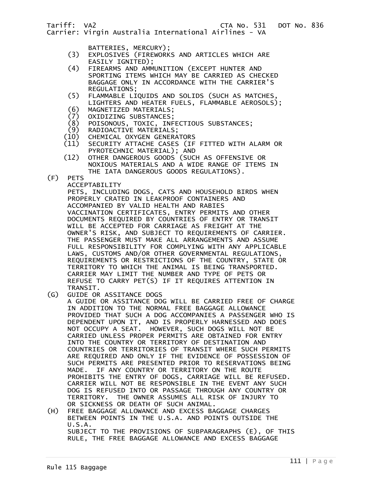Carrier: Virgin Australia International Airlines - VA

- BATTERIES, MERCURY);
- (3) EXPLOSIVES (FIREWORKS AND ARTICLES WHICH ARE EASILY IGNITED);<br>(4) FIREARMS AND AMM
	- FIREARMS AND AMMUNITION (EXCEPT HUNTER AND SPORTING ITEMS WHICH MAY BE CARRIED AS CHECKED BAGGAGE ONLY IN ACCORDANCE WITH THE CARRIER'S
	- REGULATIONS;<br>1) FLAMMABLE LT (5) FLAMMABLE LIQUIDS AND SOLIDS (SUCH AS MATCHES, LIGHTERS AND HEATER FUELS, FLAMMABLE AEROSOLS);
	-
	- (6) MAGNETIZED MATERIALS;
	- (7) OXIDIZING SUBSTANCES; (8) POISONOUS, TOXIC, INFECTIOUS SUBSTANCES;
	- (9) RADIOACTIVE MATERIALS;
	- (10) CHEMICAL OXYGEN GENERATORS<br>(11) SECURITY ATTACHE CASES (IF
- SECURITY ATTACHE CASES (IF FITTED WITH ALARM OR PYROTECHNIC MATERIAL); AND
- (12) OTHER DANGEROUS GOODS (SUCH AS OFFENSIVE OR NOXIOUS MATERIALS AND A WIDE RANGE OF ITEMS IN THE IATA DANGEROUS GOODS REGULATIONS).
- (F) PETS
	- ACCEPTABILITY

 PETS, INCLUDING DOGS, CATS AND HOUSEHOLD BIRDS WHEN PROPERLY CRATED IN LEAKPROOF CONTAINERS AND ACCOMPANIED BY VALID HEALTH AND RABIES VACCINATION CERTIFICATES, ENTRY PERMITS AND OTHER DOCUMENTS REQUIRED BY COUNTRIES OF ENTRY OR TRANSIT WILL BE ACCEPTED FOR CARRIAGE AS FREIGHT AT THE OWNER'S RISK, AND SUBJECT TO REQUIREMENTS OF CARRIER. THE PASSENGER MUST MAKE ALL ARRANGEMENTS AND ASSUME FULL RESPONSIBILITY FOR COMPLYING WITH ANY APPLICABLE LAWS, CUSTOMS AND/OR OTHER GOVERNMENTAL REGULATIONS, REQUIREMENTS OR RESTRICTIONS OF THE COUNTRY, STATE OR TERRITORY TO WHICH THE ANIMAL IS BEING TRANSPORTED. CARRIER MAY LIMIT THE NUMBER AND TYPE OF PETS OR REFUSE TO CARRY PET(S) IF IT REQUIRES ATTENTION IN

TRANSIT.<br>G) GUIDE OR GUIDE OR ASSITANCE DOGS

 A GUIDE OR ASSITANCE DOG WILL BE CARRIED FREE OF CHARGE IN ADDITION TO THE NORMAL FREE BAGGAGE ALLOWANCE PROVIDED THAT SUCH A DOG ACCOMPANIES A PASSENGER WHO IS DEPENDENT UPON IT, AND IS PROPERLY HARNESSED AND DOES NOT OCCUPY A SEAT. HOWEVER, SUCH DOGS WILL NOT BE CARRIED UNLESS PROPER PERMITS ARE OBTAINED FOR ENTRY INTO THE COUNTRY OR TERRITORY OF DESTINATION AND COUNTRIES OR TERRITORIES OF TRANSIT WHERE SUCH PERMITS ARE REQUIRED AND ONLY IF THE EVIDENCE OF POSSESSION OF SUCH PERMITS ARE PRESENTED PRIOR TO RESERVATIONS BEING MADE. IF ANY COUNTRY OR TERRITORY ON THE ROUTE PROHIBITS THE ENTRY OF DOGS, CARRIAGE WILL BE REFUSED. CARRIER WILL NOT BE RESPONSIBLE IN THE EVENT ANY SUCH DOG IS REFUSED INTO OR PASSAGE THROUGH ANY COUNTRY OR<br>TERRITORY. THE OWNER ASSUMES ALL RISK OF INJURY TO TERRITORY. THE OWNER ASSUMES ALL RISK OF INJURY TO OR SICKNESS OR DEATH OF SUCH ANIMAL.

(H) FREE BAGGAGE ALLOWANCE AND EXCESS BAGGAGE CHARGES BETWEEN POINTS IN THE U.S.A. AND POINTS OUTSIDE THE U.S.A. SUBJECT TO THE PROVISIONS OF SUBPARAGRAPHS (E), OF THIS RULE, THE FREE BAGGAGE ALLOWANCE AND EXCESS BAGGAGE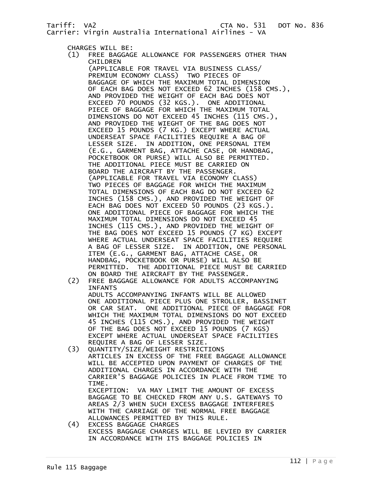CHARGES WILL BE:<br>(1) FREE BAGGAG

Carrier: Virgin Australia International Airlines - VA

- FREE BAGGAGE ALLOWANCE FOR PASSENGERS OTHER THAN
- CHILDREN (APPLICABLE FOR TRAVEL VIA BUSINESS CLASS/ PREMIUM ECONOMY CLASS) TWO PIECES OF BAGGAGE OF WHICH THE MAXIMUM TOTAL DIMENSION OF EACH BAG DOES NOT EXCEED 62 INCHES (158 CMS.), AND PROVIDED THE WEIGHT OF EACH BAG DOES NOT EXCEED 70 POUNDS (32 KGS.). ONE ADDITIONAL PIECE OF BAGGAGE FOR WHICH THE MAXIMUM TOTAL DIMENSIONS DO NOT EXCEED 45 INCHES (115 CMS.), AND PROVIDED THE WIEGHT OF THE BAG DOES NOT EXCEED 15 POUNDS (7 KG.) EXCEPT WHERE ACTUAL UNDERSEAT SPACE FACILITIES REQUIRE A BAG OF LESSER SIZE. IN ADDITION, ONE PERSONAL ITEM (E.G., GARMENT BAG, ATTACHE CASE, OR HANDBAG, POCKETBOOK OR PURSE) WILL ALSO BE PERMITTED. THE ADDITIONAL PIECE MUST BE CARRIED ON BOARD THE AIRCRAFT BY THE PASSENGER. (APPLICABLE FOR TRAVEL VIA ECONOMY CLASS) TWO PIECES OF BAGGAGE FOR WHICH THE MAXIMUM TOTAL DIMENSIONS OF EACH BAG DO NOT EXCEED 62 INCHES (158 CMS.), AND PROVIDED THE WEIGHT OF EACH BAG DOES NOT EXCEED 50 POUNDS (23 KGS.). ONE ADDITIONAL PIECE OF BAGGAGE FOR WHICH THE MAXIMUM TOTAL DIMENSIONS DO NOT EXCEED 45 INCHES (115 CMS.), AND PROVIDED THE WEIGHT OF THE BAG DOES NOT EXCEED 15 POUNDS (7 KG) EXCEPT WHERE ACTUAL UNDERSEAT SPACE FACILITIES REQUIRE A BAG OF LESSER SIZE. IN ADDITION, ONE PERSONAL ITEM (E.G., GARMENT BAG, ATTACHE CASE, OR HANDBAG, POCKETBOOK OR PURSE) WILL ALSO BE PERMITTED. THE ADDITIONAL PIECE MUST BE CARRIED ON BOARD THE AIRCRAFT BY THE PASSENGER.<br>FREE BAGGAGE ALLOWANCE FOR ADULTS ACCOM
	- FREE BAGGAGE ALLOWANCE FOR ADULTS ACCOMPANYING INFANTS ADULTS ACCOMPANYING INFANTS WILL BE ALLOWED ONE ADDITIONAL PIECE PLUS ONE STROLLER, BASSINET OR CAR SEAT. ONE ADDITIONAL PIECE OF BAGGAGE FOR WHICH THE MAXIMUM TOTAL DIMENSIONS DO NOT EXCEED 45 INCHES (115 CMS.), AND PROVIDED THE WEIGHT OF THE BAG DOES NOT EXCEED 15 POUNDS (7 KGS) EXCEPT WHERE ACTUAL UNDERSEAT SPACE FACILITIES REQUIRE A BAG OF LESSER SIZE.<br>QUANTITY/SIZE/WEIGHT RESTRICT
- (3) QUANTITY/SIZE/WEIGHT RESTRICTIONS ARTICLES IN EXCESS OF THE FREE BAGGAGE ALLOWANCE WILL BE ACCEPTED UPON PAYMENT OF CHARGES OF THE ADDITIONAL CHARGES IN ACCORDANCE WITH THE CARRIER'S BAGGAGE POLICIES IN PLACE FROM TIME TO TIME. EXCEPTION: VA MAY LIMIT THE AMOUNT OF EXCESS BAGGAGE TO BE CHECKED FROM ANY U.S. GATEWAYS TO AREAS 2/3 WHEN SUCH EXCESS BAGGAGE INTERFERES WITH THE CARRIAGE OF THE NORMAL FREE BAGGAGE ALLOWANCES PERMITTED BY THIS RULE.<br>(4) EXCESS BAGGAGE CHARGES
	- EXCESS BAGGAGE CHARGES EXCESS BAGGAGE CHARGES WILL BE LEVIED BY CARRIER IN ACCORDANCE WITH ITS BAGGAGE POLICIES IN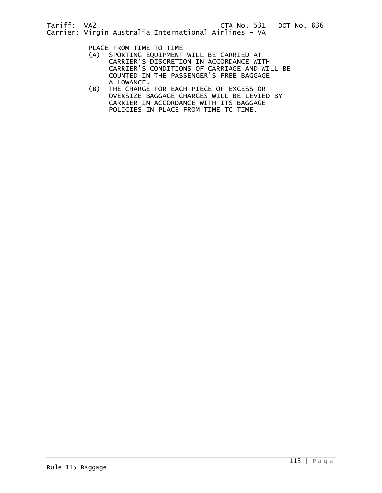PLACE FROM TIME TO TIME

- (A) SPORTING EQUIPMENT WILL BE CARRIED AT CARRIER'S DISCRETION IN ACCORDANCE WITH CARRIER'S CONDITIONS OF CARRIAGE AND WILL BE COUNTED IN THE PASSENGER'S FREE BAGGAGE ALLOWANCE.
- (B) THE CHARGE FOR EACH PIECE OF EXCESS OR OVERSIZE BAGGAGE CHARGES WILL BE LEVIED BY CARRIER IN ACCORDANCE WITH ITS BAGGAGE POLICIES IN PLACE FROM TIME TO TIME.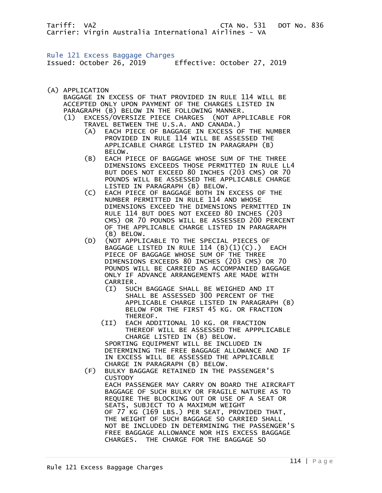Tariff: VA2 CTA No. 531 DOT No. 836 Carrier: Virgin Australia International Airlines - VA

Rule 121 Excess Baggage Charges Issued: October 26, 2019 Effective: October 27, 2019

(A) APPLICATION

 BAGGAGE IN EXCESS OF THAT PROVIDED IN RULE 114 WILL BE ACCEPTED ONLY UPON PAYMENT OF THE CHARGES LISTED IN PARAGRAPH (B) BELOW IN THE FOLLOWING MANNER.

- (1) EXCESS/OVERSIZE PIECE CHARGES (NOT APPLICABLE FOR TRAVEL BETWEEN THE U.S.A. AND CANADA.)
	- (A) EACH PIECE OF BAGGAGE IN EXCESS OF THE NUMBER PROVIDED IN RULE 114 WILL BE ASSESSED THE APPLICABLE CHARGE LISTED IN PARAGRAPH (B) BELOW.<br>B) EACH P)
	- EACH PIECE OF BAGGAGE WHOSE SUM OF THE THREE DIMENSIONS EXCEEDS THOSE PERMITTED IN RULE LL4 BUT DOES NOT EXCEED 80 INCHES (203 CMS) OR 70 POUNDS WILL BE ASSESSED THE APPLICABLE CHARGE LISTED IN PARAGRAPH (B) BELOW.<br>C) EACH PIECE OF BAGGAGE BOTH IN
- EACH PIECE OF BAGGAGE BOTH IN EXCESS OF THE NUMBER PERMITTED IN RULE 114 AND WHOSE DIMENSIONS EXCEED THE DIMENSIONS PERMITTED IN RULE 114 BUT DOES NOT EXCEED 80 INCHES (203 CMS) OR 70 POUNDS WILL BE ASSESSED 200 PERCENT OF THE APPLICABLE CHARGE LISTED IN PARAGRAPH (B) BELOW.<br>D) (NOT APPLI)
	- (NOT APPLICABLE TO THE SPECIAL PIECES OF BAGGAGE LISTED IN RULE  $114$   $(B)(1)(C)$ .) EACH PIECE OF BAGGAGE WHOSE SUM OF THE THREE DIMENSIONS EXCEEDS 80 INCHES (203 CMS) OR 70 POUNDS WILL BE CARRIED AS ACCOMPANIED BAGGAGE ONLY IF ADVANCE ARRANGEMENTS ARE MADE WITH CARRIER.
		- (I) SUCH BAGGAGE SHALL BE WEIGHED AND IT SHALL BE ASSESSED 300 PERCENT OF THE APPLICABLE CHARGE LISTED IN PARAGRAPH (B) BELOW FOR THE FIRST 45 KG. OR FRACTION THEREOF.
		- (II) EACH ADDITIONAL 10 KG. OR FRACTION THEREOF WILL BE ASSESSED THE APPPLICABLE CHARGE LISTED IN (B) BELOW. SPORTING EQUIPMENT WILL BE INCLUDED IN DETERMINING THE FREE BAGGAGE ALLOWANCE AND IF IN EXCESS WILL BE ASSESSED THE APPLICABLE CHARGE IN PARAGRAPH (B) BELOW.
	- (F) BULKY BAGGAGE RETAINED IN THE PASSENGER'S **CUSTODY**  EACH PASSENGER MAY CARRY ON BOARD THE AIRCRAFT BAGGAGE OF SUCH BULKY OR FRAGILE NATURE AS TO REQUIRE THE BLOCKING OUT OR USE OF A SEAT OR SEATS, SUBJECT TO A MAXIMUM WEIGHT OF 77 KG (169 LBS.) PER SEAT, PROVIDED THAT, THE WEIGHT OF SUCH BAGGAGE SO CARRIED SHALL NOT BE INCLUDED IN DETERMINING THE PASSENGER'S FREE BAGGAGE ALLOWANCE NOR HIS EXCESS BAGGAGE CHARGES. THE CHARGE FOR THE BAGGAGE SO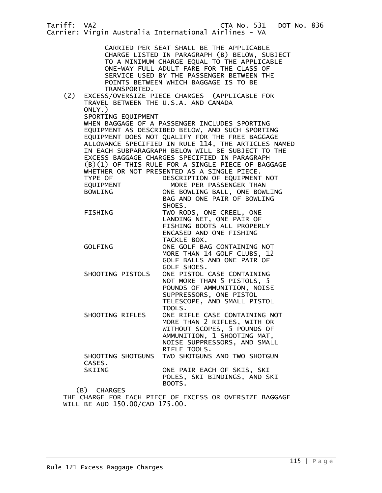Tariff: VA2 CTA No. 531 DOT No. 836 Carrier: Virgin Australia International Airlines - VA CARRIED PER SEAT SHALL BE THE APPLICABLE CHARGE LISTED IN PARAGRAPH (B) BELOW, SUBJECT TO A MINIMUM CHARGE EQUAL TO THE APPLICABLE ONE-WAY FULL ADULT FARE FOR THE CLASS OF SERVICE USED BY THE PASSENGER BETWEEN THE POINTS BETWEEN WHICH BAGGAGE IS TO BE TRANSPORTED. (2) EXCESS/OVERSIZE PIECE CHARGES (APPLICABLE FOR TRAVEL BETWEEN THE U.S.A. AND CANADA ONLY.) SPORTING EQUIPMENT WHEN BAGGAGE OF A PASSENGER INCLUDES SPORTING EQUIPMENT AS DESCRIBED BELOW, AND SUCH SPORTING EQUIPMENT DOES NOT QUALIFY FOR THE FREE BAGGAGE ALLOWANCE SPECIFIED IN RULE 114, THE ARTICLES NAMED IN EACH SUBPARAGRAPH BELOW WILL BE SUBJECT TO THE EXCESS BAGGAGE CHARGES SPECIFIED IN PARAGRAPH (B)(1) OF THIS RULE FOR A SINGLE PIECE OF BAGGAGE WHETHER OR NOT PRESENTED AS A SINGLE PIECE. DESCRIPTION OF EQUIPMENT NOT EQUIPMENT MORE PER PASSENGER THAN BOWLING ONE BOWLING BALL, ONE BOWLING BAG AND ONE PAIR OF BOWLING SHOES. FISHING TWO RODS, ONE CREEL, ONE LANDING NET, ONE PAIR OF FISHING BOOTS ALL PROPERLY ENCASED AND ONE FISHING TACKLE BOX. GOLFING ONE GOLF BAG CONTAINING NOT MORE THAN 14 GOLF CLUBS, 12 GOLF BALLS AND ONE PAIR OF GOLF SHOES. SHOOTING PISTOLS ONE PISTOL CASE CONTAINING NOT MORE THAN 5 PISTOLS, 5 POUNDS OF AMMUNITION, NOISE SUPPRESSORS, ONE PISTOL TELESCOPE, AND SMALL PISTOL TOOLS. SHOOTING RIFLES ONE RIFLE CASE CONTAINING NOT MORE THAN 2 RIFLES, WITH OR WITHOUT SCOPES, 5 POUNDS OF AMMUNITION, 1 SHOOTING MAT, NOISE SUPPRESSORS, AND SMALL RIFLE TOOLS. SHOOTING SHOTGUNS TWO SHOTGUNS AND TWO SHOTGUN CASES.<br>SKIING ONE PAIR EACH OF SKIS, SKI POLES, SKI BINDINGS, AND SKI BOOTS. (B) CHARGES THE CHARGE FOR EACH PIECE OF EXCESS OR OVERSIZE BAGGAGE

WILL BE AUD 150.00/CAD 175.00.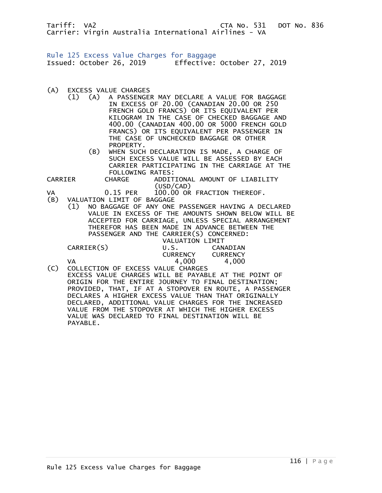Tariff: VA2 **CTA No. 531 DOT No. 836** Carrier: Virgin Australia International Airlines - VA

Rule 125 Excess Value Charges for Baggage Issued: October 26, 2019 Effective: October 27, 2019

- (A) EXCESS VALUE CHARGES
	- (1) (A) A PASSENGER MAY DECLARE A VALUE FOR BAGGAGE IN EXCESS OF 20.00 (CANADIAN 20.00 OR 250 FRENCH GOLD FRANCS) OR ITS EQUIVALENT PER KILOGRAM IN THE CASE OF CHECKED BAGGAGE AND 400.00 (CANADIAN 400.00 OR 5000 FRENCH GOLD FRANCS) OR ITS EQUIVALENT PER PASSENGER IN THE CASE OF UNCHECKED BAGGAGE OR OTHER PROPERTY.
		- (B) WHEN SUCH DECLARATION IS MADE, A CHARGE OF SUCH EXCESS VALUE WILL BE ASSESSED BY EACH CARRIER PARTICIPATING IN THE CARRIAGE AT THE

 FOLLOWING RATES: CHARGE ADDITIONAL AMOUNT OF LIABILITY

 (USD/CAD) VA 0.15 PER 100.00 OR FRACTION THEREOF.

- VALUATION LIMIT OF BAGGAGE
- (1) NO BAGGAGE OF ANY ONE PASSENGER HAVING A DECLARED VALUE IN EXCESS OF THE AMOUNTS SHOWN BELOW WILL BE ACCEPTED FOR CARRIAGE, UNLESS SPECIAL ARRANGEMENT THEREFOR HAS BEEN MADE IN ADVANCE BETWEEN THE PASSENGER AND THE CARRIER(S) CONCERNED:

|                     |                 | <b>VALUATION LIMIT</b> |
|---------------------|-----------------|------------------------|
| CARRIER(S)          | U.S.            | CANADIAN               |
|                     | <b>CURRENCY</b> | <b>CURRENCY</b>        |
| VΔ<br>$\sim$ $\sim$ | 4,000           | 4,000                  |

(C) COLLECTION OF EXCESS VALUE CHARGES EXCESS VALUE CHARGES WILL BE PAYABLE AT THE POINT OF ORIGIN FOR THE ENTIRE JOURNEY TO FINAL DESTINATION; PROVIDED, THAT, IF AT A STOPOVER EN ROUTE, A PASSENGER DECLARES A HIGHER EXCESS VALUE THAN THAT ORIGINALLY DECLARED, ADDITIONAL VALUE CHARGES FOR THE INCREASED VALUE FROM THE STOPOVER AT WHICH THE HIGHER EXCESS VALUE WAS DECLARED TO FINAL DESTINATION WILL BE PAYABLE.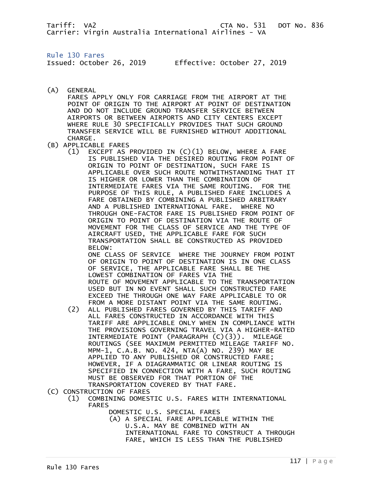Tariff: VA2 CTA No. 531 DOT No. 836 Carrier: Virgin Australia International Airlines - VA

Rule 130 Fares

Issued: October 26, 2019 Effective: October 27, 2019

(A) GENERAL

 FARES APPLY ONLY FOR CARRIAGE FROM THE AIRPORT AT THE POINT OF ORIGIN TO THE AIRPORT AT POINT OF DESTINATION AND DO NOT INCLUDE GROUND TRANSFER SERVICE BETWEEN AIRPORTS OR BETWEEN AIRPORTS AND CITY CENTERS EXCEPT WHERE RULE 30 SPECIFICALLY PROVIDES THAT SUCH GROUND TRANSFER SERVICE WILL BE FURNISHED WITHOUT ADDITIONAL CHARGE.

- (B) APPLICABLE FARES
	- (1) EXCEPT AS PROVIDED IN (C)(1) BELOW, WHERE A FARE IS PUBLISHED VIA THE DESIRED ROUTING FROM POINT OF ORIGIN TO POINT OF DESTINATION, SUCH FARE IS APPLICABLE OVER SUCH ROUTE NOTWITHSTANDING THAT IT IS HIGHER OR LOWER THAN THE COMBINATION OF INTERMEDIATE FARES VIA THE SAME ROUTING. FOR THE PURPOSE OF THIS RULE, A PUBLISHED FARE INCLUDES A FARE OBTAINED BY COMBINING A PUBLISHED ARBITRARY AND A PUBLISHED INTERNATIONAL FARE. WHERE NO THROUGH ONE-FACTOR FARE IS PUBLISHED FROM POINT OF ORIGIN TO POINT OF DESTINATION VIA THE ROUTE OF MOVEMENT FOR THE CLASS OF SERVICE AND THE TYPE OF AIRCRAFT USED, THE APPLICABLE FARE FOR SUCH TRANSPORTATION SHALL BE CONSTRUCTED AS PROVIDED BELOW: ONE CLASS OF SERVICE WHERE THE JOURNEY FROM POINT OF ORIGIN TO POINT OF DESTINATION IS IN ONE CLASS OF SERVICE, THE APPLICABLE FARE SHALL BE THE LOWEST COMBINATION OF FARES VIA THE ROUTE OF MOVEMENT APPLICABLE TO THE TRANSPORTATION

 USED BUT IN NO EVENT SHALL SUCH CONSTRUCTED FARE EXCEED THE THROUGH ONE WAY FARE APPLICABLE TO OR FROM A MORE DISTANT POINT VIA THE SAME ROUTING.

 (2) ALL PUBLISHED FARES GOVERNED BY THIS TARIFF AND ALL FARES CONSTRUCTED IN ACCORDANCE WITH THIS TARIFF ARE APPLICABLE ONLY WHEN IN COMPLIANCE WITH THE PROVISIONS GOVERNING TRAVEL VIA A HIGHER-RATED INTERMEDIATE POINT (PARAGRAPH (C)(3)). MILEAGE ROUTINGS (SEE MAXIMUM PERMITTED MILEAGE TARIFF NO. MPM-1, C.A.B. NO. 424, NTA(A) NO. 239) MAY BE APPLIED TO ANY PUBLISHED OR CONSTRUCTED FARE; HOWEVER, IF A DIAGRAMMATIC OR LINEAR ROUTING IS SPECIFIED IN CONNECTION WITH A FARE, SUCH ROUTING MUST BE OBSERVED FOR THAT PORTION OF THE TRANSPORTATION COVERED BY THAT FARE.

(C) CONSTRUCTION OF FARES<br>(1) COMBINING DOMES

- (1) COMBINING DOMESTIC U.S. FARES WITH INTERNATIONAL FARES
	- DOMESTIC U.S. SPECIAL FARES

(A) A SPECIAL FARE APPLICABLE WITHIN THE U.S.A. MAY BE COMBINED WITH AN INTERNATIONAL FARE TO CONSTRUCT A THROUGH FARE, WHICH IS LESS THAN THE PUBLISHED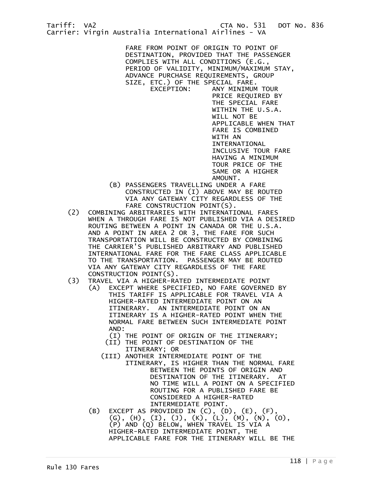PRICE REQUIRED BY THE SPECIAL FARE WITHIN THE U.S.A. WILL NOT BE APPLICABLE WHEN THAT FARE IS COMBINED WITH AN INTERNATIONAL INCLUSIVE TOUR FARE HAVING A MINIMUM TOUR PRICE OF THE SAME OR A HIGHER AMOUNT.

- (B) PASSENGERS TRAVELLING UNDER A FARE CONSTRUCTED IN (I) ABOVE MAY BE ROUTED VIA ANY GATEWAY CITY REGARDLESS OF THE FARE CONSTRUCTION POINT(S).
- (2) COMBINING ARBITRARIES WITH INTERNATIONAL FARES WHEN A THROUGH FARE IS NOT PUBLISHED VIA A DESIRED ROUTING BETWEEN A POINT IN CANADA OR THE U.S.A. AND A POINT IN AREA 2 OR 3, THE FARE FOR SUCH TRANSPORTATION WILL BE CONSTRUCTED BY COMBINING THE CARRIER'S PUBLISHED ARBITRARY AND PUBLISHED INTERNATIONAL FARE FOR THE FARE CLASS APPLICABLE TO THE TRANSPORTATION. PASSENGER MAY BE ROUTED VIA ANY GATEWAY CITY REGARDLESS OF THE FARE CONSTRUCTION POINT(S).<br>TRAVEL VIA A HIGHER-RA
	- (3) TRAVEL VIA A HIGHER-RATED INTERMEDIATE POINT
		- (A) EXCEPT WHERE SPECIFIED, NO FARE GOVERNED BY THIS TARIFF IS APPLICABLE FOR TRAVEL VIA A HIGHER-RATED INTERMEDIATE POINT ON AN ITINERARY. AN INTERMEDIATE POINT ON AN ITINERARY IS A HIGHER-RATED POINT WHEN THE NORMAL FARE BETWEEN SUCH INTERMEDIATE POINT AND:

(I) THE POINT OF ORIGIN OF THE ITINERARY;

- (II) THE POINT OF DESTINATION OF THE ITINERARY; OR
- (III) ANOTHER INTERMEDIATE POINT OF THE ITINERARY, IS HIGHER THAN THE NORMAL FARE BETWEEN THE POINTS OF ORIGIN AND DESTINATION OF THE ITINERARY. AT NO TIME WILL A POINT ON A SPECIFIED ROUTING FOR A PUBLISHED FARE BE CONSIDERED A HIGHER-RATED INTERMEDIATE POINT.
- (B) EXCEPT AS PROVIDED IN (C), (D), (E), (F), (G), (H), (I), (J), (K), (L), (M), (N), (O), (P) AND (Q) BELOW, WHEN TRAVEL IS VIA A HIGHER-RATED INTERMEDIATE POINT, THE APPLICABLE FARE FOR THE ITINERARY WILL BE THE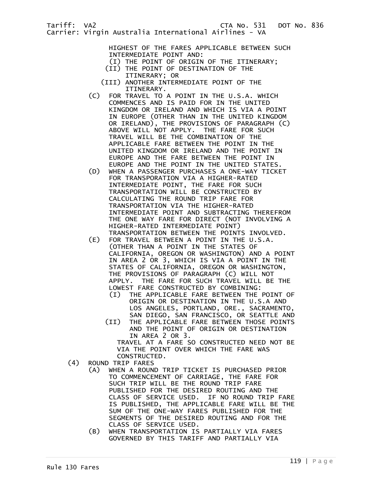HIGHEST OF THE FARES APPLICABLE BETWEEN SUCH INTERMEDIATE POINT AND:

- (I) THE POINT OF ORIGIN OF THE ITINERARY; (II) THE POINT OF DESTINATION OF THE
- ITINERARY; OR
- (III) ANOTHER INTERMEDIATE POINT OF THE ITINERARY.<br>(C) FOR TRAVEL TO
- FOR TRAVEL TO A POINT IN THE U.S.A. WHICH COMMENCES AND IS PAID FOR IN THE UNITED KINGDOM OR IRELAND AND WHICH IS VIA A POINT IN EUROPE (OTHER THAN IN THE UNITED KINGDOM OR IRELAND), THE PROVISIONS OF PARAGRAPH (C) ABOVE WILL NOT APPLY. THE FARE FOR SUCH TRAVEL WILL BE THE COMBINATION OF THE APPLICABLE FARE BETWEEN THE POINT IN THE UNITED KINGDOM OR IRELAND AND THE POINT IN EUROPE AND THE FARE BETWEEN THE POINT IN EUROPE AND THE POINT IN THE UNITED STATES.
- (D) WHEN A PASSENGER PURCHASES A ONE-WAY TICKET FOR TRANSPORATION VIA A HIGHER-RATED INTERMEDIATE POINT, THE FARE FOR SUCH TRANSPORTATION WILL BE CONSTRUCTED BY CALCULATING THE ROUND TRIP FARE FOR TRANSPORTATION VIA THE HIGHER-RATED INTERMEDIATE POINT AND SUBTRACTING THEREFROM THE ONE WAY FARE FOR DIRECT (NOT INVOLVING A HIGHER-RATED INTERMEDIATE POINT) TRANSPORTATION BETWEEN THE POINTS INVOLVED.
- (E) FOR TRAVEL BETWEEN A POINT IN THE U.S.A. (OTHER THAN A POINT IN THE STATES OF CALIFORNIA, OREGON OR WASHINGTON) AND A POINT IN AREA 2 OR 3, WHICH IS VIA A POINT IN THE STATES OF CALIFORNIA, OREGON OR WASHINGTON, THE PROVISIONS OF PARAGRAPH (C) WILL NOT APPLY. THE FARE FOR SUCH TRAVEL WILL BE THE LOWEST FARE CONSTRUCTED BY COMBINING:
	- (I) THE APPLICABLE FARE BETWEEN THE POINT OF ORIGIN OR DESTINATION IN THE U.S.A AND LOS ANGELES, PORTLAND, ORE., SACRAMENTO, SAN DIEGO, SAN FRANCISCO, OR SEATTLE AND
	- (II) THE APPLICABLE FARE BETWEEN THOSE POINTS AND THE POINT OF ORIGIN OR DESTINATION IN AREA 2 OR 3. TRAVEL AT A FARE SO CONSTRUCTED NEED NOT BE

 VIA THE POINT OVER WHICH THE FARE WAS CONSTRUCTED.

- (4) ROUND TRIP FARES
	- (A) WHEN A ROUND TRIP TICKET IS PURCHASED PRIOR TO COMMENCEMENT OF CARRIAGE, THE FARE FOR SUCH TRIP WILL BE THE ROUND TRIP FARE PUBLISHED FOR THE DESIRED ROUTING AND THE CLASS OF SERVICE USED. IF NO ROUND TRIP FARE IS PUBLISHED, THE APPLICABLE FARE WILL BE THE SUM OF THE ONE-WAY FARES PUBLISHED FOR THE SEGMENTS OF THE DESIRED ROUTING AND FOR THE CLASS OF SERVICE USED.
	- (B) WHEN TRANSPORTATION IS PARTIALLY VIA FARES GOVERNED BY THIS TARIFF AND PARTIALLY VIA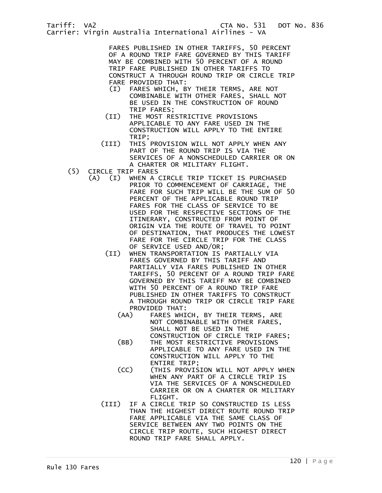FARES PUBLISHED IN OTHER TARIFFS, 50 PERCENT OF A ROUND TRIP FARE GOVERNED BY THIS TARIFF MAY BE COMBINED WITH 50 PERCENT OF A ROUND TRIP FARE PUBLISHED IN OTHER TARIFFS TO CONSTRUCT A THROUGH ROUND TRIP OR CIRCLE TRIP FARE PROVIDED THAT:

- (I) FARES WHICH, BY THEIR TERMS, ARE NOT COMBINABLE WITH OTHER FARES, SHALL NOT BE USED IN THE CONSTRUCTION OF ROUND TRIP FARES;
- (II) THE MOST RESTRICTIVE PROVISIONS APPLICABLE TO ANY FARE USED IN THE CONSTRUCTION WILL APPLY TO THE ENTIRE TRIP;
- (III) THIS PROVISION WILL NOT APPLY WHEN ANY PART OF THE ROUND TRIP IS VIA THE SERVICES OF A NONSCHEDULED CARRIER OR ON A CHARTER OR MILITARY FLIGHT.
- (5) CIRCLE TRIP FARES<br>(A) (I) WHEN A
	- (A) (I) WHEN A CIRCLE TRIP TICKET IS PURCHASED PRIOR TO COMMENCEMENT OF CARRIAGE, THE FARE FOR SUCH TRIP WILL BE THE SUM OF 50 PERCENT OF THE APPLICABLE ROUND TRIP FARES FOR THE CLASS OF SERVICE TO BE USED FOR THE RESPECTIVE SECTIONS OF THE ITINERARY, CONSTRUCTED FROM POINT OF ORIGIN VIA THE ROUTE OF TRAVEL TO POINT OF DESTINATION, THAT PRODUCES THE LOWEST FARE FOR THE CIRCLE TRIP FOR THE CLASS OF SERVICE USED AND/OR;
		- (II) WHEN TRANSPORTATION IS PARTIALLY VIA FARES GOVERNED BY THIS TARIFF AND PARTIALLY VIA FARES PUBLISHED IN OTHER TARIFFS, 50 PERCENT OF A ROUND TRIP FARE GOVERNED BY THIS TARIFF MAY BE COMBINED WITH 50 PERCENT OF A ROUND TRIP FARE PUBLISHED IN OTHER TARIFFS TO CONSTRUCT A THROUGH ROUND TRIP OR CIRCLE TRIP FARE PROVIDED THAT:
			- (AA) FARES WHICH, BY THEIR TERMS, ARE NOT COMBINABLE WITH OTHER FARES, SHALL NOT BE USED IN THE CONSTRUCTION OF CIRCLE TRIP FARES;
			- (BB) THE MOST RESTRICTIVE PROVISIONS APPLICABLE TO ANY FARE USED IN THE CONSTRUCTION WILL APPLY TO THE ENTIRE TRIP;
			- (CC) (THIS PROVISION WILL NOT APPLY WHEN WHEN ANY PART OF A CIRCLE TRIP IS VIA THE SERVICES OF A NONSCHEDULED CARRIER OR ON A CHARTER OR MILITARY FLIGHT.
		- (III) IF A CIRCLE TRIP SO CONSTRUCTED IS LESS THAN THE HIGHEST DIRECT ROUTE ROUND TRIP FARE APPLICABLE VIA THE SAME CLASS OF SERVICE BETWEEN ANY TWO POINTS ON THE CIRCLE TRIP ROUTE, SUCH HIGHEST DIRECT ROUND TRIP FARE SHALL APPLY.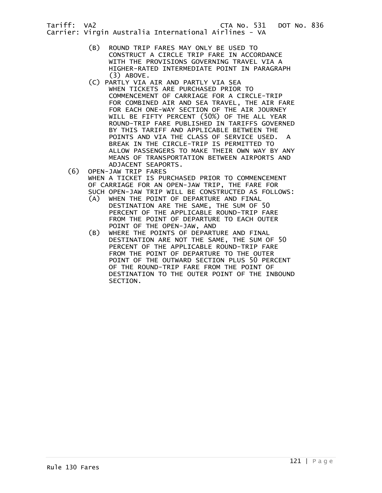Carrier: Virgin Australia International Airlines - VA

- (B) ROUND TRIP FARES MAY ONLY BE USED TO CONSTRUCT A CIRCLE TRIP FARE IN ACCORDANCE WITH THE PROVISIONS GOVERNING TRAVEL VIA A HIGHER-RATED INTERMEDIATE POINT IN PARAGRAPH (3) ABOVE.
- (C) PARTLY VIA AIR AND PARTLY VIA SEA WHEN TICKETS ARE PURCHASED PRIOR TO COMMENCEMENT OF CARRIAGE FOR A CIRCLE-TRIP FOR COMBINED AIR AND SEA TRAVEL, THE AIR FARE FOR EACH ONE-WAY SECTION OF THE AIR JOURNEY WILL BE FIFTY PERCENT (50%) OF THE ALL YEAR ROUND-TRIP FARE PUBLISHED IN TARIFFS GOVERNED BY THIS TARIFF AND APPLICABLE BETWEEN THE POINTS AND VIA THE CLASS OF SERVICE USED. A BREAK IN THE CIRCLE-TRIP IS PERMITTED TO ALLOW PASSENGERS TO MAKE THEIR OWN WAY BY ANY MEANS OF TRANSPORTATION BETWEEN AIRPORTS AND ADJACENT SEAPORTS.
- (6) OPEN-JAW TRIP FARES WHEN A TICKET IS PURCHASED PRIOR TO COMMENCEMENT OF CARRIAGE FOR AN OPEN-JAW TRIP, THE FARE FOR SUCH OPEN-JAW TRIP WILL BE CONSTRUCTED AS FOLLOWS:
	- (A) WHEN THE POINT OF DEPARTURE AND FINAL DESTINATION ARE THE SAME, THE SUM OF 50 PERCENT OF THE APPLICABLE ROUND-TRIP FARE FROM THE POINT OF DEPARTURE TO EACH OUTER POINT OF THE OPEN-JAW, AND
	- (B) WHERE THE POINTS OF DEPARTURE AND FINAL DESTINATION ARE NOT THE SAME, THE SUM OF 50 PERCENT OF THE APPLICABLE ROUND-TRIP FARE FROM THE POINT OF DEPARTURE TO THE OUTER POINT OF THE OUTWARD SECTION PLUS 50 PERCENT OF THE ROUND-TRIP FARE FROM THE POINT OF DESTINATION TO THE OUTER POINT OF THE INBOUND SECTION.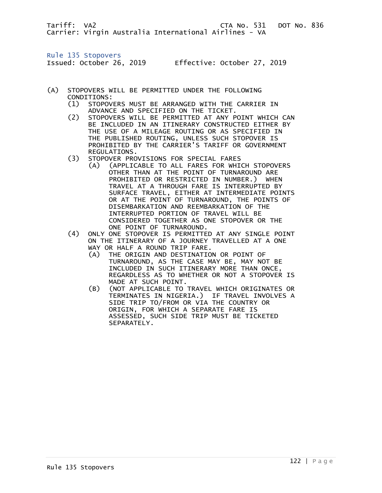Tariff: VA2 CTA No. 531 DOT No. 836 Carrier: Virgin Australia International Airlines - VA

Rule 135 Stopovers

Issued: October 26, 2019 Effective: October 27, 2019

- (A) STOPOVERS WILL BE PERMITTED UNDER THE FOLLOWING CONDITIONS:
	- (1) STOPOVERS MUST BE ARRANGED WITH THE CARRIER IN ADVANCE AND SPECIFIED ON THE TICKET.<br>(2) STOPOVERS WILL BE PERMITTED AT ANY P
	- STOPOVERS WILL BE PERMITTED AT ANY POINT WHICH CAN BE INCLUDED IN AN ITINERARY CONSTRUCTED EITHER BY THE USE OF A MILEAGE ROUTING OR AS SPECIFIED IN THE PUBLISHED ROUTING, UNLESS SUCH STOPOVER IS PROHIBITED BY THE CARRIER'S TARIFF OR GOVERNMENT REGULATIONS.<br>(3) STOPOVER PRO
	- STOPOVER PROVISIONS FOR SPECIAL FARES
- (A) (APPLICABLE TO ALL FARES FOR WHICH STOPOVERS OTHER THAN AT THE POINT OF TURNAROUND ARE PROHIBITED OR RESTRICTED IN NUMBER.) WHEN TRAVEL AT A THROUGH FARE IS INTERRUPTED BY SURFACE TRAVEL, EITHER AT INTERMEDIATE POINTS OR AT THE POINT OF TURNAROUND, THE POINTS OF DISEMBARKATION AND REEMBARKATION OF THE INTERRUPTED PORTION OF TRAVEL WILL BE CONSIDERED TOGETHER AS ONE STOPOVER OR THE ONE POINT OF TURNAROUND.
	- (4) ONLY ONE STOPOVER IS PERMITTED AT ANY SINGLE POINT ON THE ITINERARY OF A JOURNEY TRAVELLED AT A ONE WAY OR HALF A ROUND TRIP FARE.
		- (A) THE ORIGIN AND DESTINATION OR POINT OF TURNAROUND, AS THE CASE MAY BE, MAY NOT BE INCLUDED IN SUCH ITINERARY MORE THAN ONCE, REGARDLESS AS TO WHETHER OR NOT A STOPOVER IS MADE AT SUCH POINT.
		- (B) (NOT APPLICABLE TO TRAVEL WHICH ORIGINATES OR TERMINATES IN NIGERIA.) IF TRAVEL INVOLVES A SIDE TRIP TO/FROM OR VIA THE COUNTRY OR ORIGIN, FOR WHICH A SEPARATE FARE IS ASSESSED, SUCH SIDE TRIP MUST BE TICKETED SEPARATELY.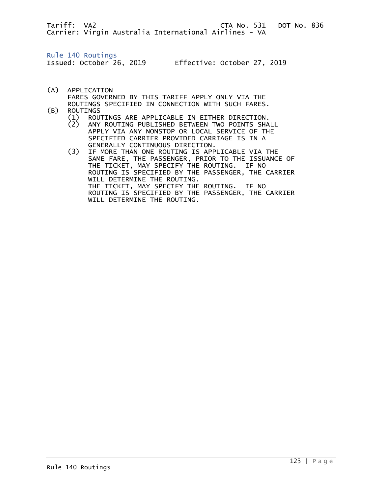Tariff: VA2 CTA No. 531 DOT No. 836 Carrier: Virgin Australia International Airlines - VA

Rule 140 Routings

Issued: October 26, 2019 Effective: October 27, 2019

- (A) APPLICATION FARES GOVERNED BY THIS TARIFF APPLY ONLY VIA THE ROUTINGS SPECIFIED IN CONNECTION WITH SUCH FARES.<br>(B) ROUTINGS
- - ROUTINGS<br>(1) ROU (1) ROUTINGS ARE APPLICABLE IN EITHER DIRECTION.
	- ANY ROUTING PUBLISHED BETWEEN TWO POINTS SHALL APPLY VIA ANY NONSTOP OR LOCAL SERVICE OF THE SPECIFIED CARRIER PROVIDED CARRIAGE IS IN A
- GENERALLY CONTINUOUS DIRECTION.<br>IF MORE THAN ONE ROUTING IS APP IF MORE THAN ONE ROUTING IS APPLICABLE VIA THE SAME FARE, THE PASSENGER, PRIOR TO THE ISSUANCE OF THE TICKET, MAY SPECIFY THE ROUTING. IF NO ROUTING IS SPECIFIED BY THE PASSENGER, THE CARRIER WILL DETERMINE THE ROUTING. THE TICKET, MAY SPECIFY THE ROUTING. IF NO ROUTING IS SPECIFIED BY THE PASSENGER, THE CARRIER WILL DETERMINE THE ROUTING.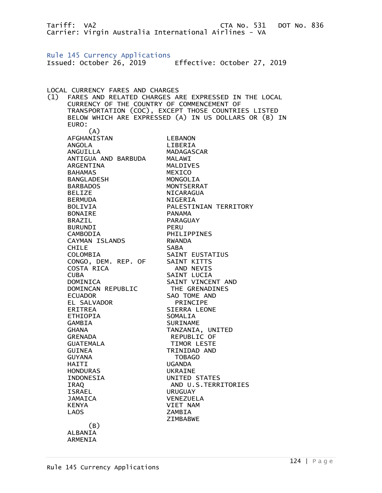Tariff: VA2 CTA No. 531 DOT No. 836 Carrier: Virgin Australia International Airlines - VA Rule 145 Currency Applications Issued: October 26, 2019 Effective: October 27, 2019 LOCAL CURRENCY FARES AND CHARGES (1) FARES AND RELATED CHARGES ARE EXPRESSED IN THE LOCAL CURRENCY OF THE COUNTRY OF COMMENCEMENT OF TRANSPORTATION (COC), EXCEPT THOSE COUNTRIES LISTED BELOW WHICH ARE EXPRESSED (A) IN US DOLLARS OR (B) IN EURO: (A) AFGHANISTAN LEBANON ANGOLA LIBERIA ANGUILLA MADAGASCAR ANTIGUA AND BARBUDA MALAWI ARGENTINA MALDIVES BAHAMAS MEXICO BANGLADESH MONGOLIA BARBADOS MONTSERRAT BELIZE NICARAGUA BERMUDA NIGERIA BOLIVIA PALESTINIAN TERRITORY BONAIRE PANAMA BRAZIL PARAGUAY **BURUNDI**  CAMBODIA PHILIPPINES CAYMAN ISLANDS RWANDA CHILE SABA COLOMBIA SAINT EUSTATIUS CONGO, DEM. REP. OF COSTA RICA AND NEVIS CUBA SAINT LUCIA SAINT VINCENT AND DOMINCAN REPUBLIC THE GRENADINES ECUADOR SAO TOME AND EL SALVADOR PRINCIPE ERITREA SIERRA LEONE ETHIOPIA SOMALIA GAMBIA SURINAME GHANA TANZANIA, UNITED GRENADA REPUBLIC OF GUATEMALA TIMOR LESTE GUINEA TRINIDAD AND GUYANA TOBAGO HAITI UGANDA HONDURAS UKRAINE INDONESIA UNITED STATES IRAQ AND U.S.TERRITORIES ISRAEL URUGUAY JAMAICA VENEZUELA KENYA VIET NAM LAOS ZAMBIA ZIMBABWE (B) ALBANIA ARMENIA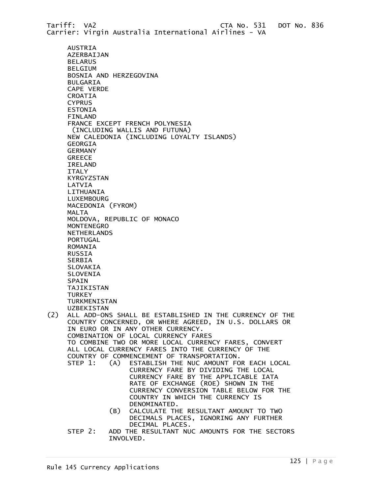Tariff: VA2 CTA No. 531 DOT No. 836 Carrier: Virgin Australia International Airlines - VA AUSTRIA AZERBAIJAN BELARUS BELGIUM BOSNIA AND HERZEGOVINA BULGARIA CAPE VERDE CROATIA **CYPRUS**  ESTONIA FINLAND FRANCE EXCEPT FRENCH POLYNESIA (INCLUDING WALLIS AND FUTUNA) NEW CALEDONIA (INCLUDING LOYALTY ISLANDS) GEORGIA GERMANY GREECE IRELAND ITALY KYRGYZSTAN LATVIA LITHUANIA LUXEMBOURG MACEDONIA (FYROM) MALTA MOLDOVA, REPUBLIC OF MONACO MONTENEGRO NETHERLANDS PORTUGAL ROMANIA RUSSIA SERBIA SLOVAKIA SLOVENIA SPAIN TAJIKISTAN **TURKEY TURKMENISTAN**  UZBEKISTAN (2) ALL ADD-ONS SHALL BE ESTABLISHED IN THE CURRENCY OF THE COUNTRY CONCERNED, OR WHERE AGREED, IN U.S. DOLLARS OR IN EURO OR IN ANY OTHER CURRENCY. COMBINATION OF LOCAL CURRENCY FARES TO COMBINE TWO OR MORE LOCAL CURRENCY FARES, CONVERT ALL LOCAL CURRENCY FARES INTO THE CURRENCY OF THE COUNTRY OF COMMENCEMENT OF TRANSPORTATION.<br>STEP 1: (A) ESTABLISH THE NUC AMOUNT FC STEP 1: (A) ESTABLISH THE NUC AMOUNT FOR EACH LOCAL CURRENCY FARE BY DIVIDING THE LOCAL CURRENCY FARE BY THE APPLICABLE IATA RATE OF EXCHANGE (ROE) SHOWN IN THE CURRENCY CONVERSION TABLE BELOW FOR THE COUNTRY IN WHICH THE CURRENCY IS DENOMINATED. (B) CALCULATE THE RESULTANT AMOUNT TO TWO DECIMALS PLACES, IGNORING ANY FURTHER DECIMAL PLACES. STEP 2: ADD THE RESULTANT NUC AMOUNTS FOR THE SECTORS INVOLVED.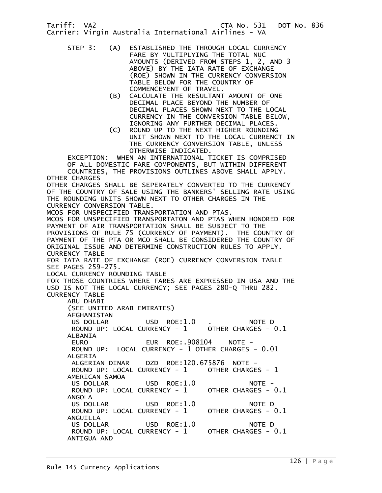Tariff: VA2 CTA No. 531 DOT No. 836 Carrier: Virgin Australia International Airlines - VA

- STEP 3: (A) ESTABLISHED THE THROUGH LOCAL CURRENCY FARE BY MULTIPLYING THE TOTAL NUC AMOUNTS (DERIVED FROM STEPS 1, 2, AND 3 ABOVE) BY THE IATA RATE OF EXCHANGE (ROE) SHOWN IN THE CURRENCY CONVERSION TABLE BELOW FOR THE COUNTRY OF COMMENCEMENT OF TRAVEL.
	- (B) CALCULATE THE RESULTANT AMOUNT OF ONE DECIMAL PLACE BEYOND THE NUMBER OF DECIMAL PLACES SHOWN NEXT TO THE LOCAL CURRENCY IN THE CONVERSION TABLE BELOW, IGNORING ANY FURTHER DECIMAL PLACES.
	- (C) ROUND UP TO THE NEXT HIGHER ROUNDING UNIT SHOWN NEXT TO THE LOCAL CURRENCT IN THE CURRENCY CONVERSION TABLE, UNLESS OTHERWISE INDICATED.

 EXCEPTION: WHEN AN INTERNATIONAL TICKET IS COMPRISED OF ALL DOMESTIC FARE COMPONENTS, BUT WITHIN DIFFERENT COUNTRIES, THE PROVISIONS OUTLINES ABOVE SHALL APPLY. OTHER CHARGES OTHER CHARGES SHALL BE SEPERATELY CONVERTED TO THE CURRENCY OF THE COUNTRY OF SALE USING THE BANKERS' SELLING RATE USING THE ROUNDING UNITS SHOWN NEXT TO OTHER CHARGES IN THE CURRENCY CONVERSION TABLE. MCOS FOR UNSPECIFIED TRANSPORTATION AND PTAS. MCOS FOR UNSPECIFIED TRANSPORTATON AND PTAS WHEN HONORED FOR PAYMENT OF AIR TRANSPORTATION SHALL BE SUBJECT TO THE PROVISIONS OF RULE 75 (CURRENCY OF PAYMENT). THE COUNTRY OF PAYMENT OF THE PTA OR MCO SHALL BE CONSIDERED THE COUNTRY OF ORIGINAL ISSUE AND DETERMINE CONSTRUCTION RULES TO APPLY. CURRENCY TABLE FOR IATA RATE OF EXCHANGE (ROE) CURRENCY CONVERSION TABLE SEE PAGES 259-275. LOCAL CURRENCY ROUNDING TABLE FOR THOSE COUNTRIES WHERE FARES ARE EXPRESSED IN USA AND THE USD IS NOT THE LOCAL CURRENCY; SEE PAGES 280-Q THRU 282. CURRENCY TABLE ABU DHABI (SEE UNITED ARAB EMIRATES) AFGHANISTAN US DOLLAR USD ROE:1.0 . NOTE D ROUND UP: LOCAL CURRENCY - 1 OTHER CHARGES - 0.1 ALBANIA EUR ROE:.908104 NOTE -ROUND UP: LOCAL CURRENCY - 1 OTHER CHARGES - 0.01 ALGERIA ALGERIAN DINAR DZD ROE:120.675876 NOTE - ROUND UP: LOCAL CURRENCY - 1 OTHER CHARGES - 1 AMERICAN SAMOA US DOLLAR USD ROE:1.0 NOTE -<br>ROUND UP: LOCAL CURRENCY - 1 OTHER CHARGES - 0.1 ROUND UP: LOCAL CURRENCY - 1 ANGOLA US DOLLAR USD ROE:1.0 NOTE D<br>ROUND UP: LOCAL CURRENCY - 1 OTHER CHARGES - 0.1 ROUND UP: LOCAL CURRENCY -  $1$ ANGUILLA<br>US DOLLAR USD ROE:1.0 NOTE D ROUND UP: LOCAL CURRENCY - 1 OTHER CHARGES - 0.1 ANTIGUA AND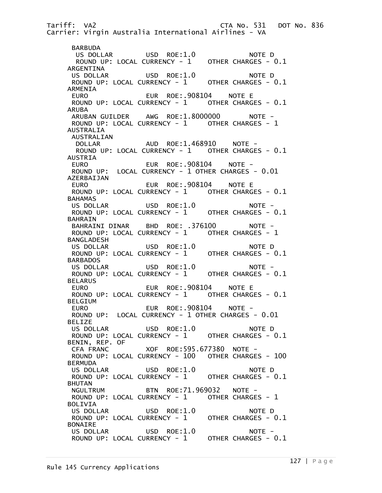Tariff: VA2 CTA No. 531 DOT No. 836 Carrier: Virgin Australia International Airlines - VA BARBUDA US DOLLAR USD ROE:1.0 NOTE D ROUND UP: LOCAL CURRENCY - 1 OTHER CHARGES - 0.1 ARGENTINA US DOLLAR USD ROE:1.0 NOTE D ROUND UP: LOCAL CURRENCY - 1 OTHER CHARGES - 0.1 ARMENIA EURO EUR ROE:.908104 NOTE E ROUND UP: LOCAL CURRENCY - 1 OTHER CHARGES - 0.1 ARUBA ARUBAN GUILDER AWG ROE:1.8000000 NOTE - ROUND UP: LOCAL CURRENCY - 1 OTHER CHARGES - 1 AUSTRALIA AUSTRALIAN DOLLAR AUD ROE:1.468910 NOTE - ROUND UP: LOCAL CURRENCY - 1 OTHER CHARGES - 0.1 AUSTRIA EURO EUR ROE:.908104 NOTE - ROUND UP: LOCAL CURRENCY - 1 OTHER CHARGES - 0.01 AZERBAIJAN EURO EUR ROE:.908104 NOTE E ROUND UP: LOCAL CURRENCY - 1 OTHER CHARGES - 0.1 BAHAMAS US DOLLAR USD ROE:1.0 NOTE - ROUND UP: LOCAL CURRENCY - 1 OTHER CHARGES - 0.1 BAHRAIN BAHRAINI DINAR BHD ROE: .376100 NOTE - ROUND UP: LOCAL CURRENCY - 1 OTHER CHARGES - 1 BANGLADESH US DOLLAR USD ROE:1.0 NOTE D ROUND UP: LOCAL CURRENCY - 1 OTHER CHARGES - 0.1 **BARBADOS**  US DOLLAR USD ROE:1.0 NOTE - ROUND UP: LOCAL CURRENCY -  $1$ **BELARUS**  EURO EUR ROE:.908104 NOTE E ROUND UP: LOCAL CURRENCY - 1 OTHER CHARGES - 0.1 BELGIUM EURO EUR ROE:.908104 NOTE - ROUND UP: LOCAL CURRENCY - 1 OTHER CHARGES - 0.01 BELIZE US DOLLAR USD ROE:1.0 NOTE D ROUND UP: LOCAL CURRENCY - 1 BENIN, REP. OF CFA FRANC XOF ROE:595.677380 NOTE - ROUND UP: LOCAL CURRENCY - 100 OTHER CHARGES - 100 **BERMUDA**  US DOLLAR USD ROE:1.0 NOTE D ROUND UP: LOCAL CURRENCY - 1 BHUTAN NGULTRUM BTN ROE:71.969032 NOTE - ROUND UP: LOCAL CURRENCY - 1 OTHER CHARGES - 1 BOLIVIA US DOLLAR USD ROE:1.0 NOTE D<br>ROUND UP: LOCAL CURRENCY - 1 OTHER CHARGES - 0.1 ROUND UP: LOCAL CURRENCY -  $1$  BONAIRE US DOLLAR USD ROE:1.0 NOTE - ROUND UP: LOCAL CURRENCY - 1 OTHER CHARGES - 0.1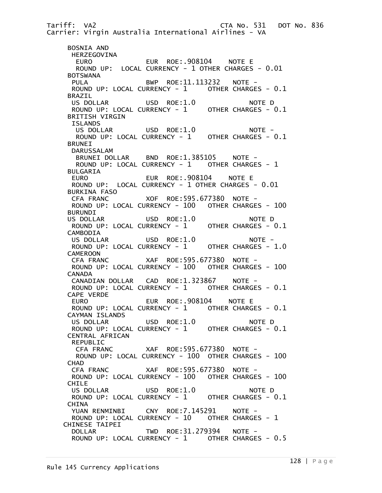Tariff: VA2 CTA No. 531 DOT No. 836 Carrier: Virgin Australia International Airlines - VA BOSNIA AND HERZEGOVINA EURO EUR ROE:.908104 NOTE E ROUND UP: LOCAL CURRENCY - 1 OTHER CHARGES - 0.01 BOTSWANA PULA BWP ROE:11.113232 NOTE - ROUND UP: LOCAL CURRENCY - 1 OTHER CHARGES - 0.1 BRAZIL US DOLLAR USD ROE:1.0 NOTE D ROUND UP: LOCAL CURRENCY - 1 OTHER CHARGES - 0.1 BRITISH VIRGIN ISLANDS<br>US DOLLAR USD ROE:1.0 NOTE -ROUND UP: LOCAL CURRENCY - 1 OTHER CHARGES - 0.1 BRUNEI DARUSSALAM<br>BRUNEI DOLLAR BND ROE:1.385105 NOTE -ROUND UP: LOCAL CURRENCY - 1 OTHER CHARGES - 1 BULGARIA<br>EURO EUR ROE:.908104 NOTE E ROUND UP: LOCAL CURRENCY - 1 OTHER CHARGES - 0.01 BURKINA FASO CFA FRANC XOF ROE:595.677380 NOTE - ROUND UP: LOCAL CURRENCY - 100 OTHER CHARGES - 100 BURUNDI<br>US DOLLAR USD ROE:1.0 NOTE D ROUND UP: LOCAL CURRENCY - 1 OTHER CHARGES - 0.1 **CAMBODIA**  US DOLLAR USD ROE:1.0 NOTE - ROUND UP: LOCAL CURRENCY - 1 OTHER CHARGES - 1.0 **CAMEROON**  CFA FRANC XAF ROE:595.677380 NOTE - ROUND UP: LOCAL CURRENCY - 100 OTHER CHARGES - 100 CANADA CANADIAN DOLLAR CAD ROE:1.323867 NOTE - ROUND UP: LOCAL CURRENCY -  $1$  CAPE VERDE EURO EUR ROE:.908104 NOTE E ROUND UP: LOCAL CURRENCY - 1 OTHER CHARGES - 0.1 CAYMAN ISLANDS US DOLLAR USD ROE:1.0 NOTE D ROUND UP: LOCAL CURRENCY - 1 OTHER CHARGES - 0.1 CENTRAL AFRICAN REPUBLIC CFA FRANC XAF ROE:595.677380 NOTE - ROUND UP: LOCAL CURRENCY - 100 OTHER CHARGES - 100 **CHAD**  CFA FRANC XAF ROE:595.677380 NOTE - ROUND UP: LOCAL CURRENCY - 100 OTHER CHARGES - 100 CHILE US DOLLAR USD ROE:1.0 NOTE D ROUND UP: LOCAL CURRENCY - 1 OTHER CHARGES - 0.1 **CHINA** YUAN RENMINBI CNY ROE: 7.145291 NOTE -ROUND UP: LOCAL CURRENCY - 10 OTHER CHARGES - 1 CHINESE TAIPEI DOLLAR TWD ROE:31.279394 NOTE - ROUND UP: LOCAL CURRENCY - 1 OTHER CHARGES - 0.5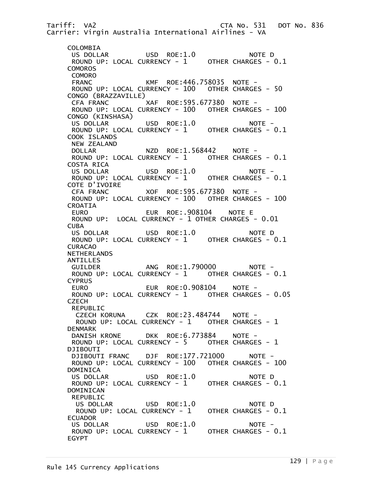Tariff: VA2 CTA No. 531 DOT No. 836 Carrier: Virgin Australia International Airlines - VA COLOMBIA US DOLLAR USD ROE:1.0 NOTE D ROUND UP: LOCAL CURRENCY - 1 OTHER CHARGES - 0.1 COMOROS COMORO FRANC KMF ROE:446.758035 NOTE - ROUND UP: LOCAL CURRENCY - 100 OTHER CHARGES - 50 CONGO (BRAZZAVILLE) CFA FRANC XAF ROE:595.677380 NOTE - ROUND UP: LOCAL CURRENCY - 100 OTHER CHARGES - 100 CONGO (KINSHASA) US DOLLAR USD ROE:1.0 NOTE - ROUND UP: LOCAL CURRENCY - 1 OTHER CHARGES - 0.1 COOK ISLANDS NEW ZEALAND DOLLAR NZD ROE:1.568442 NOTE-ROUND UP: LOCAL CURRENCY - 1 OTHER CHARGES - 0.1 COSTA RICA<br>US DOLLAR USD ROE:1.0 NOTE -ROUND UP: LOCAL CURRENCY - 1 OTHER CHARGES - 0.1 COTE D'IVOIRE CFA FRANC XOF ROE:595.677380 NOTE - ROUND UP: LOCAL CURRENCY - 100 OTHER CHARGES - 100 CROATIA EUR ROE:.908104 NOTE E ROUND UP: LOCAL CURRENCY - 1 OTHER CHARGES - 0.01 CUBA US DOLLAR USD ROE:1.0 NOTE D ROUND UP: LOCAL CURRENCY - 1 OTHER CHARGES - 0.1 CURACAO NETHERLANDS ANTILLES GUILDER ANG ROE:1.790000 NOTE -ROUND UP: LOCAL CURRENCY - 1 OTHER CHARGES - 0.1 CYPRUS EURO EUR ROE:0.908104 NOTE - ROUND UP: LOCAL CURRENCY - 1 OTHER CHARGES - 0.05 **CZECH**  REPUBLIC CZECH KORUNA CZK ROE:23.484744 NOTE - ROUND UP: LOCAL CURRENCY - 1 OTHER CHARGES - 1 DENMARK<br>DANISH KRONE DKK ROE:6.773884 NOTE -ROUND UP: LOCAL CURRENCY - 5 OTHER CHARGES - 1 DJIBOUTI<br>DJIBOUTI FRANC DJF ROE:177.721000 NOTE - ROUND UP: LOCAL CURRENCY - 100 OTHER CHARGES - 100 DOMINICA<br>US DOLLAR USD ROE:1.0 NOTE D ROUND UP: LOCAL CURRENCY - 1 OTHER CHARGES - 0.1 DOMINICAN REPUBLIC US DOLLAR USD ROE:1.0 NOTE D<br>ROUND UP: LOCAL CURRENCY - 1 OTHER CHARGES - 0.1 ROUND UP: LOCAL CURRENCY -  $1$  ECUADOR US DOLLAR USD ROE:1.0 NOTE - ROUND UP: LOCAL CURRENCY - 1 OTHER CHARGES - 0.1 EGYPT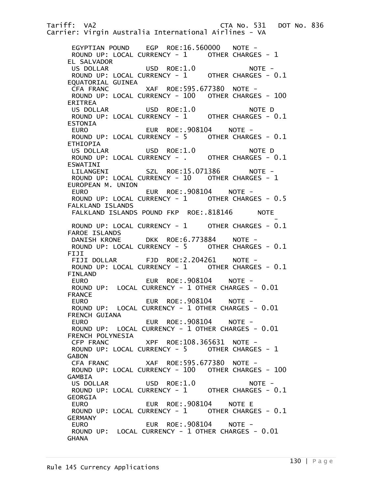Tariff: VA2 CTA No. 531 DOT No. 836 Carrier: Virgin Australia International Airlines - VA EGYPTIAN POUND EGP ROE:16.560000 NOTE - ROUND UP: LOCAL CURRENCY - 1 OTHER CHARGES - 1 EL SALVADOR US DOLLAR USD ROE:1.0 NOTE - ROUND UP: LOCAL CURRENCY - 1 OTHER CHARGES - 0.1 EQUATORIAL GUINEA<br>CFA FRANC XAF ROE:595.677380 NOTE -ROUND UP: LOCAL CURRENCY - 100 OTHER CHARGES - 100 ERITREA US DOLLAR USD ROE:1.0 NOTE D ROUND UP: LOCAL CURRENCY - 1 ESTONIA EURO EUR ROE:.908104 NOTE - ROUND UP: LOCAL CURRENCY - 5 OTHER CHARGES - 0.1 ETHIOPIA US DOLLAR USD ROE:1.0 NOTE D<br>ROUND UP: LOCAL CURRENCY - . OTHER CHARGES - 0.1 ROUND UP: LOCAL CURRENCY - . ESWATINI<br>LILANGENI SZL ROE:15.071386 NOTE -ROUND UP: LOCAL CURRENCY - 10 OTHER CHARGES - 1 EUROPEAN M. UNION EURO EUR ROE:.908104 NOTE - ROUND UP: LOCAL CURRENCY -  $1$  FALKLAND ISLANDS FALKLAND ISLANDS POUND FKP ROE: . 818146 NOTE and the contract of the contract of the contract of the contract of the contract of the contract of the contract of ROUND UP: LOCAL CURRENCY - 1 OTHER CHARGES - 0.1 FAROE ISLANDS DANISH KRONE DKK ROE:6.773884 NOTE - ROUND UP: LOCAL CURRENCY - 5 OTHER CHARGES - 0.1 FIJI<br>FIJI DOLLAR FJD ROE:2.204261 NOTE -ROUND UP: LOCAL CURRENCY - 1 OTHER CHARGES - 0.1 FINLAND EURO EUR ROE:.908104 NOTE - ROUND UP: LOCAL CURRENCY - 1 OTHER CHARGES - 0.01 FRANCE EURO EUR ROE:.908104 NOTE -ROUND UP: LOCAL CURRENCY - 1 OTHER CHARGES - 0.01 FRENCH GUIANA EURO EUR ROE:.908104 NOTE - ROUND UP: LOCAL CURRENCY - 1 OTHER CHARGES - 0.01 FRENCH POLYNESIA CFP FRANC XPF ROE:108.365631 NOTE - ROUND UP: LOCAL CURRENCY - 5 OTHER CHARGES - 1 GABON CFA FRANC XAF ROE:595.677380 NOTE - ROUND UP: LOCAL CURRENCY - 100 OTHER CHARGES - 100 GAMBIA US DOLLAR USD ROE:1.0 NOTE - ROUND UP: LOCAL CURRENCY - 1 OTHER CHARGES - 0.1 GEORGIA EURO EUR ROE:.908104 NOTE E ROUND UP: LOCAL CURRENCY - 1 OTHER CHARGES - 0.1 GERMANY EUR ROE:.908104 NOTE - ROUND UP: LOCAL CURRENCY - 1 OTHER CHARGES - 0.01 **GHANA**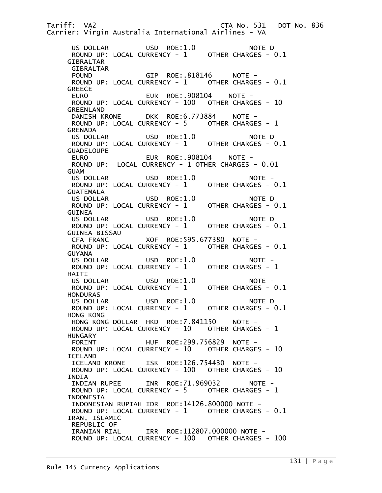Tariff: VA2 CTA No. 531 DOT No. 836 Carrier: Virgin Australia International Airlines - VA US DOLLAR USD ROE:1.0 NOTE D ROUND UP: LOCAL CURRENCY - 1 OTHER CHARGES - 0.1 GIBRALTAR GIBRALTAR POUND GIP ROE: 818146 NOTE -ROUND UP: LOCAL CURRENCY - 1 OTHER CHARGES - 0.1 **GREECE** EURO EUR ROE:.908104 NOTE - ROUND UP: LOCAL CURRENCY - 100 OTHER CHARGES - 10 GREENLAND DANISH KRONE DKK ROE:6.773884 NOTE -ROUND UP: LOCAL CURRENCY - 5 OTHER CHARGES - 1 GRENADA<br>US DOLLAR USD ROE:1.0 NOTE D ROUND UP: LOCAL CURRENCY - 1 OTHER CHARGES - 0.1 GUADELOUPE EURO EUR ROE:.908104 NOTE - ROUND UP: LOCAL CURRENCY - 1 OTHER CHARGES - 0.01 GUAM<br>US DOLLAR USD ROE:1.0 NOTE -<br>URRENCY - 1 OTHER CHARGES - 0.1 ROUND UP: LOCAL CURRENCY - 1 GUATEMALA US DOLLAR USD ROE:1.0 NOTE D ROUND UP: LOCAL CURRENCY - 1 OTHER CHARGES - 0.1 GUINEA US DOLLAR USD ROE:1.0 NOTE D ROUND UP: LOCAL CURRENCY - 1 OTHER CHARGES - 0.1 GUINEA-BISSAU CFA FRANC XOF ROE:595.677380 NOTE - ROUND UP: LOCAL CURRENCY - 1 OTHER CHARGES - 0.1 GUYANA<br>US DOLLAR USD ROE:1.0 NOTE -<br>URRENCY - 1 OTHER CHARGES - 1 ROUND UP: LOCAL CURRENCY - 1 HAITI US DOLLAR USD ROE:1.0 NOTE -<br>ROUND UP: LOCAL CURRENCY - 1 OTHER CHARGES - 0.1 ROUND UP: LOCAL CURRENCY -  $1$ **HONDURAS** US DOLLAR USD ROE:1.0 NOTE D<br>ROUND UP: LOCAL CURRENCY - 1 OTHER CHARGES - 0.1 ROUND UP: LOCAL CURRENCY - 1 HONG KONG HONG KONG DOLLAR HKD ROE:7.841150 NOTE - ROUND UP: LOCAL CURRENCY - 10 OTHER CHARGES - 1 HUNGARY FORINT HUF ROE:299.756829 NOTE - ROUND UP: LOCAL CURRENCY - 10 OTHER CHARGES - 10 ICELAND ICELAND KRONE ISK ROE:126.754430 NOTE - ROUND UP: LOCAL CURRENCY - 100 OTHER CHARGES - 10 INDIA INDIAN RUPEE INR ROE:71.969032 NOTE - ROUND UP: LOCAL CURRENCY - 5 OTHER CHARGES - 1 INDONESIA INDONESIAN RUPIAH IDR ROE:14126.800000 NOTE - ROUND UP: LOCAL CURRENCY - 1 OTHER CHARGES - 0.1 IRAN, ISLAMIC REPUBLIC OF IRANIAN RIAL IRR ROE:112807.000000 NOTE - ROUND UP: LOCAL CURRENCY - 100 OTHER CHARGES - 100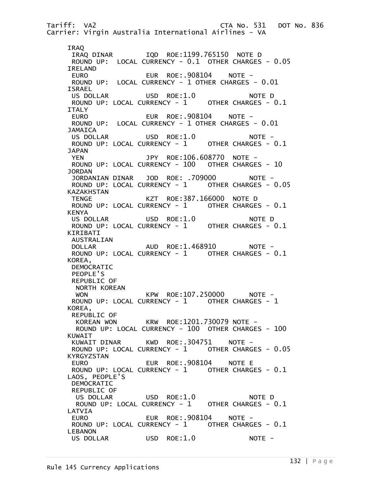Tariff: VA2 CTA No. 531 DOT No. 836 Carrier: Virgin Australia International Airlines - VA IRAQ<br>IRAQ DINAR IQD ROE:1199.765150 NOTE D ROUND UP: LOCAL CURRENCY - 0.1 OTHER CHARGES - 0.05 IRELAND EURO EUR ROE:.908104 NOTE - ROUND UP: LOCAL CURRENCY - 1 OTHER CHARGES - 0.01 ISRAEL US DOLLAR USD ROE:1.0 NOTE D ROUND UP: LOCAL CURRENCY - 1 OTHER CHARGES - 0.1 ITALY EURO EUR ROE:.908104 NOTE - ROUND UP: LOCAL CURRENCY - 1 OTHER CHARGES - 0.01 JAMAICA<br>US DOLLAR USD ROE:1.0 NOTE -ROUND UP: LOCAL CURRENCY - 1 OTHER CHARGES - 0.1 JAPAN YEN JPY ROE:106.608770 NOTE - ROUND UP: LOCAL CURRENCY - 100 OTHER CHARGES - 10 JORDAN JORDANIAN DINAR JOD ROE: .709000 NOTE - ROUND UP: LOCAL CURRENCY - 1 OTHER CHARGES - 0.05 KAZAKHSTAN TENGE KZT ROE:387.166000 NOTE D ROUND UP: LOCAL CURRENCY -  $1$  KENYA US DOLLAR USD ROE:1.0 NOTE D ROUND UP: LOCAL CURRENCY - 1 OTHER CHARGES - 0.1 KIRIBATI AUSTRALIAN DOLLAR AUD ROE:1.468910 NOTE - ROUND UP: LOCAL CURRENCY - 1 OTHER CHARGES - 0.1 KOREA, DEMOCRATIC PEOPLE'S REPUBLIC OF NORTH KOREAN WON KPW ROE:107.250000 NOTE - ROUND UP: LOCAL CURRENCY - 1 OTHER CHARGES - 1 KOREA, REPUBLIC OF KOREAN WON KRW ROE:1201.730079 NOTE - ROUND UP: LOCAL CURRENCY - 100 OTHER CHARGES - 100 KUWAIT<br>KUWAIT DINAR KWD ROE:.304751 NOTE -ROUND UP: LOCAL CURRENCY - 1 OTHER CHARGES - 0.05 KYRGYZSTAN EURO EUR ROE:.908104 NOTE E ROUND UP: LOCAL CURRENCY - 1 OTHER CHARGES - 0.1 LAOS, PEOPLE'S DEMOCRATIC REPUBLIC OF US DOLLAR USD ROE:1.0 NOTE D ROUND UP: LOCAL CURRENCY - 1 OTHER CHARGES - 0.1 LATVIA EURO EUR ROE:.908104 NOTE -ROUND UP: LOCAL CURRENCY - 1 OTHER CHARGES - 0.1 LEBANON US DOLLAR USD ROE:1.0 NOTE -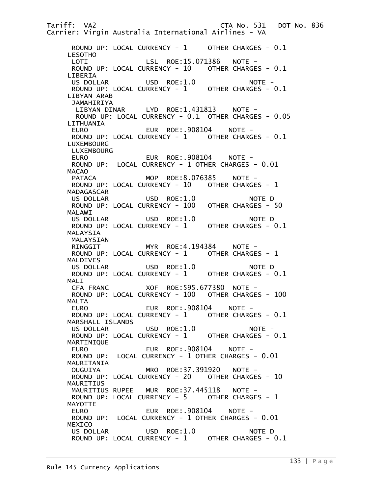Tariff: VA2 CTA No. 531 DOT No. 836 Carrier: Virgin Australia International Airlines - VA ROUND UP: LOCAL CURRENCY - 1 OTHER CHARGES - 0.1 LESOTHO LOTI LSL ROE:15.071386 NOTE - ROUND UP: LOCAL CURRENCY - 10 OTHER CHARGES - 0.1 LIBERIA US DOLLAR USD ROE:1.0 NOTE -ROUND UP: LOCAL CURRENCY - 1 OTHER CHARGES - 0.1 LIBYAN ARAB JAMAHIRIYA LIBYAN DINAR LYD ROE:1.431813 NOTE - ROUND UP: LOCAL CURRENCY - 0.1 OTHER CHARGES - 0.05 LITHUANIA EUR ROE:.908104 NOTE -ROUND UP: LOCAL CURRENCY - 1 OTHER CHARGES - 0.1 LUXEMBOURG LUXEMBOURG EURO EUR ROE:.908104 NOTE - ROUND UP: LOCAL CURRENCY - 1 OTHER CHARGES - 0.01 MACAO PATACA MOP ROE:8.076385 NOTE -ROUND UP: LOCAL CURRENCY - 10 OTHER CHARGES - 1 MADAGASCAR US DOLLAR USD ROE:1.0 NOTE D ROUND UP: LOCAL CURRENCY - 100 OTHER CHARGES - 50 MALAWI<br>US DOLLAR USD ROE:1.0 NOTE D ROUND UP: LOCAL CURRENCY - 1 OTHER CHARGES - 0.1 MALAYSIA MALAYSIAN RINGGIT MYR ROE:4.194384 NOTE -ROUND UP: LOCAL CURRENCY - 1 OTHER CHARGES - 1 MALDIVES US DOLLAR USD ROE:1.0 NOTE D ROUND UP: LOCAL CURRENCY - 1 OTHER CHARGES - 0.1 MALI CFA FRANC XOF ROE:595.677380 NOTE - ROUND UP: LOCAL CURRENCY - 100 OTHER CHARGES - 100 MALTA EURO EUR ROE:.908104 NOTE - ROUND UP: LOCAL CURRENCY - 1 OTHER CHARGES - 0.1 MARSHALL ISLANDS US DOLLAR USD ROE:1.0 NOTE - ROUND UP: LOCAL CURRENCY -  $1$  MARTINIQUE EURO EUR ROE:.908104 NOTE -ROUND UP: LOCAL CURRENCY - 1 OTHER CHARGES - 0.01 MAURITANIA OUGUIYA MRO ROE:37.391920 NOTE - ROUND UP: LOCAL CURRENCY - 20 OTHER CHARGES - 10 MAURITIUS MAURITIUS RUPEE MUR ROE:37.445118 NOTE - ROUND UP: LOCAL CURRENCY - 5 OTHER CHARGES - 1 MAYOTTE EURO EUR ROE:.908104 NOTE -ROUND UP: LOCAL CURRENCY - 1 OTHER CHARGES - 0.01 MEXICO US DOLLAR USD ROE:1.0 NOTE D ROUND UP: LOCAL CURRENCY - 1 OTHER CHARGES - 0.1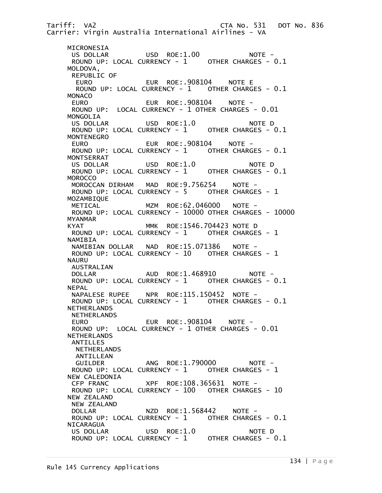Tariff: VA2 CTA No. 531 DOT No. 836 Carrier: Virgin Australia International Airlines - VA MICRONESIA US DOLLAR USD ROE:1.00 NOTE - ROUND UP: LOCAL CURRENCY - 1 OTHER CHARGES - 0.1 MOLDOVA, REPUBLIC OF EURO EUR ROE:.908104 NOTE E ROUND UP: LOCAL CURRENCY - 1 OTHER CHARGES - 0.1 MONACO EURO EUR ROE:.908104 NOTE - ROUND UP: LOCAL CURRENCY - 1 OTHER CHARGES - 0.01 MONGOLIA US DOLLAR USD ROE:1.0 NOTE D ROUND UP: LOCAL CURRENCY - 1 MONTENEGRO EURO EUR ROE:.908104 NOTE - ROUND UP: LOCAL CURRENCY - 1 OTHER CHARGES - 0.1 MONTSERRAT US DOLLAR USD ROE:1.0 NOTE D ROUND UP: LOCAL CURRENCY - 1 OTHER CHARGES - 0.1 **MOROCCO**  MOROCCAN DIRHAM MAD ROE:9.756254 NOTE - ROUND UP: LOCAL CURRENCY - 5 OTHER CHARGES - 1 MOZAMBIQUE METICAL MZM ROE:62.046000 NOTE -ROUND UP: LOCAL CURRENCY - 10000 OTHER CHARGES - 10000 MYANMAR KYAT MMK ROE:1546.704423 NOTE D ROUND UP: LOCAL CURRENCY - 1 OTHER CHARGES - 1 NAMIBIA NAMIBIAN DOLLAR NAD ROE:15.071386 NOTE - ROUND UP: LOCAL CURRENCY - 10 OTHER CHARGES - 1 NAURU AUSTRALIAN DOLLAR AUD ROE:1.468910 NOTE -ROUND UP: LOCAL CURRENCY - 1 OTHER CHARGES - 0.1 NEPAL<br>NAPALESE RUPEE NPR ROE:115.150452 NOTE -ROUND UP: LOCAL CURRENCY - 1 OTHER CHARGES - 0.1 NETHERLANDS NETHERLANDS EURO EUR ROE:.908104 NOTE - ROUND UP: LOCAL CURRENCY - 1 OTHER CHARGES - 0.01 NETHERLANDS ANTILLES NETHERLANDS ANTILLEAN GUILDER ANG ROE:1.790000 NOTE -ROUND UP: LOCAL CURRENCY - 1 OTHER CHARGES - 1 NEW CALEDONIA<br>CFP FRANC XPF ROE:108.365631 NOTE -ROUND UP: LOCAL CURRENCY - 100 OTHER CHARGES - 10 NEW ZEALAND NEW ZEALAND DOLLAR NZD ROE:1.568442 NOTE -ROUND UP: LOCAL CURRENCY - 1 OTHER CHARGES - 0.1 NICARAGUA US DOLLAR USD ROE:1.0 NOTE D ROUND UP: LOCAL CURRENCY - 1 OTHER CHARGES - 0.1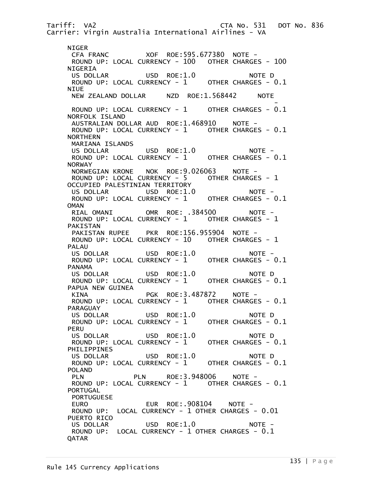Tariff: VA2 CTA No. 531 DOT No. 836 Carrier: Virgin Australia International Airlines - VA NIGER CFA FRANC XOF ROE:595.677380 NOTE - ROUND UP: LOCAL CURRENCY - 100 OTHER CHARGES - 100 NIGERIA US DOLLAR USD ROE:1.0 NOTE D ROUND UP: LOCAL CURRENCY - 1 OTHER CHARGES - 0.1 **NIUE**  NEW ZEALAND DOLLAR NZD ROE:1.568442 NOTE and the second contract of the second contract of the second contract of the second contract of the second con ROUND UP: LOCAL CURRENCY - 1 OTHER CHARGES - 0.1 NORFOLK ISLAND AUSTRALIAN DOLLAR AUD ROE:1.468910 NOTE - ROUND UP: LOCAL CURRENCY - 1 OTHER CHARGES - 0.1 NORTHERN MARIANA ISLANDS US DOLLAR USD ROE:1.0 NOTE - ROUND UP: LOCAL CURRENCY - 1 OTHER CHARGES - 0.1 NORWAY NORWEGIAN KRONE NOK ROE:9.026063 NOTE - ROUND UP: LOCAL CURRENCY - 5 OTHER CHARGES - 1 OCCUPIED PALESTINIAN TERRITORY US DOLLAR USD ROE:1.0 NOTE - ROUND UP: LOCAL CURRENCY - 1 OTHER CHARGES - 0.1 **OMAN** RIAL OMANI OMR ROE: .384500 NOTE -ROUND UP: LOCAL CURRENCY - 1 OTHER CHARGES - 1 PAKISTAN PAKISTAN RUPEE PKR ROE:156.955904 NOTE - ROUND UP: LOCAL CURRENCY - 10 OTHER CHARGES - 1 PALAU US DOLLAR USD ROE:1.0 NOTE -<br>ROUND UP: LOCAL CURRENCY - 1 OTHER CHARGES - 0.1 ROUND UP: LOCAL CURRENCY - 1 PANAMA US DOLLAR USD ROE:1.0 NOTE D ROUND UP: LOCAL CURRENCY -  $1$  PAPUA NEW GUINEA KINA PGK ROE:3.487872 NOTE -ROUND UP: LOCAL CURRENCY - 1 OTHER CHARGES - 0.1 PARAGUAY US DOLLAR USD ROE:1.0 NOTE D<br>ROUND UP: LOCAL CURRENCY - 1 OTHER CHARGES - 0.1 ROUND UP: LOCAL CURRENCY - 1 PERU<br>US DOLLAR US DOLLAR USD ROE:1.0 NOTE D ROUND UP: LOCAL CURRENCY -  $1$  PHILIPPINES US DOLLAR USD ROE:1.0 NOTE D<br>ROUND UP: LOCAL CURRENCY - 1 OTHER CHARGES - 0.1 ROUND UP: LOCAL CURRENCY -  $1$  POLAND PLN PLN ROE:3.948006 NOTE - ROUND UP: LOCAL CURRENCY - 1 OTHER CHARGES - 0.1 PORTUGAL PORTUGUESE EURO EUR ROE:.908104 NOTE - ROUND UP: LOCAL CURRENCY - 1 OTHER CHARGES - 0.01 PUERTO RICO US DOLLAR USD ROE:1.0 NOTE - ROUND UP: LOCAL CURRENCY - 1 OTHER CHARGES - 0.1 QATAR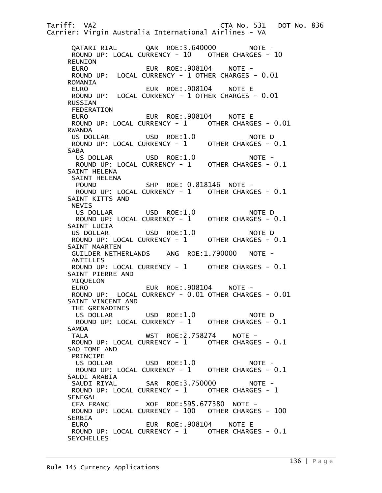Tariff: VA2 CTA No. 531 DOT No. 836 Carrier: Virgin Australia International Airlines - VA QATARI RIAL QAR ROE:3.640000 NOTE - ROUND UP: LOCAL CURRENCY - 10 OTHER CHARGES - 10 REUNION EURO EUR ROE:.908104 NOTE - ROUND UP: LOCAL CURRENCY - 1 OTHER CHARGES - 0.01 ROMANIA EURO EUR ROE:.908104 NOTE E ROUND UP: LOCAL CURRENCY - 1 OTHER CHARGES - 0.01 RUSSIAN FEDERATION EURO EUR ROE:.908104 NOTE E ROUND UP: LOCAL CURRENCY - 1 OTHER CHARGES - 0.01 RWANDA<br>US DOLLAR USD ROE:1.0 NOTE D<br>CURRENCY - 1 OTHER CHARGES - 0.1 ROUND UP: LOCAL CURRENCY - 1 SABA US DOLLAR USD ROE:1.0 NOTE - ROUND UP: LOCAL CURRENCY - 1 OTHER CHARGES - 0.1 SAINT HELENA SAINT HELENA POUND SHP ROE: 0.818146 NOTE - ROUND UP: LOCAL CURRENCY - 1 OTHER CHARGES - 0.1 SAINT KITTS AND NEVIS US DOLLAR USD ROE:1.0 NOTE D ROUND UP: LOCAL CURRENCY - 1 OTHER CHARGES - 0.1 SAINT LUCIA US DOLLAR USD ROE:1.0 NOTE D ROUND UP: LOCAL CURRENCY - 1 OTHER CHARGES - 0.1 SAINT MAARTEN GUILDER NETHERLANDS ANG ROE:1.790000 NOTE - ANTILLES ROUND UP: LOCAL CURRENCY - 1 OTHER CHARGES - 0.1 SAINT PIERRE AND MIQUELON EURO EUR ROE:.908104 NOTE - ROUND UP: LOCAL CURRENCY - 0.01 OTHER CHARGES - 0.01 SAINT VINCENT AND THE GRENADINES US DOLLAR USD ROE:1.0 NOTE D ROUND UP: LOCAL CURRENCY - 1 OTHER CHARGES - 0.1 SAMOA<br>TALA WST ROE:2.758274 NOTE -ROUND UP: LOCAL CURRENCY - 1 OTHER CHARGES - 0.1 SAO TOME AND PRINCIPE US DOLLAR USD ROE:1.0 NOTE - ROUND UP: LOCAL CURRENCY - 1 OTHER CHARGES - 0.1 SAUDI ARABIA SAUDI RIYAL SAR ROE:3.750000 NOTE -ROUND UP: LOCAL CURRENCY - 1 OTHER CHARGES - 1 **SENEGAL**  CFA FRANC XOF ROE:595.677380 NOTE - ROUND UP: LOCAL CURRENCY - 100 OTHER CHARGES - 100 SERBIA EURO EUR ROE:.908104 NOTE E ROUND UP: LOCAL CURRENCY - 1 OTHER CHARGES - 0.1 **SEYCHELLES**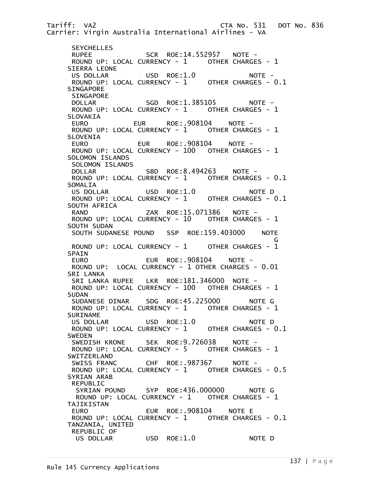Tariff: VA2 CTA No. 531 DOT No. 836 Carrier: Virgin Australia International Airlines - VA **SEYCHELLES**  RUPEE SCR ROE:14.552957 NOTE - ROUND UP: LOCAL CURRENCY - 1 OTHER CHARGES - 1 SIERRA LEONE US DOLLAR USD ROE:1.0 NOTE - ROUND UP: LOCAL CURRENCY - 1 OTHER CHARGES - 0.1 SINGAPORE SINGAPORE DOLLAR SGD ROE:1.385105 NOTE -ROUND UP: LOCAL CURRENCY - 1 OTHER CHARGES - 1 SLOVAKIA EURO EUR ROE:.908104 NOTE - ROUND UP: LOCAL CURRENCY -  $1$  SLOVENIA EURO EUR ROE:.908104 NOTE - ROUND UP: LOCAL CURRENCY - 100 OTHER CHARGES - 1 SOLOMON ISLANDS SOLOMON ISLANDS<br>DOLLAR SBD ROE:8.494263 NOTE -ROUND UP: LOCAL CURRENCY - 1 OTHER CHARGES - 0.1 SOMALIA US DOLLAR USD ROE:1.0 NOTE D ROUND UP: LOCAL CURRENCY - 1 OTHER CHARGES - 0.1 SOUTH AFRICA<br>RAND ZAR ROE:15.071386 NOTE -<br>RRENCY - 10 OTHERCHARGES - 1 ROUND UP: LOCAL CURRENCY - 10 SOUTH SUDAN SOUTH SUDANESE POUND SSP ROE:159.403000 NOTE G ROUND UP: LOCAL CURRENCY - 1 OTHER CHARGES - 1 SPAIN EURO EUR ROE:.908104 NOTE - ROUND UP: LOCAL CURRENCY - 1 OTHER CHARGES - 0.01 SRI LANKA SRI LANKA RUPEE LKR ROE:181.346000 NOTE - ROUND UP: LOCAL CURRENCY - 100 OTHER CHARGES - 1 SUDAN<br>SUDANESE DINAR SDG ROE:45.225000 NOTE G ROUND UP: LOCAL CURRENCY - 1 OTHER CHARGES - 1 SURINAME US DOLLAR USD ROE:1.0 NOTE D<br>ROUND UP: LOCAL CURRENCY - 1 OTHER CHARGES - 0.1 ROUND UP: LOCAL CURRENCY -  $1$  SWEDEN SWEDISH KRONE SEK ROE:9.726038 NOTE - ROUND UP: LOCAL CURRENCY - 5 OTHER CHARGES - 1 SWITZERLAND SWISS FRANC CHF ROE:.987367 NOTE -ROUND UP: LOCAL CURRENCY - 1 OTHER CHARGES - 0.5 SYRIAN ARAB REPUBLIC SYRIAN POUND SYP ROE:436.000000 NOTE G ROUND UP: LOCAL CURRENCY - 1 OTHER CHARGES - 1 TAJIKISTAN EUR ROE: 908104 NOTE E ROUND UP: LOCAL CURRENCY - 1 OTHER CHARGES - 0.1 TANZANIA, UNITED REPUBLIC OF US DOLLAR USD ROE:1.0 NOTE D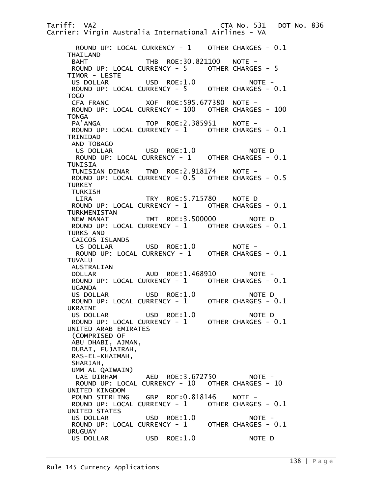Tariff: VA2 CTA No. 531 DOT No. 836 Carrier: Virgin Australia International Airlines - VA ROUND UP: LOCAL CURRENCY - 1 OTHER CHARGES - 0.1 THAILAND BAHT THB ROE:30.821100 NOTE - ROUND UP: LOCAL CURRENCY - 5 OTHER CHARGES - 5 TIMOR - LESTE US DOLLAR USD ROE:1.0 NOTE - ROUND UP: LOCAL CURRENCY - 5 OTHER CHARGES - 0.1 TOGO CFA FRANC XOF ROE:595.677380 NOTE - ROUND UP: LOCAL CURRENCY - 100 OTHER CHARGES - 100 TONGA<br>PA 'ANGA TOP ROE:2.385951 NOTE -ROUND UP: LOCAL CURRENCY - 1 OTHER CHARGES - 0.1 TRINIDAD AND TOBAGO<br>US DOLLAR USD ROE:1.0 NOTE D ROUND UP: LOCAL CURRENCY - 1 OTHER CHARGES - 0.1 TUNISIA<br>TUNISIAN DINAR TND ROE:2.918174 NOTE - ROUND UP: LOCAL CURRENCY - 0.5 OTHER CHARGES - 0.5 **TURKEY**  TURKISH LIRA TRY ROE:5.715780 NOTE D ROUND UP: LOCAL CURRENCY -  $1$  TURKMENISTAN NEW MANAT TMT ROE:3.500000 NOTE D ROUND UP: LOCAL CURRENCY - 1 OTHER CHARGES - 0.1 TURKS AND CAICOS ISLANDS US DOLLAR USD ROE:1.0 NOTE - ROUND UP: LOCAL CURRENCY - 1 OTHER CHARGES - 0.1 TUVALU AUSTRALIAN DOLLAR AUD ROE:1.468910 NOTE -<br>ROUND UP: LOCAL CURRENCY - 1 OTHER CHARGES - 0.1 ROUND UP: LOCAL CURRENCY -  $1$ UGANDA<br>US DOLLAR US DOLLAR USD ROE:1.0 NOTE D ROUND UP: LOCAL CURRENCY - 1 UKRAINE US DOLLAR USD ROE:1.0 NOTE D ROUND UP: LOCAL CURRENCY - 1 UNITED ARAB EMIRATES (COMPRISED OF ABU DHABI, AJMAN, DUBAI, FUJAIRAH, RAS-EL-KHAIMAH, SHARJAH, UMM AL QAIWAIN) AED ROE:3.672750 NOTE - ROUND UP: LOCAL CURRENCY - 10 OTHER CHARGES - 10 UNITED KINGDOM POUND STERLING GBP ROE: 0.818146 NOTE -ROUND UP: LOCAL CURRENCY - 1 OTHER CHARGES - 0.1 UNITED STATES USD ROE:1.0 NOTE -ROUND UP: LOCAL CURRENCY - 1 OTHER CHARGES - 0.1 URUGUAY US DOLLAR USD ROE:1.0 NOTE D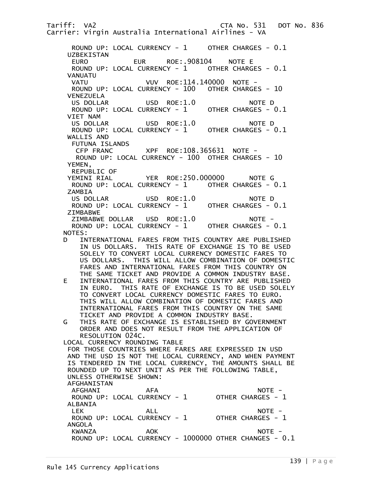Tariff: VA2 CTA No. 531 DOT No. 836 Carrier: Virgin Australia International Airlines - VA ROUND UP: LOCAL CURRENCY - 1 OTHER CHARGES - 0.1 UZBEKISTAN EURO EUR ROE:.908104 NOTE E ROUND UP: LOCAL CURRENCY - 1 OTHER CHARGES - 0.1 VANUATU VATU VUV ROE:114.140000 NOTE - ROUND UP: LOCAL CURRENCY - 100 OTHER CHARGES - 10 VENEZUELA USD ROE:1.0 NOTE D ROUND UP: LOCAL CURRENCY - 1 OTHER CHARGES - 0.1 VIET NAM US DOLLAR USD ROE:1.0 NOTE D ROUND UP: LOCAL CURRENCY - 1 OTHER CHARGES - 0.1 WALLIS AND FUTUNA ISLANDS CFP FRANC XPF ROE:108.365631 NOTE - ROUND UP: LOCAL CURRENCY - 100 OTHER CHARGES - 10 YEMEN, REPUBLIC OF<br>YEMINI RIAL YER ROE:250.000000 NOTE G ROUND UP: LOCAL CURRENCY - 1 OTHER CHARGES - 0.1 ZAMBIA US DOLLAR USD ROE:1.0 NOTE D ROUND UP: LOCAL CURRENCY - 1 OTHER CHARGES - 0.1 ZIMBABWE ZIMBABWE DOLLAR USD ROE:1.0 NOTE - ROUND UP: LOCAL CURRENCY - 1 OTHER CHARGES - 0.1 NOTES: D INTERNATIONAL FARES FROM THIS COUNTRY ARE PUBLISHED IN US DOLLARS. THIS RATE OF EXCHANGE IS TO BE USED SOLELY TO CONVERT LOCAL CURRENCY DOMESTIC FARES TO US DOLLARS. THIS WILL ALLOW COMBINATION OF DOMESTIC FARES AND INTERNATIONAL FARES FROM THIS COUNTRY ON THE SAME TICKET AND PROVIDE A COMMON INDUSTRY BASE. E INTERNATIONAL FARES FROM THIS COUNTRY ARE PUBLISHED IN EURO. THIS RATE OF EXCHANGE IS TO BE USED SOLELY TO CONVERT LOCAL CURRENCY DOMESTIC FARES TO EURO. THIS WILL ALLOW COMBINATION OF DOMESTIC FARES AND INTERNATIONAL FARES FROM THIS COUNTRY ON THE SAME TICKET AND PROVIDE A COMMON INDUSTRY BASE. G THIS RATE OF EXCHANGE IS ESTABLISHED BY GOVERNMENT ORDER AND DOES NOT RESULT FROM THE APPLICATION OF RESOLUTION 024C. LOCAL CURRENCY ROUNDING TABLE FOR THOSE COUNTRIES WHERE FARES ARE EXPRESSED IN USD AND THE USD IS NOT THE LOCAL CURRENCY, AND WHEN PAYMENT IS TENDERED IN THE LOCAL CURRENCY, THE AMOUNTS SHALL BE ROUNDED UP TO NEXT UNIT AS PER THE FOLLOWING TABLE, UNLESS OTHERWISE SHOWN: AFGHANISTAN AFGHANI AFA NOTE - ROUND UP: LOCAL CURRENCY - 1 OTHER CHARGES - 1 ALBANIA LEK ALL ALL NOTE – ROUND UP: LOCAL CURRENCY - 1 OTHER CHARGES - 1 ANGOLA KWANZA AOK NOTE - ROUND UP: LOCAL CURRENCY - 1000000 OTHER CHANGES - 0.1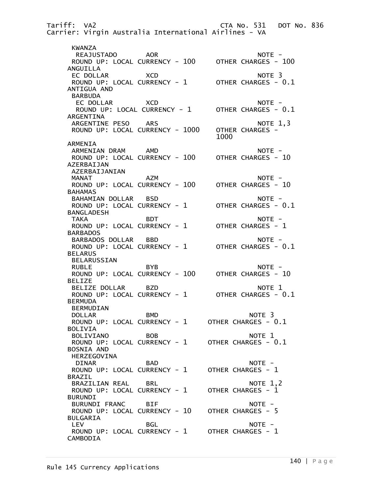Tariff: VA2 CTA No. 531 DOT No. 836 Carrier: Virgin Australia International Airlines - VA KWANZA REAJUSTADO AOR NOTE - ROUND UP: LOCAL CURRENCY - 100 ANGUILLA EC DOLLAR XCD NOTE 3 ROUND UP: LOCAL CURRENCY - 1 OTHER CHARGES - 0.1 ANTIGUA AND BARBUDA EC DOLLAR XCD NOTE -ROUND UP: LOCAL CURRENCY - 1 OTHER CHARGES - 0.1 ARGENTINA ARGENTINE PESO ARS NOTE 1,3<br>ROUND UP: LOCAL CURRENCY - 1000 OTHER CHARGES -ROUND UP: LOCAL CURRENCY - 1000 OTHER 1000 ARMENIA ARMENIAN DRAM AMD<br>ROUND UP: LOCAL CURRENCY - 100 OTHER CHARGES - 10 ROUND UP: LOCAL CURRENCY - 100 AZERBAIJAN AZERBAIJANIAN MANAT AZM AZM NOTE - ROUND UP: LOCAL CURRENCY - 100 OTHER CHARGES - 10 BAHAMAS BAHAMIAN DOLLAR BSD NOTE - ROUND UP: LOCAL CURRENCY -  $1$  BANGLADESH TAKA BDT NOTE -ROUND UP: LOCAL CURRENCY - 1 OTHER CHARGES - 1 BARBADOS BARBADOS DOLLAR BBD NOTE -ROUND UP: LOCAL CURRENCY - 1 OTHER CHARGES - 0.1 BELARUS BELARUSSIAN RUBLE BYB BYB ROUND UP: LOCAL CURRENCY - 100 OTHER CHARGES - 10 BELIZE BELIZE DOLLAR BZD NOTE 1 ROUND UP: LOCAL CURRENCY - 1 OTHER CHARGES - 0.1 BERMUDA BERMUDIAN DOLLAR BMD NOTE 3 ROUND UP: LOCAL CURRENCY - 1 OTHER CHARGES - 0.1 BOLIVIA<br>BOLIVIANO BOLIVIANO BOB NOTE 1 ROUND UP: LOCAL CURRENCY - 1 OTHER CHARGES - 0.1 BOSNIA AND HERZEGOVINA DINAR BAD NOTE -ROUND UP: LOCAL CURRENCY - 1 OTHER CHARGES - 1 BRAZIL BRAZILIAN REAL BRL NOTE 1,2 ROUND UP: LOCAL CURRENCY - 1 BURUNDI BURUNDI FRANC BIF<br>ROUND UP: LOCAL CURRENCY - 10 OTHER CHARGES - 5 ROUND UP: LOCAL CURRENCY - 10 BULGARIA LEV BGL NOTE - ROUND UP: LOCAL CURRENCY - 1 OTHER CHARGES - 1 CAMBODIA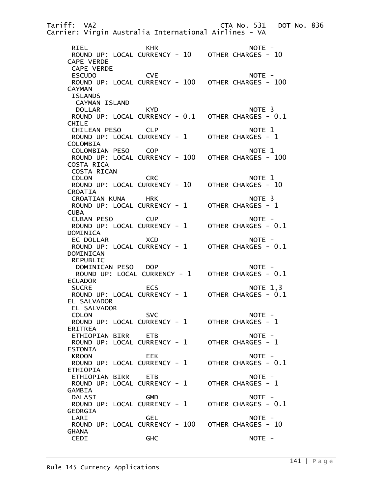Tariff: VA2 CTA No. 531 DOT No. 836 Carrier: Virgin Australia International Airlines - VA RIEL KHR NOTE - ROUND UP: LOCAL CURRENCY - 10 OTHER CHARGES - 10 CAPE VERDE CAPE VERDE ESCUDO CVE NOTE - ROUND UP: LOCAL CURRENCY - 100 OTHER CHARGES - 100 CAYMAN ISLANDS CAYMAN ISLAND DOLLAR KYD NOTE 3 ROUND UP: LOCAL CURRENCY - 0.1 OTHER CHARGES - 0.1 CHILE CHILEAN PESO CLP NOTE 1<br>ROUND UP: LOCAL CURRENCY - 1 OTHER CHARGES - 1 ROUND UP: LOCAL CURRENCY - 1 COLOMBIA COLOMBIAN PESO COP NOTE 1 ROUND UP: LOCAL CURRENCY - 100 COSTA RICA COSTA RICAN COLON CRC NOTE 1 ROUND UP: LOCAL CURRENCY - 10 OTHER CHARGES - 10 CROATIA CROATIAN KUNA HRK NOTE 3 ROUND UP: LOCAL CURRENCY -  $1$  CUBA CUBAN PESO CUP<br>ROUND UP: LOCAL CURRENCY - 1 OTHER CHARGES - 0.1 ROUND UP: LOCAL CURRENCY - 1 DOMINICA EC DOLLAR XCD NOTE - ROUND UP: LOCAL CURRENCY -  $1$  DOMINICAN REPUBLIC DOMINICAN PESO DOP NOTE -ROUND UP: LOCAL CURRENCY - 1 OTHER CHARGES - 0.1 ECUADOR SUCRE ECS NOTE 1,3 ROUND UP: LOCAL CURRENCY - 1 EL SALVADOR EL SALVADOR COLON SVC NOTE -ROUND UP: LOCAL CURRENCY - 1 OTHER CHARGES - 1 ERITREA ETHIOPIAN BIRR ETB NOTE - ROUND UP: LOCAL CURRENCY -  $1$  ESTONIA KROON EEK NOTE -ROUND UP: LOCAL CURRENCY - 1 OTHER CHARGES - 0.1 ETHIOPIA ETHIOPIAN BIRR ETB NOTE - ROUND UP: LOCAL CURRENCY -  $1$  GAMBIA DALASI GMD NOTE - ROUND UP: LOCAL CURRENCY -  $1$  GEORGIA LARI GEL NOTE - ROUND UP: LOCAL CURRENCY - 100 GHANA CEDI GHC NOTE -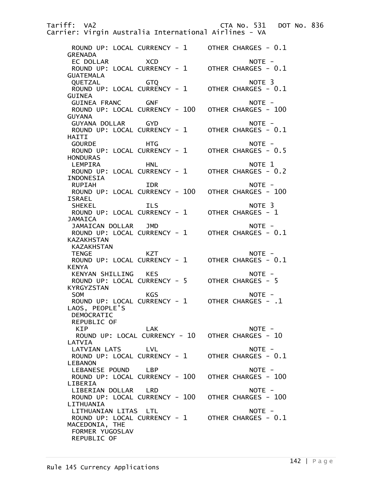Tariff: VA2 CTA No. 531 DOT No. 836 Carrier: Virgin Australia International Airlines - VA ROUND UP: LOCAL CURRENCY - 1 OTHER CHARGES - 0.1 GRENADA EC DOLLAR XCD NOTE -ROUND UP: LOCAL CURRENCY - 1 OTHER CHARGES - 0.1 GUATEMALA QUETZAL GTQ NOTE 3 ROUND UP: LOCAL CURRENCY -  $1$  GUINEA GUINEA FRANC GNF CHEMIC GNE ROUND UP: LOCAL CURRENCY - 100 OTHER CHARGES - 100 GUYANA GUYANA DOLLAR GYD NOTE - ROUND UP: LOCAL CURRENCY -  $1$  HAITI GOURDE HTG HTG NOTE -ROUND UP: LOCAL CURRENCY - 1 OTHER CHARGES - 0.5 HONDURAS LEMPIRA HNL NOTE 1 ROUND UP: LOCAL CURRENCY -  $1$  INDONESIA RUPIAH IDR IDR NOTE - ROUND UP: LOCAL CURRENCY - 100 OTHER CHARGES - 100 ISRAEL SHEKEL ILS NOTE 3 ROUND UP: LOCAL CURRENCY - 1 OTHER CHARGES - 1 **JAMAICA** JAMAICAN DOLLAR JMD<br>ROUND UP: LOCAL CURRENCY - 1 OTHER CHARGES - 0.1 ROUND UP: LOCAL CURRENCY -  $1$  KAZAKHSTAN KAZAKHSTAN TENGE KZT NOTE - ROUND UP: LOCAL CURRENCY - 1 KENYA KENYAN SHILLING KES NOTE - ROUND UP: LOCAL CURRENCY - 5 OTHER CHARGES - 5 KYRGYZSTAN SOM KGS NOTE -ROUND UP: LOCAL CURRENCY - 1 OTHER CHARGES - .1 LAOS, PEOPLE'S DEMOCRATIC REPUBLIC OF KIP LAK NOTE - ROUND UP: LOCAL CURRENCY - 10 OTHER CHARGES - 10 LATVIA LATVIAN LATS LVL NOTE - ROUND UP: LOCAL CURRENCY - 1 OTHER CHARGES - 0.1 LEBANON LEBANESE POUND LBP<br>ROUND UP: LOCAL CURRENCY - 100 OTHER CHARGES - 100 ROUND UP: LOCAL CURRENCY - 100 LIBERIA LIBERIAN DOLLAR LRD NOTE - ROUND UP: LOCAL CURRENCY - 100 OTHER CHARGES - 100 LITHUANIA LITHUANIAN LITAS LTL NOTE -ROUND UP: LOCAL CURRENCY - 1 OTHER CHARGES - 0.1 MACEDONIA, THE FORMER YUGOSLAV REPUBLIC OF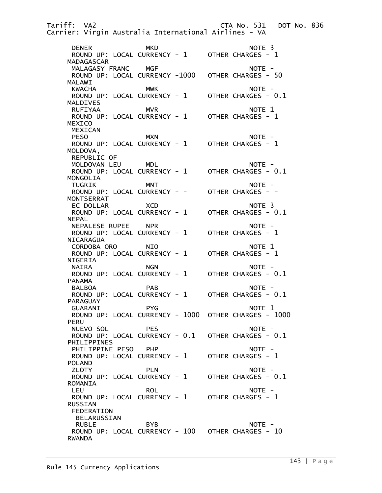Tariff: VA2 CTA No. 531 DOT No. 836 Carrier: Virgin Australia International Airlines - VA DENER MKD NOTE 3 ROUND UP: LOCAL CURRENCY - 1 OTHER CHARGES - 1 MADAGASCAR MALAGASY FRANC MGF NOTE - NOTE - NOTE - 1000 MALAGASY FRANC ROUND UP: LOCAL CURRENCY -1000 MALAWI<br>KWACHA MWK NOTE -<br>RRENCY - 1 OTHER CHARGES - 0.1 ROUND UP: LOCAL CURRENCY - 1 MALDIVES RUFIYAA MVR NOTE 1 ROUND UP: LOCAL CURRENCY -  $1$  MEXICO MEXICAN<br>PESO PESO MXN MXN NOTE -ROUND UP: LOCAL CURRENCY - 1 OTHER CHARGES - 1 MOLDOVA, REPUBLIC OF MOLDOVAN LEU MDL<br>ROUND UP: LOCAL CURRENCY - 1 OTHER CHARGES - 0.1 ROUND UP: LOCAL CURRENCY -  $1$  MONGOLIA TUGRIK MNT MOTE -ROUND UP: LOCAL CURRENCY - - OTHER CHARGES - - MONTSERRAT EC DOLLAR XCD NOTE 3 ROUND UP: LOCAL CURRENCY -  $1$  NEPAL NEPALESE RUPEE NPR NOTE - ROUND UP: LOCAL CURRENCY -  $1$  NICARAGUA CORDOBA ORO NIO NOTE 1 ROUND UP: LOCAL CURRENCY -  $1$  NIGERIA NAIRA NGN NGN NOTE – ROUND UP: LOCAL CURRENCY - 1 OTHER CHARGES - 0.1 PANAMA BALBOA PAB PAB NOTE -ROUND UP: LOCAL CURRENCY - 1 OTHER CHARGES - 0.1 PARAGUAY GUARANI PYG NOTE 1 ROUND UP: LOCAL CURRENCY - 1000 OTHER CHARGES - 1000 PERU NUEVO SOL PES NOTE -<br>ROUND UP: LOCAL CURRENCY - 0.1 OTHER CHARGES - 0.1 ROUND UP: LOCAL CURRENCY - 0.1 PHILIPPINES PHILIPPINE PESO PHP<br>ROUND UP: LOCAL CURRENCY - 1 OTHER CHARGES - 1 ROUND UP: LOCAL CURRENCY -  $1$  POLAND ZLOTY PLN PLN NOTE -ROUND UP: LOCAL CURRENCY - 1 OTHER CHARGES - 0.1 ROMANIA LEU ROL ROL NOTE – ROUND UP: LOCAL CURRENCY - 1 OTHER CHARGES - 1 RUSSIAN FEDERATION BELARUSSIAN RUBLE BYB NOTE -ROUND UP: LOCAL CURRENCY - 100 OTHER CHARGES - 10 RWANDA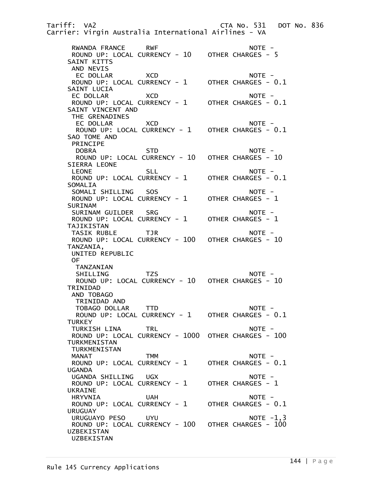Tariff: VA2 CTA No. 531 DOT No. 836 Carrier: Virgin Australia International Airlines - VA RWANDA FRANCE RWF NOTE - ROUND UP: LOCAL CURRENCY - 10 OTHER CHARGES - 5 SAINT KITTS AND NEVIS EC DOLLAR XCD NOTE - ROUND UP: LOCAL CURRENCY -  $1$  SAINT LUCIA EC DOLLAR XCD<br>ROUND UP: LOCAL CURRENCY - 1 OTHER CHARGES - 0.1 ROUND UP: LOCAL CURRENCY -  $1$  SAINT VINCENT AND THE GRENADINES EC DOLLAR XCD NOTE -ROUND UP: LOCAL CURRENCY - 1 OTHER CHARGES - 0.1 SAO TOME AND PRINCIPE DOBRA STD NOTE -ROUND UP: LOCAL CURRENCY - 10 OTHER CHARGES - 10 SIERRA LEONE  $\begin{array}{ccc} \text{LEONE} & \text{SLL} & \text{OTHE} - \ \text{ROUND UP: LOCAL CURRENCY - 1} & \text{OTHER CHARGES - 0.1} \end{array}$ ROUND UP: LOCAL CURRENCY - 1 SOMALIA SOMALI SHILLING SOS NOTE - ROUND UP: LOCAL CURRENCY - 1 **SURINAM**  SURINAM GUILDER SRG NOTE - ROUND UP: LOCAL CURRENCY - 1 TAJIKISTAN TASIK RUBLE TJR NOTE - ROUND UP: LOCAL CURRENCY - 100 OTHER CHARGES - 10 TANZANIA, UNITED REPUBLIC OF TANZANIAN SHILLING TZS NOTE -ROUND UP: LOCAL CURRENCY - 10 OTHER CHARGES - 10 TRINIDAD AND TOBAGO TRINIDAD AND TOBAGO DOLLAR TTD NOTE -ROUND UP: LOCAL CURRENCY - 1 OTHER CHARGES - 0.1 **TURKEY** TURKISH LINA TRL NOTE -ROUND UP: LOCAL CURRENCY - 1000 OTHER CHARGES - 100 TURKMENISTAN TURKMENISTAN MANAT TMM TMM NOTE – ROUND UP: LOCAL CURRENCY - 1 OTHER CHARGES - 0.1 UGANDA UGANDA SHILLING UGX NOTE - ROUND UP: LOCAL CURRENCY - 1 UKRAINE HRYVNIA UAH NOTE - ROUND UP: LOCAL CURRENCY - 1 URUGUAY URUGUAYO PESO UYU NOTE -1,3 ROUND UP: LOCAL CURRENCY - 100 OTHER CHARGES - 100 UZBEKISTAN UZBEKISTAN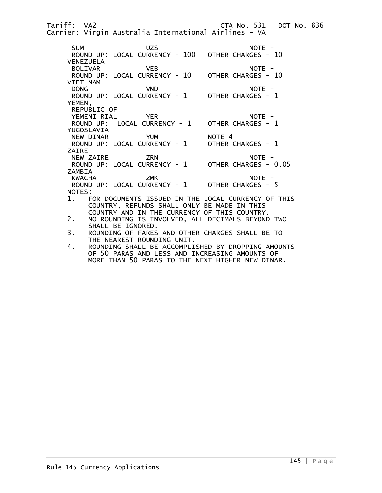Tariff: VA2 CTA No. 531 DOT No. 836 Carrier: Virgin Australia International Airlines - VA SUM UZS UZS NOTE -<br>ROUND UP: LOCAL CURRENCY - 100 OTHER CHARGES - 10 ROUND UP: LOCAL CURRENCY - 100 VENEZUELA BOLIVAR VEB NOTE - ROUND UP: LOCAL CURRENCY - 10 VIET NAM VND NOTE -<br>PRRENCY - 1 OTHER CHARGES - 1 ROUND UP: LOCAL CURRENCY - 1 YEMEN, REPUBLIC OF YEMENI RIAL YER NOTE - ROUND UP: LOCAL CURRENCY -  $1$  YUGOSLAVIA NEW DINAR YUM NOTE 4<br>ROUND UP: LOCAL CURRENCY - 1 OTHER CHARGES - 1 ROUND UP: LOCAL CURRENCY -  $1$  ZAIRE NEW ZAIRE ZRN NOTE - ROUND UP: LOCAL CURRENCY -  $1$ ZAMBIA<br>KWACHA KWACHA ZMK ZMK NOTE -ROUND UP: LOCAL CURRENCY - 1 OTHER CHARGES - 5 NOTES: 1. FOR DOCUMENTS ISSUED IN THE LOCAL CURRENCY OF THIS COUNTRY, REFUNDS SHALL ONLY BE MADE IN THIS COUNTRY AND IN THE CURRENCY OF THIS COUNTRY.<br>2. NO ROUNDING IS INVOLVED. ALL DECIMALS BEYOND 2. NO ROUNDING IS INVOLVED, ALL DECIMALS BEYOND TWO SHALL BE IGNORED.<br>3. ROUNDING OF FARES 3. ROUNDING OF FARES AND OTHER CHARGES SHALL BE TO THE NEAREST ROUNDING UNIT. 4. ROUNDING SHALL BE ACCOMPLISHED BY DROPPING AMOUNTS OF 50 PARAS AND LESS AND INCREASING AMOUNTS OF MORE THAN 50 PARAS TO THE NEXT HIGHER NEW DINAR.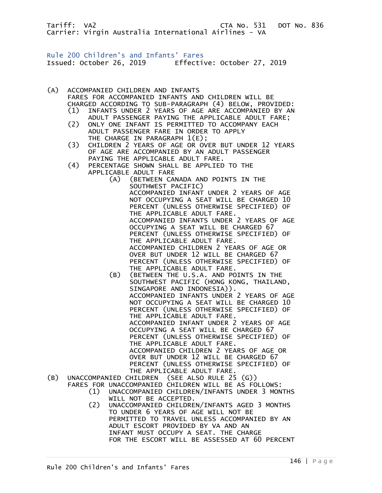Tariff: VA2 CTA No. 531 DOT No. 836 Carrier: Virgin Australia International Airlines - VA

Rule 200 Children's and Infants' Fares Issued: October 26, 2019 Effective: October 27, 2019

(A) ACCOMPANIED CHILDREN AND INFANTS

 FARES FOR ACCOMPANIED INFANTS AND CHILDREN WILL BE CHARGED ACCORDING TO SUB-PARAGRAPH (4) BELOW, PROVIDED: (1) INFANTS UNDER 2 YEARS OF AGE ARE ACCOMPANIED BY AN ADULT PASSENGER PAYING THE APPLICABLE ADULT FARE; (2) ONLY ONE INFANT IS PERMITTED TO ACCOMPANY EACH ADULT PASSENGER FARE IN ORDER TO APPLY THE CHARGE IN PARAGRAPH  $1(E)$ ; (3) CHILDREN 2 YEARS OF AGE OR OVER BUT UNDER 12 YEARS OF AGE ARE ACCOMPANIED BY AN ADULT PASSENGER PAYING THE APPLICABLE ADULT FARE. (4) PERCENTAGE SHOWN SHALL BE APPLIED TO THE APPLICABLE ADULT FARE (A) (BETWEEN CANADA AND POINTS IN THE SOUTHWEST PACIFIC) ACCOMPANIED INFANT UNDER 2 YEARS OF AGE NOT OCCUPYING A SEAT WILL BE CHARGED 10 PERCENT (UNLESS OTHERWISE SPECIFIED) OF THE APPLICABLE ADULT FARE. ACCOMPANIED INFANTS UNDER 2 YEARS OF AGE OCCUPYING A SEAT WILL BE CHARGED 67 PERCENT (UNLESS OTHERWISE SPECIFIED) OF THE APPLICABLE ADULT FARE. ACCOMPANIED CHILDREN 2 YEARS OF AGE OR OVER BUT UNDER 12 WILL BE CHARGED 67 PERCENT (UNLESS OTHERWISE SPECIFIED) OF THE APPLICABLE ADULT FARE. (B) (BETWEEN THE U.S.A. AND POINTS IN THE SOUTHWEST PACIFIC (HONG KONG, THAILAND, SINGAPORE AND INDONESIA)). ACCOMPANIED INFANTS UNDER 2 YEARS OF AGE NOT OCCUPYING A SEAT WILL BE CHARGED 10 PERCENT (UNLESS OTHERWISE SPECIFIED) OF THE APPLICABLE ADULT FARE. ACCOMPANIED INFANT UNDER 2 YEARS OF AGE OCCUPYING A SEAT WILL BE CHARGED 67 PERCENT (UNLESS OTHERWISE SPECIFIED) OF THE APPLICABLE ADULT FARE. ACCOMPANIED CHILDREN 2 YEARS OF AGE OR OVER BUT UNDER 12 WILL BE CHARGED 67 PERCENT (UNLESS OTHERWISE SPECIFIED) OF THE APPLICABLE ADULT FARE. (B) UNACCOMPANIED CHILDREN (SEE ALSO RULE 25 (G)) FARES FOR UNACCOMPANIED CHILDREN WILL BE AS FOLLOWS: (1) UNACCOMPANIED CHILDREN/INFANTS UNDER 3 MONTHS WILL NOT BE ACCEPTED.<br>(2) UNACCOMPANIED CHILDRE (2) UNACCOMPANIED CHILDREN/INFANTS AGED 3 MONTHS TO UNDER 6 YEARS OF AGE WILL NOT BE PERMITTED TO TRAVEL UNLESS ACCOMPANIED BY AN ADULT ESCORT PROVIDED BY VA AND AN INFANT MUST OCCUPY A SEAT. THE CHARGE FOR THE ESCORT WILL BE ASSESSED AT 60 PERCENT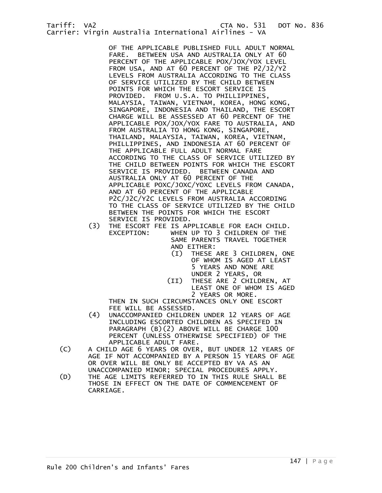OF THE APPLICABLE PUBLISHED FULL ADULT NORMAL FARE. BETWEEN USA AND AUSTRALIA ONLY AT 60 PERCENT OF THE APPLICABLE POX/JOX/YOX LEVEL FROM USA, AND AT 60 PERCENT OF THE P2/J2/Y2 LEVELS FROM AUSTRALIA ACCORDING TO THE CLASS OF SERVICE UTILIZED BY THE CHILD BETWEEN POINTS FOR WHICH THE ESCORT SERVICE IS PROVIDED. FROM U.S.A. TO PHILLIPPINES, MALAYSIA, TAIWAN, VIETNAM, KOREA, HONG KONG, SINGAPORE, INDONESIA AND THAILAND, THE ESCORT CHARGE WILL BE ASSESSED AT 60 PERCENT OF THE APPLICABLE POX/JOX/YOX FARE TO AUSTRALIA, AND FROM AUSTRALIA TO HONG KONG, SINGAPORE, THAILAND, MALAYSIA, TAIWAN, KOREA, VIETNAM, PHILLIPPINES, AND INDONESIA AT 60 PERCENT OF THE APPLICABLE FULL ADULT NORMAL FARE ACCORDING TO THE CLASS OF SERVICE UTILIZED BY THE CHILD BETWEEN POINTS FOR WHICH THE ESCORT SERVICE IS PROVIDED. BETWEEN CANADA AND AUSTRALIA ONLY AT 60 PERCENT OF THE APPLICABLE POXC/JOXC/YOXC LEVELS FROM CANADA, AND AT 60 PERCENT OF THE APPLICABLE P2C/J2C/Y2C LEVELS FROM AUSTRALIA ACCORDING TO THE CLASS OF SERVICE UTILIZED BY THE CHILD BETWEEN THE POINTS FOR WHICH THE ESCORT SERVICE IS PROVIDED.

- (3) THE ESCORT FEE IS APPLICABLE FOR EACH CHILD. EXCEPTION: WHEN UP TO 3 CHILDREN OF THE SAME PARENTS TRAVEL TOGETHER
	- AND EITHER:<br>(I) THESE THESE ARE 3 CHILDREN, ONE OF WHOM IS AGED AT LEAST 5 YEARS AND NONE ARE UNDER 2 YEARS, OR
	- (II) THESE ARE 2 CHILDREN, AT LEAST ONE OF WHOM IS AGED 2 YEARS OR MORE.

 THEN IN SUCH CIRCUMSTANCES ONLY ONE ESCORT FEE WILL BE ASSESSED.

- (4) UNACCOMPANIED CHILDREN UNDER 12 YEARS OF AGE INCLUDING ESCORTED CHILDREN AS SPECIFED IN PARAGRAPH (B)(2) ABOVE WILL BE CHARGE 100 PERCENT (UNLESS OTHERWISE SPECIFIED) OF THE APPLICABLE ADULT FARE.
- (C) A CHILD AGE 6 YEARS OR OVER, BUT UNDER 12 YEARS OF AGE IF NOT ACCOMPANIED BY A PERSON 15 YEARS OF AGE OR OVER WILL BE ONLY BE ACCEPTED BY VA AS AN
- UNACCOMPANIED MINOR; SPECIAL PROCEDURES APPLY.<br>D) THE AGE LIMITS REFERRED TO IN THIS RULE SHALL THE AGE LIMITS REFERRED TO IN THIS RULE SHALL BE THOSE IN EFFECT ON THE DATE OF COMMENCEMENT OF CARRIAGE.